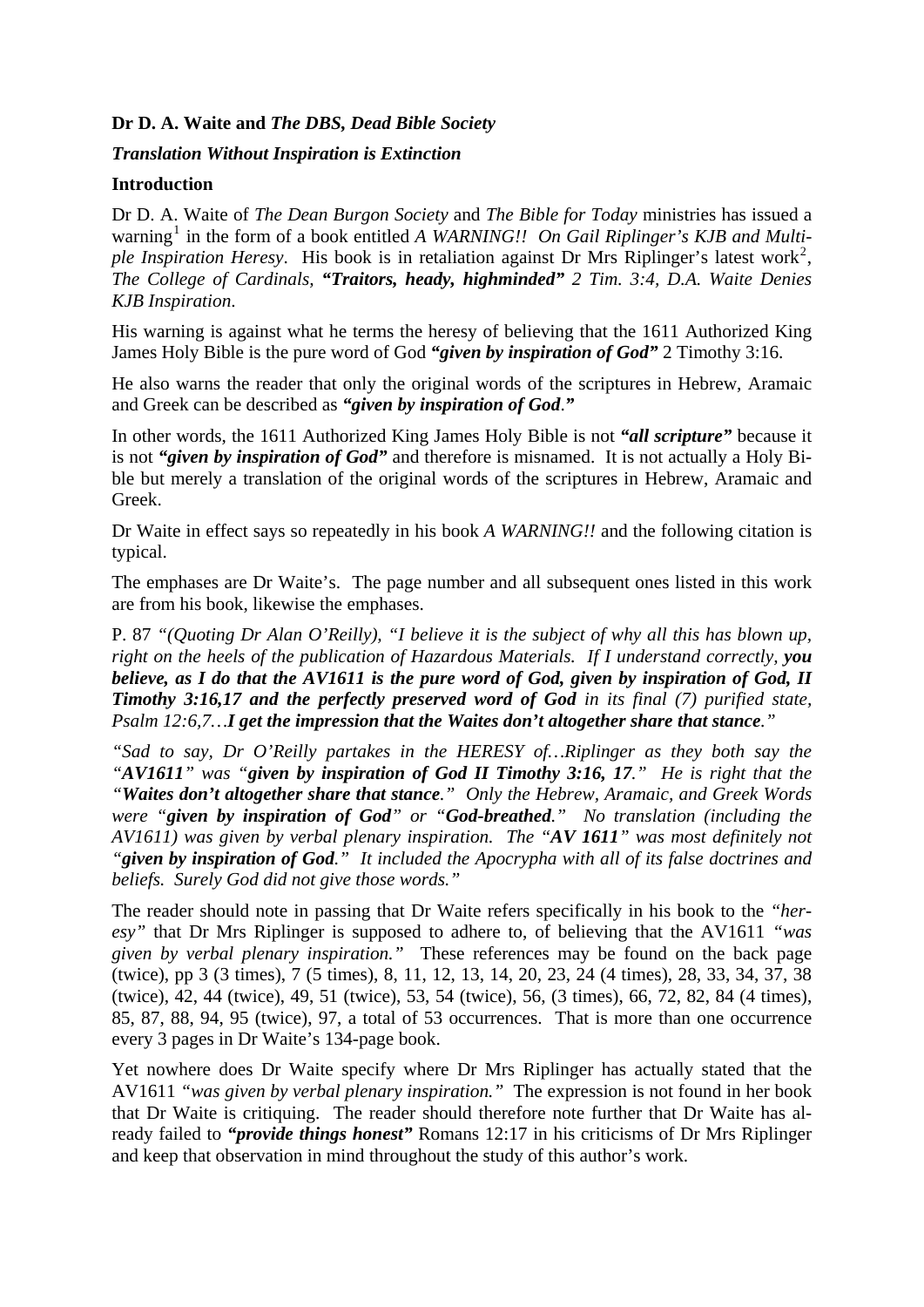# **Dr D. A. Waite and** *The DBS, Dead Bible Society*

# *Translation Without Inspiration is Extinction*

### **Introduction**

Dr D. A. Waite of *The Dean Burgon Society* and *The Bible for Today* ministries has issued a warning<sup>[1](#page-93-0)</sup> in the form of a book entitled A WARNING!! On Gail Riplinger's KJB and Multi-ple Inspiration Heresy. His book is in retaliation against Dr Mrs Riplinger's latest work<sup>[2](#page-93-1)</sup>, *The College of Cardinals, "Traitors, heady, highminded" 2 Tim. 3:4, D.A. Waite Denies KJB Inspiration*.

His warning is against what he terms the heresy of believing that the 1611 Authorized King James Holy Bible is the pure word of God *"given by inspiration of God"* 2 Timothy 3:16.

He also warns the reader that only the original words of the scriptures in Hebrew, Aramaic and Greek can be described as *"given by inspiration of God*.*"*

In other words, the 1611 Authorized King James Holy Bible is not *"all scripture"* because it is not *"given by inspiration of God"* and therefore is misnamed. It is not actually a Holy Bible but merely a translation of the original words of the scriptures in Hebrew, Aramaic and Greek.

Dr Waite in effect says so repeatedly in his book *A WARNING!!* and the following citation is typical.

The emphases are Dr Waite's. The page number and all subsequent ones listed in this work are from his book, likewise the emphases.

P. 87 *"(Quoting Dr Alan O'Reilly), "I believe it is the subject of why all this has blown up, right on the heels of the publication of Hazardous Materials. If I understand correctly, you believe, as I do that the AV1611 is the pure word of God, given by inspiration of God, II Timothy 3:16,17 and the perfectly preserved word of God in its final (7) purified state, Psalm 12:6,7…I get the impression that the Waites don't altogether share that stance."* 

*"Sad to say, Dr O'Reilly partakes in the HERESY of…Riplinger as they both say the "AV1611" was "given by inspiration of God II Timothy 3:16, 17." He is right that the "Waites don't altogether share that stance." Only the Hebrew, Aramaic, and Greek Words were "given by inspiration of God" or "God-breathed." No translation (including the AV1611) was given by verbal plenary inspiration. The "AV 1611" was most definitely not "given by inspiration of God." It included the Apocrypha with all of its false doctrines and beliefs. Surely God did not give those words."*

The reader should note in passing that Dr Waite refers specifically in his book to the *"heresy"* that Dr Mrs Riplinger is supposed to adhere to, of believing that the AV1611 *"was given by verbal plenary inspiration."* These references may be found on the back page (twice), pp 3 (3 times), 7 (5 times), 8, 11, 12, 13, 14, 20, 23, 24 (4 times), 28, 33, 34, 37, 38 (twice), 42, 44 (twice), 49, 51 (twice), 53, 54 (twice), 56, (3 times), 66, 72, 82, 84 (4 times), 85, 87, 88, 94, 95 (twice), 97, a total of 53 occurrences. That is more than one occurrence every 3 pages in Dr Waite's 134-page book.

Yet nowhere does Dr Waite specify where Dr Mrs Riplinger has actually stated that the AV1611 *"was given by verbal plenary inspiration."* The expression is not found in her book that Dr Waite is critiquing. The reader should therefore note further that Dr Waite has already failed to *"provide things honest"* Romans 12:17 in his criticisms of Dr Mrs Riplinger and keep that observation in mind throughout the study of this author's work.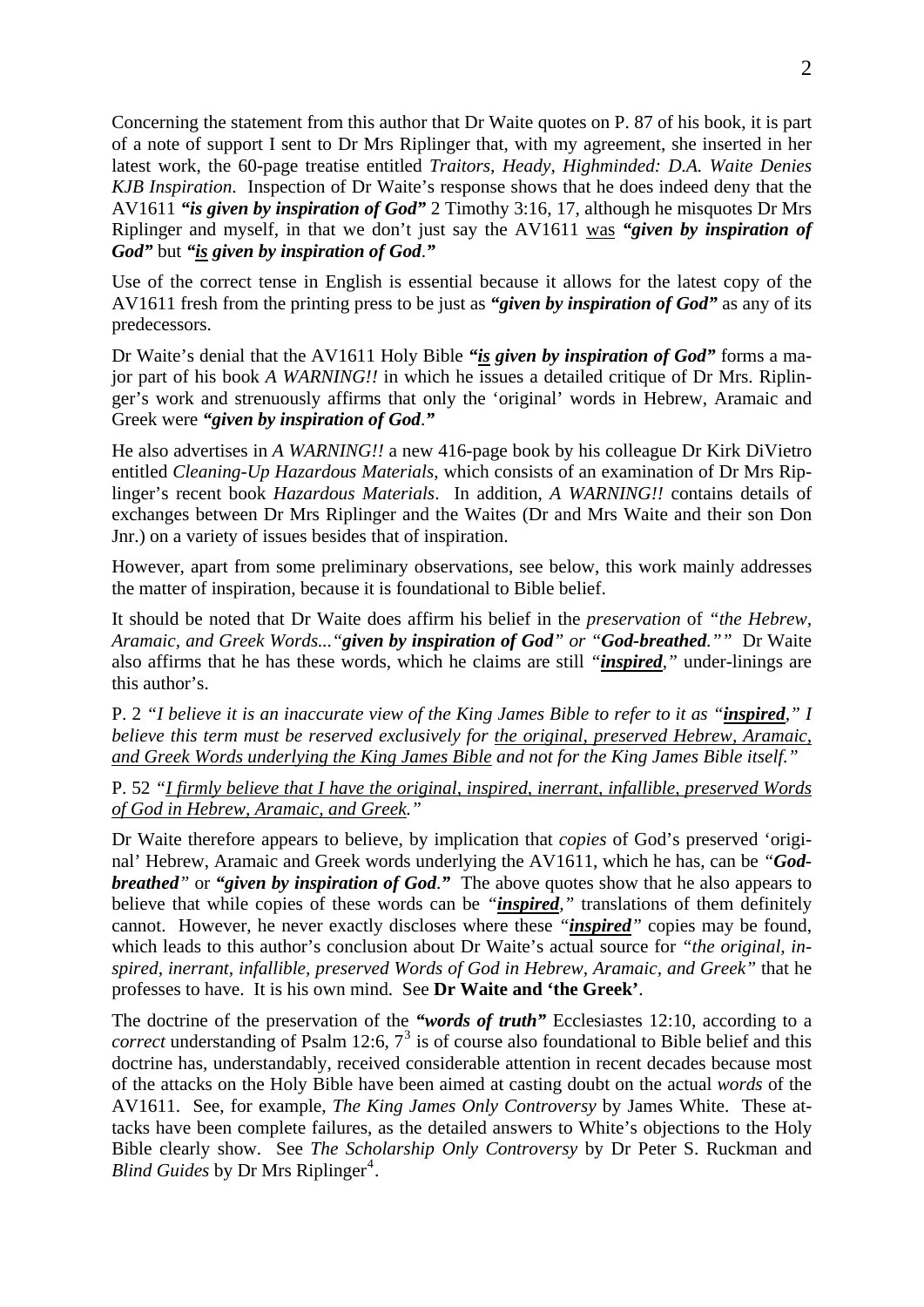Concerning the statement from this author that Dr Waite quotes on P. 87 of his book, it is part of a note of support I sent to Dr Mrs Riplinger that, with my agreement, she inserted in her latest work, the 60-page treatise entitled *Traitors, Heady, Highminded: D.A. Waite Denies KJB Inspiration*. Inspection of Dr Waite's response shows that he does indeed deny that the AV1611 *"is given by inspiration of God"* 2 Timothy 3:16, 17, although he misquotes Dr Mrs Riplinger and myself, in that we don't just say the AV1611 was *"given by inspiration of God"* but *"is given by inspiration of God*.*"*

Use of the correct tense in English is essential because it allows for the latest copy of the AV1611 fresh from the printing press to be just as *"given by inspiration of God"* as any of its predecessors.

Dr Waite's denial that the AV1611 Holy Bible *"is given by inspiration of God"* forms a major part of his book *A WARNING!!* in which he issues a detailed critique of Dr Mrs. Riplinger's work and strenuously affirms that only the 'original' words in Hebrew, Aramaic and Greek were *"given by inspiration of God*.*"*

He also advertises in *A WARNING!!* a new 416-page book by his colleague Dr Kirk DiVietro entitled *Cleaning-Up Hazardous Materials*, which consists of an examination of Dr Mrs Riplinger's recent book *Hazardous Materials*. In addition, *A WARNING!!* contains details of exchanges between Dr Mrs Riplinger and the Waites (Dr and Mrs Waite and their son Don Jnr.) on a variety of issues besides that of inspiration.

However, apart from some preliminary observations, see below, this work mainly addresses the matter of inspiration, because it is foundational to Bible belief.

It should be noted that Dr Waite does affirm his belief in the *preservation* of *"the Hebrew, Aramaic, and Greek Words..."given by inspiration of God" or "God-breathed.""* Dr Waite also affirms that he has these words, which he claims are still *"inspired*,*"* under-linings are this author's.

P. 2 *"I believe it is an inaccurate view of the King James Bible to refer to it as "inspired," I believe this term must be reserved exclusively for the original, preserved Hebrew, Aramaic, and Greek Words underlying the King James Bible and not for the King James Bible itself."*

P. 52 *"I firmly believe that I have the original, inspired, inerrant, infallible, preserved Words of God in Hebrew, Aramaic, and Greek."*

Dr Waite therefore appears to believe, by implication that *copies* of God's preserved 'original' Hebrew, Aramaic and Greek words underlying the AV1611, which he has, can be *"Godbreathed"* or *"given by inspiration of God*.*"* The above quotes show that he also appears to believe that while copies of these words can be *"inspired,"* translations of them definitely cannot. However, he never exactly discloses where these *"inspired"* copies may be found, which leads to this author's conclusion about Dr Waite's actual source for *"the original, inspired, inerrant, infallible, preserved Words of God in Hebrew, Aramaic, and Greek"* that he professes to have. It is his own mind. See **Dr Waite and 'the Greek'**.

The doctrine of the preservation of the *"words of truth"* Ecclesiastes 12:10, according to a *correct* understanding of Psalm 12:6,  $7<sup>3</sup>$  $7<sup>3</sup>$  $7<sup>3</sup>$  is of course also foundational to Bible belief and this doctrine has, understandably, received considerable attention in recent decades because most of the attacks on the Holy Bible have been aimed at casting doubt on the actual *words* of the AV1611. See, for example, *The King James Only Controversy* by James White. These attacks have been complete failures, as the detailed answers to White's objections to the Holy Bible clearly show. See *The Scholarship Only Controversy* by Dr Peter S. Ruckman and *Blind Guides* by Dr Mrs Riplinger<sup>[4](#page-93-1)</sup>.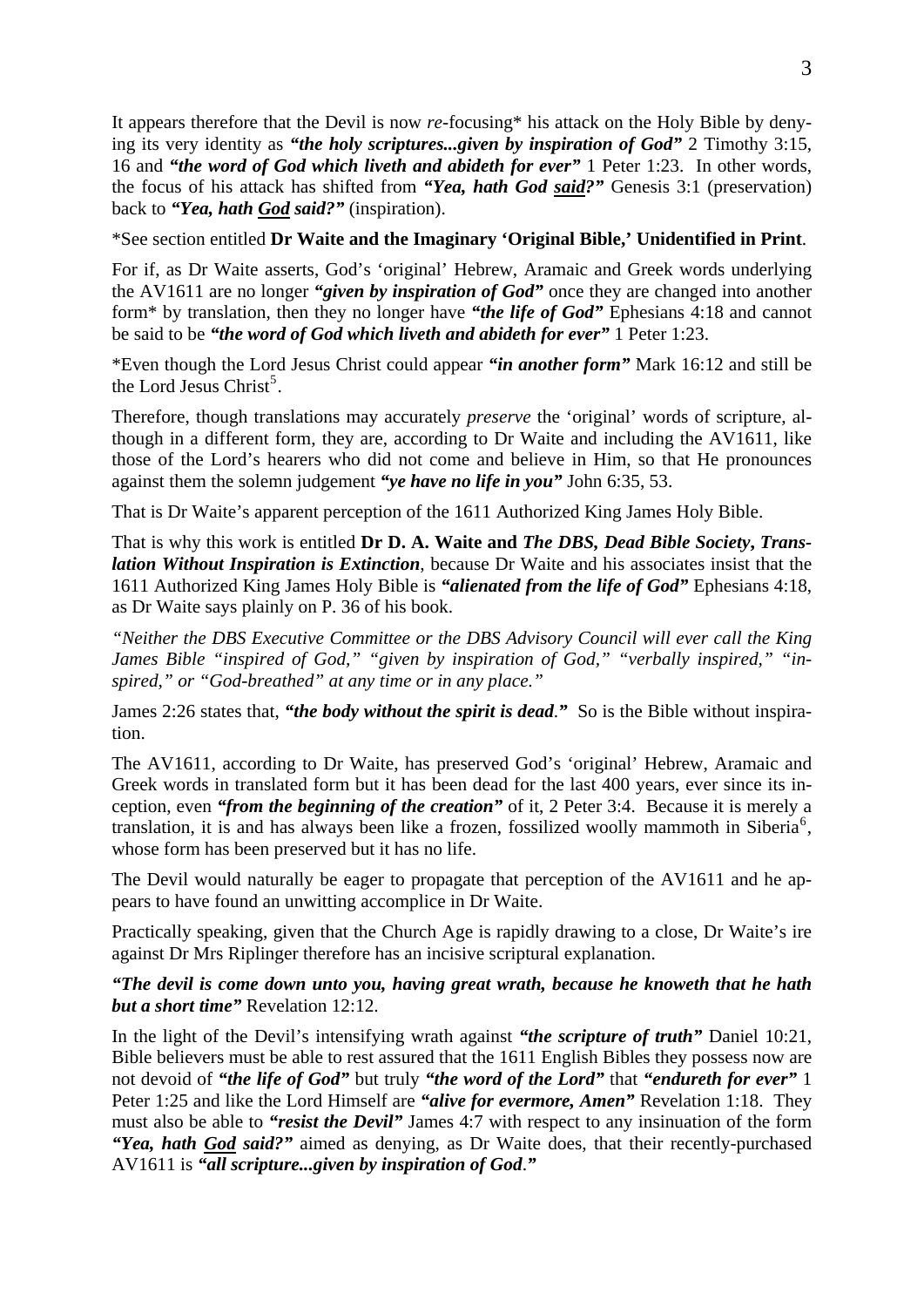It appears therefore that the Devil is now *re*-focusing\* his attack on the Holy Bible by denying its very identity as *"the holy scriptures...given by inspiration of God"* 2 Timothy 3:15, 16 and *"the word of God which liveth and abideth for ever"* 1 Peter 1:23. In other words, the focus of his attack has shifted from *"Yea, hath God said?"* Genesis 3:1 (preservation) back to *"Yea, hath God said?"* (inspiration).

\*See section entitled **Dr Waite and the Imaginary 'Original Bible,' Unidentified in Print**.

For if, as Dr Waite asserts, God's 'original' Hebrew, Aramaic and Greek words underlying the AV1611 are no longer *"given by inspiration of God"* once they are changed into another form\* by translation, then they no longer have *"the life of God"* Ephesians 4:18 and cannot be said to be *"the word of God which liveth and abideth for ever"* 1 Peter 1:23.

\*Even though the Lord Jesus Christ could appear *"in another form"* Mark 16:12 and still be the Lord Jesus Christ<sup>[5](#page-93-1)</sup>.

Therefore, though translations may accurately *preserve* the 'original' words of scripture, although in a different form, they are, according to Dr Waite and including the AV1611, like those of the Lord's hearers who did not come and believe in Him, so that He pronounces against them the solemn judgement *"ye have no life in you"* John 6:35, 53.

That is Dr Waite's apparent perception of the 1611 Authorized King James Holy Bible.

That is why this work is entitled **Dr D. A. Waite and** *The DBS, Dead Bible Society***,** *Translation Without Inspiration is Extinction*, because Dr Waite and his associates insist that the 1611 Authorized King James Holy Bible is *"alienated from the life of God"* Ephesians 4:18, as Dr Waite says plainly on P. 36 of his book.

*"Neither the DBS Executive Committee or the DBS Advisory Council will ever call the King James Bible "inspired of God," "given by inspiration of God," "verbally inspired," "inspired," or "God-breathed" at any time or in any place."*

James 2:26 states that, *"the body without the spirit is dead*.*"* So is the Bible without inspiration.

The AV1611, according to Dr Waite, has preserved God's 'original' Hebrew, Aramaic and Greek words in translated form but it has been dead for the last 400 years, ever since its inception, even *"from the beginning of the creation"* of it, 2 Peter 3:4. Because it is merely a translation, it is and has always been like a frozen, fossilized woolly mammoth in Siberia<sup>[6](#page-93-1)</sup>, whose form has been preserved but it has no life.

The Devil would naturally be eager to propagate that perception of the AV1611 and he appears to have found an unwitting accomplice in Dr Waite.

Practically speaking, given that the Church Age is rapidly drawing to a close, Dr Waite's ire against Dr Mrs Riplinger therefore has an incisive scriptural explanation.

#### *"The devil is come down unto you, having great wrath, because he knoweth that he hath but a short time"* Revelation 12:12.

In the light of the Devil's intensifying wrath against *"the scripture of truth"* Daniel 10:21, Bible believers must be able to rest assured that the 1611 English Bibles they possess now are not devoid of *"the life of God"* but truly *"the word of the Lord"* that *"endureth for ever"* 1 Peter 1:25 and like the Lord Himself are *"alive for evermore, Amen"* Revelation 1:18. They must also be able to *"resist the Devil"* James 4:7 with respect to any insinuation of the form *"Yea, hath God said?"* aimed as denying, as Dr Waite does, that their recently-purchased AV1611 is *"all scripture...given by inspiration of God*.*"*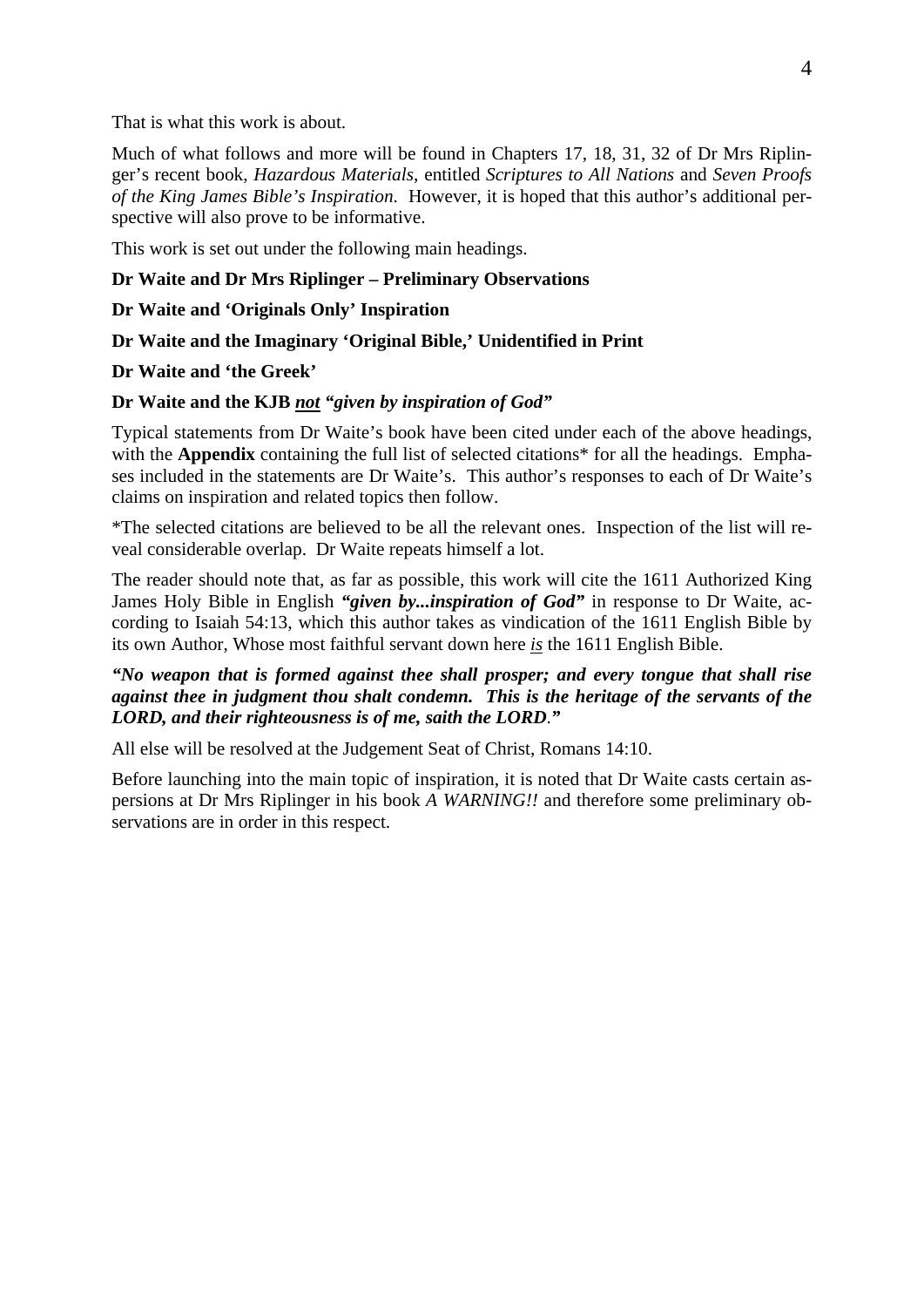That is what this work is about.

Much of what follows and more will be found in Chapters 17, 18, 31, 32 of Dr Mrs Riplinger's recent book, *Hazardous Materials*, entitled *Scriptures to All Nations* and *Seven Proofs of the King James Bible's Inspiration*. However, it is hoped that this author's additional perspective will also prove to be informative.

This work is set out under the following main headings.

#### **Dr Waite and Dr Mrs Riplinger – Preliminary Observations**

### **Dr Waite and 'Originals Only' Inspiration**

## **Dr Waite and the Imaginary 'Original Bible,' Unidentified in Print**

#### **Dr Waite and 'the Greek'**

#### **Dr Waite and the KJB** *not "given by inspiration of God"*

Typical statements from Dr Waite's book have been cited under each of the above headings, with the **Appendix** containing the full list of selected citations\* for all the headings. Emphases included in the statements are Dr Waite's. This author's responses to each of Dr Waite's claims on inspiration and related topics then follow.

\*The selected citations are believed to be all the relevant ones. Inspection of the list will reveal considerable overlap. Dr Waite repeats himself a lot.

The reader should note that, as far as possible, this work will cite the 1611 Authorized King James Holy Bible in English *"given by...inspiration of God"* in response to Dr Waite, according to Isaiah 54:13, which this author takes as vindication of the 1611 English Bible by its own Author, Whose most faithful servant down here *is* the 1611 English Bible.

# *"No weapon that is formed against thee shall prosper; and every tongue that shall rise against thee in judgment thou shalt condemn. This is the heritage of the servants of the LORD, and their righteousness is of me, saith the LORD*.*"*

All else will be resolved at the Judgement Seat of Christ, Romans 14:10.

Before launching into the main topic of inspiration, it is noted that Dr Waite casts certain aspersions at Dr Mrs Riplinger in his book *A WARNING!!* and therefore some preliminary observations are in order in this respect.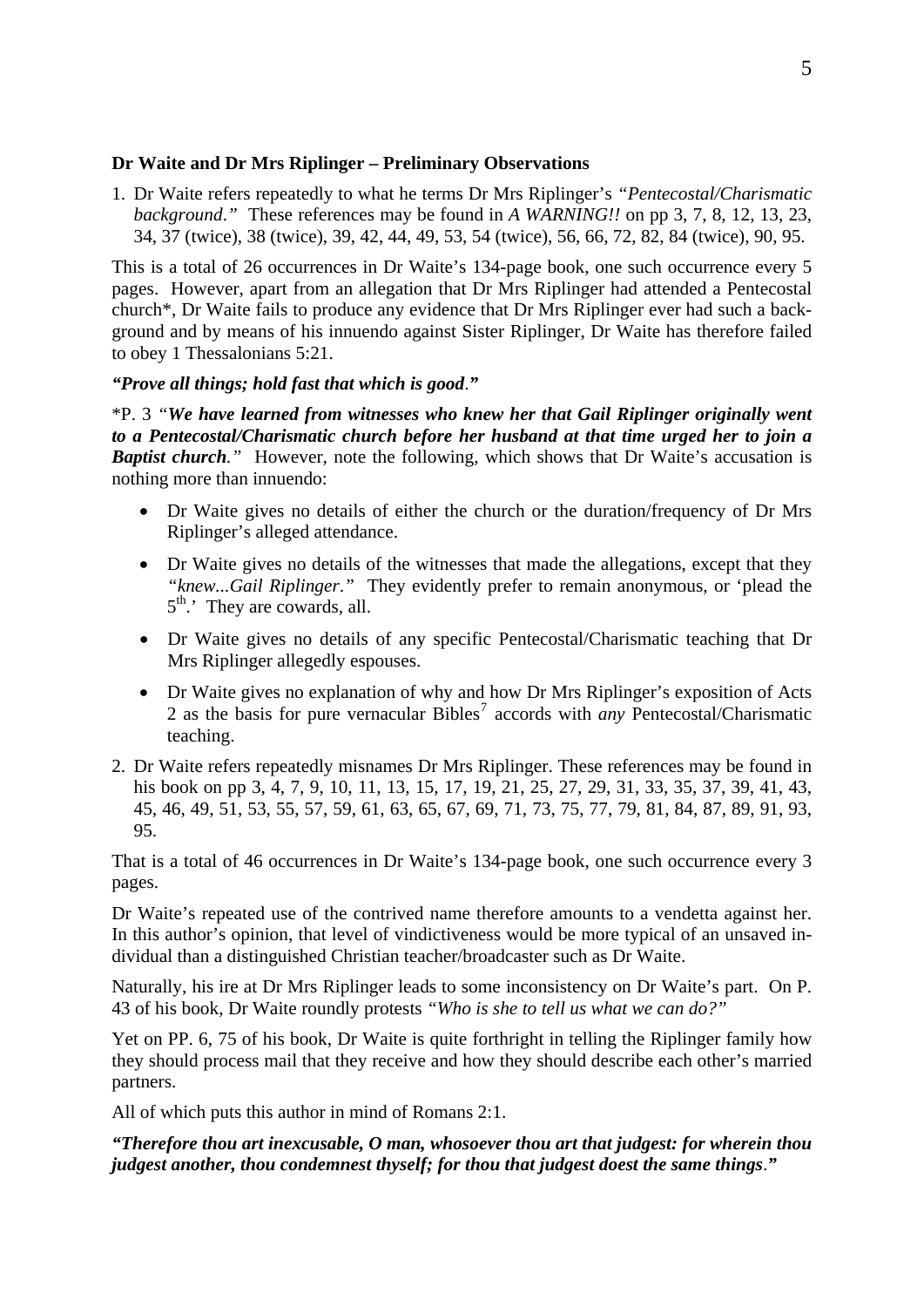#### **Dr Waite and Dr Mrs Riplinger – Preliminary Observations**

1. Dr Waite refers repeatedly to what he terms Dr Mrs Riplinger's *"Pentecostal/Charismatic background*.*"* These references may be found in *A WARNING!!* on pp 3, 7, 8, 12, 13, 23, 34, 37 (twice), 38 (twice), 39, 42, 44, 49, 53, 54 (twice), 56, 66, 72, 82, 84 (twice), 90, 95.

This is a total of 26 occurrences in Dr Waite's 134-page book, one such occurrence every 5 pages. However, apart from an allegation that Dr Mrs Riplinger had attended a Pentecostal church\*, Dr Waite fails to produce any evidence that Dr Mrs Riplinger ever had such a background and by means of his innuendo against Sister Riplinger, Dr Waite has therefore failed to obey 1 Thessalonians 5:21.

#### *"Prove all things; hold fast that which is good*.*"*

\*P. 3 *"We have learned from witnesses who knew her that Gail Riplinger originally went to a Pentecostal/Charismatic church before her husband at that time urged her to join a Baptist church.* However, note the following, which shows that Dr Waite's accusation is nothing more than innuendo:

- Dr Waite gives no details of either the church or the duration/frequency of Dr Mrs Riplinger's alleged attendance.
- Dr Waite gives no details of the witnesses that made the allegations, except that they *"knew...Gail Riplinger*.*"* They evidently prefer to remain anonymous, or 'plead the 5<sup>th</sup>.' They are cowards, all.
- Dr Waite gives no details of any specific Pentecostal/Charismatic teaching that Dr Mrs Riplinger allegedly espouses.
- Dr Waite gives no explanation of why and how Dr Mrs Riplinger's exposition of Acts 2 as the basis for pure vernacular Bibles<sup>[7](#page-93-1)</sup> accords with *any* Pentecostal/Charismatic teaching.
- 2. Dr Waite refers repeatedly misnames Dr Mrs Riplinger. These references may be found in his book on pp 3, 4, 7, 9, 10, 11, 13, 15, 17, 19, 21, 25, 27, 29, 31, 33, 35, 37, 39, 41, 43, 45, 46, 49, 51, 53, 55, 57, 59, 61, 63, 65, 67, 69, 71, 73, 75, 77, 79, 81, 84, 87, 89, 91, 93, 95.

That is a total of 46 occurrences in Dr Waite's 134-page book, one such occurrence every 3 pages.

Dr Waite's repeated use of the contrived name therefore amounts to a vendetta against her. In this author's opinion, that level of vindictiveness would be more typical of an unsaved individual than a distinguished Christian teacher/broadcaster such as Dr Waite.

Naturally, his ire at Dr Mrs Riplinger leads to some inconsistency on Dr Waite's part. On P. 43 of his book, Dr Waite roundly protests *"Who is she to tell us what we can do?"*

Yet on PP. 6, 75 of his book, Dr Waite is quite forthright in telling the Riplinger family how they should process mail that they receive and how they should describe each other's married partners.

All of which puts this author in mind of Romans 2:1.

*"Therefore thou art inexcusable, O man, whosoever thou art that judgest: for wherein thou judgest another, thou condemnest thyself; for thou that judgest doest the same things*.*"*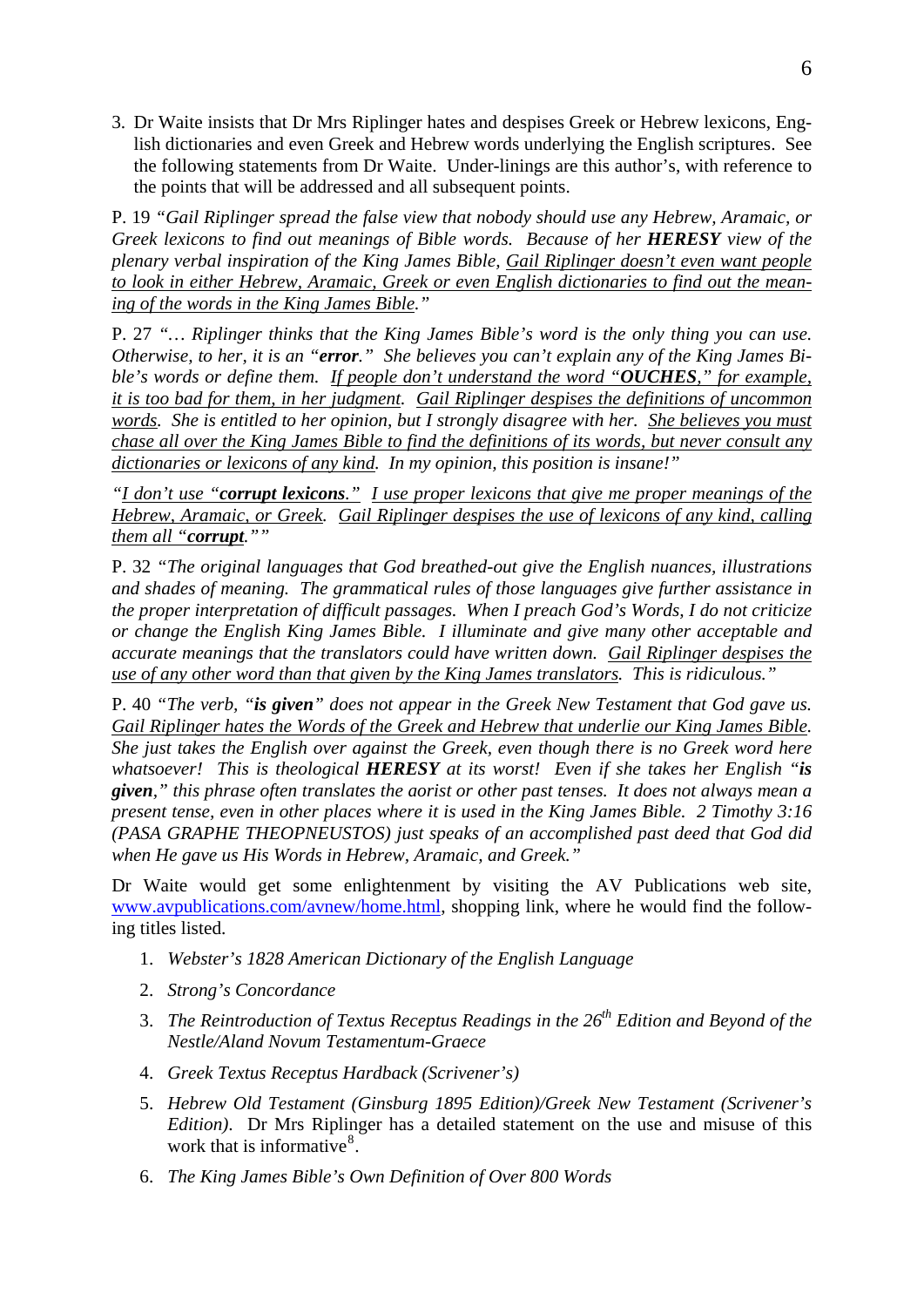3. Dr Waite insists that Dr Mrs Riplinger hates and despises Greek or Hebrew lexicons, English dictionaries and even Greek and Hebrew words underlying the English scriptures. See the following statements from Dr Waite. Under-linings are this author's, with reference to the points that will be addressed and all subsequent points.

P. 19 *"Gail Riplinger spread the false view that nobody should use any Hebrew, Aramaic, or Greek lexicons to find out meanings of Bible words. Because of her HERESY view of the plenary verbal inspiration of the King James Bible, Gail Riplinger doesn't even want people to look in either Hebrew, Aramaic, Greek or even English dictionaries to find out the meaning of the words in the King James Bible."*

P. 27 *"… Riplinger thinks that the King James Bible's word is the only thing you can use. Otherwise, to her, it is an "error." She believes you can't explain any of the King James Bible's words or define them. If people don't understand the word "OUCHES," for example, it is too bad for them, in her judgment. Gail Riplinger despises the definitions of uncommon words. She is entitled to her opinion, but I strongly disagree with her. She believes you must chase all over the King James Bible to find the definitions of its words, but never consult any dictionaries or lexicons of any kind. In my opinion, this position is insane!"*

*"I don't use "corrupt lexicons." I use proper lexicons that give me proper meanings of the Hebrew, Aramaic, or Greek. Gail Riplinger despises the use of lexicons of any kind, calling them all "corrupt.""*

P. 32 *"The original languages that God breathed-out give the English nuances, illustrations and shades of meaning. The grammatical rules of those languages give further assistance in the proper interpretation of difficult passages. When I preach God's Words, I do not criticize or change the English King James Bible. I illuminate and give many other acceptable and accurate meanings that the translators could have written down. Gail Riplinger despises the use of any other word than that given by the King James translators. This is ridiculous."*

P. 40 *"The verb, "is given" does not appear in the Greek New Testament that God gave us. Gail Riplinger hates the Words of the Greek and Hebrew that underlie our King James Bible. She just takes the English over against the Greek, even though there is no Greek word here whatsoever! This is theological HERESY at its worst! Even if she takes her English "is given," this phrase often translates the aorist or other past tenses. It does not always mean a present tense, even in other places where it is used in the King James Bible. 2 Timothy 3:16 (PASA GRAPHE THEOPNEUSTOS) just speaks of an accomplished past deed that God did when He gave us His Words in Hebrew, Aramaic, and Greek."*

Dr Waite would get some enlightenment by visiting the AV Publications web site, [www.avpublications.com/avnew/home.html](http://www.avpublications.com/avnew/home.html), shopping link, where he would find the following titles listed.

- 1. *[Webster's 1828 American Dictionary of the English Language](https://shop.avpublications.com/product_info.php?cPath=41&products_id=192&osCsid=07f54f4ba0fb131bc737f25808666d67)*
- 2. *Strong's Concordance*
- 3. *The Reintroduction of Textus Receptus Readings in the 26<sup>th</sup> Edition and Beyond of the Nestle/Aland Novum Testamentum-Graece*
- 4. *Greek Textus Receptus Hardback (Scrivener's)*
- 5. *Hebrew Old Testament (Ginsburg 1895 Edition)/Greek New Testament (Scrivener's Edition)*. Dr Mrs Riplinger has a detailed statement on the use and misuse of this work that is informative<sup>[8](#page-93-1)</sup>.
- 6. *The King James Bible's Own Definition of Over 800 Words*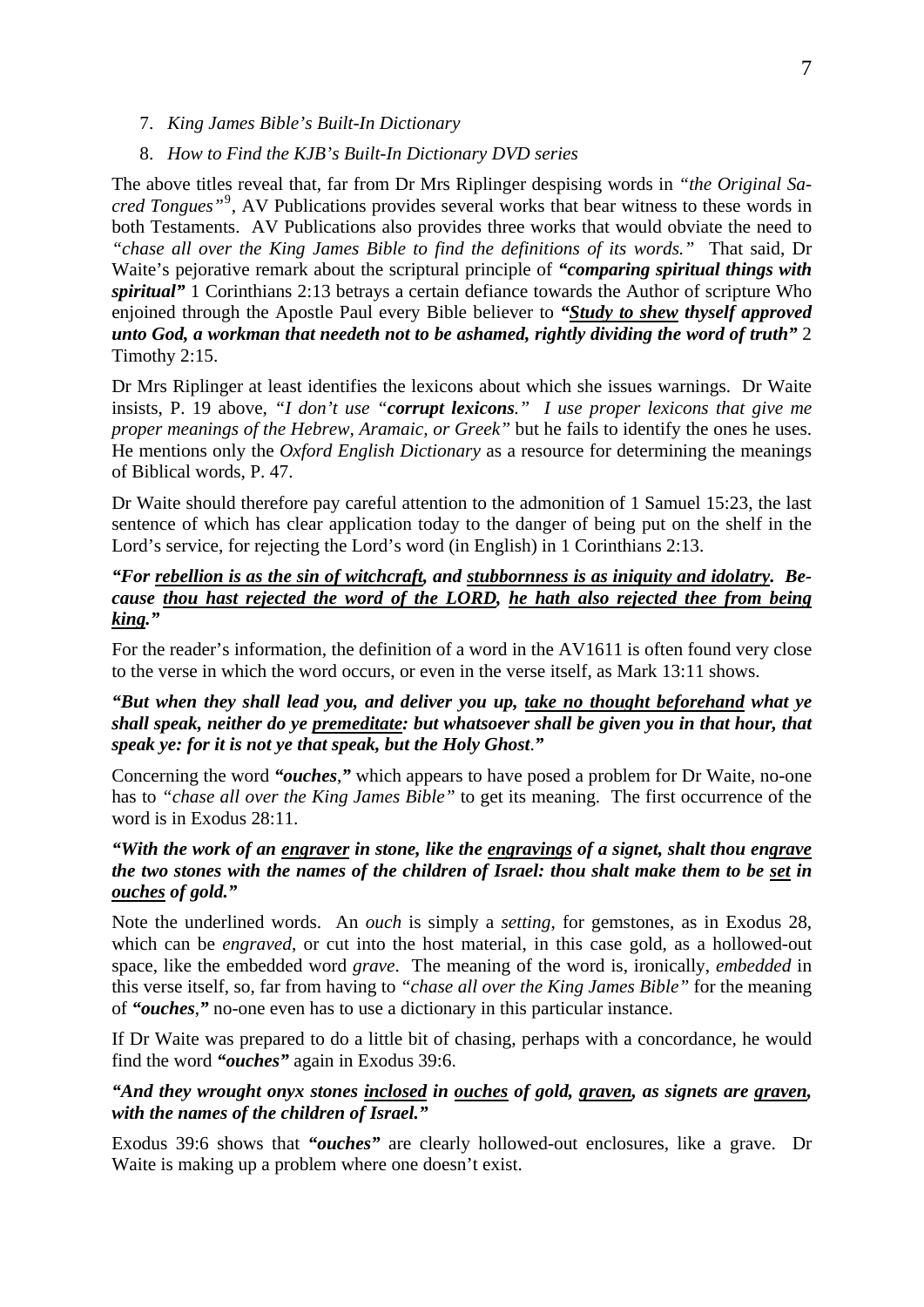- 7. *King James Bible's Built-In Dictionary*
- 8. *How to Find the KJB's Built-In Dictionary DVD series*

The above titles reveal that, far from Dr Mrs Riplinger despising words in *"the Original Sacred Tongues"*[9](#page-93-1) , AV Publications provides several works that bear witness to these words in both Testaments. AV Publications also provides three works that would obviate the need to *"chase all over the King James Bible to find the definitions of its words."* That said, Dr Waite's pejorative remark about the scriptural principle of *"comparing spiritual things with spiritual"* 1 Corinthians 2:13 betrays a certain defiance towards the Author of scripture Who enjoined through the Apostle Paul every Bible believer to *"Study to shew thyself approved unto God, a workman that needeth not to be ashamed, rightly dividing the word of truth"* 2 Timothy 2:15.

Dr Mrs Riplinger at least identifies the lexicons about which she issues warnings. Dr Waite insists, P. 19 above, *"I don't use "corrupt lexicons." I use proper lexicons that give me proper meanings of the Hebrew, Aramaic, or Greek"* but he fails to identify the ones he uses. He mentions only the *Oxford English Dictionary* as a resource for determining the meanings of Biblical words, P. 47.

Dr Waite should therefore pay careful attention to the admonition of 1 Samuel 15:23, the last sentence of which has clear application today to the danger of being put on the shelf in the Lord's service, for rejecting the Lord's word (in English) in 1 Corinthians 2:13.

## *"For rebellion is as the sin of witchcraft, and stubbornness is as iniquity and idolatry. Because thou hast rejected the word of the LORD, he hath also rejected thee from being king."*

For the reader's information, the definition of a word in the AV1611 is often found very close to the verse in which the word occurs, or even in the verse itself, as Mark 13:11 shows.

## *"But when they shall lead you, and deliver you up, take no thought beforehand what ye shall speak, neither do ye premeditate: but whatsoever shall be given you in that hour, that speak ye: for it is not ye that speak, but the Holy Ghost*.*"*

Concerning the word *"ouches*,*"* which appears to have posed a problem for Dr Waite, no-one has to *"chase all over the King James Bible"* to get its meaning. The first occurrence of the word is in Exodus 28:11.

# *"With the work of an engraver in stone, like the engravings of a signet, shalt thou engrave the two stones with the names of the children of Israel: thou shalt make them to be set in ouches of gold."*

Note the underlined words. An *ouch* is simply a *setting*, for gemstones, as in Exodus 28, which can be *engraved*, or cut into the host material, in this case gold, as a hollowed-out space, like the embedded word *grave*. The meaning of the word is, ironically, *embedded* in this verse itself, so, far from having to *"chase all over the King James Bible"* for the meaning of *"ouches*,*"* no-one even has to use a dictionary in this particular instance.

If Dr Waite was prepared to do a little bit of chasing, perhaps with a concordance, he would find the word *"ouches"* again in Exodus 39:6.

## *"And they wrought onyx stones inclosed in ouches of gold, graven, as signets are graven, with the names of the children of Israel."*

Exodus 39:6 shows that *"ouches"* are clearly hollowed-out enclosures, like a grave. Dr Waite is making up a problem where one doesn't exist.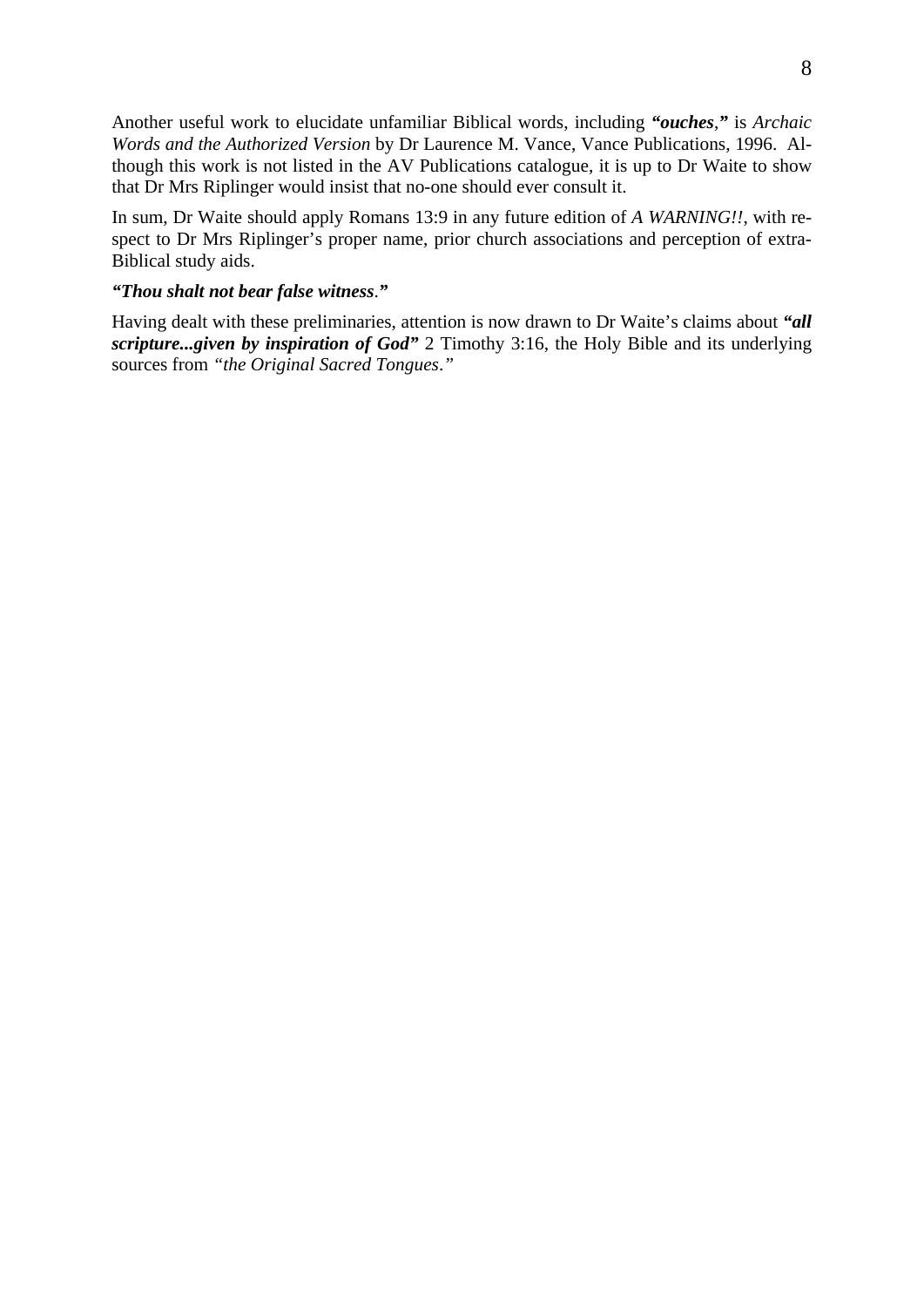Another useful work to elucidate unfamiliar Biblical words, including *"ouches*,*"* is *Archaic Words and the Authorized Version* by Dr Laurence M. Vance, Vance Publications, 1996. Although this work is not listed in the AV Publications catalogue, it is up to Dr Waite to show that Dr Mrs Riplinger would insist that no-one should ever consult it.

In sum, Dr Waite should apply Romans 13:9 in any future edition of *A WARNING!!*, with respect to Dr Mrs Riplinger's proper name, prior church associations and perception of extra-Biblical study aids.

#### *"Thou shalt not bear false witness*.*"*

Having dealt with these preliminaries, attention is now drawn to Dr Waite's claims about *"all scripture...given by inspiration of God"* 2 Timothy 3:16, the Holy Bible and its underlying sources from *"the Original Sacred Tongues*.*"*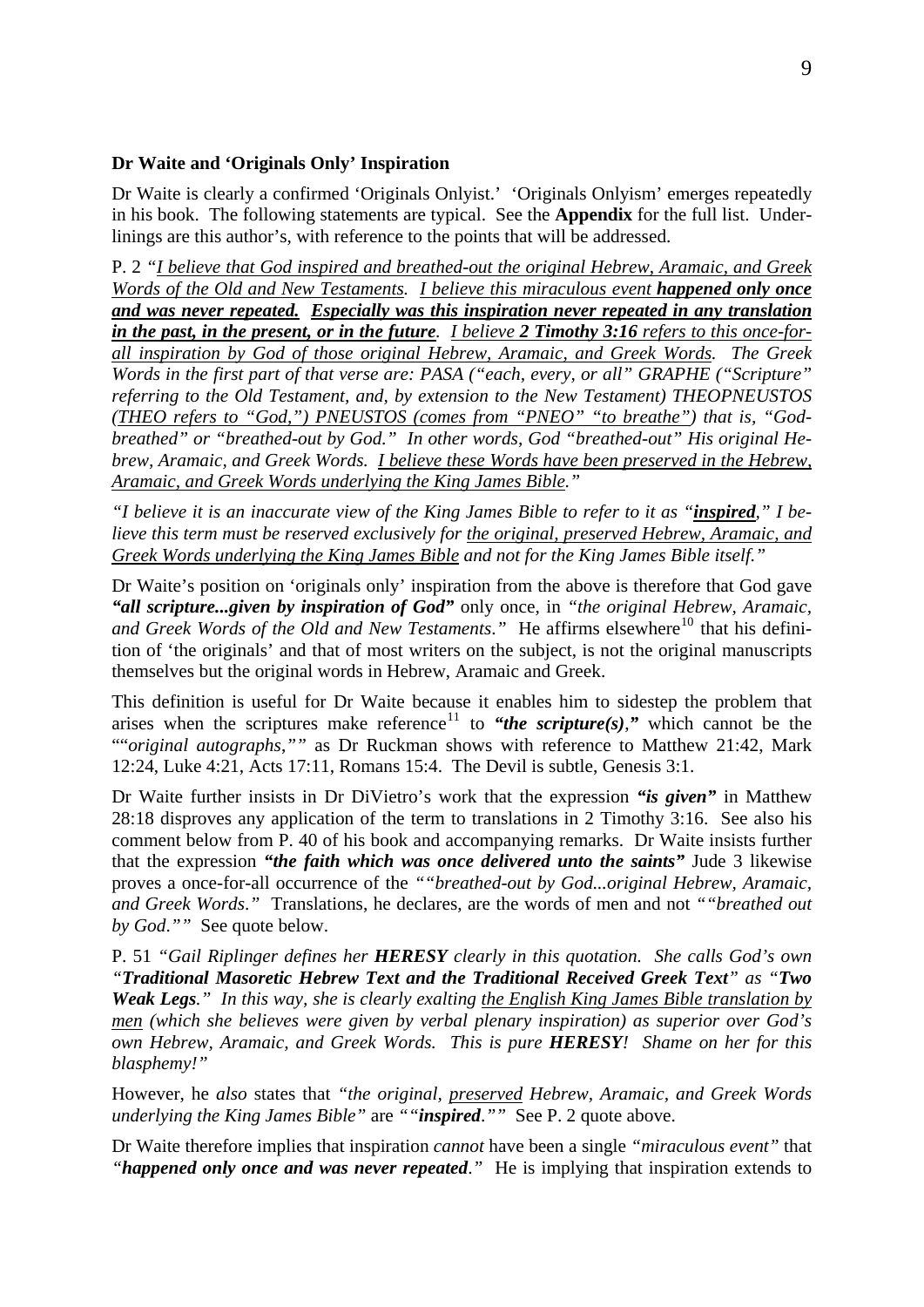## **Dr Waite and 'Originals Only' Inspiration**

Dr Waite is clearly a confirmed 'Originals Onlyist.' 'Originals Onlyism' emerges repeatedly in his book. The following statements are typical. See the **Appendix** for the full list. Underlinings are this author's, with reference to the points that will be addressed.

P. 2 *"I believe that God inspired and breathed-out the original Hebrew, Aramaic, and Greek Words of the Old and New Testaments. I believe this miraculous event <i>happened only once and was never repeated. Especially was this inspiration never repeated in any translation in the past, in the present, or in the future. I believe 2 Timothy 3:16 refers to this once-forall inspiration by God of those original Hebrew, Aramaic, and Greek Words. The Greek Words in the first part of that verse are: PASA ("each, every, or all" GRAPHE ("Scripture" referring to the Old Testament, and, by extension to the New Testament) THEOPNEUSTOS (THEO refers to "God,") PNEUSTOS (comes from "PNEO" "to breathe") that is, "Godbreathed" or "breathed-out by God." In other words, God "breathed-out" His original Hebrew, Aramaic, and Greek Words. I believe these Words have been preserved in the Hebrew, Aramaic, and Greek Words underlying the King James Bible."*

*"I believe it is an inaccurate view of the King James Bible to refer to it as "inspired," I believe this term must be reserved exclusively for the original, preserved Hebrew, Aramaic, and Greek Words underlying the King James Bible and not for the King James Bible itself."*

Dr Waite's position on 'originals only' inspiration from the above is therefore that God gave *"all scripture...given by inspiration of God"* only once, in *"the original Hebrew, Aramaic, and Greek Words of the Old and New Testaments."* He affirms elsewhere<sup>[10](#page-93-1)</sup> that his definition of 'the originals' and that of most writers on the subject, is not the original manuscripts themselves but the original words in Hebrew, Aramaic and Greek.

This definition is useful for Dr Waite because it enables him to sidestep the problem that arises when the scriptures make reference<sup>[11](#page-93-1)</sup> to "*the scripture(s)*," which cannot be the ""*original autographs*,*""* as Dr Ruckman shows with reference to Matthew 21:42, Mark 12:24, Luke 4:21, Acts 17:11, Romans 15:4. The Devil is subtle, Genesis 3:1.

Dr Waite further insists in Dr DiVietro's work that the expression *"is given"* in Matthew 28:18 disproves any application of the term to translations in 2 Timothy 3:16. See also his comment below from P. 40 of his book and accompanying remarks. Dr Waite insists further that the expression *"the faith which was once delivered unto the saints"* Jude 3 likewise proves a once-for-all occurrence of the *""breathed-out by God...original Hebrew, Aramaic, and Greek Words*.*"* Translations, he declares, are the words of men and not *""breathed out by God*.*""* See quote below.

P. 51 *"Gail Riplinger defines her HERESY clearly in this quotation. She calls God's own "Traditional Masoretic Hebrew Text and the Traditional Received Greek Text" as "Two Weak Legs." In this way, she is clearly exalting the English King James Bible translation by men (which she believes were given by verbal plenary inspiration) as superior over God's own Hebrew, Aramaic, and Greek Words. This is pure HERESY! Shame on her for this blasphemy!"*

However, he *also* states that *"the original, preserved Hebrew, Aramaic, and Greek Words underlying the King James Bible"* are *""inspired*.*""* See P. 2 quote above.

Dr Waite therefore implies that inspiration *cannot* have been a single *"miraculous event"* that *"happened only once and was never repeated*.*"* He is implying that inspiration extends to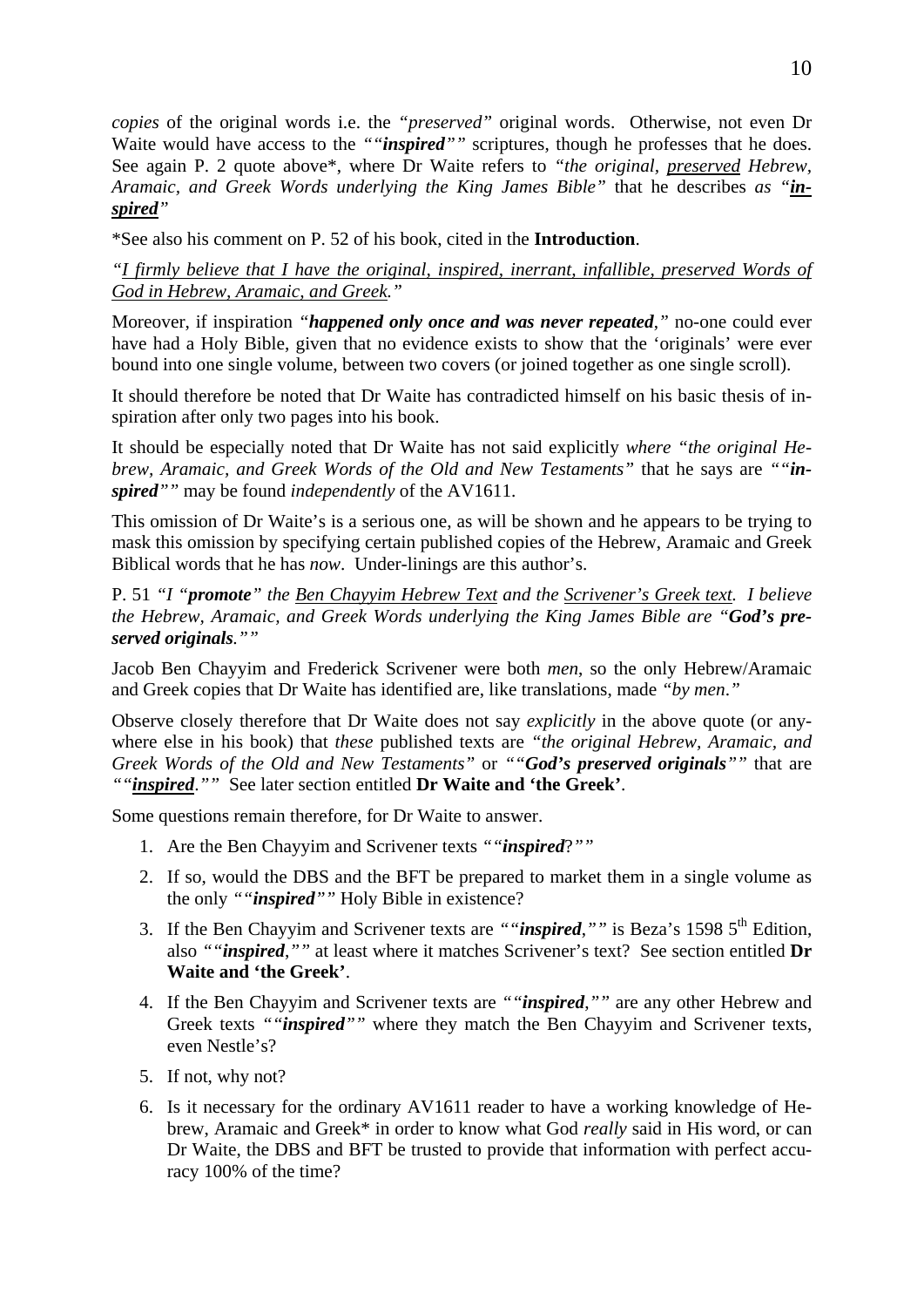*copies* of the original words i.e. the *"preserved"* original words. Otherwise, not even Dr Waite would have access to the *""inspired"*" scriptures, though he professes that he does. See again P. 2 quote above\*, where Dr Waite refers to *"the original, preserved Hebrew, Aramaic, and Greek Words underlying the King James Bible"* that he describes *as "inspired"*

\*See also his comment on P. 52 of his book, cited in the **Introduction**.

# *"I firmly believe that I have the original, inspired, inerrant, infallible, preserved Words of God in Hebrew, Aramaic, and Greek."*

Moreover, if inspiration *"happened only once and was never repeated*,*"* no-one could ever have had a Holy Bible, given that no evidence exists to show that the 'originals' were ever bound into one single volume, between two covers (or joined together as one single scroll).

It should therefore be noted that Dr Waite has contradicted himself on his basic thesis of inspiration after only two pages into his book.

It should be especially noted that Dr Waite has not said explicitly *where "the original Hebrew, Aramaic, and Greek Words of the Old and New Testaments"* that he says are *""inspired""* may be found *independently* of the AV1611.

This omission of Dr Waite's is a serious one, as will be shown and he appears to be trying to mask this omission by specifying certain published copies of the Hebrew, Aramaic and Greek Biblical words that he has *now*. Under-linings are this author's.

P. 51 *"I "promote" the Ben Chayyim Hebrew Text and the Scrivener's Greek text. I believe the Hebrew, Aramaic, and Greek Words underlying the King James Bible are "God's preserved originals.""*

Jacob Ben Chayyim and Frederick Scrivener were both *men*, so the only Hebrew/Aramaic and Greek copies that Dr Waite has identified are, like translations, made *"by men*.*"*

Observe closely therefore that Dr Waite does not say *explicitly* in the above quote (or anywhere else in his book) that *these* published texts are *"the original Hebrew, Aramaic, and Greek Words of the Old and New Testaments"* or *""God's preserved originals""* that are *""inspired*.*""* See later section entitled **Dr Waite and 'the Greek'**.

Some questions remain therefore, for Dr Waite to answer.

- 1. Are the Ben Chayyim and Scrivener texts *""inspired*?*""*
- 2. If so, would the DBS and the BFT be prepared to market them in a single volume as the only *""inspired""* Holy Bible in existence?
- 3. If the Ben Chayyim and Scrivener texts are *""inspired*,*""* is Beza's 1598 5th Edition, also *""inspired*,*""* at least where it matches Scrivener's text? See section entitled **Dr Waite and 'the Greek'**.
- 4. If the Ben Chayyim and Scrivener texts are *""inspired*,*""* are any other Hebrew and Greek texts *""inspired""* where they match the Ben Chayyim and Scrivener texts, even Nestle's?
- 5. If not, why not?
- 6. Is it necessary for the ordinary AV1611 reader to have a working knowledge of Hebrew, Aramaic and Greek\* in order to know what God *really* said in His word, or can Dr Waite, the DBS and BFT be trusted to provide that information with perfect accuracy 100% of the time?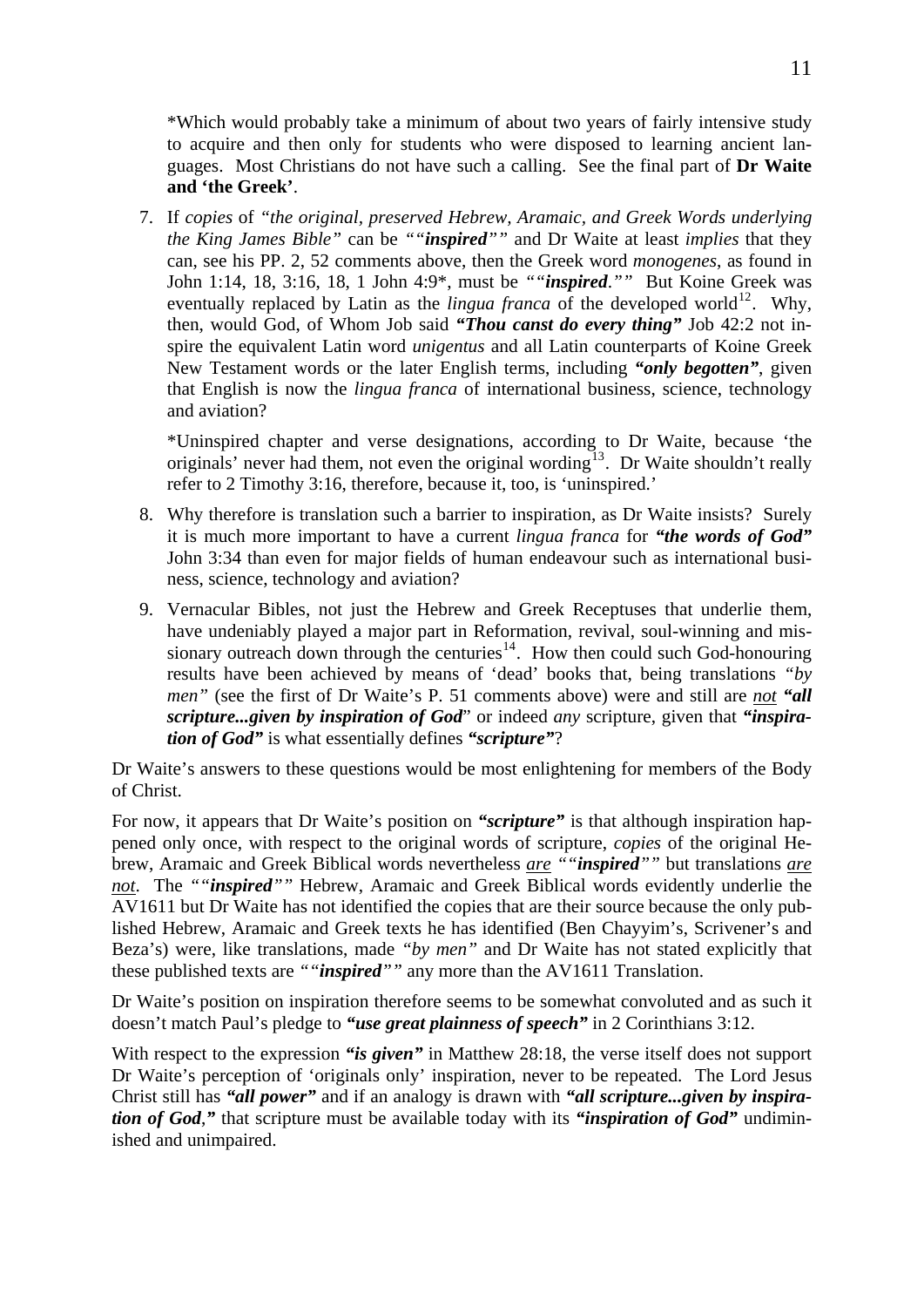\*Which would probably take a minimum of about two years of fairly intensive study to acquire and then only for students who were disposed to learning ancient languages. Most Christians do not have such a calling. See the final part of **Dr Waite and 'the Greek'**.

7. If *copies* of *"the original, preserved Hebrew, Aramaic, and Greek Words underlying the King James Bible"* can be *""inspired""* and Dr Waite at least *implies* that they can, see his PP. 2, 52 comments above, then the Greek word *monogenes*, as found in John 1:14, 18, 3:16, 18, 1 John 4:9\*, must be *""inspired*.*""* But Koine Greek was eventually replaced by Latin as the *lingua franca* of the developed world<sup>[12](#page-93-1)</sup>. Why, then, would God, of Whom Job said *"Thou canst do every thing"* Job 42:2 not inspire the equivalent Latin word *unigentus* and all Latin counterparts of Koine Greek New Testament words or the later English terms, including *"only begotten"*, given that English is now the *lingua franca* of international business, science, technology and aviation?

\*Uninspired chapter and verse designations, according to Dr Waite, because 'the originals' never had them, not even the original wording<sup>[13](#page-93-1)</sup>. Dr Waite shouldn't really refer to 2 Timothy 3:16, therefore, because it, too, is 'uninspired.'

- 8. Why therefore is translation such a barrier to inspiration, as Dr Waite insists? Surely it is much more important to have a current *lingua franca* for *"the words of God"* John 3:34 than even for major fields of human endeavour such as international business, science, technology and aviation?
- 9. Vernacular Bibles, not just the Hebrew and Greek Receptuses that underlie them, have undeniably played a major part in Reformation, revival, soul-winning and missionary outreach down through the centuries $14$ . How then could such God-honouring results have been achieved by means of 'dead' books that, being translations *"by men"* (see the first of Dr Waite's P. 51 comments above) were and still are *not "all scripture...given by inspiration of God*" or indeed *any* scripture, given that *"inspiration of God"* is what essentially defines *"scripture"*?

Dr Waite's answers to these questions would be most enlightening for members of the Body of Christ.

For now, it appears that Dr Waite's position on *"scripture"* is that although inspiration happened only once, with respect to the original words of scripture, *copies* of the original Hebrew, Aramaic and Greek Biblical words nevertheless *are ""inspired""* but translations *are not*. The *""inspired""* Hebrew, Aramaic and Greek Biblical words evidently underlie the AV1611 but Dr Waite has not identified the copies that are their source because the only published Hebrew, Aramaic and Greek texts he has identified (Ben Chayyim's, Scrivener's and Beza's) were, like translations, made *"by men"* and Dr Waite has not stated explicitly that these published texts are *""inspired""* any more than the AV1611 Translation.

Dr Waite's position on inspiration therefore seems to be somewhat convoluted and as such it doesn't match Paul's pledge to *"use great plainness of speech"* in 2 Corinthians 3:12.

With respect to the expression *"is given"* in Matthew 28:18, the verse itself does not support Dr Waite's perception of 'originals only' inspiration, never to be repeated. The Lord Jesus Christ still has *"all power"* and if an analogy is drawn with *"all scripture...given by inspiration of God*,*"* that scripture must be available today with its *"inspiration of God"* undiminished and unimpaired.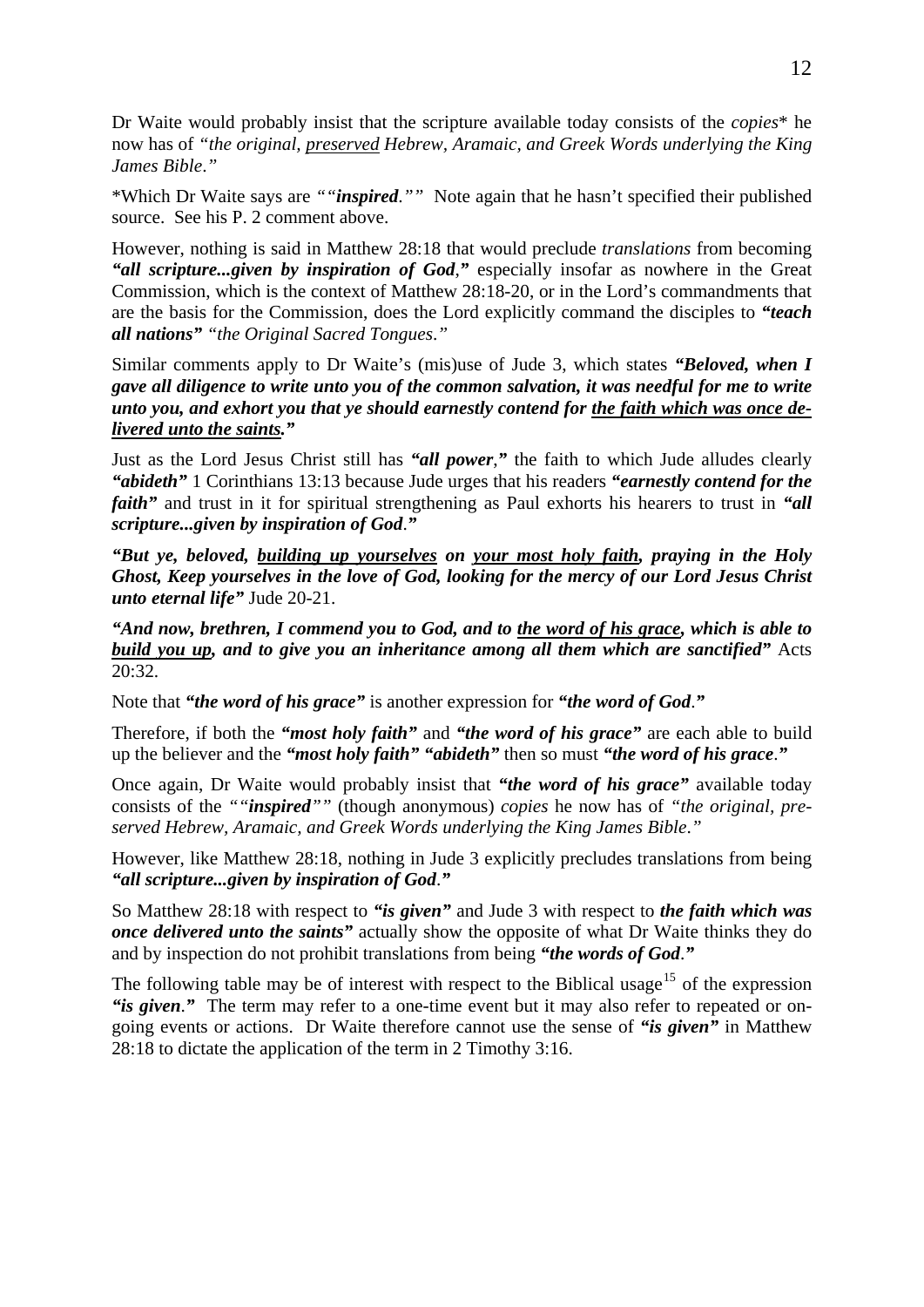Dr Waite would probably insist that the scripture available today consists of the *copies*\* he now has of *"the original, preserved Hebrew, Aramaic, and Greek Words underlying the King James Bible*.*"*

\*Which Dr Waite says are *""inspired*.*""* Note again that he hasn't specified their published source. See his P. 2 comment above.

However, nothing is said in Matthew 28:18 that would preclude *translations* from becoming *"all scripture...given by inspiration of God*,*"* especially insofar as nowhere in the Great Commission, which is the context of Matthew 28:18-20, or in the Lord's commandments that are the basis for the Commission, does the Lord explicitly command the disciples to *"teach all nations" "the Original Sacred Tongues*.*"*

Similar comments apply to Dr Waite's (mis)use of Jude 3, which states *"Beloved, when I gave all diligence to write unto you of the common salvation, it was needful for me to write unto you, and exhort you that ye should earnestly contend for the faith which was once delivered unto the saints."*

Just as the Lord Jesus Christ still has *"all power*,*"* the faith to which Jude alludes clearly *"abideth"* 1 Corinthians 13:13 because Jude urges that his readers *"earnestly contend for the faith"* and trust in it for spiritual strengthening as Paul exhorts his hearers to trust in *"all scripture...given by inspiration of God*.*"*

*"But ye, beloved, building up yourselves on your most holy faith, praying in the Holy Ghost, Keep yourselves in the love of God, looking for the mercy of our Lord Jesus Christ unto eternal life"* Jude 20-21.

*"And now, brethren, I commend you to God, and to the word of his grace, which is able to build you up, and to give you an inheritance among all them which are sanctified"* Acts 20:32.

Note that *"the word of his grace"* is another expression for *"the word of God*.*"*

Therefore, if both the *"most holy faith"* and *"the word of his grace"* are each able to build up the believer and the *"most holy faith" "abideth"* then so must *"the word of his grace*.*"*

Once again, Dr Waite would probably insist that *"the word of his grace"* available today consists of the *""inspired""* (though anonymous) *copies* he now has of *"the original, preserved Hebrew, Aramaic, and Greek Words underlying the King James Bible*.*"*

However, like Matthew 28:18, nothing in Jude 3 explicitly precludes translations from being *"all scripture...given by inspiration of God*.*"*

So Matthew 28:18 with respect to *"is given"* and Jude 3 with respect to *the faith which was once delivered unto the saints"* actually show the opposite of what Dr Waite thinks they do and by inspection do not prohibit translations from being *"the words of God*.*"* 

The following table may be of interest with respect to the Biblical usage<sup>[15](#page-93-1)</sup> of the expression *"is given*.*"* The term may refer to a one-time event but it may also refer to repeated or ongoing events or actions. Dr Waite therefore cannot use the sense of *"is given"* in Matthew 28:18 to dictate the application of the term in 2 Timothy 3:16.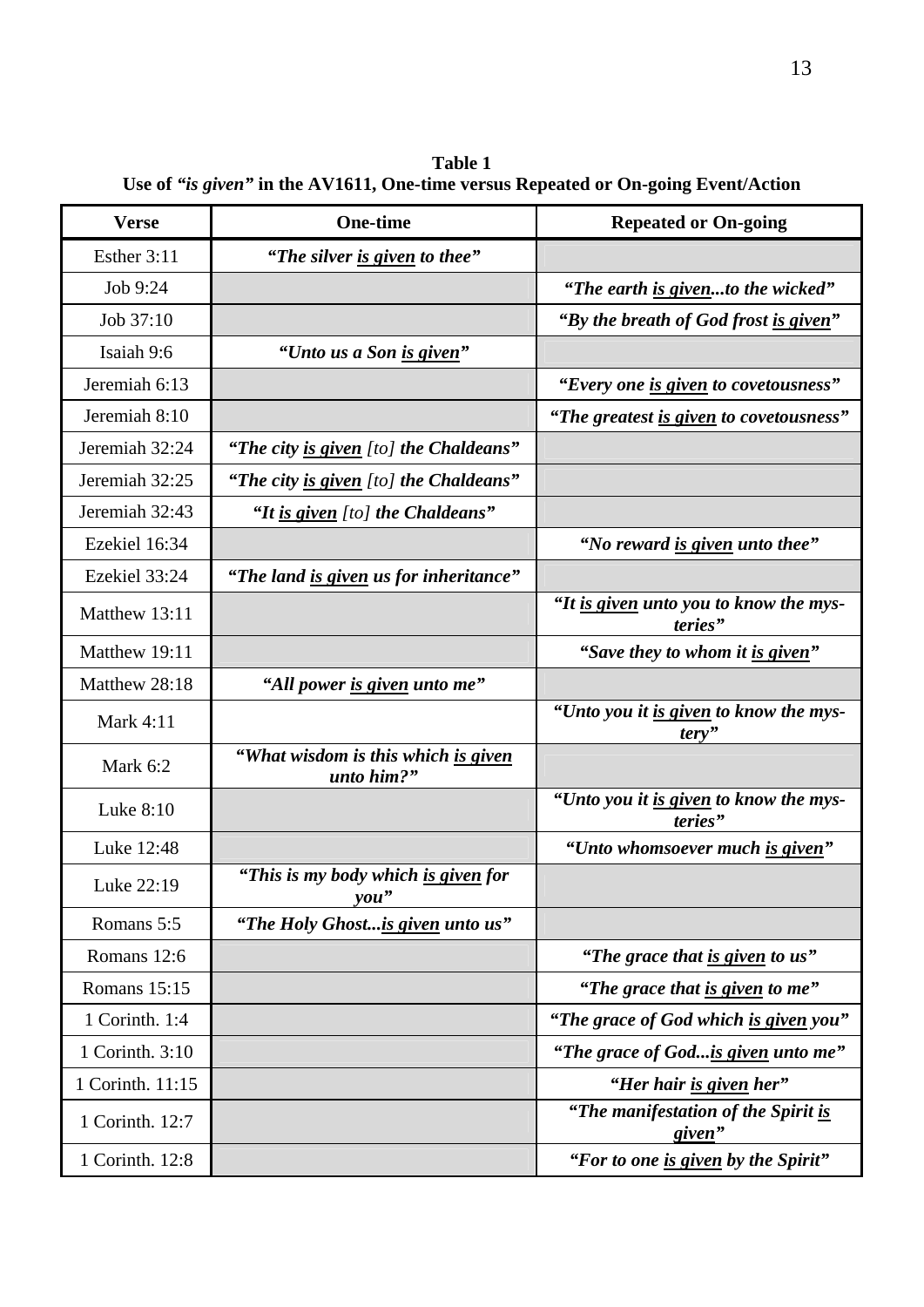**Table 1 Use of** *"is given"* **in the AV1611, One-time versus Repeated or On-going Event/Action** 

| <b>Verse</b>     | <b>One-time</b>                                   | <b>Repeated or On-going</b>                       |
|------------------|---------------------------------------------------|---------------------------------------------------|
| Esther 3:11      | "The silver is given to thee"                     |                                                   |
| Job 9:24         |                                                   | "The earth is givento the wicked"                 |
| Job 37:10        |                                                   | "By the breath of God frost is given"             |
| Isaiah 9:6       | "Unto us a Son is given"                          |                                                   |
| Jeremiah 6:13    |                                                   | "Every one is given to covetousness"              |
| Jeremiah 8:10    |                                                   | "The greatest is given to covetousness"           |
| Jeremiah 32:24   | "The city is given [to] the Chaldeans"            |                                                   |
| Jeremiah 32:25   | "The city is given [to] the Chaldeans"            |                                                   |
| Jeremiah 32:43   | "It is given $[$ to] the Chaldeans"               |                                                   |
| Ezekiel 16:34    |                                                   | "No reward is given unto thee"                    |
| Ezekiel 33:24    | "The land is given us for inheritance"            |                                                   |
| Matthew 13:11    |                                                   | "It is given unto you to know the mys-<br>teries" |
| Matthew 19:11    |                                                   | "Save they to whom it is given"                   |
| Matthew 28:18    | "All power is given unto me"                      |                                                   |
| <b>Mark 4:11</b> |                                                   | "Unto you it is given to know the mys-<br>tery"   |
| Mark 6:2         | "What wisdom is this which is given<br>unto him?" |                                                   |
| Luke 8:10        |                                                   | "Unto you it is given to know the mys-<br>teries" |
| Luke 12:48       |                                                   | "Unto whomsoever much is given"                   |
| Luke 22:19       | "This is my body which is given for<br>you''      |                                                   |
| Romans 5:5       | "The Holy Ghost is given unto us"                 |                                                   |
| Romans 12:6      |                                                   | "The grace that is given to us"                   |
| Romans 15:15     |                                                   | "The grace that is given to me"                   |
| 1 Corinth. 1:4   |                                                   | "The grace of God which is given you"             |
| 1 Corinth. 3:10  |                                                   | "The grace of God is given unto me"               |
| 1 Corinth. 11:15 |                                                   | "Her hair is given her"                           |
| 1 Corinth. 12:7  |                                                   | "The manifestation of the Spirit is<br>given"     |
| 1 Corinth. 12:8  |                                                   | "For to one is given by the Spirit"               |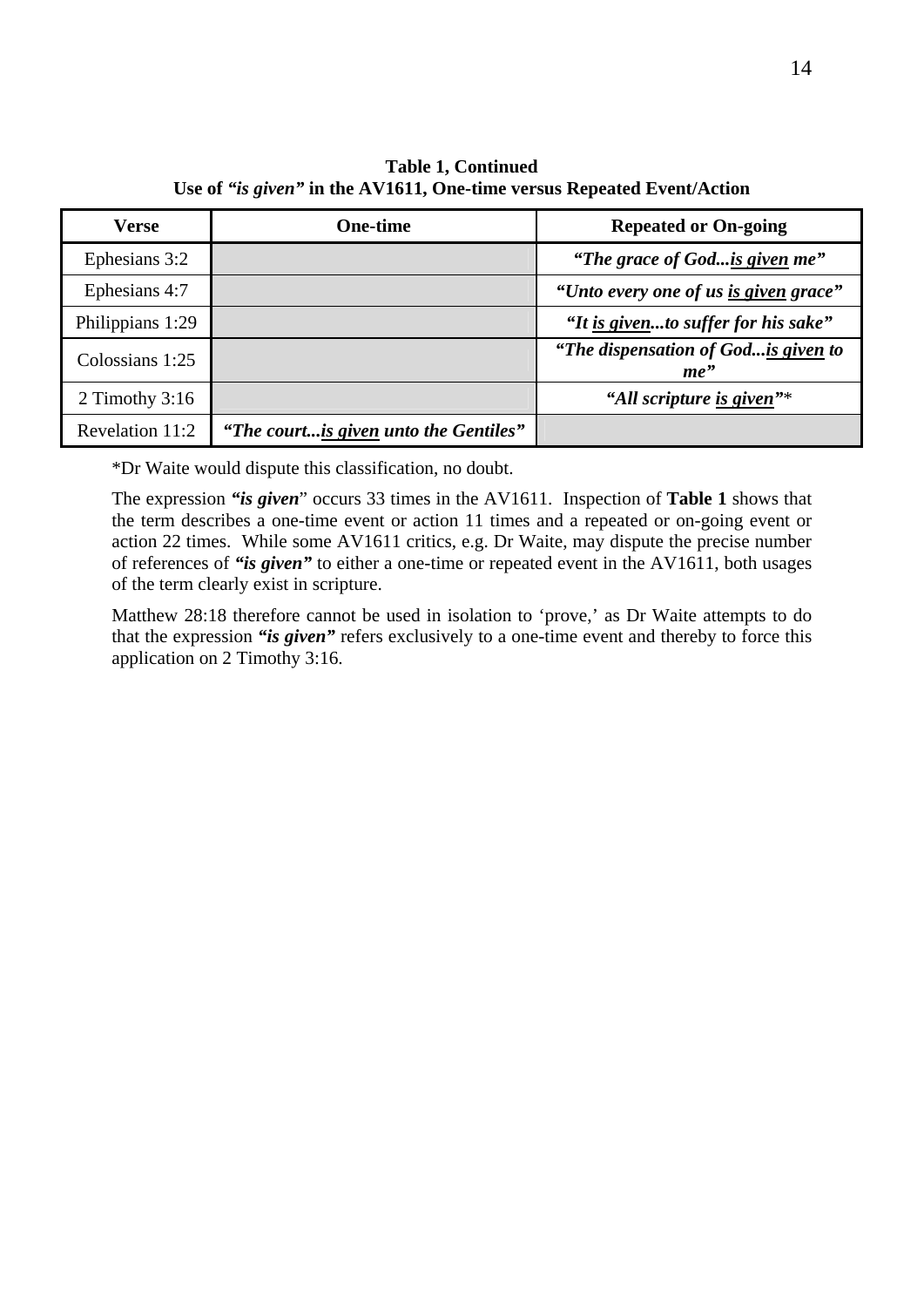**Table 1, Continued Use of** *"is given"* **in the AV1611, One-time versus Repeated Event/Action** 

| <b>Verse</b>     | <b>One-time</b>                        | <b>Repeated or On-going</b>                |
|------------------|----------------------------------------|--------------------------------------------|
| Ephesians 3:2    |                                        | "The grace of God is given me"             |
| Ephesians 4:7    |                                        | "Unto every one of us is given grace"      |
| Philippians 1:29 |                                        | "It is givento suffer for his sake"        |
| Colossians 1:25  |                                        | "The dispensation of Godis given to<br>me" |
| 2 Timothy $3:16$ |                                        | "All scripture is given"*                  |
| Revelation 11:2  | "The court is given unto the Gentiles" |                                            |

\*Dr Waite would dispute this classification, no doubt.

The expression *"is given*" occurs 33 times in the AV1611. Inspection of **Table 1** shows that the term describes a one-time event or action 11 times and a repeated or on-going event or action 22 times. While some AV1611 critics, e.g. Dr Waite, may dispute the precise number of references of *"is given"* to either a one-time or repeated event in the AV1611, both usages of the term clearly exist in scripture.

Matthew 28:18 therefore cannot be used in isolation to 'prove,' as Dr Waite attempts to do that the expression *"is given"* refers exclusively to a one-time event and thereby to force this application on 2 Timothy 3:16.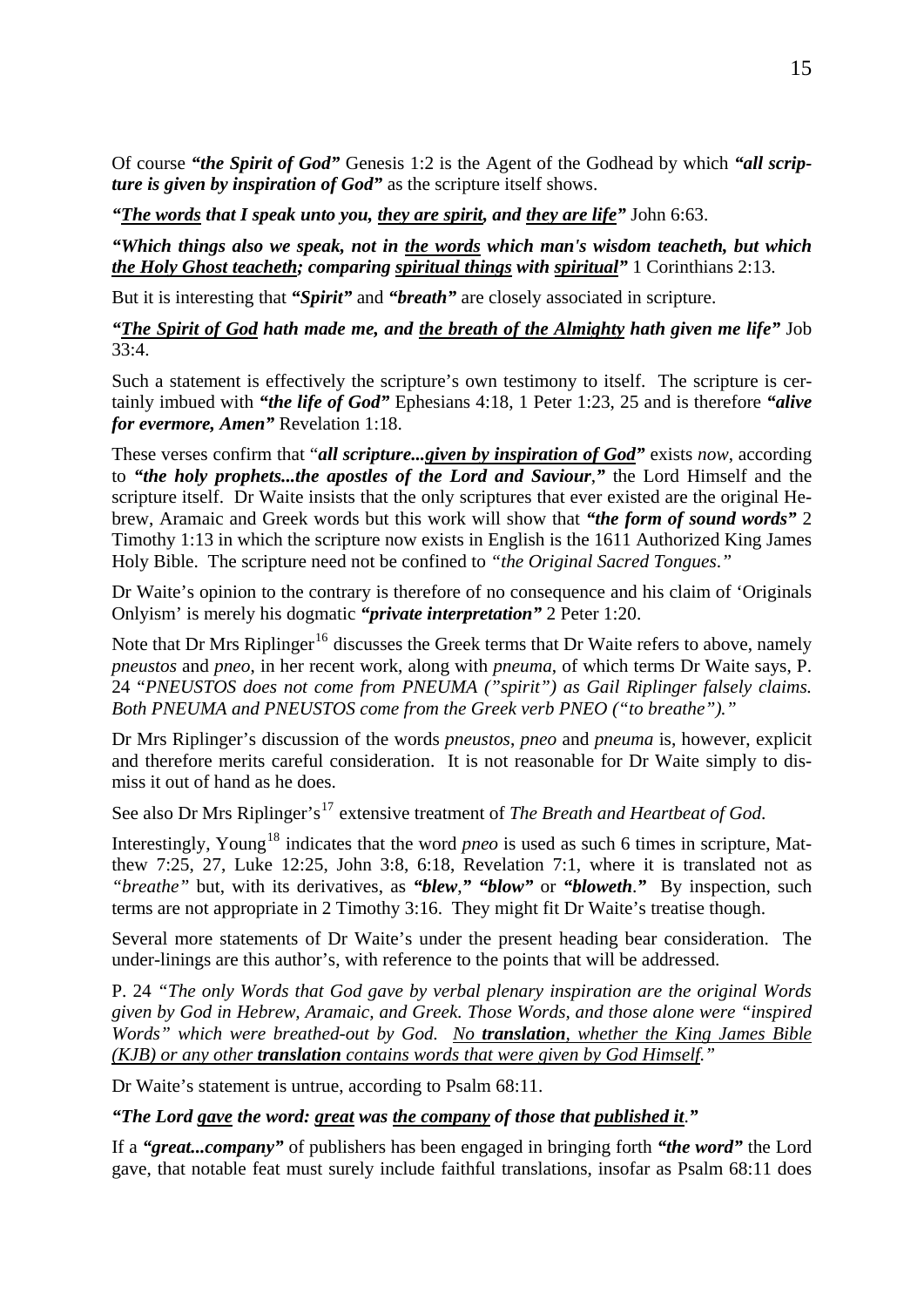Of course *"the Spirit of God"* Genesis 1:2 is the Agent of the Godhead by which *"all scripture is given by inspiration of God"* as the scripture itself shows.

*"The words that I speak unto you, they are spirit, and they are life"* John 6:63.

*"Which things also we speak, not in the words which man's wisdom teacheth, but which the Holy Ghost teacheth; comparing spiritual things with spiritual"* 1 Corinthians 2:13.

But it is interesting that *"Spirit"* and *"breath"* are closely associated in scripture.

*"The Spirit of God hath made me, and the breath of the Almighty hath given me life"* Job 33:4.

Such a statement is effectively the scripture's own testimony to itself. The scripture is certainly imbued with *"the life of God"* Ephesians 4:18, 1 Peter 1:23, 25 and is therefore *"alive for evermore, Amen"* Revelation 1:18.

These verses confirm that "*all scripture...given by inspiration of God"* exists *now*, according to *"the holy prophets...the apostles of the Lord and Saviour*,*"* the Lord Himself and the scripture itself. Dr Waite insists that the only scriptures that ever existed are the original Hebrew, Aramaic and Greek words but this work will show that *"the form of sound words"* 2 Timothy 1:13 in which the scripture now exists in English is the 1611 Authorized King James Holy Bible. The scripture need not be confined to *"the Original Sacred Tongues*.*"*

Dr Waite's opinion to the contrary is therefore of no consequence and his claim of 'Originals Onlyism' is merely his dogmatic *"private interpretation"* 2 Peter 1:20.

Note that Dr Mrs Riplinger<sup>[16](#page-93-1)</sup> discusses the Greek terms that Dr Waite refers to above, namely *pneustos* and *pneo*, in her recent work, along with *pneuma*, of which terms Dr Waite says, P. 24 "*PNEUSTOS does not come from PNEUMA ("spirit") as Gail Riplinger falsely claims. Both PNEUMA and PNEUSTOS come from the Greek verb PNEO ("to breathe")."* 

Dr Mrs Riplinger's discussion of the words *pneustos*, *pneo* and *pneuma* is, however, explicit and therefore merits careful consideration. It is not reasonable for Dr Waite simply to dismiss it out of hand as he does.

See also Dr Mrs Riplinger's<sup>[17](#page-93-1)</sup> extensive treatment of *The Breath and Heartbeat of God*.

Interestingly, Young<sup>[18](#page-93-1)</sup> indicates that the word *pneo* is used as such 6 times in scripture, Matthew 7:25, 27, Luke 12:25, John 3:8, 6:18, Revelation 7:1, where it is translated not as *"breathe"* but, with its derivatives, as *"blew*,*" "blow"* or *"bloweth*.*"* By inspection, such terms are not appropriate in 2 Timothy 3:16. They might fit Dr Waite's treatise though.

Several more statements of Dr Waite's under the present heading bear consideration. The under-linings are this author's, with reference to the points that will be addressed.

P. 24 *"The only Words that God gave by verbal plenary inspiration are the original Words given by God in Hebrew, Aramaic, and Greek. Those Words, and those alone were "inspired Words" which were breathed-out by God. No translation, whether the King James Bible (KJB) or any other translation contains words that were given by God Himself."*

Dr Waite's statement is untrue, according to Psalm 68:11.

# *"The Lord gave the word: great was the company of those that published it*.*"*

If a *"great...company"* of publishers has been engaged in bringing forth *"the word"* the Lord gave, that notable feat must surely include faithful translations, insofar as Psalm 68:11 does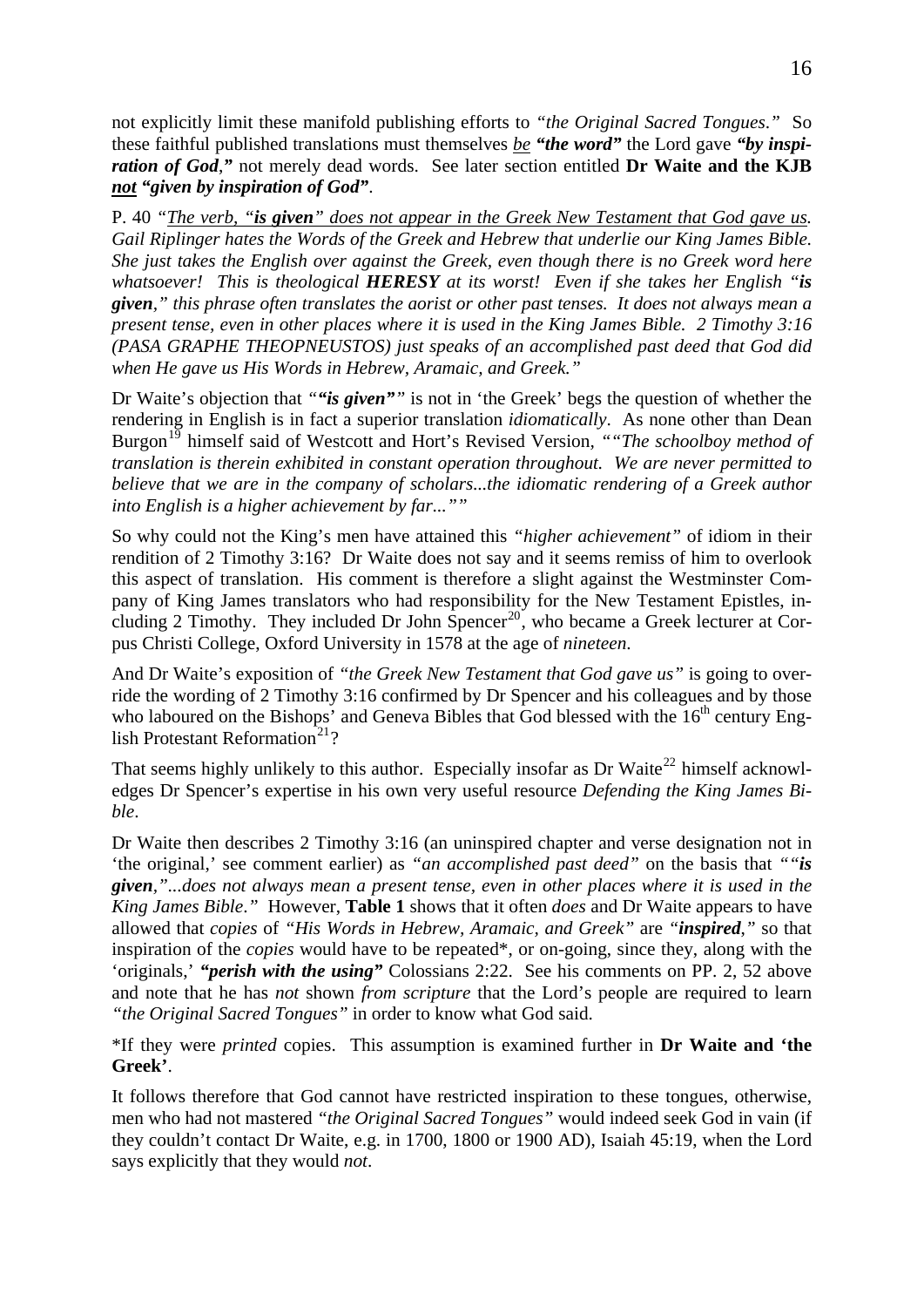not explicitly limit these manifold publishing efforts to *"the Original Sacred Tongues*.*"* So these faithful published translations must themselves *be "the word"* the Lord gave *"by inspiration of God*,*"* not merely dead words. See later section entitled **Dr Waite and the KJB**  *not "given by inspiration of God"*.

P. 40 *"The verb, "is given" does not appear in the Greek New Testament that God gave us. Gail Riplinger hates the Words of the Greek and Hebrew that underlie our King James Bible. She just takes the English over against the Greek, even though there is no Greek word here whatsoever! This is theological HERESY at its worst! Even if she takes her English "is given," this phrase often translates the aorist or other past tenses. It does not always mean a present tense, even in other places where it is used in the King James Bible. 2 Timothy 3:16 (PASA GRAPHE THEOPNEUSTOS) just speaks of an accomplished past deed that God did when He gave us His Words in Hebrew, Aramaic, and Greek."*

Dr Waite's objection that *""is given""* is not in 'the Greek' begs the question of whether the rendering in English is in fact a superior translation *idiomatically*. As none other than Dean Burgon<sup>[19](#page-93-1)</sup> himself said of Westcott and Hort's Revised Version, ""The schoolboy method of *translation is therein exhibited in constant operation throughout. We are never permitted to believe that we are in the company of scholars...the idiomatic rendering of a Greek author into English is a higher achievement by far...""*

So why could not the King's men have attained this *"higher achievement"* of idiom in their rendition of 2 Timothy 3:16? Dr Waite does not say and it seems remiss of him to overlook this aspect of translation. His comment is therefore a slight against the Westminster Company of King James translators who had responsibility for the New Testament Epistles, in-cluding 2 Timothy. They included Dr John Spencer<sup>[20](#page-93-1)</sup>, who became a Greek lecturer at Corpus Christi College, Oxford University in 1578 at the age of *nineteen*.

And Dr Waite's exposition of *"the Greek New Testament that God gave us"* is going to override the wording of 2 Timothy 3:16 confirmed by Dr Spencer and his colleagues and by those who laboured on the Bishops' and Geneva Bibles that God blessed with the  $16<sup>th</sup>$  century Eng-lish Protestant Reformation<sup>[21](#page-93-1)</sup>?

That seems highly unlikely to this author. Especially insofar as Dr Waite<sup>[22](#page-93-1)</sup> himself acknowledges Dr Spencer's expertise in his own very useful resource *Defending the King James Bible*.

Dr Waite then describes 2 Timothy 3:16 (an uninspired chapter and verse designation not in 'the original,' see comment earlier) as *"an accomplished past deed"* on the basis that *""is given,"...does not always mean a present tense, even in other places where it is used in the King James Bible*.*"* However, **Table 1** shows that it often *does* and Dr Waite appears to have allowed that *copies* of *"His Words in Hebrew, Aramaic, and Greek"* are *"inspired*,*"* so that inspiration of the *copies* would have to be repeated\*, or on-going, since they, along with the 'originals,' *"perish with the using"* Colossians 2:22. See his comments on PP. 2, 52 above and note that he has *not* shown *from scripture* that the Lord's people are required to learn *"the Original Sacred Tongues"* in order to know what God said.

\*If they were *printed* copies. This assumption is examined further in **Dr Waite and 'the Greek'**.

It follows therefore that God cannot have restricted inspiration to these tongues, otherwise, men who had not mastered *"the Original Sacred Tongues"* would indeed seek God in vain (if they couldn't contact Dr Waite, e.g. in 1700, 1800 or 1900 AD), Isaiah 45:19, when the Lord says explicitly that they would *not*.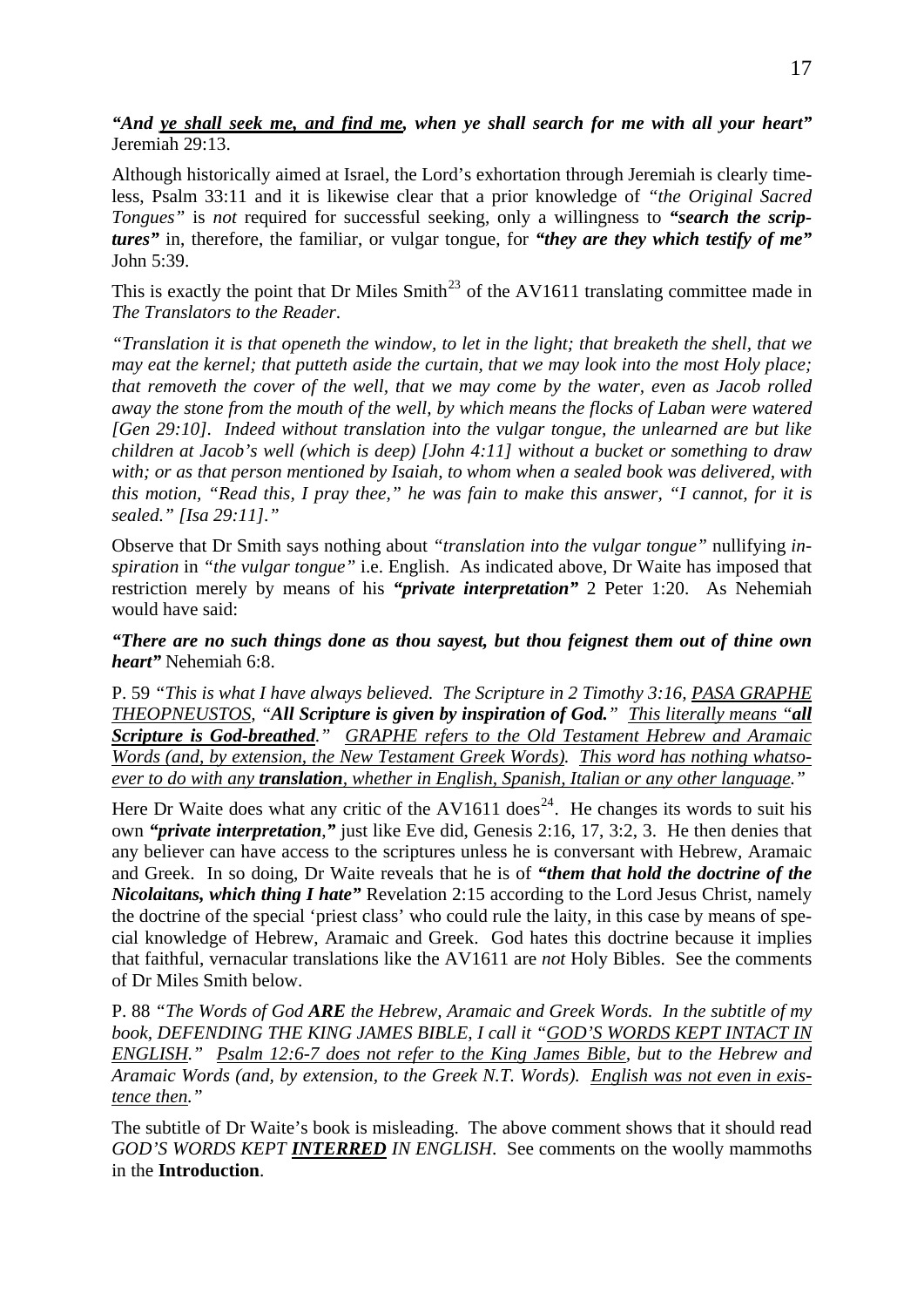*"And ye shall seek me, and find me, when ye shall search for me with all your heart"* Jeremiah 29:13.

Although historically aimed at Israel, the Lord's exhortation through Jeremiah is clearly timeless, Psalm 33:11 and it is likewise clear that a prior knowledge of *"the Original Sacred Tongues"* is *not* required for successful seeking, only a willingness to *"search the scriptures"* in, therefore, the familiar, or vulgar tongue, for *"they are they which testify of me"* John 5:39.

This is exactly the point that Dr Miles Smith<sup>[23](#page-93-1)</sup> of the AV1611 translating committee made in *The Translators to the Reader*.

*"Translation it is that openeth the window, to let in the light; that breaketh the shell, that we may eat the kernel; that putteth aside the curtain, that we may look into the most Holy place; that removeth the cover of the well, that we may come by the water, even as Jacob rolled away the stone from the mouth of the well, by which means the flocks of Laban were watered [Gen 29:10]. Indeed without translation into the vulgar tongue, the unlearned are but like children at Jacob's well (which is deep) [John 4:11] without a bucket or something to draw with; or as that person mentioned by Isaiah, to whom when a sealed book was delivered, with this motion, "Read this, I pray thee," he was fain to make this answer, "I cannot, for it is sealed." [Isa 29:11]."* 

Observe that Dr Smith says nothing about *"translation into the vulgar tongue"* nullifying *inspiration* in *"the vulgar tongue"* i.e. English. As indicated above, Dr Waite has imposed that restriction merely by means of his *"private interpretation"* 2 Peter 1:20. As Nehemiah would have said:

*"There are no such things done as thou sayest, but thou feignest them out of thine own heart"* Nehemiah 6:8.

P. 59 *"This is what I have always believed. The Scripture in 2 Timothy 3:16, PASA GRAPHE THEOPNEUSTOS, "All Scripture is given by inspiration of God." This literally means "all Scripture is God-breathed." GRAPHE refers to the Old Testament Hebrew and Aramaic Words (and, by extension, the New Testament Greek Words). This word has nothing whatsoever to do with any translation, whether in English, Spanish, Italian or any other language."* 

Here Dr Waite does what any critic of the AV1611 does<sup>[24](#page-93-1)</sup>. He changes its words to suit his own *"private interpretation*,*"* just like Eve did, Genesis 2:16, 17, 3:2, 3. He then denies that any believer can have access to the scriptures unless he is conversant with Hebrew, Aramaic and Greek. In so doing, Dr Waite reveals that he is of *"them that hold the doctrine of the Nicolaitans, which thing I hate*" Revelation 2:15 according to the Lord Jesus Christ, namely the doctrine of the special 'priest class' who could rule the laity, in this case by means of special knowledge of Hebrew, Aramaic and Greek. God hates this doctrine because it implies that faithful, vernacular translations like the AV1611 are *not* Holy Bibles. See the comments of Dr Miles Smith below.

P. 88 *"The Words of God ARE the Hebrew, Aramaic and Greek Words. In the subtitle of my*  book, DEFENDING THE KING JAMES BIBLE, I call it "GOD'S WORDS KEPT INTACT IN *ENGLISH." Psalm 12:6-7 does not refer to the King James Bible, but to the Hebrew and Aramaic Words (and, by extension, to the Greek N.T. Words). English was not even in existence then."* 

The subtitle of Dr Waite's book is misleading. The above comment shows that it should read *GOD'S WORDS KEPT INTERRED IN ENGLISH*. See comments on the woolly mammoths in the **Introduction**.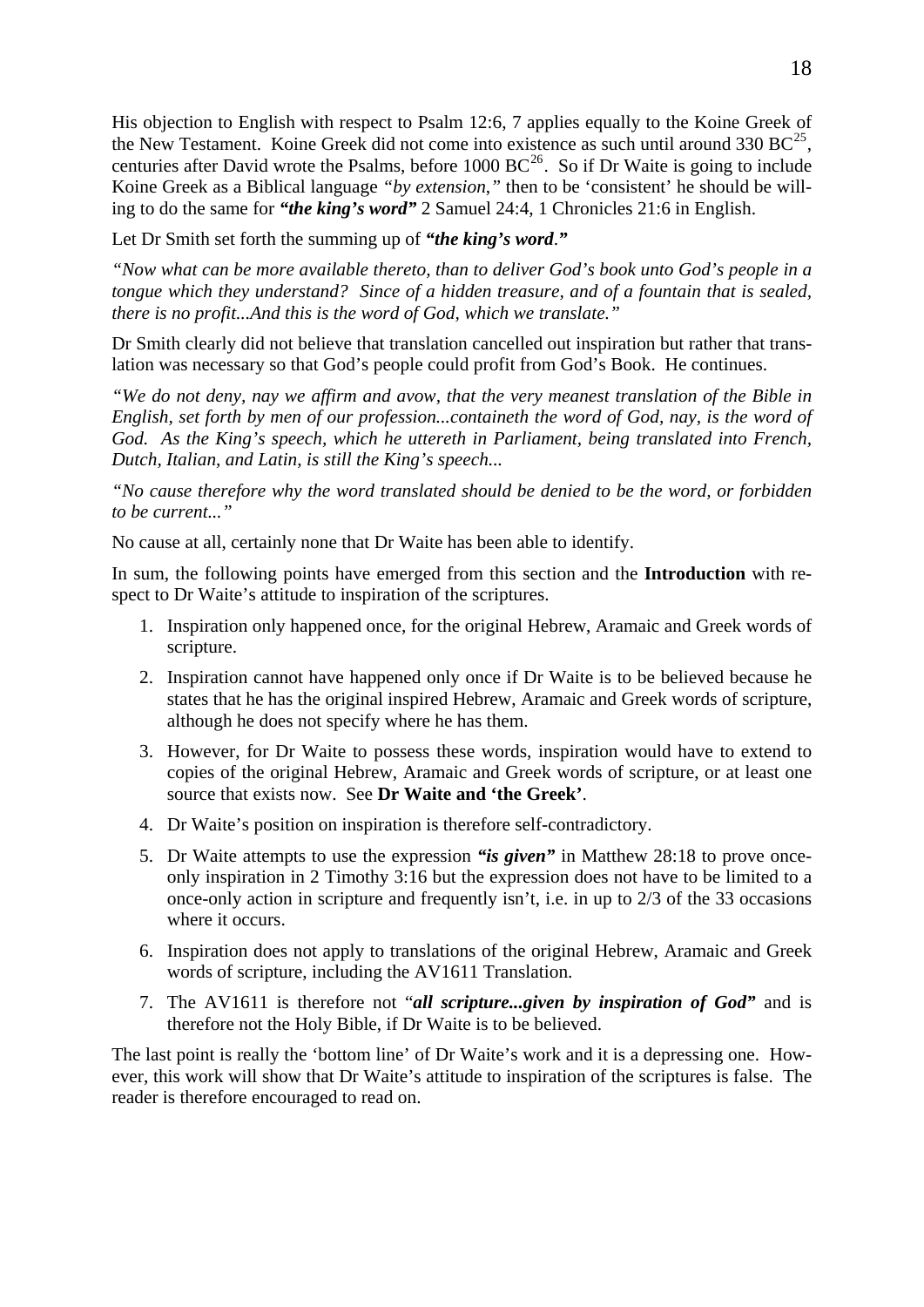His objection to English with respect to Psalm 12:6, 7 applies equally to the Koine Greek of the New Testament. Koine Greek did not come into existence as such until around 330 BC<sup>[25](#page-93-1)</sup>, centuries after David wrote the Psalms, before  $1000 \text{ BC}^{26}$  $1000 \text{ BC}^{26}$  $1000 \text{ BC}^{26}$ . So if Dr Waite is going to include Koine Greek as a Biblical language *"by extension*,*"* then to be 'consistent' he should be willing to do the same for *"the king's word"* 2 Samuel 24:4, 1 Chronicles 21:6 in English.

Let Dr Smith set forth the summing up of *"the king's word*.*"* 

*"Now what can be more available thereto, than to deliver God's book unto God's people in a tongue which they understand? Since of a hidden treasure, and of a fountain that is sealed, there is no profit...And this is the word of God, which we translate."* 

Dr Smith clearly did not believe that translation cancelled out inspiration but rather that translation was necessary so that God's people could profit from God's Book. He continues.

*"We do not deny, nay we affirm and avow, that the very meanest translation of the Bible in English, set forth by men of our profession...containeth the word of God, nay, is the word of God. As the King's speech, which he uttereth in Parliament, being translated into French, Dutch, Italian, and Latin, is still the King's speech...* 

*"No cause therefore why the word translated should be denied to be the word, or forbidden to be current..."* 

No cause at all, certainly none that Dr Waite has been able to identify.

In sum, the following points have emerged from this section and the **Introduction** with respect to Dr Waite's attitude to inspiration of the scriptures.

- 1. Inspiration only happened once, for the original Hebrew, Aramaic and Greek words of scripture.
- 2. Inspiration cannot have happened only once if Dr Waite is to be believed because he states that he has the original inspired Hebrew, Aramaic and Greek words of scripture, although he does not specify where he has them.
- 3. However, for Dr Waite to possess these words, inspiration would have to extend to copies of the original Hebrew, Aramaic and Greek words of scripture, or at least one source that exists now. See **Dr Waite and 'the Greek'**.
- 4. Dr Waite's position on inspiration is therefore self-contradictory.
- 5. Dr Waite attempts to use the expression *"is given"* in Matthew 28:18 to prove onceonly inspiration in 2 Timothy 3:16 but the expression does not have to be limited to a once-only action in scripture and frequently isn't, i.e. in up to 2/3 of the 33 occasions where it occurs.
- 6. Inspiration does not apply to translations of the original Hebrew, Aramaic and Greek words of scripture, including the AV1611 Translation.
- 7. The AV1611 is therefore not "*all scripture...given by inspiration of God"* and is therefore not the Holy Bible, if Dr Waite is to be believed.

The last point is really the 'bottom line' of Dr Waite's work and it is a depressing one. However, this work will show that Dr Waite's attitude to inspiration of the scriptures is false. The reader is therefore encouraged to read on.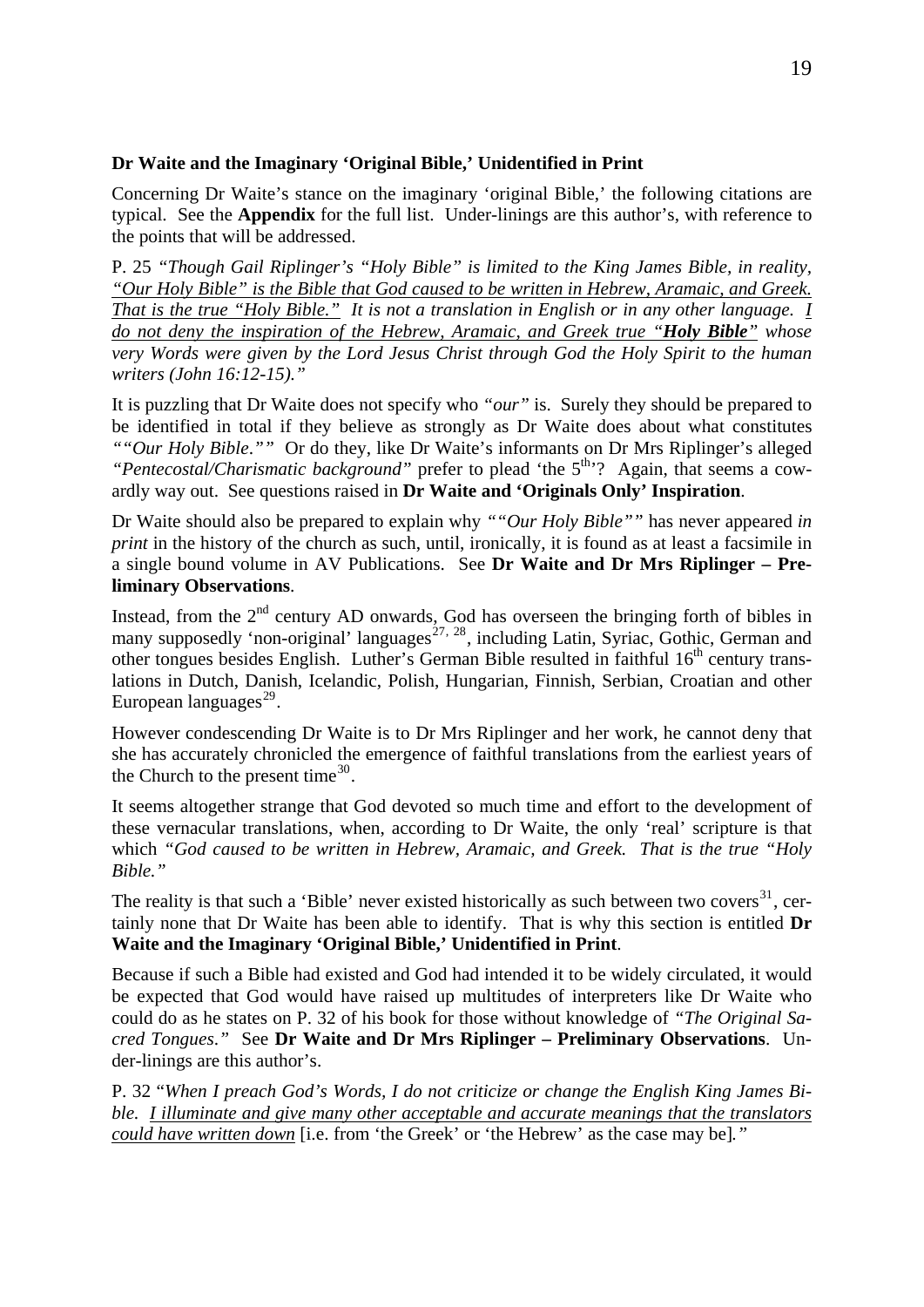## **Dr Waite and the Imaginary 'Original Bible,' Unidentified in Print**

Concerning Dr Waite's stance on the imaginary 'original Bible,' the following citations are typical. See the **Appendix** for the full list. Under-linings are this author's, with reference to the points that will be addressed.

P. 25 *"Though Gail Riplinger's "Holy Bible" is limited to the King James Bible, in reality, "Our Holy Bible" is the Bible that God caused to be written in Hebrew, Aramaic, and Greek. That is the true "Holy Bible." It is not a translation in English or in any other language. I do not deny the inspiration of the Hebrew, Aramaic, and Greek true "Holy Bible" whose very Words were given by the Lord Jesus Christ through God the Holy Spirit to the human writers (John 16:12-15)."*

It is puzzling that Dr Waite does not specify who *"our"* is. Surely they should be prepared to be identified in total if they believe as strongly as Dr Waite does about what constitutes *""Our Holy Bible*.*""* Or do they, like Dr Waite's informants on Dr Mrs Riplinger's alleged *"Pentecostal/Charismatic background"* prefer to plead 'the 5<sup>th</sup>'? Again, that seems a cowardly way out. See questions raised in **Dr Waite and 'Originals Only' Inspiration**.

Dr Waite should also be prepared to explain why *""Our Holy Bible""* has never appeared *in print* in the history of the church as such, until, ironically, it is found as at least a facsimile in a single bound volume in AV Publications. See **Dr Waite and Dr Mrs Riplinger – Preliminary Observations**.

Instead, from the  $2<sup>nd</sup>$  century AD onwards, God has overseen the bringing forth of bibles in many supposedly 'non-original' languages<sup>[27](#page-93-1), [28](#page-93-1)</sup>, including Latin, Syriac, Gothic, German and other tongues besides English. Luther's German Bible resulted in faithful  $16<sup>th</sup>$  century translations in Dutch, Danish, Icelandic, Polish, Hungarian, Finnish, Serbian, Croatian and other European languages $^{29}$  $^{29}$  $^{29}$ .

However condescending Dr Waite is to Dr Mrs Riplinger and her work, he cannot deny that she has accurately chronicled the emergence of faithful translations from the earliest years of the Church to the present time  $30$ .

It seems altogether strange that God devoted so much time and effort to the development of these vernacular translations, when, according to Dr Waite, the only 'real' scripture is that which *"God caused to be written in Hebrew, Aramaic, and Greek. That is the true "Holy Bible."*

The reality is that such a 'Bible' never existed historically as such between two covers<sup>[31](#page-93-1)</sup>, certainly none that Dr Waite has been able to identify. That is why this section is entitled **Dr Waite and the Imaginary 'Original Bible,' Unidentified in Print**.

Because if such a Bible had existed and God had intended it to be widely circulated, it would be expected that God would have raised up multitudes of interpreters like Dr Waite who could do as he states on P. 32 of his book for those without knowledge of *"The Original Sacred Tongues*.*"* See **Dr Waite and Dr Mrs Riplinger – Preliminary Observations**. Under-linings are this author's.

P. 32 "*When I preach God's Words, I do not criticize or change the English King James Bible. I illuminate and give many other acceptable and accurate meanings that the translators could have written down* [i.e. from 'the Greek' or 'the Hebrew' as the case may be]*."*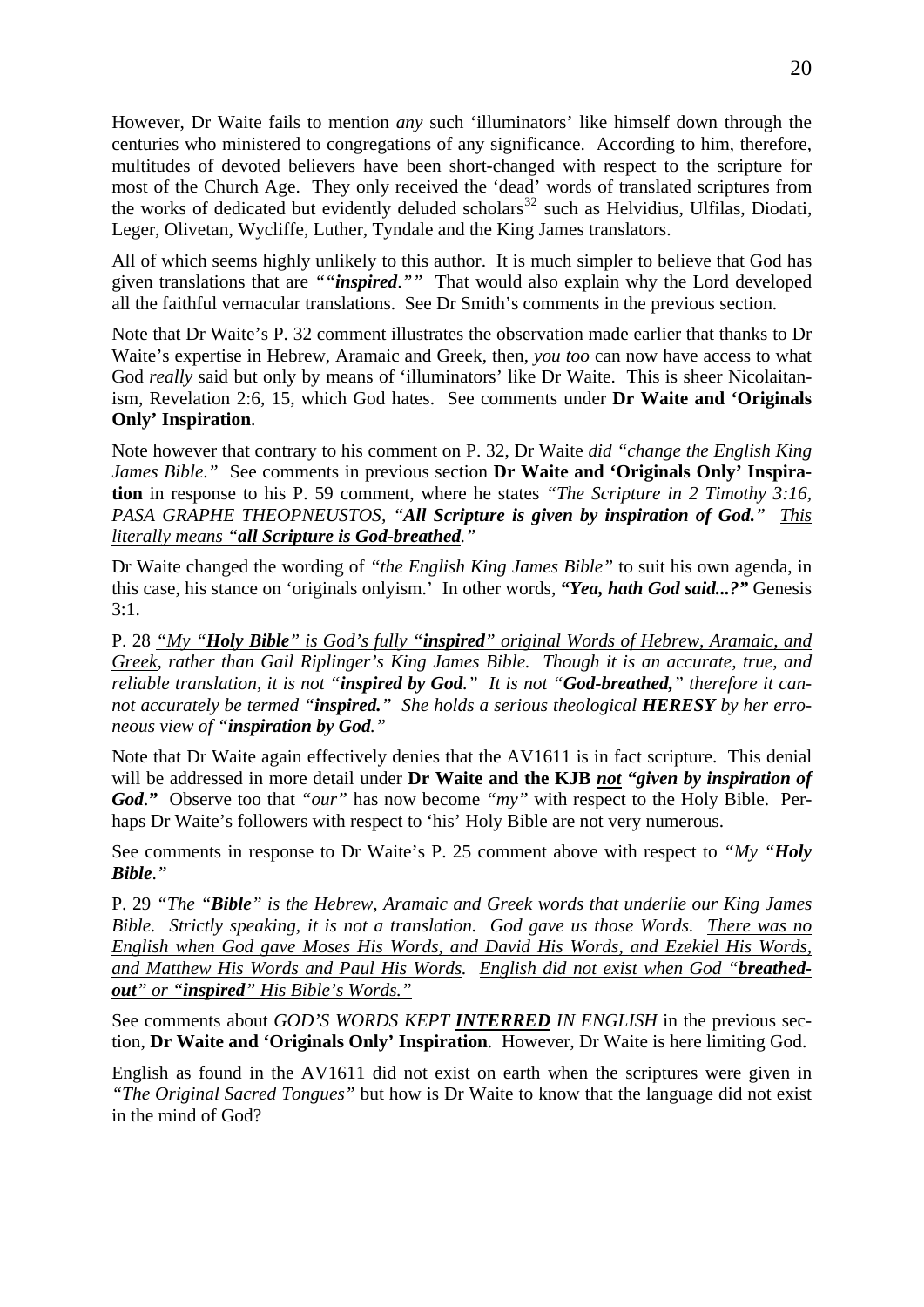However, Dr Waite fails to mention *any* such 'illuminators' like himself down through the centuries who ministered to congregations of any significance. According to him, therefore, multitudes of devoted believers have been short-changed with respect to the scripture for most of the Church Age. They only received the 'dead' words of translated scriptures from the works of dedicated but evidently deluded scholars<sup>[32](#page-93-1)</sup> such as Helvidius, Ulfilas, Diodati, Leger, Olivetan, Wycliffe, Luther, Tyndale and the King James translators.

All of which seems highly unlikely to this author. It is much simpler to believe that God has given translations that are *""inspired*.*""* That would also explain why the Lord developed all the faithful vernacular translations. See Dr Smith's comments in the previous section.

Note that Dr Waite's P. 32 comment illustrates the observation made earlier that thanks to Dr Waite's expertise in Hebrew, Aramaic and Greek, then, *you too* can now have access to what God *really* said but only by means of 'illuminators' like Dr Waite. This is sheer Nicolaitanism, Revelation 2:6, 15, which God hates. See comments under **Dr Waite and 'Originals Only' Inspiration**.

Note however that contrary to his comment on P. 32, Dr Waite *did "change the English King James Bible*.*"* See comments in previous section **Dr Waite and 'Originals Only' Inspiration** in response to his P. 59 comment, where he states *"The Scripture in 2 Timothy 3:16, PASA GRAPHE THEOPNEUSTOS, "All Scripture is given by inspiration of God." This literally means "all Scripture is God-breathed."*

Dr Waite changed the wording of *"the English King James Bible"* to suit his own agenda, in this case, his stance on 'originals onlyism.' In other words, *"Yea, hath God said...?"* Genesis 3:1.

P. 28 *"My "Holy Bible" is God's fully "inspired" original Words of Hebrew, Aramaic, and Greek, rather than Gail Riplinger's King James Bible. Though it is an accurate, true, and reliable translation, it is not "inspired by God." It is not "God-breathed," therefore it cannot accurately be termed "inspired." She holds a serious theological HERESY by her erroneous view of "inspiration by God."* 

Note that Dr Waite again effectively denies that the AV1611 is in fact scripture. This denial will be addressed in more detail under **Dr Waite and the KJB** *not "given by inspiration of God*.*"* Observe too that *"our"* has now become *"my"* with respect to the Holy Bible. Perhaps Dr Waite's followers with respect to 'his' Holy Bible are not very numerous.

See comments in response to Dr Waite's P. 25 comment above with respect to *"My "Holy Bible*.*"*

P. 29 *"The "Bible" is the Hebrew, Aramaic and Greek words that underlie our King James Bible. Strictly speaking, it is not a translation. God gave us those Words. There was no English when God gave Moses His Words, and David His Words, and Ezekiel His Words, and Matthew His Words and Paul His Words. English did not exist when God "breathedout" or "inspired" His Bible's Words."*

See comments about *GOD'S WORDS KEPT INTERRED IN ENGLISH* in the previous section, **Dr Waite and 'Originals Only' Inspiration**. However, Dr Waite is here limiting God.

English as found in the AV1611 did not exist on earth when the scriptures were given in *"The Original Sacred Tongues"* but how is Dr Waite to know that the language did not exist in the mind of God?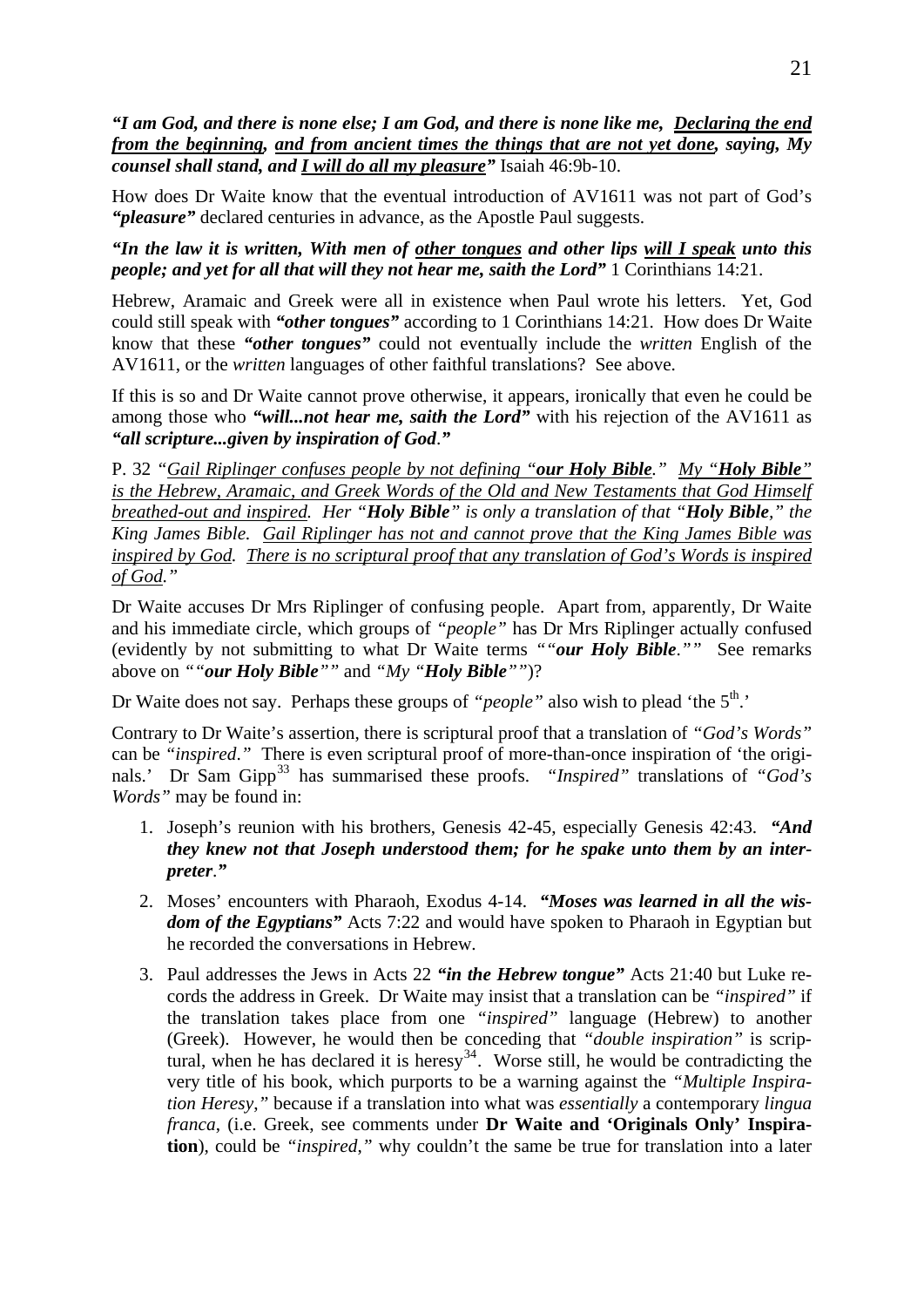*"I am God, and there is none else; I am God, and there is none like me, Declaring the end from the beginning, and from ancient times the things that are not yet done, saying, My counsel shall stand, and I will do all my pleasure"* Isaiah 46:9b-10.

How does Dr Waite know that the eventual introduction of AV1611 was not part of God's *"pleasure"* declared centuries in advance, as the Apostle Paul suggests.

*"In the law it is written, With men of other tongues and other lips will I speak unto this people; and yet for all that will they not hear me, saith the Lord*" 1 Corinthians 14:21.

Hebrew, Aramaic and Greek were all in existence when Paul wrote his letters. Yet, God could still speak with *"other tongues"* according to 1 Corinthians 14:21. How does Dr Waite know that these *"other tongues"* could not eventually include the *written* English of the AV1611, or the *written* languages of other faithful translations? See above.

If this is so and Dr Waite cannot prove otherwise, it appears, ironically that even he could be among those who *"will...not hear me, saith the Lord"* with his rejection of the AV1611 as *"all scripture...given by inspiration of God*.*"*

P. 32 *"Gail Riplinger confuses people by not defining "our Holy Bible." My "Holy Bible" is the Hebrew, Aramaic, and Greek Words of the Old and New Testaments that God Himself breathed-out and inspired. Her "Holy Bible" is only a translation of that "Holy Bible," the King James Bible. Gail Riplinger has not and cannot prove that the King James Bible was inspired by God. There is no scriptural proof that any translation of God's Words is inspired of God."*

Dr Waite accuses Dr Mrs Riplinger of confusing people. Apart from, apparently, Dr Waite and his immediate circle, which groups of *"people"* has Dr Mrs Riplinger actually confused (evidently by not submitting to what Dr Waite terms *""our Holy Bible*.*""* See remarks above on *""our Holy Bible""* and *"My "Holy Bible""*)?

Dr Waite does not say. Perhaps these groups of *"people"* also wish to plead 'the 5<sup>th</sup>.'

Contrary to Dr Waite's assertion, there is scriptural proof that a translation of *"God's Words"* can be *"inspired*.*"* There is even scriptural proof of more-than-once inspiration of 'the origi-nals.' Dr Sam Gipp<sup>[33](#page-93-1)</sup> has summarised these proofs. *"Inspired"* translations of *"God's Words"* may be found in:

- 1. Joseph's reunion with his brothers, Genesis 42-45, especially Genesis 42:43. *"And they knew not that Joseph understood them; for he spake unto them by an interpreter*.*"*
- 2. Moses' encounters with Pharaoh, Exodus 4-14. *"Moses was learned in all the wisdom of the Egyptians"* Acts 7:22 and would have spoken to Pharaoh in Egyptian but he recorded the conversations in Hebrew.
- 3. Paul addresses the Jews in Acts 22 *"in the Hebrew tongue"* Acts 21:40 but Luke records the address in Greek. Dr Waite may insist that a translation can be *"inspired"* if the translation takes place from one *"inspired"* language (Hebrew) to another (Greek). However, he would then be conceding that *"double inspiration"* is scrip-tural, when he has declared it is heresy<sup>[34](#page-93-1)</sup>. Worse still, he would be contradicting the very title of his book, which purports to be a warning against the *"Multiple Inspiration Heresy*,*"* because if a translation into what was *essentially* a contemporary *lingua franca*, (i.e. Greek, see comments under **Dr Waite and 'Originals Only' Inspiration**), could be *"inspired*,*"* why couldn't the same be true for translation into a later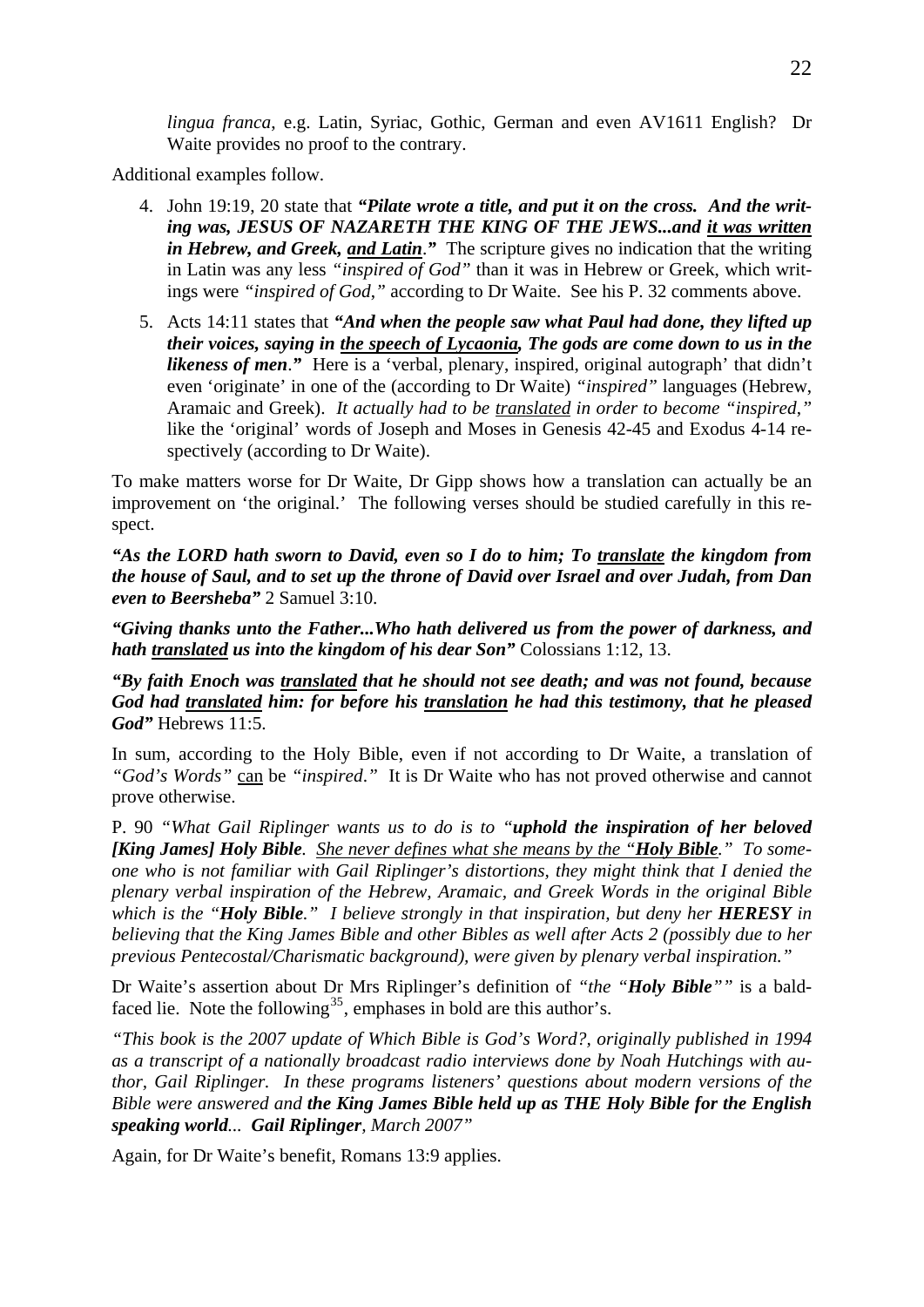*lingua franca*, e.g. Latin, Syriac, Gothic, German and even AV1611 English? Dr Waite provides no proof to the contrary.

Additional examples follow.

- 4. John 19:19, 20 state that *"Pilate wrote a title, and put it on the cross. And the writing was, JESUS OF NAZARETH THE KING OF THE JEWS...and it was written in Hebrew, and Greek, and Latin.*" The scripture gives no indication that the writing in Latin was any less *"inspired of God"* than it was in Hebrew or Greek, which writings were *"inspired of God*,*"* according to Dr Waite. See his P. 32 comments above.
- 5. Acts 14:11 states that *"And when the people saw what Paul had done, they lifted up their voices, saying in the speech of Lycaonia, The gods are come down to us in the likeness of men*.*"* Here is a 'verbal, plenary, inspired, original autograph' that didn't even 'originate' in one of the (according to Dr Waite) *"inspired"* languages (Hebrew, Aramaic and Greek). *It actually had to be translated in order to become "inspired*,*"* like the 'original' words of Joseph and Moses in Genesis 42-45 and Exodus 4-14 respectively (according to Dr Waite).

To make matters worse for Dr Waite, Dr Gipp shows how a translation can actually be an improvement on 'the original.' The following verses should be studied carefully in this respect.

*"As the LORD hath sworn to David, even so I do to him; To translate the kingdom from the house of Saul, and to set up the throne of David over Israel and over Judah, from Dan even to Beersheba"* 2 Samuel 3:10.

*"Giving thanks unto the Father...Who hath delivered us from the power of darkness, and hath translated us into the kingdom of his dear Son"* Colossians 1:12, 13.

*"By faith Enoch was translated that he should not see death; and was not found, because God had translated him: for before his translation he had this testimony, that he pleased God"* Hebrews 11:5.

In sum, according to the Holy Bible, even if not according to Dr Waite, a translation of "God's Words" can be "inspired." It is Dr Waite who has not proved otherwise and cannot prove otherwise.

P. 90 *"What Gail Riplinger wants us to do is to "uphold the inspiration of her beloved [King James] Holy Bible. She never defines what she means by the "Holy Bible." To someone who is not familiar with Gail Riplinger's distortions, they might think that I denied the plenary verbal inspiration of the Hebrew, Aramaic, and Greek Words in the original Bible which is the "Holy Bible." I believe strongly in that inspiration, but deny her HERESY in believing that the King James Bible and other Bibles as well after Acts 2 (possibly due to her previous Pentecostal/Charismatic background), were given by plenary verbal inspiration."*

Dr Waite's assertion about Dr Mrs Riplinger's definition of *"the "Holy Bible""* is a bald-faced lie. Note the following<sup>[35](#page-93-1)</sup>, emphases in bold are this author's.

*"This book is the 2007 update of Which Bible is God's Word?, originally published in 1994 as a transcript of a nationally broadcast radio interviews done by Noah Hutchings with author, Gail Riplinger. In these programs listeners' questions about modern versions of the Bible were answered and the King James Bible held up as THE Holy Bible for the English speaking world... Gail Riplinger, March 2007"* 

Again, for Dr Waite's benefit, Romans 13:9 applies.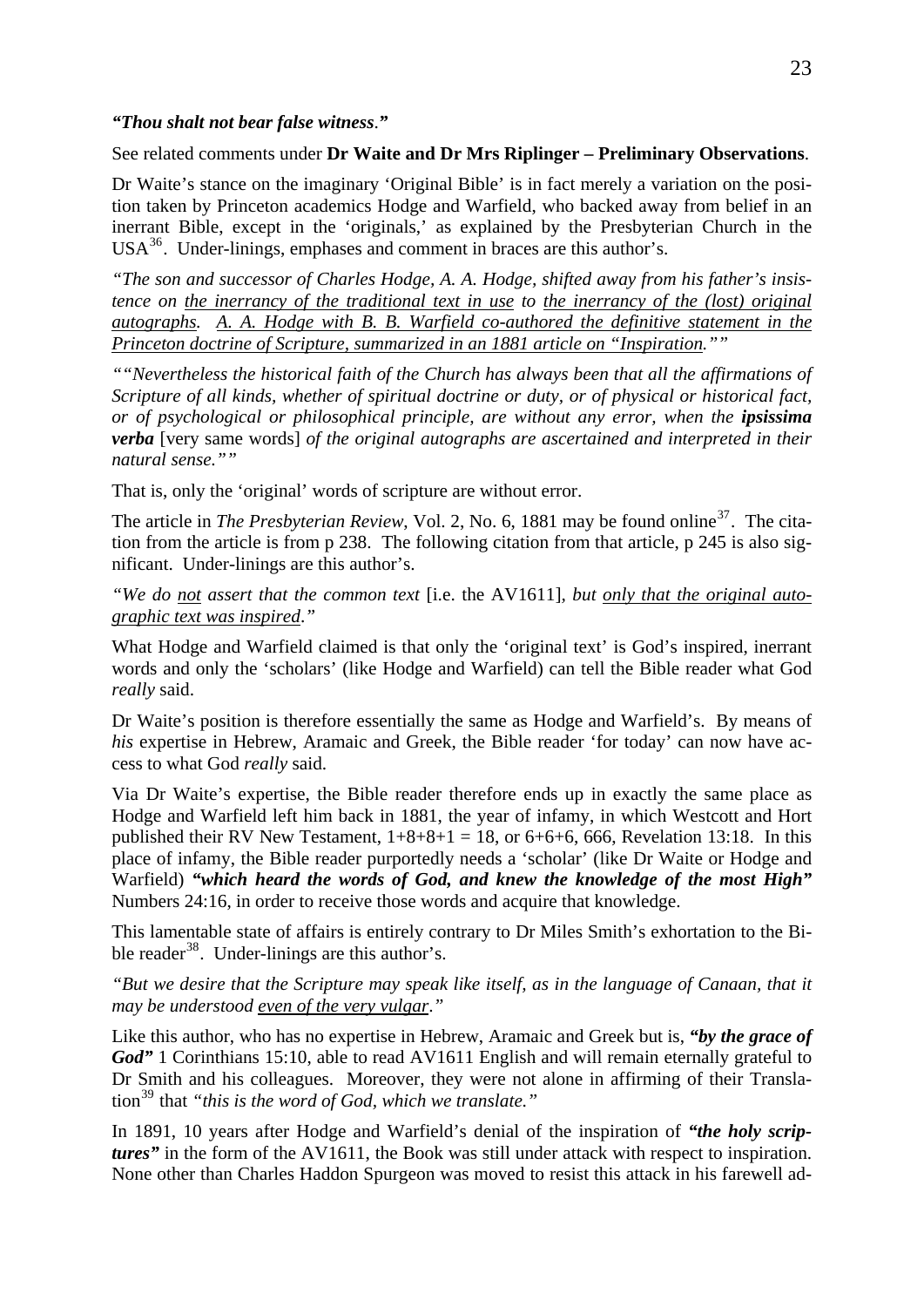#### *"Thou shalt not bear false witness*.*"*

See related comments under **Dr Waite and Dr Mrs Riplinger – Preliminary Observations**.

Dr Waite's stance on the imaginary 'Original Bible' is in fact merely a variation on the position taken by Princeton academics Hodge and Warfield, who backed away from belief in an inerrant Bible, except in the 'originals,' as explained by the Presbyterian Church in the  $USA^{36}$  $USA^{36}$  $USA^{36}$ . Under-linings, emphases and comment in braces are this author's.

*"The son and successor of Charles Hodge, A. A. Hodge, shifted away from his father's insistence on the inerrancy of the traditional text in use to the inerrancy of the (lost) original autographs. A. A. Hodge with B. B. Warfield co-authored the definitive statement in the Princeton doctrine of Scripture, summarized in an 1881 article on "Inspiration.""*

*""Nevertheless the historical faith of the Church has always been that all the affirmations of Scripture of all kinds, whether of spiritual doctrine or duty, or of physical or historical fact, or of psychological or philosophical principle, are without any error, when the <i>ipsissima verba* [very same words] *of the original autographs are ascertained and interpreted in their natural sense.""* 

That is, only the 'original' words of scripture are without error.

The article in *The Presbyterian Review*, Vol. 2, No. 6, 1881 may be found online<sup>[37](#page-93-1)</sup>. The citation from the article is from p 238. The following citation from that article, p 245 is also significant. Under-linings are this author's.

*"We do not assert that the common text* [i.e. the AV1611]*, but only that the original autographic text was inspired*.*"* 

What Hodge and Warfield claimed is that only the 'original text' is God's inspired, inerrant words and only the 'scholars' (like Hodge and Warfield) can tell the Bible reader what God *really* said.

Dr Waite's position is therefore essentially the same as Hodge and Warfield's. By means of *his* expertise in Hebrew, Aramaic and Greek, the Bible reader 'for today' can now have access to what God *really* said.

Via Dr Waite's expertise, the Bible reader therefore ends up in exactly the same place as Hodge and Warfield left him back in 1881, the year of infamy, in which Westcott and Hort published their RV New Testament,  $1+8+8+1 = 18$ , or  $6+6+6$ , 666, Revelation 13:18. In this place of infamy, the Bible reader purportedly needs a 'scholar' (like Dr Waite or Hodge and Warfield) *"which heard the words of God, and knew the knowledge of the most High"* Numbers 24:16, in order to receive those words and acquire that knowledge.

This lamentable state of affairs is entirely contrary to Dr Miles Smith's exhortation to the Bi-ble reader<sup>[38](#page-93-1)</sup>. Under-linings are this author's.

*"But we desire that the Scripture may speak like itself, as in the language of Canaan, that it may be understood even of the very vulgar*.*"* 

Like this author, who has no expertise in Hebrew, Aramaic and Greek but is, *"by the grace of God"* 1 Corinthians 15:10, able to read AV1611 English and will remain eternally grateful to Dr Smith and his colleagues. Moreover, they were not alone in affirming of their Translation[39](#page-93-1) that *"this is the word of God, which we translate."*

In 1891, 10 years after Hodge and Warfield's denial of the inspiration of *"the holy scriptures"* in the form of the AV1611, the Book was still under attack with respect to inspiration. None other than Charles Haddon Spurgeon was moved to resist this attack in his farewell ad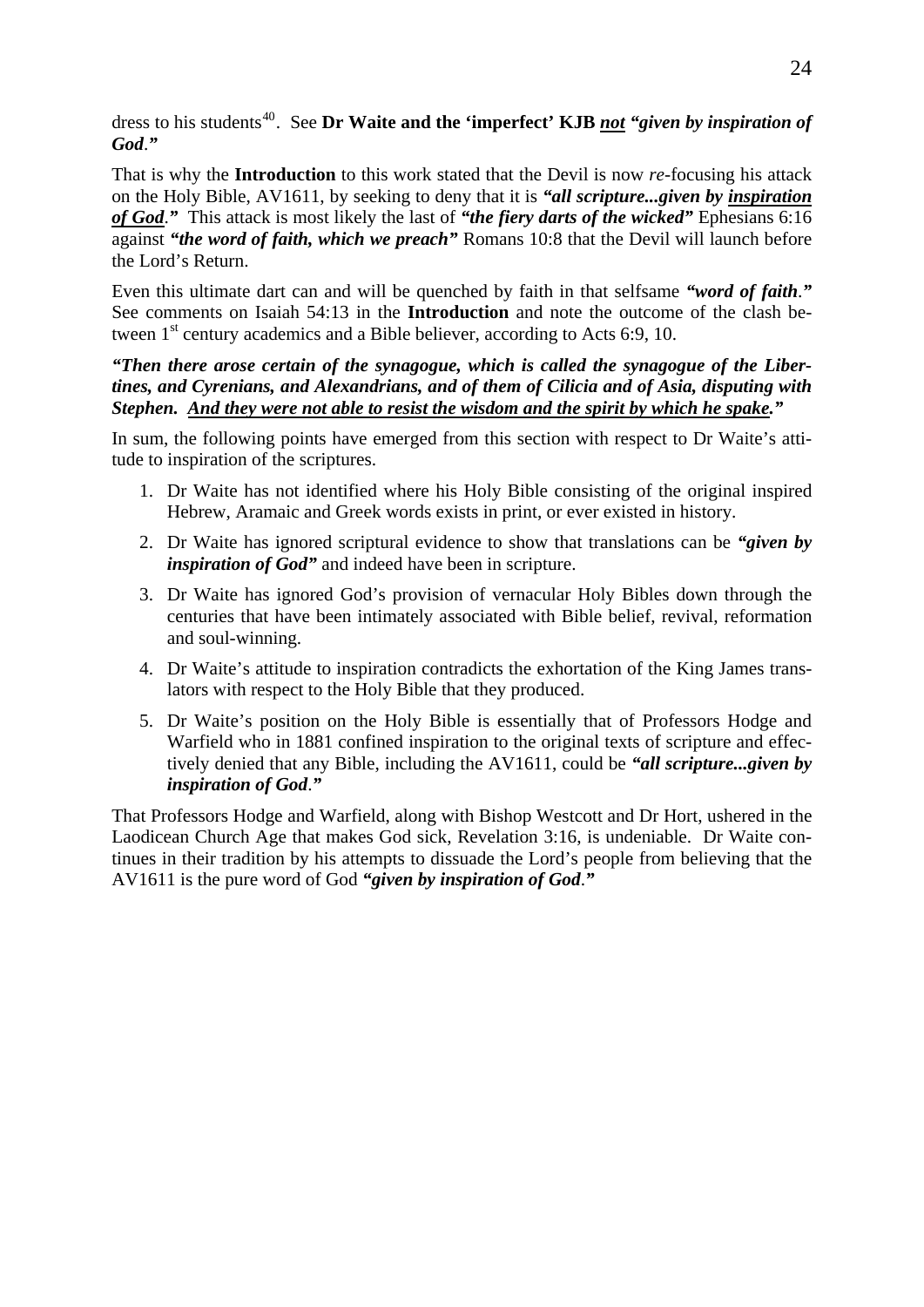dress to his students<sup>[40](#page-93-1)</sup>. See **Dr Waite and the 'imperfect' KJB** *not* "given by inspiration of *God*.*"*

That is why the **Introduction** to this work stated that the Devil is now *re*-focusing his attack on the Holy Bible, AV1611, by seeking to deny that it is *"all scripture...given by inspiration of God*.*"* This attack is most likely the last of *"the fiery darts of the wicked"* Ephesians 6:16 against *"the word of faith, which we preach"* Romans 10:8 that the Devil will launch before the Lord's Return.

Even this ultimate dart can and will be quenched by faith in that selfsame *"word of faith*.*"* See comments on Isaiah 54:13 in the **Introduction** and note the outcome of the clash between  $1<sup>st</sup>$  century academics and a Bible believer, according to Acts 6:9, 10.

# *"Then there arose certain of the synagogue, which is called the synagogue of the Libertines, and Cyrenians, and Alexandrians, and of them of Cilicia and of Asia, disputing with Stephen. And they were not able to resist the wisdom and the spirit by which he spake."*

In sum, the following points have emerged from this section with respect to Dr Waite's attitude to inspiration of the scriptures.

- 1. Dr Waite has not identified where his Holy Bible consisting of the original inspired Hebrew, Aramaic and Greek words exists in print, or ever existed in history.
- 2. Dr Waite has ignored scriptural evidence to show that translations can be *"given by inspiration of God"* and indeed have been in scripture.
- 3. Dr Waite has ignored God's provision of vernacular Holy Bibles down through the centuries that have been intimately associated with Bible belief, revival, reformation and soul-winning.
- 4. Dr Waite's attitude to inspiration contradicts the exhortation of the King James translators with respect to the Holy Bible that they produced.
- 5. Dr Waite's position on the Holy Bible is essentially that of Professors Hodge and Warfield who in 1881 confined inspiration to the original texts of scripture and effectively denied that any Bible, including the AV1611, could be *"all scripture...given by inspiration of God*.*"*

That Professors Hodge and Warfield, along with Bishop Westcott and Dr Hort, ushered in the Laodicean Church Age that makes God sick, Revelation 3:16, is undeniable. Dr Waite continues in their tradition by his attempts to dissuade the Lord's people from believing that the AV1611 is the pure word of God *"given by inspiration of God*.*"*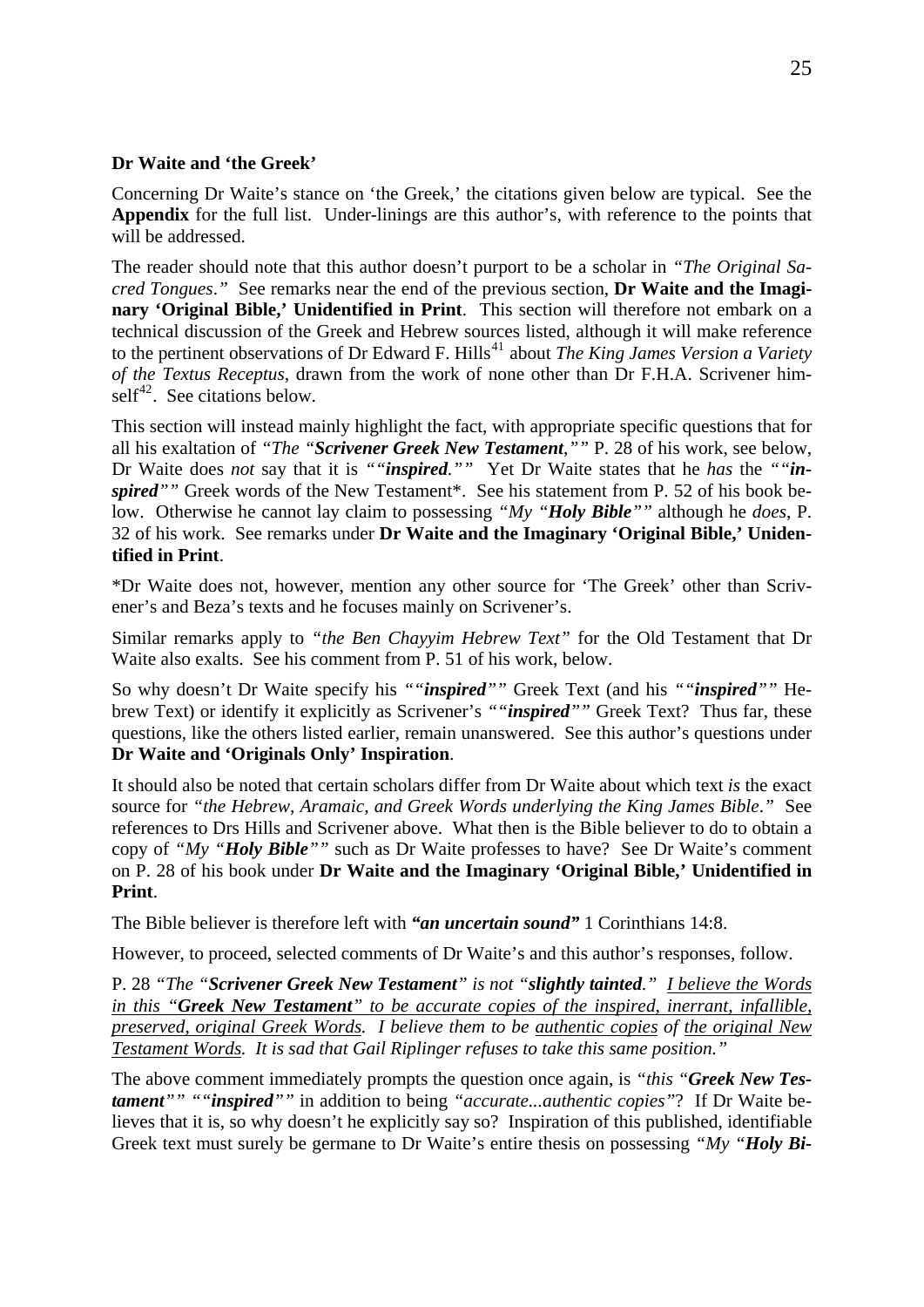## **Dr Waite and 'the Greek'**

Concerning Dr Waite's stance on 'the Greek,' the citations given below are typical. See the **Appendix** for the full list. Under-linings are this author's, with reference to the points that will be addressed.

The reader should note that this author doesn't purport to be a scholar in *"The Original Sacred Tongues*.*"* See remarks near the end of the previous section, **Dr Waite and the Imaginary 'Original Bible,' Unidentified in Print**. This section will therefore not embark on a technical discussion of the Greek and Hebrew sources listed, although it will make reference to the pertinent observations of Dr Edward F. Hills<sup>[41](#page-93-1)</sup> about *The King James Version a Variety of the Textus Receptus*, drawn from the work of none other than Dr F.H.A. Scrivener him- $self<sup>42</sup>$  $self<sup>42</sup>$  $self<sup>42</sup>$ . See citations below.

This section will instead mainly highlight the fact, with appropriate specific questions that for all his exaltation of *"The "Scrivener Greek New Testament*,*""* P. 28 of his work, see below, Dr Waite does *not* say that it is *""inspired.""* Yet Dr Waite states that he *has* the *""inspired*"" Greek words of the New Testament\*. See his statement from P. 52 of his book below. Otherwise he cannot lay claim to possessing *"My "Holy Bible""* although he *does*, P. 32 of his work. See remarks under **Dr Waite and the Imaginary 'Original Bible,' Unidentified in Print**.

\*Dr Waite does not, however, mention any other source for 'The Greek' other than Scrivener's and Beza's texts and he focuses mainly on Scrivener's.

Similar remarks apply to *"the Ben Chayyim Hebrew Text"* for the Old Testament that Dr Waite also exalts. See his comment from P. 51 of his work, below.

So why doesn't Dr Waite specify his *""inspired""* Greek Text (and his *""inspired""* Hebrew Text) or identify it explicitly as Scrivener's *""inspired""* Greek Text? Thus far, these questions, like the others listed earlier, remain unanswered. See this author's questions under **Dr Waite and 'Originals Only' Inspiration**.

It should also be noted that certain scholars differ from Dr Waite about which text *is* the exact source for *"the Hebrew, Aramaic, and Greek Words underlying the King James Bible*.*"* See references to Drs Hills and Scrivener above. What then is the Bible believer to do to obtain a copy of *"My "Holy Bible""* such as Dr Waite professes to have? See Dr Waite's comment on P. 28 of his book under **Dr Waite and the Imaginary 'Original Bible,' Unidentified in Print**.

The Bible believer is therefore left with *"an uncertain sound"* 1 Corinthians 14:8.

However, to proceed, selected comments of Dr Waite's and this author's responses, follow.

P. 28 *"The "Scrivener Greek New Testament" is not "slightly tainted." I believe the Words in this "Greek New Testament" to be accurate copies of the inspired, inerrant, infallible, preserved, original Greek Words. I believe them to be authentic copies of the original New Testament Words. It is sad that Gail Riplinger refuses to take this same position."* 

The above comment immediately prompts the question once again, is *"this "Greek New Testament"" ""inspired""* in addition to being *"accurate...authentic copies"*? If Dr Waite believes that it is, so why doesn't he explicitly say so? Inspiration of this published, identifiable Greek text must surely be germane to Dr Waite's entire thesis on possessing *"My "Holy Bi-*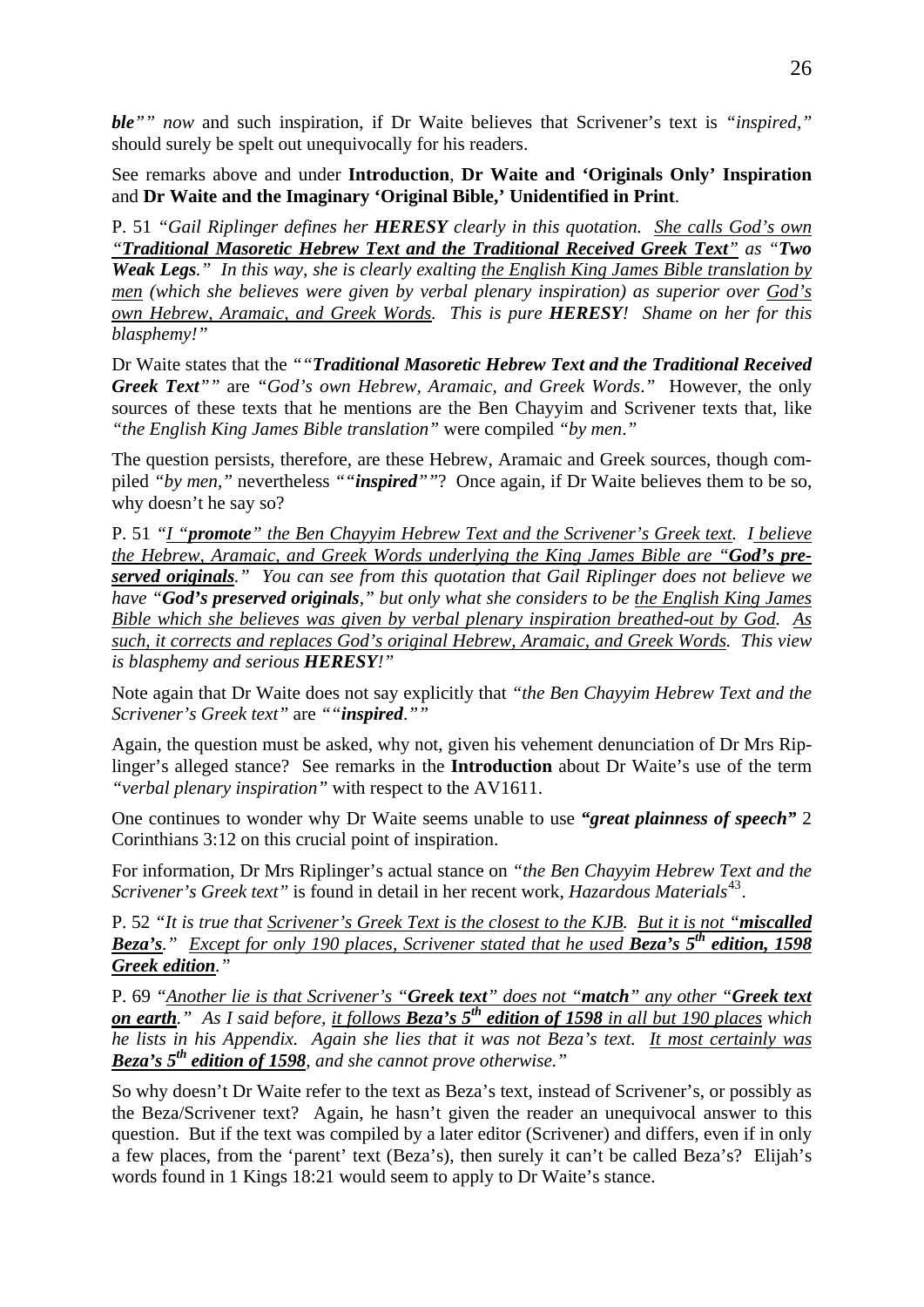*ble"" now* and such inspiration, if Dr Waite believes that Scrivener's text is *"inspired*,*"* should surely be spelt out unequivocally for his readers.

See remarks above and under **Introduction**, **Dr Waite and 'Originals Only' Inspiration** and **Dr Waite and the Imaginary 'Original Bible,' Unidentified in Print**.

P. 51 *"Gail Riplinger defines her HERESY clearly in this quotation. She calls God's own "Traditional Masoretic Hebrew Text and the Traditional Received Greek Text" as "Two Weak Legs." In this way, she is clearly exalting the English King James Bible translation by men (which she believes were given by verbal plenary inspiration) as superior over God's own Hebrew, Aramaic, and Greek Words. This is pure HERESY! Shame on her for this blasphemy!"* 

Dr Waite states that the *""Traditional Masoretic Hebrew Text and the Traditional Received Greek Text""* are *"God's own Hebrew, Aramaic, and Greek Words*.*"* However, the only sources of these texts that he mentions are the Ben Chayyim and Scrivener texts that, like *"the English King James Bible translation"* were compiled *"by men*.*"*

The question persists, therefore, are these Hebrew, Aramaic and Greek sources, though compiled *"by men*,*"* nevertheless *""inspired""*? Once again, if Dr Waite believes them to be so, why doesn't he say so?

P. 51 *"I "promote" the Ben Chayyim Hebrew Text and the Scrivener's Greek text. I believe the Hebrew, Aramaic, and Greek Words underlying the King James Bible are "God's preserved originals." You can see from this quotation that Gail Riplinger does not believe we have "God's preserved originals," but only what she considers to be the English King James Bible which she believes was given by verbal plenary inspiration breathed-out by God. As such, it corrects and replaces God's original Hebrew, Aramaic, and Greek Words. This view is blasphemy and serious HERESY!"* 

Note again that Dr Waite does not say explicitly that *"the Ben Chayyim Hebrew Text and the Scrivener's Greek text"* are *""inspired*.*""* 

Again, the question must be asked, why not, given his vehement denunciation of Dr Mrs Riplinger's alleged stance? See remarks in the **Introduction** about Dr Waite's use of the term *"verbal plenary inspiration"* with respect to the AV1611.

One continues to wonder why Dr Waite seems unable to use *"great plainness of speech"* 2 Corinthians 3:12 on this crucial point of inspiration.

For information, Dr Mrs Riplinger's actual stance on *"the Ben Chayyim Hebrew Text and the Scrivener's Greek text"* is found in detail in her recent work, *Hazardous Materials*<sup>[43](#page-93-1)</sup>.

P. 52 *"It is true that Scrivener's Greek Text is the closest to the KJB. But it is not "miscalled Beza's." Except for only 190 places, Scrivener stated that he used Beza's 5th edition, 1598 Greek edition."* 

P. 69 *"Another lie is that Scrivener's "Greek text" does not "match" any other "Greek text on earth." As I said before, it follows Beza's 5th edition of 1598 in all but 190 places which he lists in his Appendix. Again she lies that it was not Beza's text. It most certainly was Beza's 5th edition of 1598, and she cannot prove otherwise."* 

So why doesn't Dr Waite refer to the text as Beza's text, instead of Scrivener's, or possibly as the Beza/Scrivener text? Again, he hasn't given the reader an unequivocal answer to this question. But if the text was compiled by a later editor (Scrivener) and differs, even if in only a few places, from the 'parent' text (Beza's), then surely it can't be called Beza's? Elijah's words found in 1 Kings 18:21 would seem to apply to Dr Waite's stance.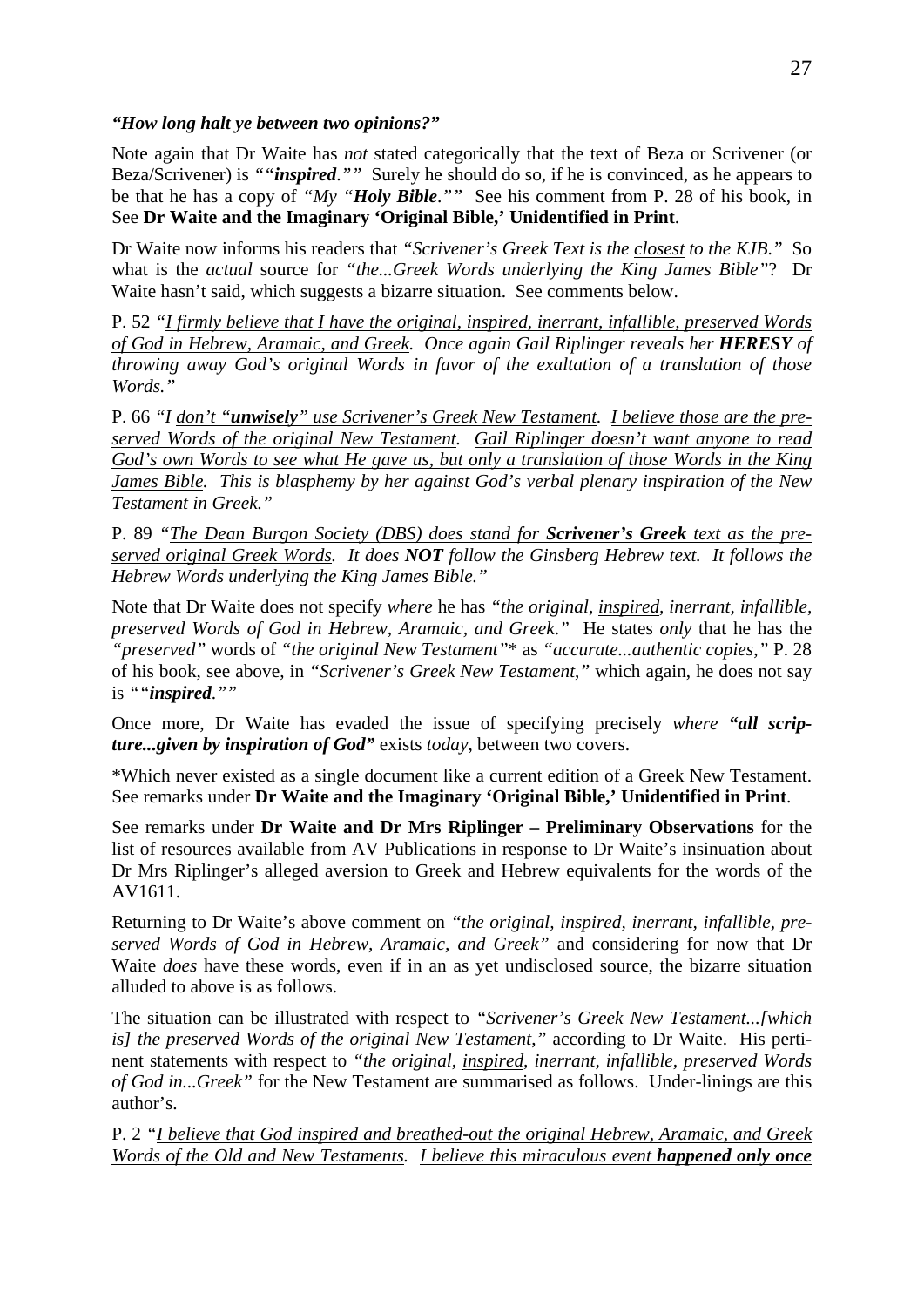#### *"How long halt ye between two opinions?"*

Note again that Dr Waite has *not* stated categorically that the text of Beza or Scrivener (or Beza/Scrivener) is *""inspired*.*""* Surely he should do so, if he is convinced, as he appears to be that he has a copy of *"My "Holy Bible*.*""* See his comment from P. 28 of his book, in See **Dr Waite and the Imaginary 'Original Bible,' Unidentified in Print**.

Dr Waite now informs his readers that *"Scrivener's Greek Text is the closest to the KJB*.*"* So what is the *actual* source for *"the...Greek Words underlying the King James Bible"*? Dr Waite hasn't said, which suggests a bizarre situation. See comments below.

P. 52 *"I firmly believe that I have the original, inspired, inerrant, infallible, preserved Words of God in Hebrew, Aramaic, and Greek. Once again Gail Riplinger reveals her HERESY of throwing away God's original Words in favor of the exaltation of a translation of those Words."*

P. 66 *"I don't "unwisely" use Scrivener's Greek New Testament. I believe those are the preserved Words of the original New Testament. Gail Riplinger doesn't want anyone to read God's own Words to see what He gave us, but only a translation of those Words in the King James Bible. This is blasphemy by her against God's verbal plenary inspiration of the New Testament in Greek."* 

P. 89 *"The Dean Burgon Society (DBS) does stand for Scrivener's Greek text as the preserved original Greek Words. It does NOT follow the Ginsberg Hebrew text. It follows the Hebrew Words underlying the King James Bible."*

Note that Dr Waite does not specify *where* he has *"the original, inspired, inerrant, infallible, preserved Words of God in Hebrew, Aramaic, and Greek*.*"* He states *only* that he has the *"preserved"* words of *"the original New Testament"*\* as *"accurate...authentic copies*,*"* P. 28 of his book, see above, in *"Scrivener's Greek New Testament*,*"* which again, he does not say is *""inspired*.*""*

Once more, Dr Waite has evaded the issue of specifying precisely *where "all scripture...given by inspiration of God"* exists *today*, between two covers.

\*Which never existed as a single document like a current edition of a Greek New Testament. See remarks under **Dr Waite and the Imaginary 'Original Bible,' Unidentified in Print**.

See remarks under **Dr Waite and Dr Mrs Riplinger – Preliminary Observations** for the list of resources available from AV Publications in response to Dr Waite's insinuation about Dr Mrs Riplinger's alleged aversion to Greek and Hebrew equivalents for the words of the AV1611.

Returning to Dr Waite's above comment on *"the original, inspired, inerrant, infallible, preserved Words of God in Hebrew, Aramaic, and Greek"* and considering for now that Dr Waite *does* have these words, even if in an as yet undisclosed source, the bizarre situation alluded to above is as follows.

The situation can be illustrated with respect to *"Scrivener's Greek New Testament...[which is] the preserved Words of the original New Testament*,*"* according to Dr Waite. His pertinent statements with respect to *"the original, inspired, inerrant, infallible, preserved Words of God in...Greek"* for the New Testament are summarised as follows. Under-linings are this author's.

P. 2 *"I believe that God inspired and breathed-out the original Hebrew, Aramaic, and Greek Words of the Old and New Testaments. I believe this miraculous event <i>happened only once*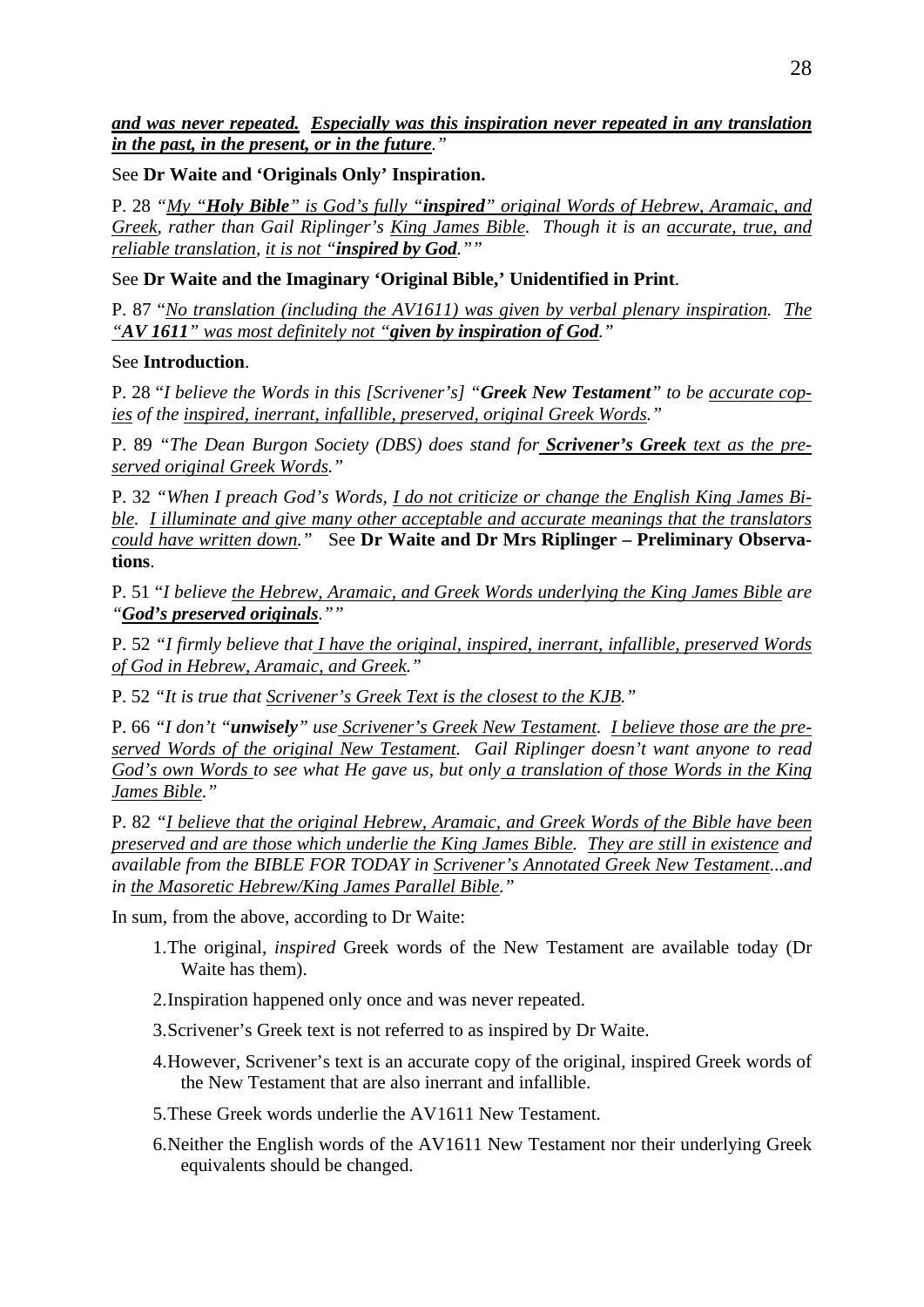*and was never repeated. Especially was this inspiration never repeated in any translation in the past, in the present, or in the future."*

# See **Dr Waite and 'Originals Only' Inspiration.**

P. 28 *"My "Holy Bible" is God's fully "inspired" original Words of Hebrew, Aramaic, and Greek, rather than Gail Riplinger's King James Bible. Though it is an accurate, true, and reliable translation, it is not "inspired by God.""*

See **Dr Waite and the Imaginary 'Original Bible,' Unidentified in Print**.

P. 87 "*No translation (including the AV1611) was given by verbal plenary inspiration. The "AV 1611" was most definitely not "given by inspiration of God."*

## See **Introduction**.

P. 28 "*I believe the Words in this [Scrivener's] "Greek New Testament" to be accurate copies of the inspired, inerrant, infallible, preserved, original Greek Words."* 

P. 89 *"The Dean Burgon Society (DBS) does stand for Scrivener's Greek text as the preserved original Greek Words."*

P. 32 *"When I preach God's Words, I do not criticize or change the English King James Bible. I illuminate and give many other acceptable and accurate meanings that the translators could have written down."* See **Dr Waite and Dr Mrs Riplinger – Preliminary Observations**.

P. 51 "*I believe the Hebrew, Aramaic, and Greek Words underlying the King James Bible are "God's preserved originals.""*

P. 52 *"I firmly believe that I have the original, inspired, inerrant, infallible, preserved Words of God in Hebrew, Aramaic, and Greek."* 

P. 52 *"It is true that Scrivener's Greek Text is the closest to the KJB."*

P. 66 *"I don't "unwisely" use Scrivener's Greek New Testament. I believe those are the preserved Words of the original New Testament. Gail Riplinger doesn't want anyone to read God's own Words to see what He gave us, but only a translation of those Words in the King James Bible."*

P. 82 *"I believe that the original Hebrew, Aramaic, and Greek Words of the Bible have been preserved and are those which underlie the King James Bible. They are still in existence and available from the BIBLE FOR TODAY in Scrivener's Annotated Greek New Testament...and in the Masoretic Hebrew/King James Parallel Bible."*

In sum, from the above, according to Dr Waite:

- 1.The original, *inspired* Greek words of the New Testament are available today (Dr Waite has them).
- 2.Inspiration happened only once and was never repeated.
- 3.Scrivener's Greek text is not referred to as inspired by Dr Waite.
- 4.However, Scrivener's text is an accurate copy of the original, inspired Greek words of the New Testament that are also inerrant and infallible.
- 5.These Greek words underlie the AV1611 New Testament.
- 6.Neither the English words of the AV1611 New Testament nor their underlying Greek equivalents should be changed.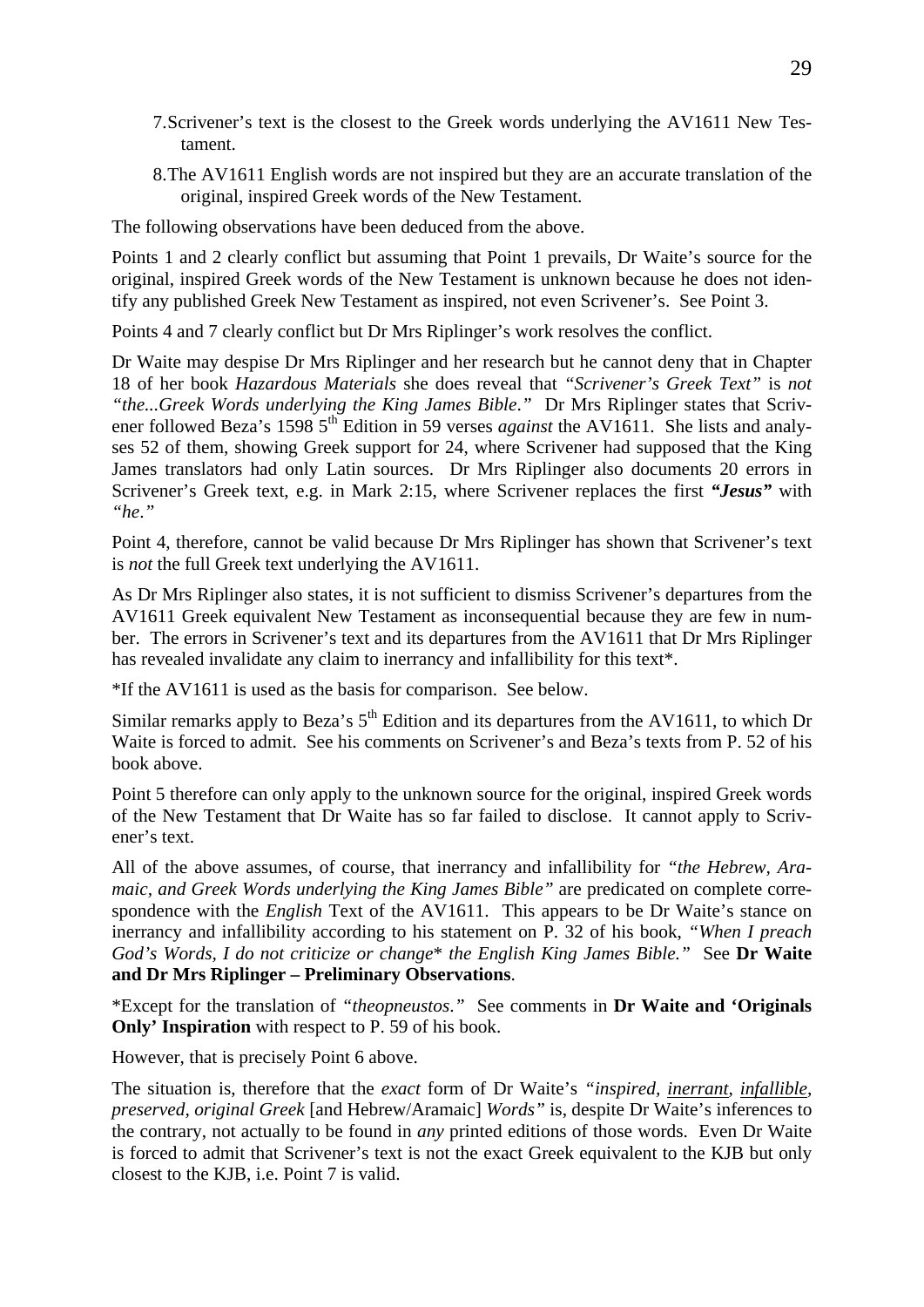- 7.Scrivener's text is the closest to the Greek words underlying the AV1611 New Testament.
- 8.The AV1611 English words are not inspired but they are an accurate translation of the original, inspired Greek words of the New Testament.

The following observations have been deduced from the above.

Points 1 and 2 clearly conflict but assuming that Point 1 prevails, Dr Waite's source for the original, inspired Greek words of the New Testament is unknown because he does not identify any published Greek New Testament as inspired, not even Scrivener's. See Point 3.

Points 4 and 7 clearly conflict but Dr Mrs Riplinger's work resolves the conflict.

Dr Waite may despise Dr Mrs Riplinger and her research but he cannot deny that in Chapter 18 of her book *Hazardous Materials* she does reveal that *"Scrivener's Greek Text"* is *not "the...Greek Words underlying the King James Bible*.*"* Dr Mrs Riplinger states that Scrivener followed Beza's 1598 5<sup>th</sup> Edition in 59 verses *against* the AV1611. She lists and analyses 52 of them, showing Greek support for 24, where Scrivener had supposed that the King James translators had only Latin sources. Dr Mrs Riplinger also documents 20 errors in Scrivener's Greek text, e.g. in Mark 2:15, where Scrivener replaces the first *"Jesus"* with *"he*.*"*

Point 4, therefore, cannot be valid because Dr Mrs Riplinger has shown that Scrivener's text is *not* the full Greek text underlying the AV1611.

As Dr Mrs Riplinger also states, it is not sufficient to dismiss Scrivener's departures from the AV1611 Greek equivalent New Testament as inconsequential because they are few in number. The errors in Scrivener's text and its departures from the AV1611 that Dr Mrs Riplinger has revealed invalidate any claim to inerrancy and infallibility for this text\*.

\*If the AV1611 is used as the basis for comparison. See below.

Similar remarks apply to Beza's  $5<sup>th</sup>$  Edition and its departures from the AV1611, to which Dr Waite is forced to admit. See his comments on Scrivener's and Beza's texts from P. 52 of his book above.

Point 5 therefore can only apply to the unknown source for the original, inspired Greek words of the New Testament that Dr Waite has so far failed to disclose. It cannot apply to Scrivener's text.

All of the above assumes, of course, that inerrancy and infallibility for *"the Hebrew, Aramaic, and Greek Words underlying the King James Bible"* are predicated on complete correspondence with the *English* Text of the AV1611. This appears to be Dr Waite's stance on inerrancy and infallibility according to his statement on P. 32 of his book, *"When I preach God's Words, I do not criticize or change*\* *the English King James Bible."* See **Dr Waite and Dr Mrs Riplinger – Preliminary Observations**.

\*Except for the translation of *"theopneustos*.*"* See comments in **Dr Waite and 'Originals Only' Inspiration** with respect to P. 59 of his book.

However, that is precisely Point 6 above.

The situation is, therefore that the *exact* form of Dr Waite's *"inspired, inerrant, infallible, preserved, original Greek* [and Hebrew/Aramaic] *Words"* is, despite Dr Waite's inferences to the contrary, not actually to be found in *any* printed editions of those words. Even Dr Waite is forced to admit that Scrivener's text is not the exact Greek equivalent to the KJB but only closest to the KJB, i.e. Point 7 is valid.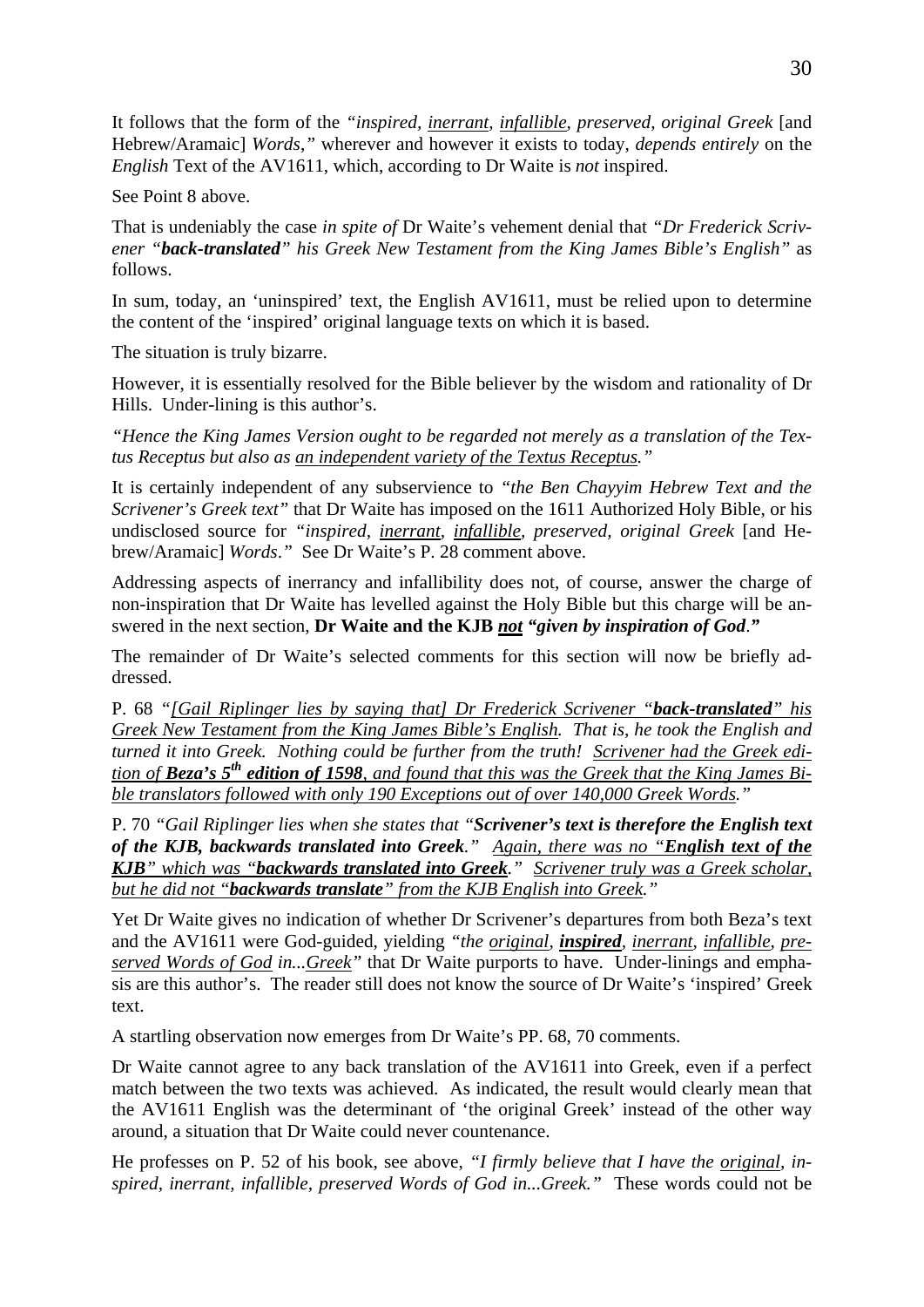It follows that the form of the *"inspired, inerrant, infallible, preserved, original Greek* [and Hebrew/Aramaic] *Words*,*"* wherever and however it exists to today, *depends entirely* on the *English* Text of the AV1611, which, according to Dr Waite is *not* inspired.

See Point 8 above.

That is undeniably the case *in spite of* Dr Waite's vehement denial that *"Dr Frederick Scrivener "back-translated" his Greek New Testament from the King James Bible's English"* as follows.

In sum, today, an 'uninspired' text, the English AV1611, must be relied upon to determine the content of the 'inspired' original language texts on which it is based.

The situation is truly bizarre.

However, it is essentially resolved for the Bible believer by the wisdom and rationality of Dr Hills. Under-lining is this author's.

*"Hence the King James Version ought to be regarded not merely as a translation of the Textus Receptus but also as an independent variety of the Textus Receptus."* 

It is certainly independent of any subservience to *"the Ben Chayyim Hebrew Text and the Scrivener's Greek text"* that Dr Waite has imposed on the 1611 Authorized Holy Bible, or his undisclosed source for *"inspired, inerrant, infallible, preserved, original Greek* [and Hebrew/Aramaic] *Words*.*"* See Dr Waite's P. 28 comment above.

Addressing aspects of inerrancy and infallibility does not, of course, answer the charge of non-inspiration that Dr Waite has levelled against the Holy Bible but this charge will be answered in the next section, **Dr Waite and the KJB** *not "given by inspiration of God*.*"*

The remainder of Dr Waite's selected comments for this section will now be briefly addressed.

P. 68 *"[Gail Riplinger lies by saying that] Dr Frederick Scrivener "back-translated" his Greek New Testament from the King James Bible's English. That is, he took the English and turned it into Greek. Nothing could be further from the truth! Scrivener had the Greek edition of Beza's 5th edition of 1598, and found that this was the Greek that the King James Bible translators followed with only 190 Exceptions out of over 140,000 Greek Words."*

P. 70 *"Gail Riplinger lies when she states that "Scrivener's text is therefore the English text of the KJB, backwards translated into Greek." Again, there was no "English text of the KJB" which was "backwards translated into Greek." Scrivener truly was a Greek scholar, but he did not "backwards translate" from the KJB English into Greek."*

Yet Dr Waite gives no indication of whether Dr Scrivener's departures from both Beza's text and the AV1611 were God-guided, yielding *"the original, inspired, inerrant, infallible, preserved Words of God in...Greek"* that Dr Waite purports to have. Under-linings and emphasis are this author's. The reader still does not know the source of Dr Waite's 'inspired' Greek text.

A startling observation now emerges from Dr Waite's PP. 68, 70 comments.

Dr Waite cannot agree to any back translation of the AV1611 into Greek, even if a perfect match between the two texts was achieved. As indicated, the result would clearly mean that the AV1611 English was the determinant of 'the original Greek' instead of the other way around, a situation that Dr Waite could never countenance.

He professes on P. 52 of his book, see above, *"I firmly believe that I have the original, inspired, inerrant, infallible, preserved Words of God in...Greek."* These words could not be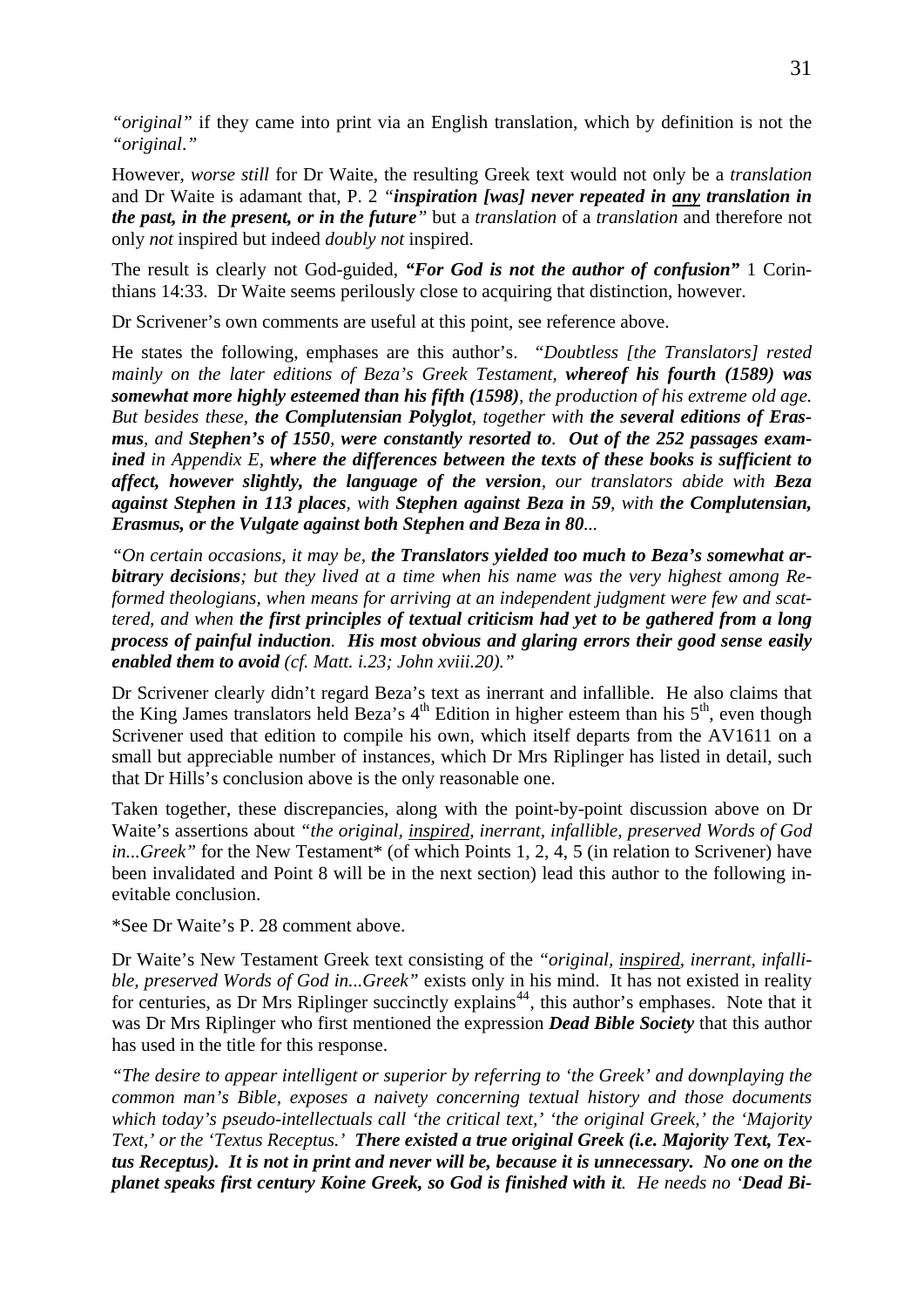*"original"* if they came into print via an English translation, which by definition is not the *"original*.*"*

However, *worse still* for Dr Waite, the resulting Greek text would not only be a *translation* and Dr Waite is adamant that, P. 2 *"inspiration [was] never repeated in any translation in the past, in the present, or in the future"* but a *translation* of a *translation* and therefore not only *not* inspired but indeed *doubly not* inspired.

The result is clearly not God-guided, *"For God is not the author of confusion"* 1 Corinthians 14:33. Dr Waite seems perilously close to acquiring that distinction, however.

Dr Scrivener's own comments are useful at this point, see reference above.

He states the following, emphases are this author's. *"Doubtless [the Translators] rested mainly on the later editions of Beza's Greek Testament, whereof his fourth (1589) was somewhat more highly esteemed than his fifth (1598), the production of his extreme old age. But besides these, the Complutensian Polyglot, together with the several editions of Erasmus, and Stephen's of 1550, were constantly resorted to. Out of the 252 passages examined in Appendix E, where the differences between the texts of these books is sufficient to affect, however slightly, the language of the version, our translators abide with Beza against Stephen in 113 places, with Stephen against Beza in 59, with the Complutensian, Erasmus, or the Vulgate against both Stephen and Beza in 80...* 

*"On certain occasions, it may be, the Translators yielded too much to Beza's somewhat arbitrary decisions; but they lived at a time when his name was the very highest among Reformed theologians, when means for arriving at an independent judgment were few and scattered, and when the first principles of textual criticism had yet to be gathered from a long process of painful induction. His most obvious and glaring errors their good sense easily enabled them to avoid (cf. Matt. i.23; John xviii.20)."* 

Dr Scrivener clearly didn't regard Beza's text as inerrant and infallible. He also claims that the King James translators held Beza's  $4<sup>th</sup>$  Edition in higher esteem than his  $5<sup>th</sup>$ , even though Scrivener used that edition to compile his own, which itself departs from the AV1611 on a small but appreciable number of instances, which Dr Mrs Riplinger has listed in detail, such that Dr Hills's conclusion above is the only reasonable one.

Taken together, these discrepancies, along with the point-by-point discussion above on Dr Waite's assertions about *"the original, inspired, inerrant, infallible, preserved Words of God in...Greek*" for the New Testament<sup>\*</sup> (of which Points 1, 2, 4, 5 (in relation to Scrivener) have been invalidated and Point 8 will be in the next section) lead this author to the following inevitable conclusion.

\*See Dr Waite's P. 28 comment above.

Dr Waite's New Testament Greek text consisting of the *"original, inspired, inerrant, infallible, preserved Words of God in...Greek"* exists only in his mind. It has not existed in reality for centuries, as Dr Mrs Riplinger succinctly explains<sup>[44](#page-93-1)</sup>, this author's emphases. Note that it was Dr Mrs Riplinger who first mentioned the expression *Dead Bible Society* that this author has used in the title for this response.

*"The desire to appear intelligent or superior by referring to 'the Greek' and downplaying the common man's Bible, exposes a naivety concerning textual history and those documents which today's pseudo-intellectuals call 'the critical text,' 'the original Greek,' the 'Majority Text,' or the 'Textus Receptus.' There existed a true original Greek (i.e. Majority Text, Textus Receptus). It is not in print and never will be, because it is unnecessary. No one on the planet speaks first century Koine Greek, so God is finished with it. He needs no 'Dead Bi-*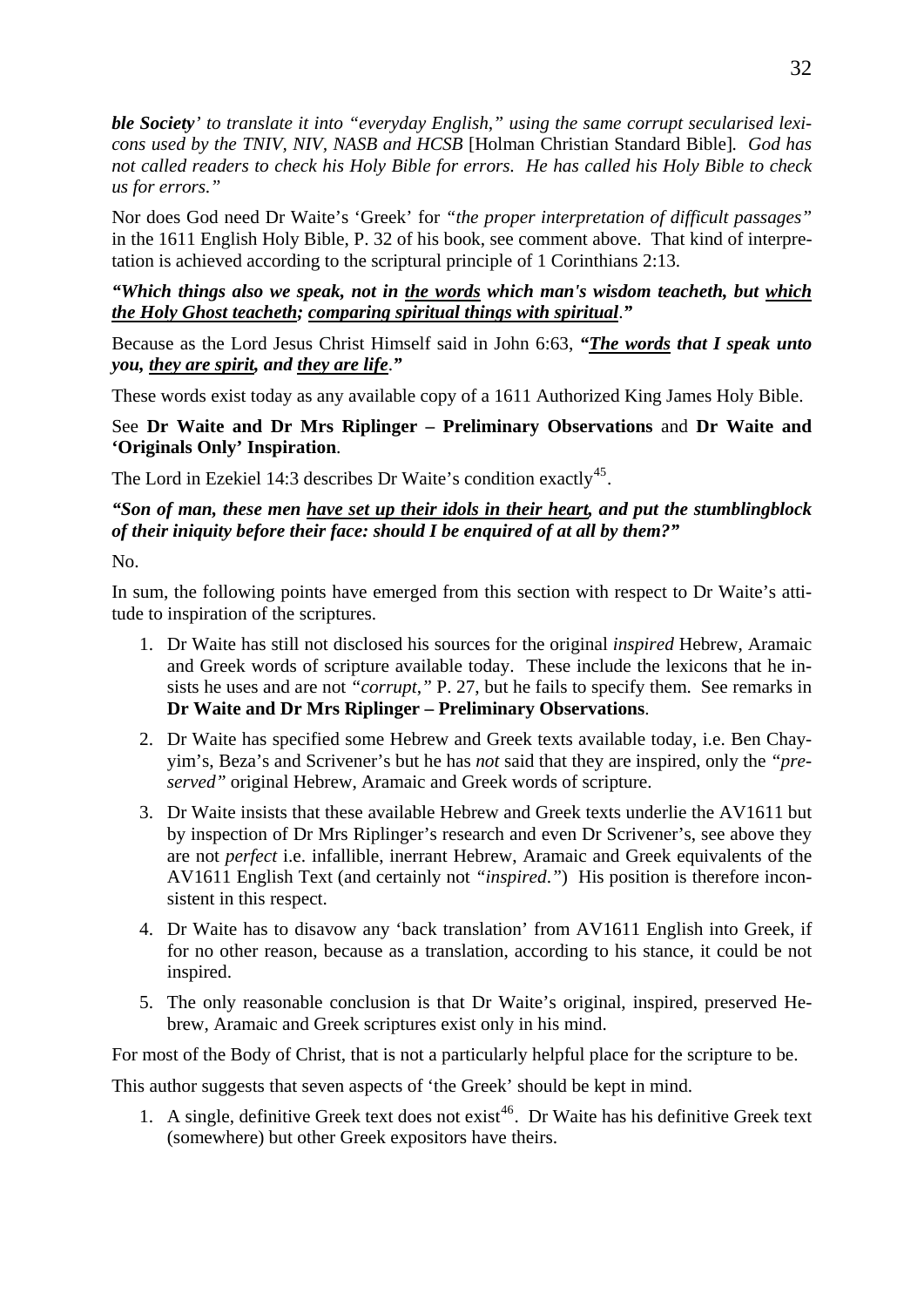*ble Society' to translate it into "everyday English," using the same corrupt secularised lexicons used by the TNIV, NIV, NASB and HCSB* [Holman Christian Standard Bible]*. God has not called readers to check his Holy Bible for errors. He has called his Holy Bible to check us for errors."*

Nor does God need Dr Waite's 'Greek' for *"the proper interpretation of difficult passages"* in the 1611 English Holy Bible, P. 32 of his book, see comment above. That kind of interpretation is achieved according to the scriptural principle of 1 Corinthians 2:13.

*"Which things also we speak, not in the words which man's wisdom teacheth, but which the Holy Ghost teacheth; comparing spiritual things with spiritual*.*"* 

Because as the Lord Jesus Christ Himself said in John 6:63, *"The words that I speak unto you, they are spirit, and they are life*.*"*

These words exist today as any available copy of a 1611 Authorized King James Holy Bible.

See **Dr Waite and Dr Mrs Riplinger – Preliminary Observations** and **Dr Waite and 'Originals Only' Inspiration**.

The Lord in Ezekiel 14:3 describes Dr Waite's condition exactly<sup>[45](#page-93-1)</sup>.

# *"Son of man, these men have set up their idols in their heart, and put the stumblingblock of their iniquity before their face: should I be enquired of at all by them?"*

No.

In sum, the following points have emerged from this section with respect to Dr Waite's attitude to inspiration of the scriptures.

- 1. Dr Waite has still not disclosed his sources for the original *inspired* Hebrew, Aramaic and Greek words of scripture available today. These include the lexicons that he insists he uses and are not *"corrupt*,*"* P. 27, but he fails to specify them. See remarks in **Dr Waite and Dr Mrs Riplinger – Preliminary Observations**.
- 2. Dr Waite has specified some Hebrew and Greek texts available today, i.e. Ben Chayyim's, Beza's and Scrivener's but he has *not* said that they are inspired, only the *"preserved"* original Hebrew, Aramaic and Greek words of scripture.
- 3. Dr Waite insists that these available Hebrew and Greek texts underlie the AV1611 but by inspection of Dr Mrs Riplinger's research and even Dr Scrivener's, see above they are not *perfect* i.e. infallible, inerrant Hebrew, Aramaic and Greek equivalents of the AV1611 English Text (and certainly not *"inspired*.*"*) His position is therefore inconsistent in this respect.
- 4. Dr Waite has to disavow any 'back translation' from AV1611 English into Greek, if for no other reason, because as a translation, according to his stance, it could be not inspired.
- 5. The only reasonable conclusion is that Dr Waite's original, inspired, preserved Hebrew, Aramaic and Greek scriptures exist only in his mind.

For most of the Body of Christ, that is not a particularly helpful place for the scripture to be.

This author suggests that seven aspects of 'the Greek' should be kept in mind.

1. A single, definitive Greek text does not exist<sup>[46](#page-93-1)</sup>. Dr Waite has his definitive Greek text (somewhere) but other Greek expositors have theirs.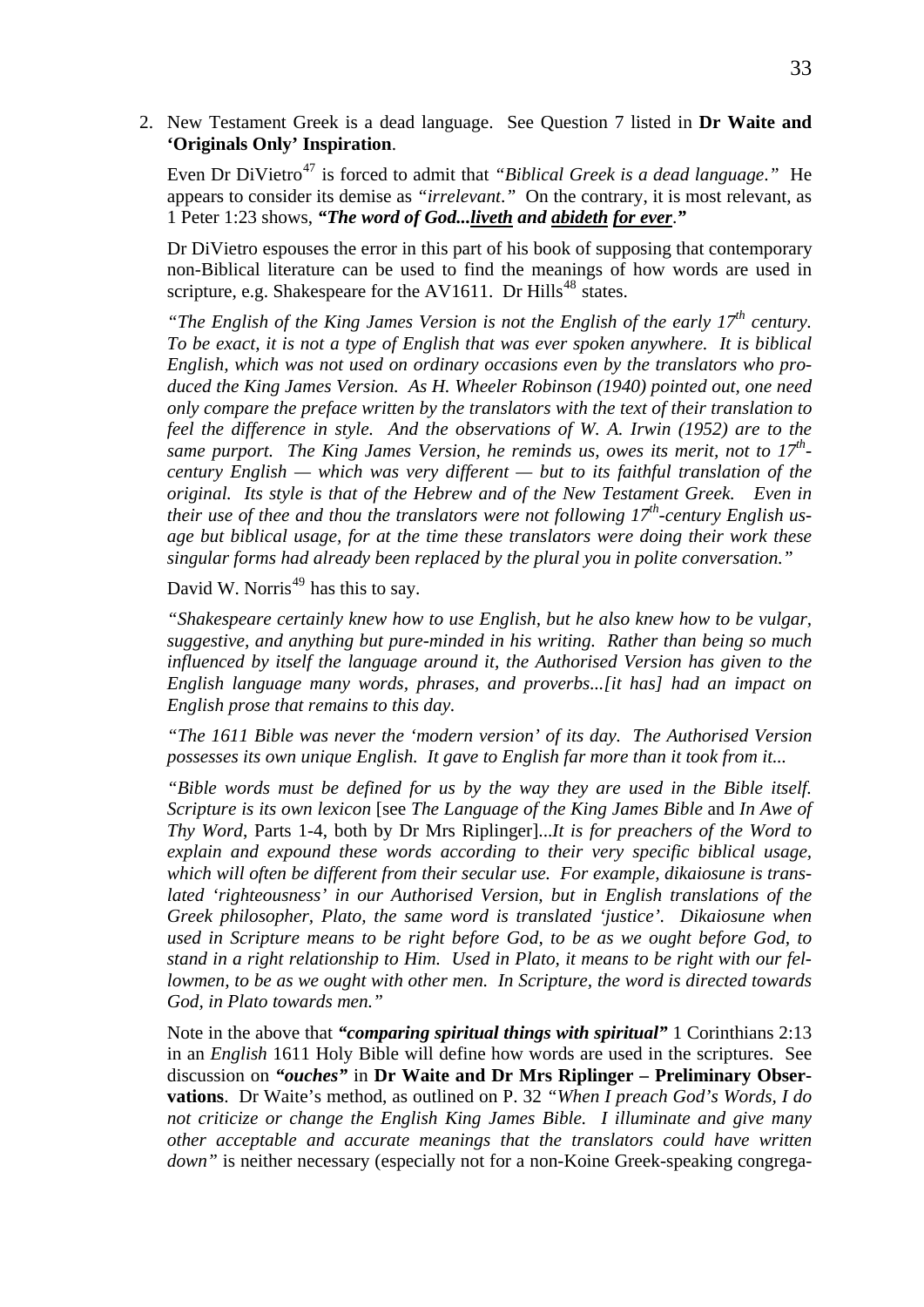2. New Testament Greek is a dead language. See Question 7 listed in **Dr Waite and 'Originals Only' Inspiration**.

Even Dr DiVietro<sup>[47](#page-93-1)</sup> is forced to admit that *"Biblical Greek is a dead language*." He appears to consider its demise as *"irrelevant*.*"* On the contrary, it is most relevant, as 1 Peter 1:23 shows, *"The word of God...liveth and abideth for ever*.*"*

Dr DiVietro espouses the error in this part of his book of supposing that contemporary non-Biblical literature can be used to find the meanings of how words are used in scripture, e.g. Shakespeare for the AV1611. Dr  $Hills^{48}$  $Hills^{48}$  $Hills^{48}$  states.

*"The English of the King James Version is not the English of the early 17th century. To be exact, it is not a type of English that was ever spoken anywhere. It is biblical English, which was not used on ordinary occasions even by the translators who produced the King James Version. As H. Wheeler Robinson (1940) pointed out, one need only compare the preface written by the translators with the text of their translation to feel the difference in style. And the observations of W. A. Irwin (1952) are to the*  same purport. The King James Version, he reminds us, owes its merit, not to 17<sup>th</sup>*century English — which was very different — but to its faithful translation of the original. Its style is that of the Hebrew and of the New Testament Greek. Even in their use of thee and thou the translators were not following 17<sup>th</sup>-century English usage but biblical usage, for at the time these translators were doing their work these singular forms had already been replaced by the plural you in polite conversation."* 

David W. Norris<sup> $49$ </sup> has this to say.

*"Shakespeare certainly knew how to use English, but he also knew how to be vulgar, suggestive, and anything but pure-minded in his writing. Rather than being so much influenced by itself the language around it, the Authorised Version has given to the English language many words, phrases, and proverbs...[it has] had an impact on English prose that remains to this day.* 

*"The 1611 Bible was never the 'modern version' of its day. The Authorised Version possesses its own unique English. It gave to English far more than it took from it...* 

*"Bible words must be defined for us by the way they are used in the Bible itself. Scripture is its own lexicon* [see *The Language of the King James Bible* and *In Awe of Thy Word*, Parts 1-4, both by Dr Mrs Riplinger]...*It is for preachers of the Word to explain and expound these words according to their very specific biblical usage, which will often be different from their secular use. For example, dikaiosune is translated 'righteousness' in our Authorised Version, but in English translations of the Greek philosopher, Plato, the same word is translated 'justice'. Dikaiosune when used in Scripture means to be right before God, to be as we ought before God, to stand in a right relationship to Him. Used in Plato, it means to be right with our fellowmen, to be as we ought with other men. In Scripture, the word is directed towards God, in Plato towards men."*

Note in the above that *"comparing spiritual things with spiritual"* 1 Corinthians 2:13 in an *English* 1611 Holy Bible will define how words are used in the scriptures. See discussion on *"ouches"* in **Dr Waite and Dr Mrs Riplinger – Preliminary Observations**. Dr Waite's method, as outlined on P. 32 *"When I preach God's Words, I do not criticize or change the English King James Bible. I illuminate and give many other acceptable and accurate meanings that the translators could have written down"* is neither necessary (especially not for a non-Koine Greek-speaking congrega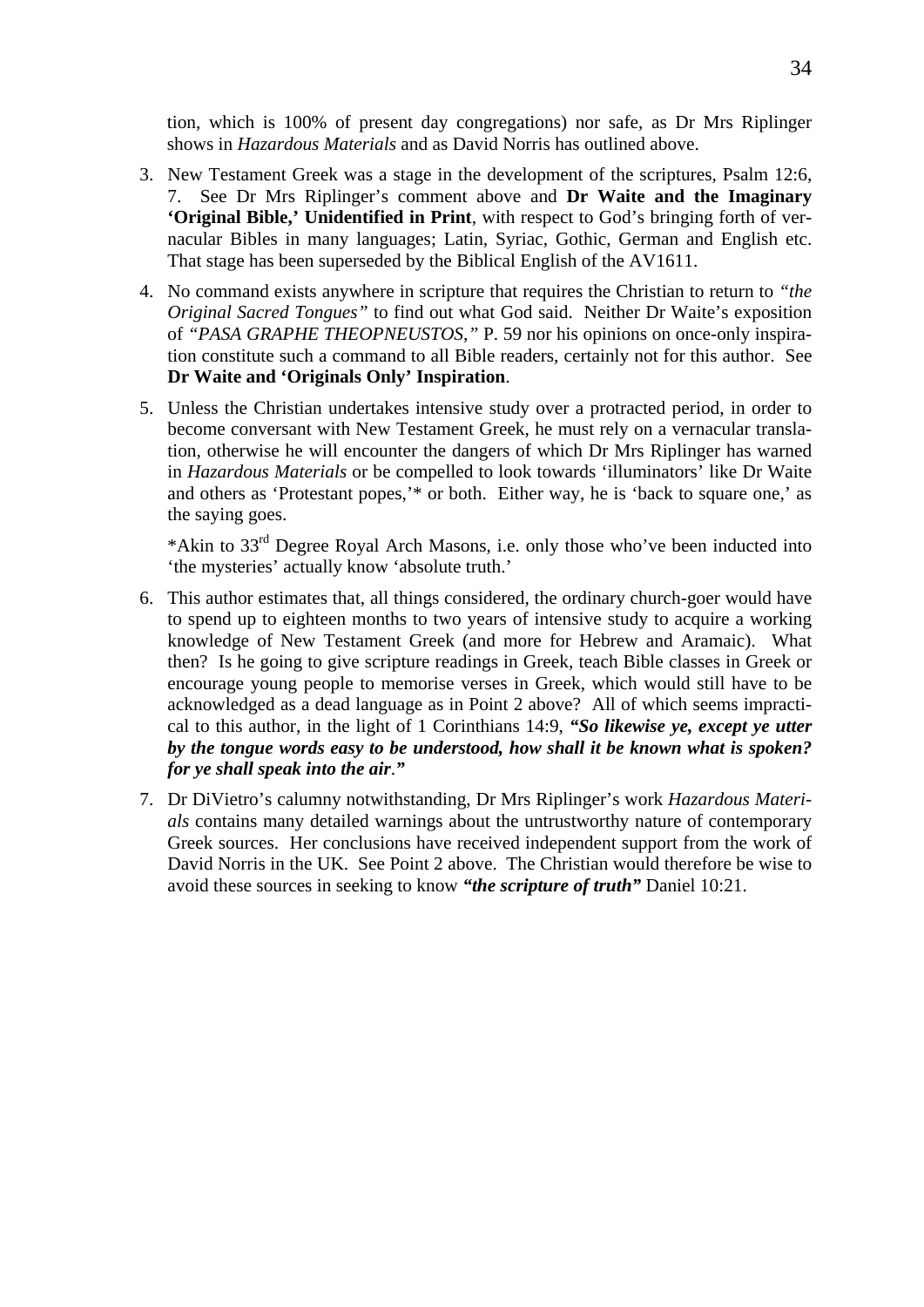tion, which is 100% of present day congregations) nor safe, as Dr Mrs Riplinger shows in *Hazardous Materials* and as David Norris has outlined above.

- 3. New Testament Greek was a stage in the development of the scriptures, Psalm 12:6, 7. See Dr Mrs Riplinger's comment above and **Dr Waite and the Imaginary 'Original Bible,' Unidentified in Print**, with respect to God's bringing forth of vernacular Bibles in many languages; Latin, Syriac, Gothic, German and English etc. That stage has been superseded by the Biblical English of the AV1611.
- 4. No command exists anywhere in scripture that requires the Christian to return to *"the Original Sacred Tongues"* to find out what God said. Neither Dr Waite's exposition of *"PASA GRAPHE THEOPNEUSTOS*,*"* P. 59 nor his opinions on once-only inspiration constitute such a command to all Bible readers, certainly not for this author. See **Dr Waite and 'Originals Only' Inspiration**.
- 5. Unless the Christian undertakes intensive study over a protracted period, in order to become conversant with New Testament Greek, he must rely on a vernacular translation, otherwise he will encounter the dangers of which Dr Mrs Riplinger has warned in *Hazardous Materials* or be compelled to look towards 'illuminators' like Dr Waite and others as 'Protestant popes,'\* or both. Either way, he is 'back to square one,' as the saying goes.

\*Akin to  $33<sup>rd</sup>$  Degree Royal Arch Masons, i.e. only those who've been inducted into 'the mysteries' actually know 'absolute truth.'

- 6. This author estimates that, all things considered, the ordinary church-goer would have to spend up to eighteen months to two years of intensive study to acquire a working knowledge of New Testament Greek (and more for Hebrew and Aramaic). What then? Is he going to give scripture readings in Greek, teach Bible classes in Greek or encourage young people to memorise verses in Greek, which would still have to be acknowledged as a dead language as in Point 2 above? All of which seems impractical to this author, in the light of 1 Corinthians 14:9, *"So likewise ye, except ye utter by the tongue words easy to be understood, how shall it be known what is spoken? for ye shall speak into the air*.*"*
- 7. Dr DiVietro's calumny notwithstanding, Dr Mrs Riplinger's work *Hazardous Materials* contains many detailed warnings about the untrustworthy nature of contemporary Greek sources. Her conclusions have received independent support from the work of David Norris in the UK. See Point 2 above. The Christian would therefore be wise to avoid these sources in seeking to know *"the scripture of truth"* Daniel 10:21.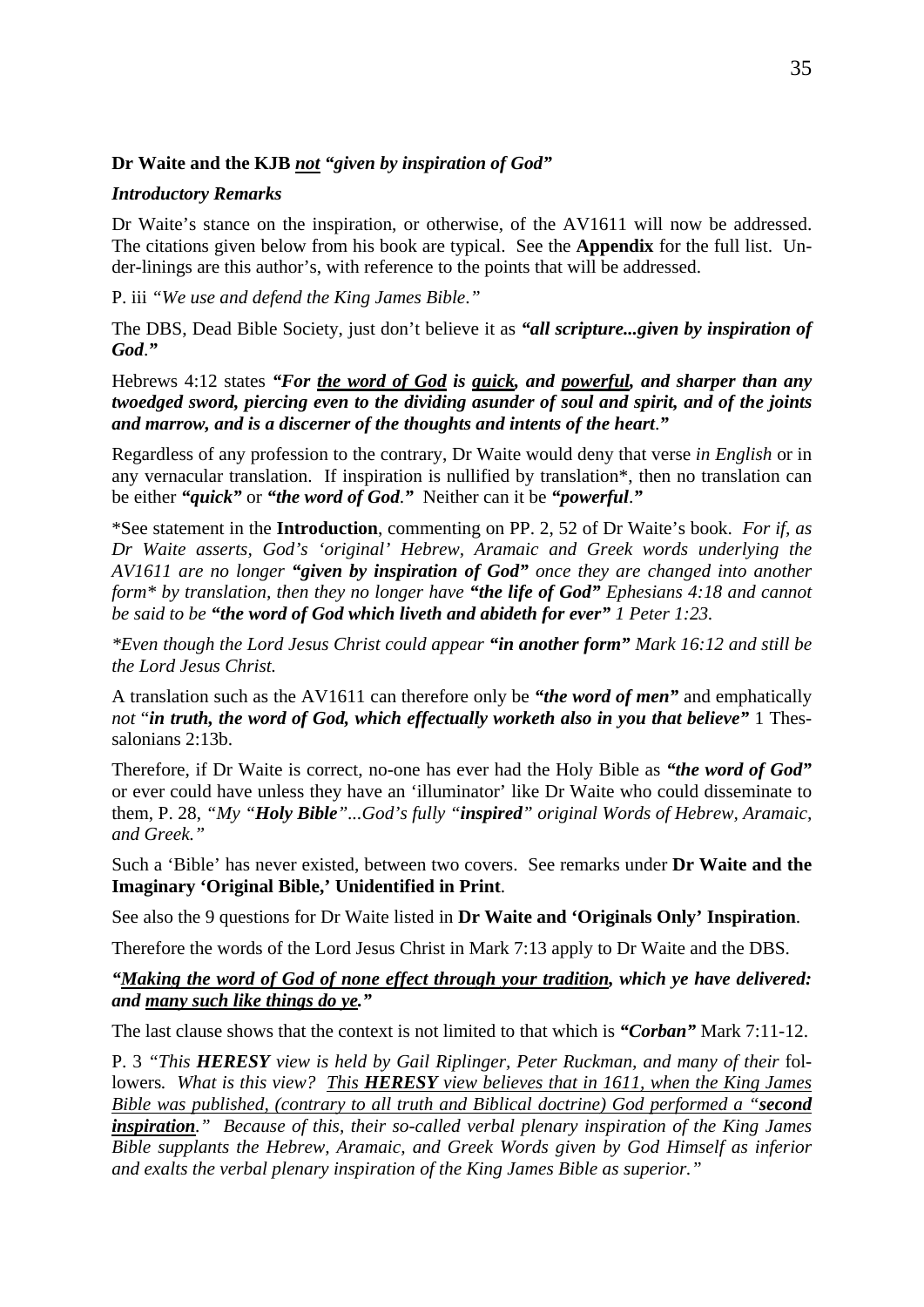# **Dr Waite and the KJB** *not "given by inspiration of God"*

#### *Introductory Remarks*

Dr Waite's stance on the inspiration, or otherwise, of the AV1611 will now be addressed. The citations given below from his book are typical. See the **Appendix** for the full list. Under-linings are this author's, with reference to the points that will be addressed.

P. iii *"We use and defend the King James Bible*.*"*

The DBS, Dead Bible Society, just don't believe it as *"all scripture...given by inspiration of God*.*"* 

Hebrews 4:12 states *"For the word of God is quick, and powerful, and sharper than any twoedged sword, piercing even to the dividing asunder of soul and spirit, and of the joints and marrow, and is a discerner of the thoughts and intents of the heart*.*"* 

Regardless of any profession to the contrary, Dr Waite would deny that verse *in English* or in any vernacular translation. If inspiration is nullified by translation\*, then no translation can be either *"quick"* or *"the word of God*.*"* Neither can it be *"powerful*.*"*

\*See statement in the **Introduction**, commenting on PP. 2, 52 of Dr Waite's book. *For if, as Dr Waite asserts, God's 'original' Hebrew, Aramaic and Greek words underlying the AV1611 are no longer "given by inspiration of God" once they are changed into another form\* by translation, then they no longer have "the life of God" Ephesians 4:18 and cannot be said to be "the word of God which liveth and abideth for ever" 1 Peter 1:23.* 

*\*Even though the Lord Jesus Christ could appear "in another form" Mark 16:12 and still be the Lord Jesus Christ.* 

A translation such as the AV1611 can therefore only be *"the word of men"* and emphatically *not* "*in truth, the word of God, which effectually worketh also in you that believe"* 1 Thessalonians 2:13b.

Therefore, if Dr Waite is correct, no-one has ever had the Holy Bible as *"the word of God"* or ever could have unless they have an 'illuminator' like Dr Waite who could disseminate to them, P. 28, *"My "Holy Bible"...God's fully "inspired" original Words of Hebrew, Aramaic, and Greek."*

Such a 'Bible' has never existed, between two covers. See remarks under **Dr Waite and the Imaginary 'Original Bible,' Unidentified in Print**.

See also the 9 questions for Dr Waite listed in **Dr Waite and 'Originals Only' Inspiration**.

Therefore the words of the Lord Jesus Christ in Mark 7:13 apply to Dr Waite and the DBS.

# *"Making the word of God of none effect through your tradition, which ye have delivered: and many such like things do ye."*

The last clause shows that the context is not limited to that which is *"Corban"* Mark 7:11-12.

P. 3 *"This HERESY view is held by Gail Riplinger, Peter Ruckman, and many of their* followers*. What is this view? This HERESY view believes that in 1611, when the King James Bible was published, (contrary to all truth and Biblical doctrine) God performed a "second inspiration." Because of this, their so-called verbal plenary inspiration of the King James Bible supplants the Hebrew, Aramaic, and Greek Words given by God Himself as inferior and exalts the verbal plenary inspiration of the King James Bible as superior."*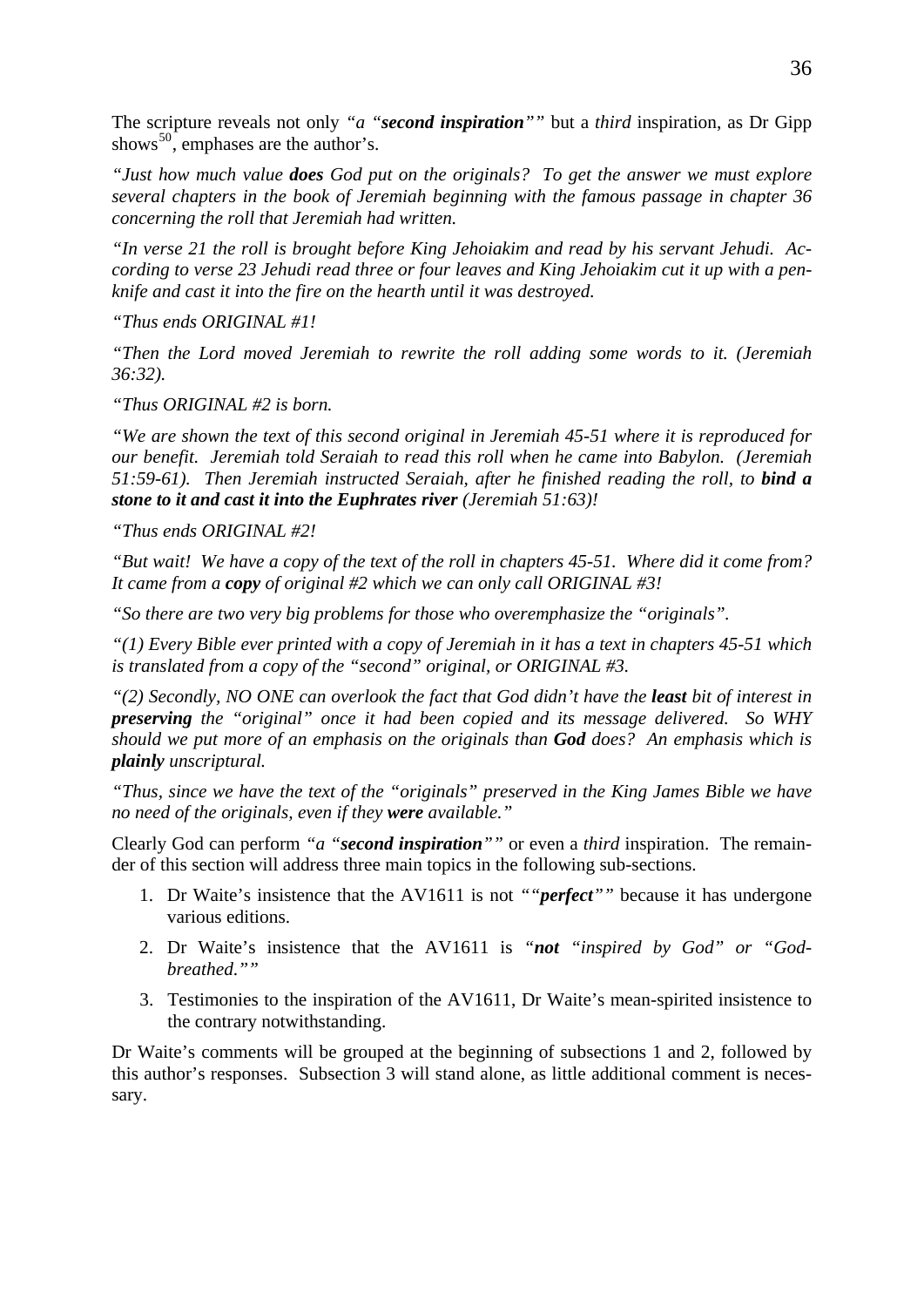The scripture reveals not only *"a "second inspiration""* but a *third* inspiration, as Dr Gipp shows $^{50}$  $^{50}$  $^{50}$ , emphases are the author's.

*"Just how much value does God put on the originals? To get the answer we must explore several chapters in the book of Jeremiah beginning with the famous passage in chapter 36 concerning the roll that Jeremiah had written.* 

*"In verse 21 the roll is brought before King Jehoiakim and read by his servant Jehudi. According to verse 23 Jehudi read three or four leaves and King Jehoiakim cut it up with a penknife and cast it into the fire on the hearth until it was destroyed.* 

*"Thus ends ORIGINAL #1!* 

*"Then the Lord moved Jeremiah to rewrite the roll adding some words to it. (Jeremiah 36:32).* 

*"Thus ORIGINAL #2 is born.* 

*"We are shown the text of this second original in Jeremiah 45-51 where it is reproduced for our benefit. Jeremiah told Seraiah to read this roll when he came into Babylon. (Jeremiah 51:59-61). Then Jeremiah instructed Seraiah, after he finished reading the roll, to bind a stone to it and cast it into the Euphrates river (Jeremiah 51:63)!* 

*"Thus ends ORIGINAL #2!* 

*"But wait! We have a copy of the text of the roll in chapters 45-51. Where did it come from? It came from a copy of original #2 which we can only call ORIGINAL #3!* 

*"So there are two very big problems for those who overemphasize the "originals".* 

*"(1) Every Bible ever printed with a copy of Jeremiah in it has a text in chapters 45-51 which is translated from a copy of the "second" original, or ORIGINAL #3.* 

*"(2) Secondly, NO ONE can overlook the fact that God didn't have the least bit of interest in preserving the "original" once it had been copied and its message delivered. So WHY should we put more of an emphasis on the originals than God does? An emphasis which is plainly unscriptural.* 

*"Thus, since we have the text of the "originals" preserved in the King James Bible we have no need of the originals, even if they were available."* 

Clearly God can perform *"a "second inspiration""* or even a *third* inspiration. The remainder of this section will address three main topics in the following sub-sections.

- 1. Dr Waite's insistence that the AV1611 is not *""perfect""* because it has undergone various editions.
- 2. Dr Waite's insistence that the AV1611 is *"not "inspired by God" or "Godbreathed*.*""*
- 3. Testimonies to the inspiration of the AV1611, Dr Waite's mean-spirited insistence to the contrary notwithstanding.

Dr Waite's comments will be grouped at the beginning of subsections 1 and 2, followed by this author's responses. Subsection 3 will stand alone, as little additional comment is necessary.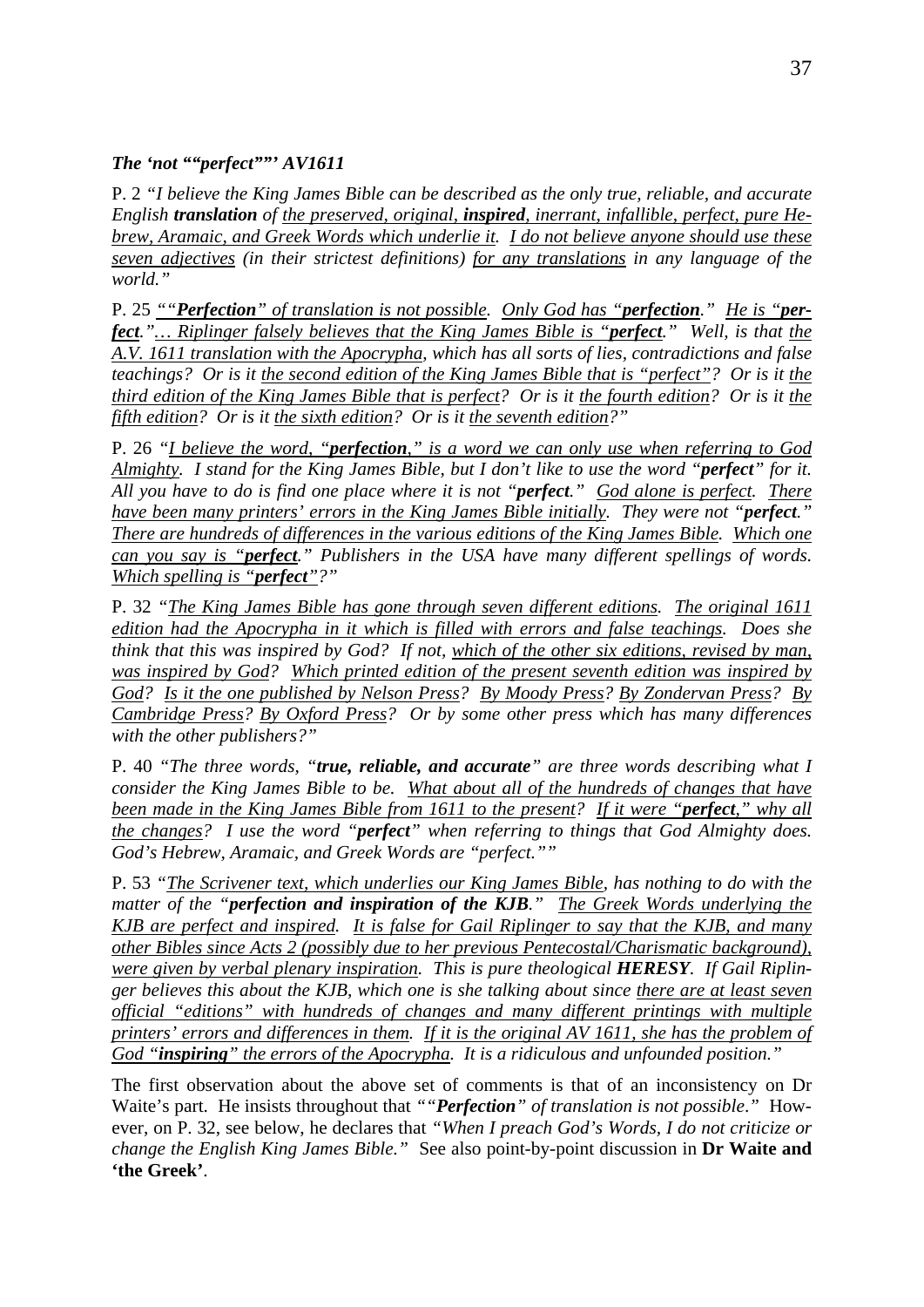# *The 'not ""perfect""' AV1611*

P. 2 *"I believe the King James Bible can be described as the only true, reliable, and accurate English translation of the preserved, original, inspired, inerrant, infallible, perfect, pure Hebrew, Aramaic, and Greek Words which underlie it. I do not believe anyone should use these seven adjectives (in their strictest definitions) for any translations in any language of the world."*

P. 25 *""Perfection" of translation is not possible. Only God has "perfection." He is "perfect."… Riplinger falsely believes that the King James Bible is "perfect." Well, is that the A.V. 1611 translation with the Apocrypha, which has all sorts of lies, contradictions and false teachings? Or is it the second edition of the King James Bible that is "perfect"? Or is it the third edition of the King James Bible that is perfect? Or is it the fourth edition? Or is it the fifth edition? Or is it the sixth edition? Or is it the seventh edition?"* 

P. 26 *"I believe the word, "perfection," is a word we can only use when referring to God Almighty. I stand for the King James Bible, but I don't like to use the word "perfect" for it. All you have to do is find one place where it is not "perfect." God alone is perfect. There have been many printers' errors in the King James Bible initially. They were not "perfect." There are hundreds of differences in the various editions of the King James Bible. Which one can you say is "perfect." Publishers in the USA have many different spellings of words. Which spelling is "perfect"?"*

P. 32 *"The King James Bible has gone through seven different editions. The original 1611 edition had the Apocrypha in it which is filled with errors and false teachings. Does she think that this was inspired by God? If not, which of the other six editions, revised by man, was inspired by God? Which printed edition of the present seventh edition was inspired by God? Is it the one published by Nelson Press? By Moody Press? By Zondervan Press? By Cambridge Press? By Oxford Press? Or by some other press which has many differences with the other publishers?"* 

P. 40 *"The three words, "true, reliable, and accurate" are three words describing what I consider the King James Bible to be. What about all of the hundreds of changes that have been made in the King James Bible from 1611 to the present? If it were "perfect," why all the changes? I use the word "perfect" when referring to things that God Almighty does. God's Hebrew, Aramaic, and Greek Words are "perfect.""*

P. 53 *"The Scrivener text, which underlies our King James Bible, has nothing to do with the matter of the "perfection and inspiration of the KJB." The Greek Words underlying the KJB are perfect and inspired. It is false for Gail Riplinger to say that the KJB, and many other Bibles since Acts 2 (possibly due to her previous Pentecostal/Charismatic background),*  were given by verbal plenary inspiration. This is pure theological **HERESY**. If Gail Riplin*ger believes this about the KJB, which one is she talking about since there are at least seven official "editions" with hundreds of changes and many different printings with multiple printers' errors and differences in them. If it is the original AV 1611, she has the problem of God "inspiring" the errors of the Apocrypha. It is a ridiculous and unfounded position."* 

The first observation about the above set of comments is that of an inconsistency on Dr Waite's part. He insists throughout that *""Perfection" of translation is not possible*.*"* However, on P. 32, see below, he declares that *"When I preach God's Words, I do not criticize or change the English King James Bible."* See also point-by-point discussion in **Dr Waite and 'the Greek'**.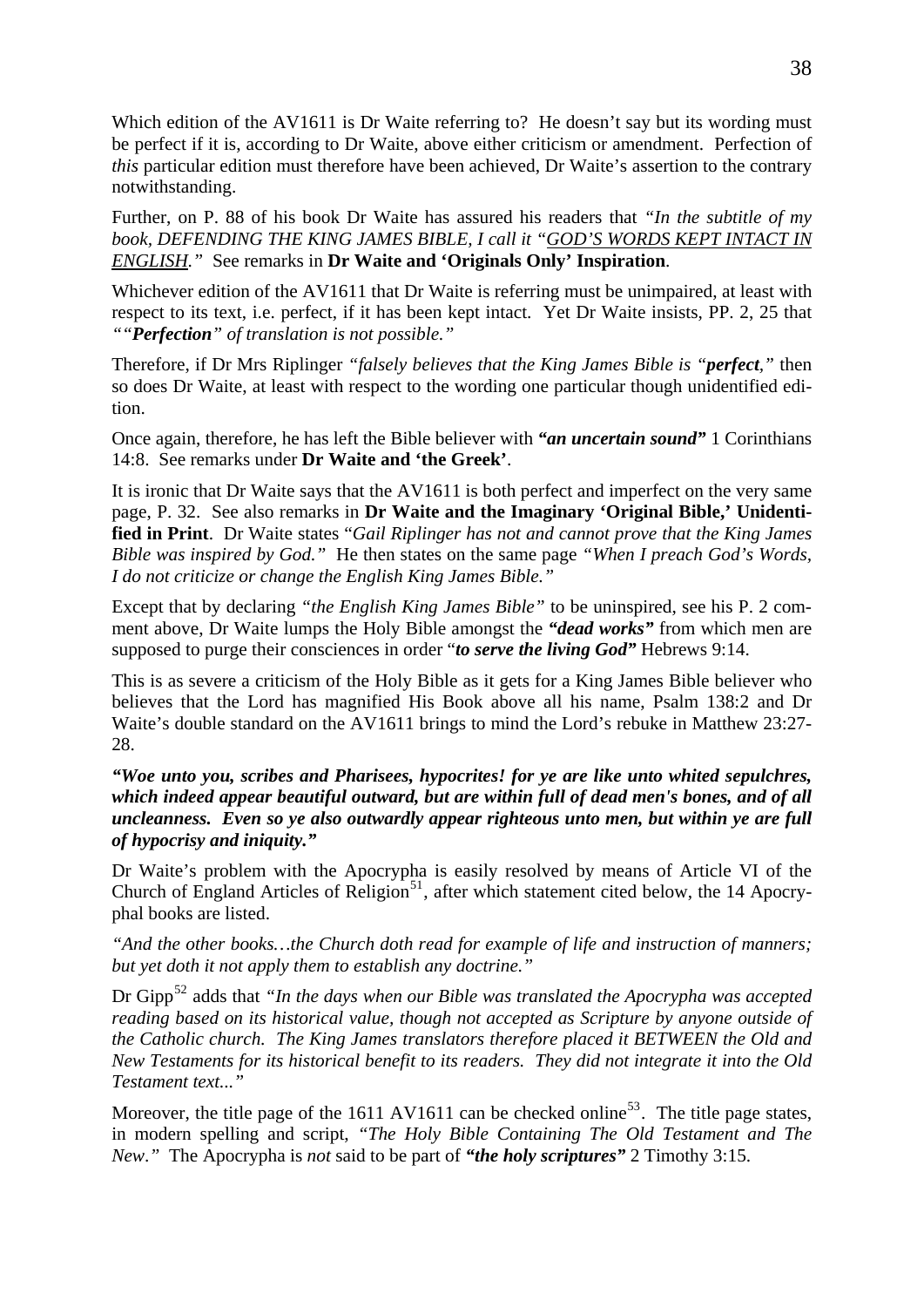Which edition of the AV1611 is Dr Waite referring to? He doesn't say but its wording must be perfect if it is, according to Dr Waite, above either criticism or amendment. Perfection of *this* particular edition must therefore have been achieved, Dr Waite's assertion to the contrary notwithstanding.

Further, on P. 88 of his book Dr Waite has assured his readers that *"In the subtitle of my*  book, DEFENDING THE KING JAMES BIBLE, I call it "GOD'S WORDS KEPT INTACT IN *ENGLISH."* See remarks in **Dr Waite and 'Originals Only' Inspiration**.

Whichever edition of the AV1611 that Dr Waite is referring must be unimpaired, at least with respect to its text, i.e. perfect, if it has been kept intact. Yet Dr Waite insists, PP. 2, 25 that *""Perfection" of translation is not possible."*

Therefore, if Dr Mrs Riplinger *"falsely believes that the King James Bible is "perfect,"* then so does Dr Waite, at least with respect to the wording one particular though unidentified edition.

Once again, therefore, he has left the Bible believer with *"an uncertain sound"* 1 Corinthians 14:8. See remarks under **Dr Waite and 'the Greek'**.

It is ironic that Dr Waite says that the AV1611 is both perfect and imperfect on the very same page, P. 32. See also remarks in **Dr Waite and the Imaginary 'Original Bible,' Unidentified in Print**. Dr Waite states "*Gail Riplinger has not and cannot prove that the King James Bible was inspired by God."* He then states on the same page *"When I preach God's Words, I do not criticize or change the English King James Bible."*

Except that by declaring *"the English King James Bible"* to be uninspired, see his P. 2 comment above, Dr Waite lumps the Holy Bible amongst the *"dead works"* from which men are supposed to purge their consciences in order "*to serve the living God"* Hebrews 9:14.

This is as severe a criticism of the Holy Bible as it gets for a King James Bible believer who believes that the Lord has magnified His Book above all his name, Psalm 138:2 and Dr Waite's double standard on the AV1611 brings to mind the Lord's rebuke in Matthew 23:27- 28.

*"Woe unto you, scribes and Pharisees, hypocrites! for ye are like unto whited sepulchres, which indeed appear beautiful outward, but are within full of dead men's bones, and of all uncleanness. Even so ye also outwardly appear righteous unto men, but within ye are full of hypocrisy and iniquity."* 

Dr Waite's problem with the Apocrypha is easily resolved by means of Article VI of the Church of England Articles of Religion<sup>[51](#page-93-0)</sup>, after which statement cited below, the 14 Apocryphal books are listed.

*"And the other books…the Church doth read for example of life and instruction of manners; but yet doth it not apply them to establish any doctrine."* 

Dr Gipp<sup>[52](#page-93-0)</sup> adds that *"In the days when our Bible was translated the Apocrypha was accepted reading based on its historical value, though not accepted as Scripture by anyone outside of the Catholic church. The King James translators therefore placed it BETWEEN the Old and New Testaments for its historical benefit to its readers. They did not integrate it into the Old Testament text..."*

Moreover, the title page of the 1611 AV1611 can be checked online<sup>[53](#page-93-0)</sup>. The title page states, in modern spelling and script, *"The Holy Bible Containing The Old Testament and The New*.*"* The Apocrypha is *not* said to be part of *"the holy scriptures"* 2 Timothy 3:15.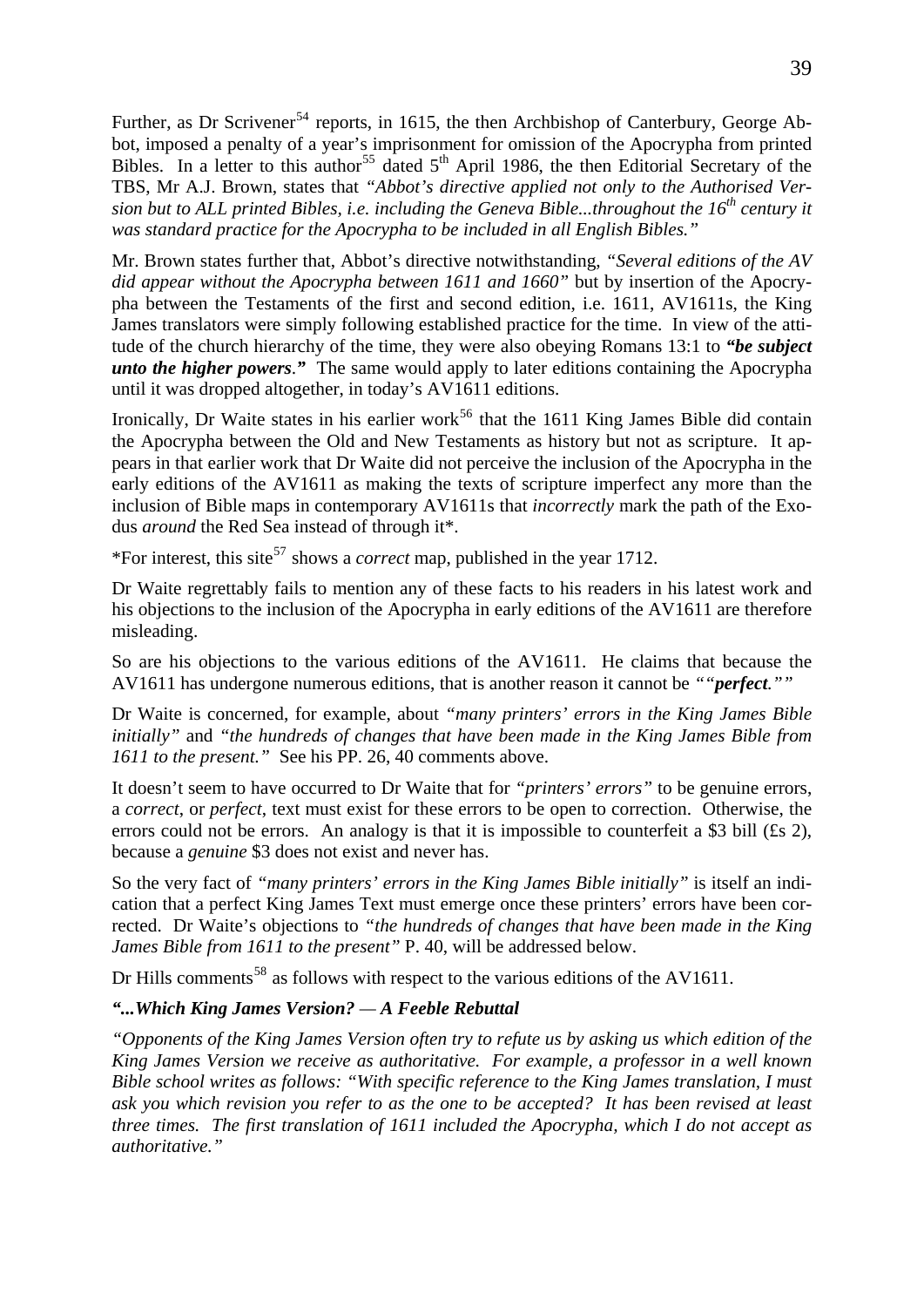Further, as Dr Scrivener<sup>[54](#page-93-0)</sup> reports, in 1615, the then Archbishop of Canterbury, George Abbot, imposed a penalty of a year's imprisonment for omission of the Apocrypha from printed Bibles. In a letter to this author<sup>[55](#page-93-0)</sup> dated  $5<sup>th</sup>$  April 1986, the then Editorial Secretary of the TBS, Mr A.J. Brown, states that *"Abbot's directive applied not only to the Authorised Version but to ALL printed Bibles, i.e. including the Geneva Bible...throughout the 16th century it was standard practice for the Apocrypha to be included in all English Bibles."*

Mr. Brown states further that, Abbot's directive notwithstanding, *"Several editions of the AV did appear without the Apocrypha between 1611 and 1660"* but by insertion of the Apocrypha between the Testaments of the first and second edition, i.e. 1611, AV1611s, the King James translators were simply following established practice for the time. In view of the attitude of the church hierarchy of the time, they were also obeying Romans 13:1 to *"be subject unto the higher powers*.*"* The same would apply to later editions containing the Apocrypha until it was dropped altogether, in today's AV1611 editions.

Ironically, Dr Waite states in his earlier work<sup>[56](#page-93-0)</sup> that the 1611 King James Bible did contain the Apocrypha between the Old and New Testaments as history but not as scripture. It appears in that earlier work that Dr Waite did not perceive the inclusion of the Apocrypha in the early editions of the AV1611 as making the texts of scripture imperfect any more than the inclusion of Bible maps in contemporary AV1611s that *incorrectly* mark the path of the Exodus *around* the Red Sea instead of through it\*.

\*For interest, this site[57](#page-93-0) shows a *correct* map, published in the year 1712.

Dr Waite regrettably fails to mention any of these facts to his readers in his latest work and his objections to the inclusion of the Apocrypha in early editions of the AV1611 are therefore misleading.

So are his objections to the various editions of the AV1611. He claims that because the AV1611 has undergone numerous editions, that is another reason it cannot be *""perfect.""*

Dr Waite is concerned, for example, about *"many printers' errors in the King James Bible initially"* and *"the hundreds of changes that have been made in the King James Bible from 1611 to the present."* See his PP. 26, 40 comments above.

It doesn't seem to have occurred to Dr Waite that for *"printers' errors"* to be genuine errors, a *correct*, or *perfect*, text must exist for these errors to be open to correction. Otherwise, the errors could not be errors. An analogy is that it is impossible to counterfeit a \$3 bill (£s 2), because a *genuine* \$3 does not exist and never has.

So the very fact of *"many printers' errors in the King James Bible initially"* is itself an indication that a perfect King James Text must emerge once these printers' errors have been corrected. Dr Waite's objections to *"the hundreds of changes that have been made in the King James Bible from 1611 to the present"* P. 40, will be addressed below.

Dr Hills comments<sup>[58](#page-93-0)</sup> as follows with respect to the various editions of the AV1611.

#### *"...Which King James Version? — A Feeble Rebuttal*

*"Opponents of the King James Version often try to refute us by asking us which edition of the King James Version we receive as authoritative. For example, a professor in a well known Bible school writes as follows: "With specific reference to the King James translation, I must ask you which revision you refer to as the one to be accepted? It has been revised at least three times. The first translation of 1611 included the Apocrypha, which I do not accept as authoritative."*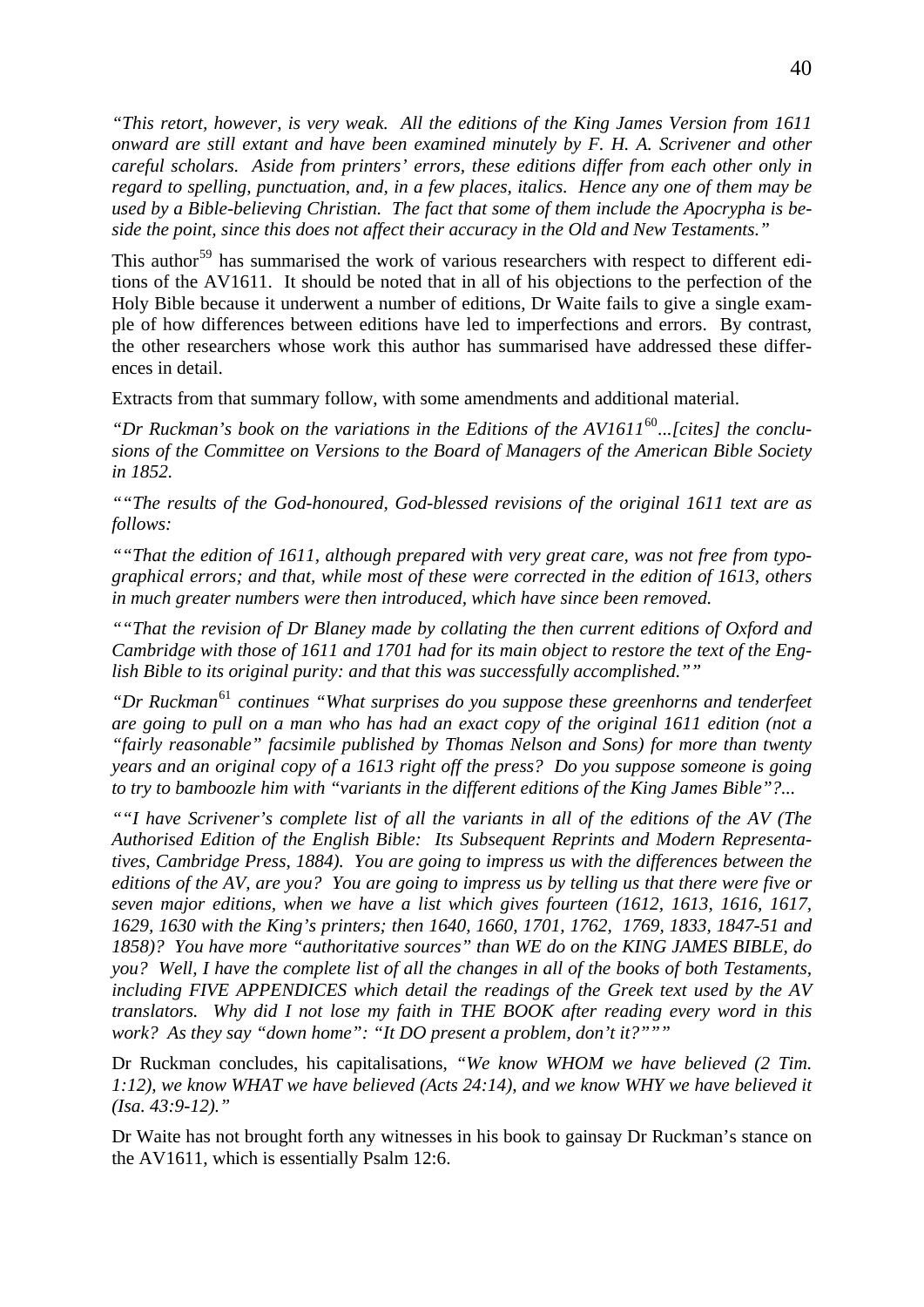*"This retort, however, is very weak. All the editions of the King James Version from 1611 onward are still extant and have been examined minutely by F. H. A. Scrivener and other careful scholars. Aside from printers' errors, these editions differ from each other only in regard to spelling, punctuation, and, in a few places, italics. Hence any one of them may be used by a Bible-believing Christian. The fact that some of them include the Apocrypha is beside the point, since this does not affect their accuracy in the Old and New Testaments."*

This author<sup>[59](#page-93-0)</sup> has summarised the work of various researchers with respect to different editions of the AV1611. It should be noted that in all of his objections to the perfection of the Holy Bible because it underwent a number of editions, Dr Waite fails to give a single example of how differences between editions have led to imperfections and errors. By contrast, the other researchers whose work this author has summarised have addressed these differences in detail.

Extracts from that summary follow, with some amendments and additional material.

"Dr Ruckman's book on the variations in the Editions of the AV1611<sup>[60](#page-93-0)</sup>...[cites] the conclu*sions of the Committee on Versions to the Board of Managers of the American Bible Society in 1852.* 

*""The results of the God-honoured, God-blessed revisions of the original 1611 text are as follows:* 

*""That the edition of 1611, although prepared with very great care, was not free from typographical errors; and that, while most of these were corrected in the edition of 1613, others in much greater numbers were then introduced, which have since been removed.* 

*""That the revision of Dr Blaney made by collating the then current editions of Oxford and Cambridge with those of 1611 and 1701 had for its main object to restore the text of the English Bible to its original purity: and that this was successfully accomplished.""*

*"Dr Ruckman*[61](#page-93-0) *continues "What surprises do you suppose these greenhorns and tenderfeet are going to pull on a man who has had an exact copy of the original 1611 edition (not a "fairly reasonable" facsimile published by Thomas Nelson and Sons) for more than twenty years and an original copy of a 1613 right off the press? Do you suppose someone is going to try to bamboozle him with "variants in the different editions of the King James Bible"?...*

*""I have Scrivener's complete list of all the variants in all of the editions of the AV (The Authorised Edition of the English Bible: Its Subsequent Reprints and Modern Representatives, Cambridge Press, 1884). You are going to impress us with the differences between the editions of the AV, are you? You are going to impress us by telling us that there were five or seven major editions, when we have a list which gives fourteen (1612, 1613, 1616, 1617, 1629, 1630 with the King's printers; then 1640, 1660, 1701, 1762, 1769, 1833, 1847-51 and 1858)? You have more "authoritative sources" than WE do on the KING JAMES BIBLE, do you? Well, I have the complete list of all the changes in all of the books of both Testaments, including FIVE APPENDICES which detail the readings of the Greek text used by the AV translators. Why did I not lose my faith in THE BOOK after reading every word in this work? As they say "down home": "It DO present a problem, don't it?"""* 

Dr Ruckman concludes, his capitalisations, *"We know WHOM we have believed (2 Tim. 1:12), we know WHAT we have believed (Acts 24:14), and we know WHY we have believed it (Isa. 43:9-12)."*

Dr Waite has not brought forth any witnesses in his book to gainsay Dr Ruckman's stance on the AV1611, which is essentially Psalm 12:6.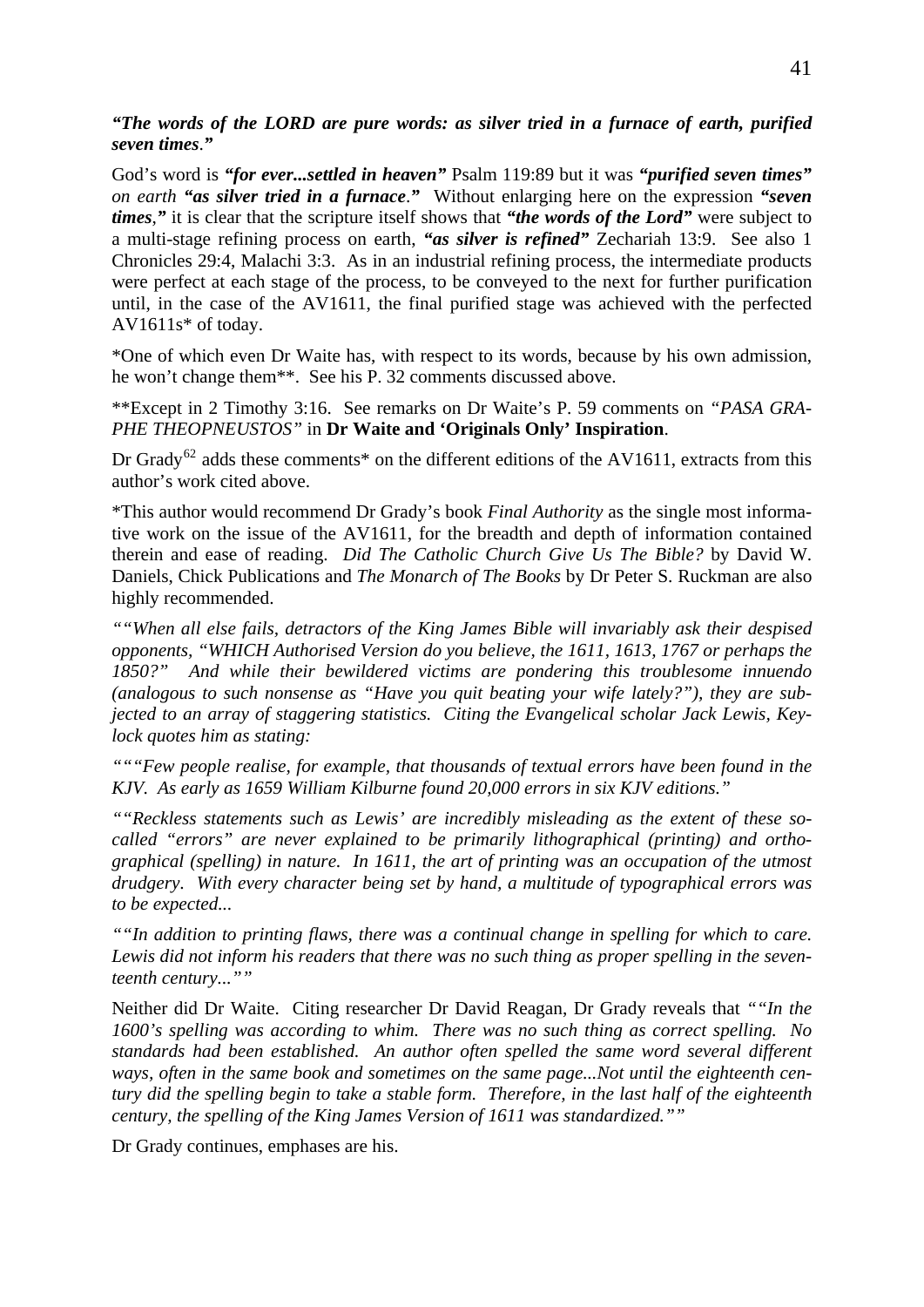*"The words of the LORD are pure words: as silver tried in a furnace of earth, purified seven times*.*"* 

God's word is *"for ever...settled in heaven"* Psalm 119:89 but it was *"purified seven times" on earth "as silver tried in a furnace*.*"* Without enlarging here on the expression *"seven times*,*"* it is clear that the scripture itself shows that *"the words of the Lord"* were subject to a multi-stage refining process on earth, *"as silver is refined"* Zechariah 13:9. See also 1 Chronicles 29:4, Malachi 3:3. As in an industrial refining process, the intermediate products were perfect at each stage of the process, to be conveyed to the next for further purification until, in the case of the AV1611, the final purified stage was achieved with the perfected AV1611s\* of today.

\*One of which even Dr Waite has, with respect to its words, because by his own admission, he won't change them\*\*. See his P. 32 comments discussed above.

\*\*Except in 2 Timothy 3:16. See remarks on Dr Waite's P. 59 comments on *"PASA GRA-PHE THEOPNEUSTOS"* in **Dr Waite and 'Originals Only' Inspiration**.

Dr Grady<sup>[62](#page-93-0)</sup> adds these comments\* on the different editions of the AV1611, extracts from this author's work cited above.

\*This author would recommend Dr Grady's book *Final Authority* as the single most informative work on the issue of the AV1611, for the breadth and depth of information contained therein and ease of reading. *Did The Catholic Church Give Us The Bible?* by David W. Daniels, Chick Publications and *The Monarch of The Books* by Dr Peter S. Ruckman are also highly recommended.

*""When all else fails, detractors of the King James Bible will invariably ask their despised opponents, "WHICH Authorised Version do you believe, the 1611, 1613, 1767 or perhaps the 1850?" And while their bewildered victims are pondering this troublesome innuendo (analogous to such nonsense as "Have you quit beating your wife lately?"), they are subjected to an array of staggering statistics. Citing the Evangelical scholar Jack Lewis, Keylock quotes him as stating:* 

*"""Few people realise, for example, that thousands of textual errors have been found in the KJV. As early as 1659 William Kilburne found 20,000 errors in six KJV editions."* 

*""Reckless statements such as Lewis' are incredibly misleading as the extent of these socalled "errors" are never explained to be primarily lithographical (printing) and orthographical (spelling) in nature. In 1611, the art of printing was an occupation of the utmost drudgery. With every character being set by hand, a multitude of typographical errors was to be expected...* 

*""In addition to printing flaws, there was a continual change in spelling for which to care. Lewis did not inform his readers that there was no such thing as proper spelling in the seventeenth century...""* 

Neither did Dr Waite. Citing researcher Dr David Reagan, Dr Grady reveals that *""In the 1600's spelling was according to whim. There was no such thing as correct spelling. No standards had been established. An author often spelled the same word several different ways, often in the same book and sometimes on the same page...Not until the eighteenth century did the spelling begin to take a stable form. Therefore, in the last half of the eighteenth century, the spelling of the King James Version of 1611 was standardized.""*

Dr Grady continues, emphases are his.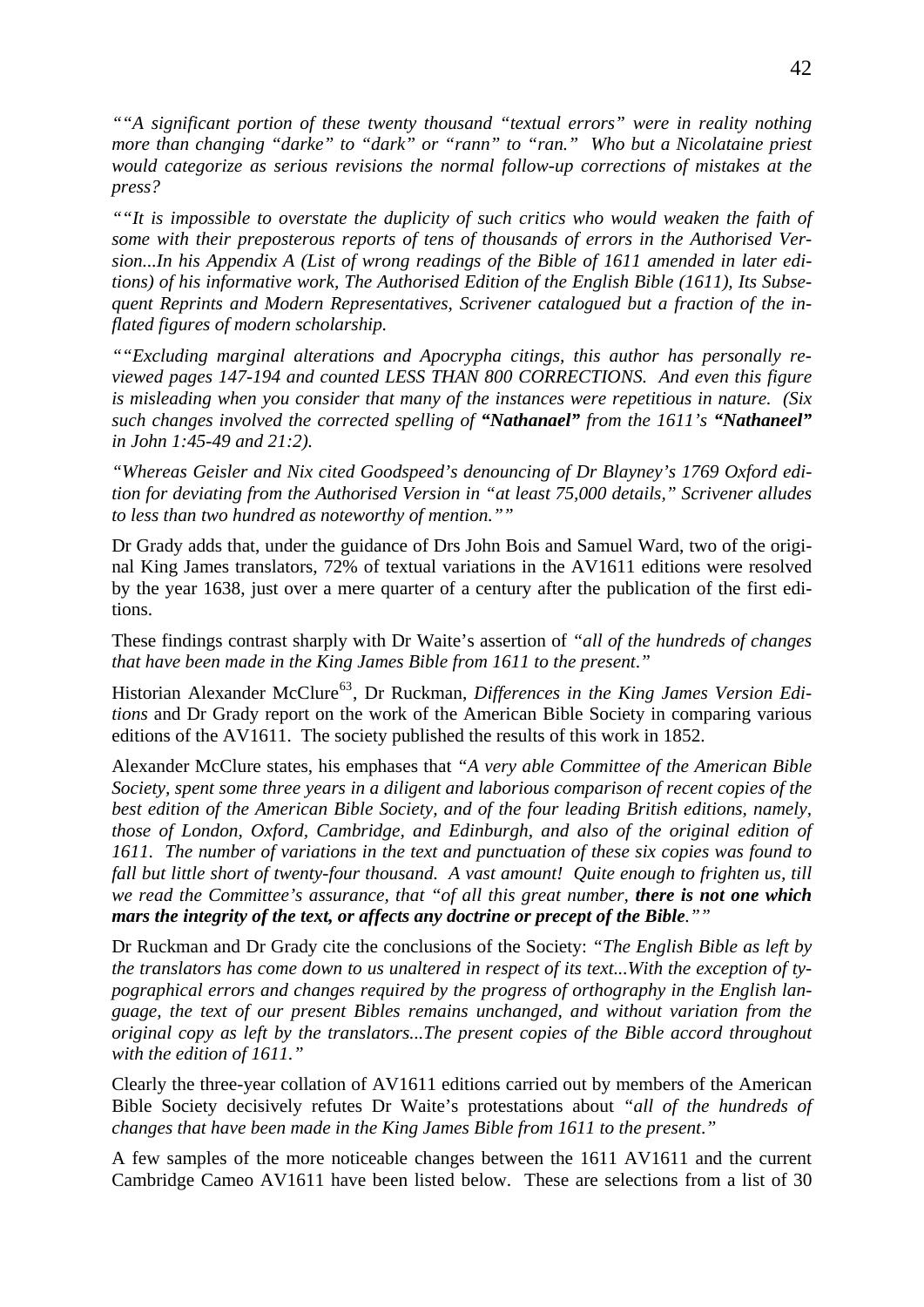*""A significant portion of these twenty thousand "textual errors" were in reality nothing more than changing "darke" to "dark" or "rann" to "ran." Who but a Nicolataine priest would categorize as serious revisions the normal follow-up corrections of mistakes at the press?* 

*""It is impossible to overstate the duplicity of such critics who would weaken the faith of some with their preposterous reports of tens of thousands of errors in the Authorised Version...In his Appendix A (List of wrong readings of the Bible of 1611 amended in later editions) of his informative work, The Authorised Edition of the English Bible (1611), Its Subsequent Reprints and Modern Representatives, Scrivener catalogued but a fraction of the inflated figures of modern scholarship.* 

*""Excluding marginal alterations and Apocrypha citings, this author has personally reviewed pages 147-194 and counted LESS THAN 800 CORRECTIONS. And even this figure is misleading when you consider that many of the instances were repetitious in nature. (Six such changes involved the corrected spelling of "Nathanael" from the 1611's "Nathaneel" in John 1:45-49 and 21:2).* 

*"Whereas Geisler and Nix cited Goodspeed's denouncing of Dr Blayney's 1769 Oxford edition for deviating from the Authorised Version in "at least 75,000 details," Scrivener alludes to less than two hundred as noteworthy of mention.""*

Dr Grady adds that, under the guidance of Drs John Bois and Samuel Ward, two of the original King James translators, 72% of textual variations in the AV1611 editions were resolved by the year 1638, just over a mere quarter of a century after the publication of the first editions.

These findings contrast sharply with Dr Waite's assertion of *"all of the hundreds of changes that have been made in the King James Bible from 1611 to the present*.*"*

Historian Alexander McClure<sup>[63](#page-93-0)</sup>, Dr Ruckman, *Differences in the King James Version Editions* and Dr Grady report on the work of the American Bible Society in comparing various editions of the AV1611. The society published the results of this work in 1852.

Alexander McClure states, his emphases that *"A very able Committee of the American Bible Society, spent some three years in a diligent and laborious comparison of recent copies of the best edition of the American Bible Society, and of the four leading British editions, namely, those of London, Oxford, Cambridge, and Edinburgh, and also of the original edition of 1611. The number of variations in the text and punctuation of these six copies was found to fall but little short of twenty-four thousand. A vast amount! Quite enough to frighten us, till we read the Committee's assurance, that "of all this great number, there is not one which mars the integrity of the text, or affects any doctrine or precept of the Bible.""*

Dr Ruckman and Dr Grady cite the conclusions of the Society: *"The English Bible as left by the translators has come down to us unaltered in respect of its text...With the exception of typographical errors and changes required by the progress of orthography in the English language, the text of our present Bibles remains unchanged, and without variation from the original copy as left by the translators...The present copies of the Bible accord throughout with the edition of 1611."*

Clearly the three-year collation of AV1611 editions carried out by members of the American Bible Society decisively refutes Dr Waite's protestations about *"all of the hundreds of changes that have been made in the King James Bible from 1611 to the present*.*"*

A few samples of the more noticeable changes between the 1611 AV1611 and the current Cambridge Cameo AV1611 have been listed below. These are selections from a list of 30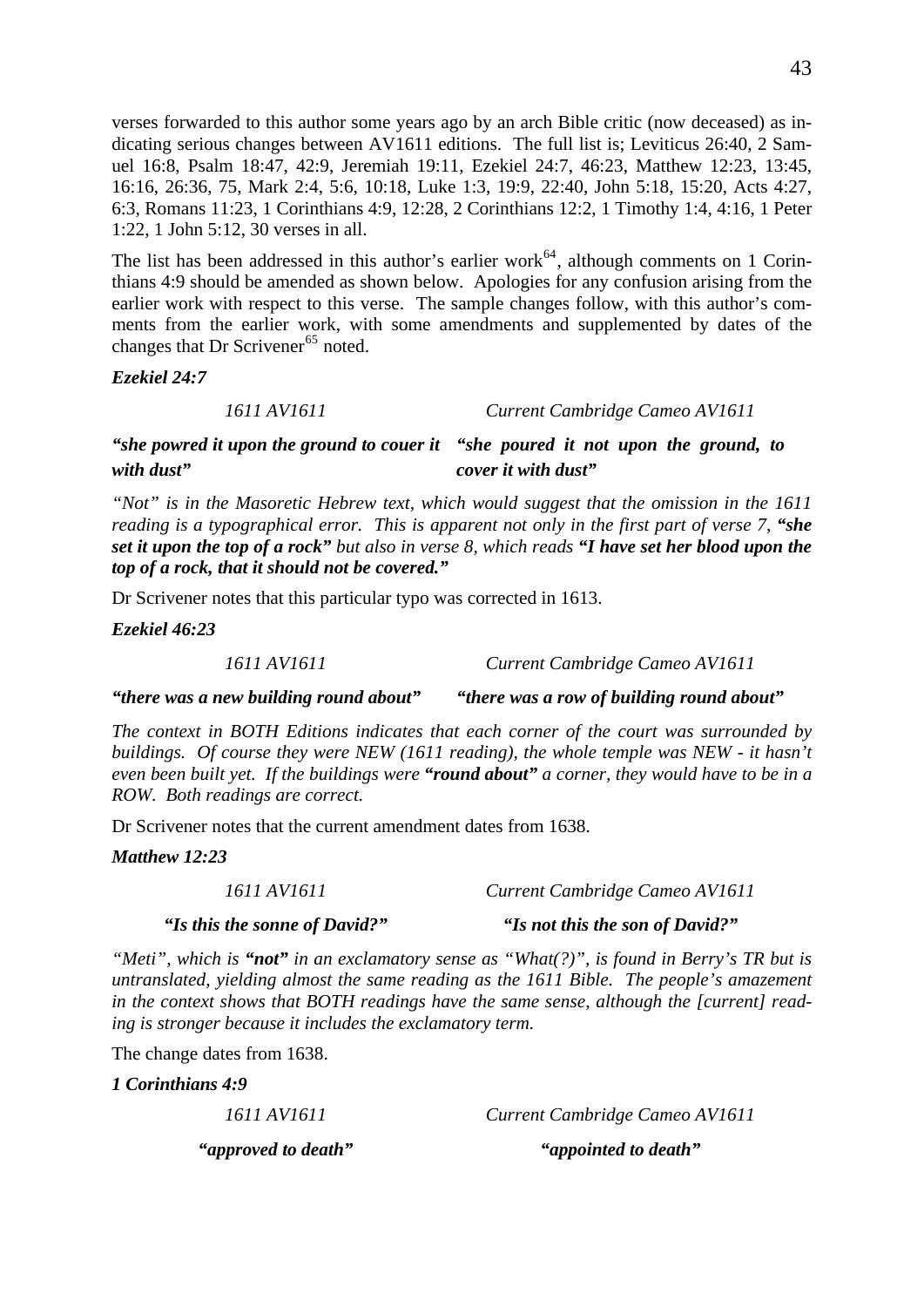verses forwarded to this author some years ago by an arch Bible critic (now deceased) as indicating serious changes between AV1611 editions. The full list is; Leviticus 26:40, 2 Samuel 16:8, Psalm 18:47, 42:9, Jeremiah 19:11, Ezekiel 24:7, 46:23, Matthew 12:23, 13:45, 16:16, 26:36, 75, Mark 2:4, 5:6, 10:18, Luke 1:3, 19:9, 22:40, John 5:18, 15:20, Acts 4:27, 6:3, Romans 11:23, 1 Corinthians 4:9, 12:28, 2 Corinthians 12:2, 1 Timothy 1:4, 4:16, 1 Peter 1:22, 1 John 5:12, 30 verses in all.

The list has been addressed in this author's earlier work<sup>[64](#page-93-0)</sup>, although comments on 1 Corinthians 4:9 should be amended as shown below. Apologies for any confusion arising from the earlier work with respect to this verse. The sample changes follow, with this author's comments from the earlier work, with some amendments and supplemented by dates of the changes that Dr Scrivener<sup>[65](#page-93-0)</sup> noted.

*Ezekiel 24:7*

*1611 AV1611 Current Cambridge Cameo AV1611* 

*"she powred it upon the ground to couer it "she poured it not upon the ground, to with dust" cover it with dust"*

*"Not" is in the Masoretic Hebrew text, which would suggest that the omission in the 1611 reading is a typographical error. This is apparent not only in the first part of verse 7, "she set it upon the top of a rock" but also in verse 8, which reads "I have set her blood upon the top of a rock, that it should not be covered."* 

Dr Scrivener notes that this particular typo was corrected in 1613.

*Ezekiel 46:23*

*1611 AV1611 Current Cambridge Cameo AV1611* 

*"there was a new building round about" "there was a row of building round about"*

*The context in BOTH Editions indicates that each corner of the court was surrounded by buildings. Of course they were NEW (1611 reading), the whole temple was NEW - it hasn't even been built yet. If the buildings were "round about" a corner, they would have to be in a ROW. Both readings are correct.*

Dr Scrivener notes that the current amendment dates from 1638.

*Matthew 12:23*

*1611 AV1611 Current Cambridge Cameo AV1611* 

*"Is this the sonne of David?" "Is not this the son of David?"*

*"Meti", which is "not" in an exclamatory sense as "What(?)", is found in Berry's TR but is untranslated, yielding almost the same reading as the 1611 Bible. The people's amazement in the context shows that BOTH readings have the same sense, although the [current] reading is stronger because it includes the exclamatory term.*

The change dates from 1638.

*1 Corinthians 4:9*

*1611 AV1611 Current Cambridge Cameo AV1611* 

*"approved to death" "appointed to death"*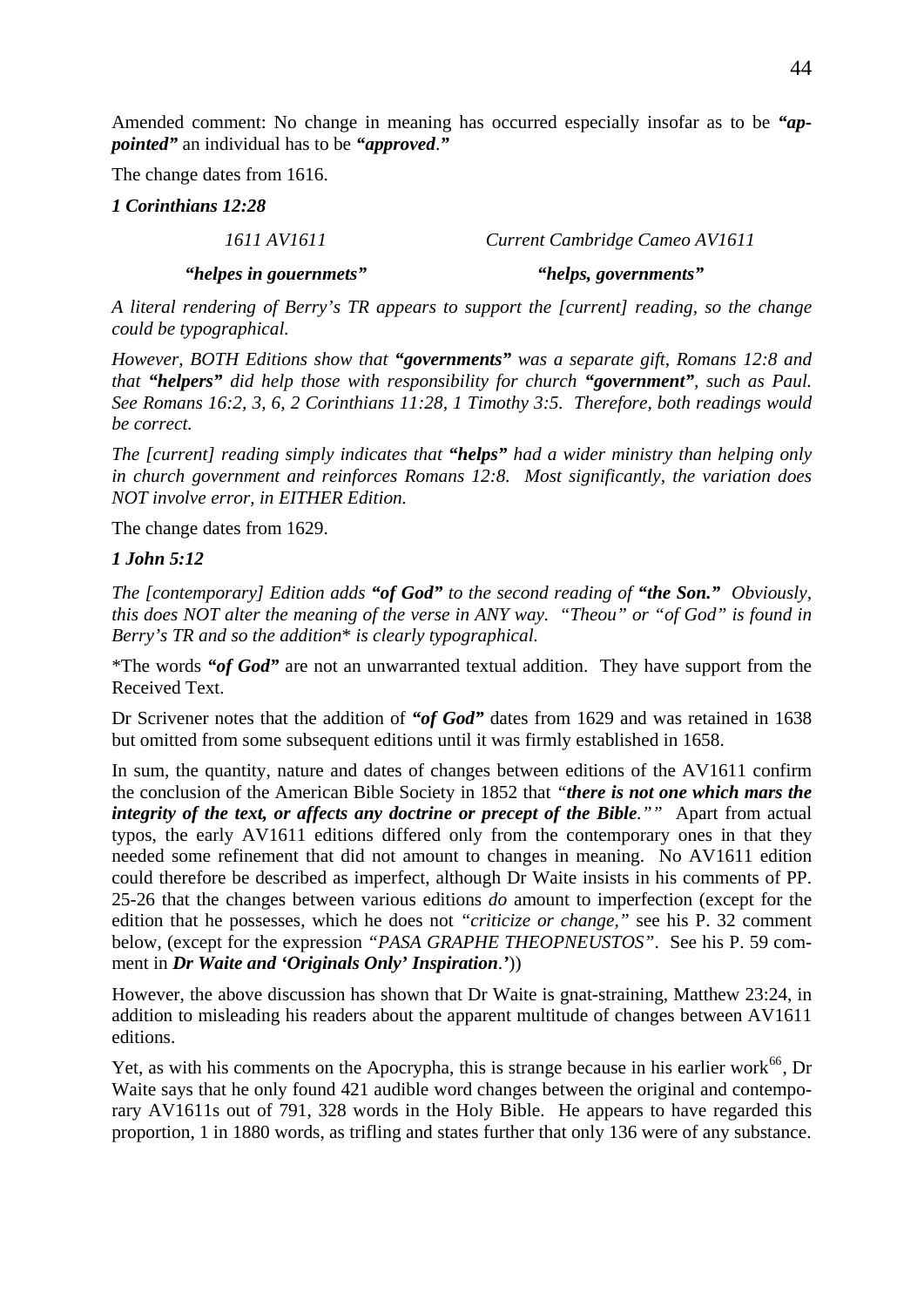Amended comment: No change in meaning has occurred especially insofar as to be *"appointed"* an individual has to be *"approved*.*"*

The change dates from 1616.

*1 Corinthians 12:28*

*1611 AV1611 Current Cambridge Cameo AV1611* 

### *"helpes in gouernmets" "helps, governments"*

*A literal rendering of Berry's TR appears to support the [current] reading, so the change could be typographical.* 

*However, BOTH Editions show that "governments" was a separate gift, Romans 12:8 and that "helpers" did help those with responsibility for church "government", such as Paul. See Romans 16:2, 3, 6, 2 Corinthians 11:28, 1 Timothy 3:5. Therefore, both readings would be correct.* 

*The [current] reading simply indicates that "helps" had a wider ministry than helping only in church government and reinforces Romans 12:8. Most significantly, the variation does NOT involve error, in EITHER Edition.* 

The change dates from 1629.

## *1 John 5:12*

*The [contemporary] Edition adds "of God" to the second reading of "the Son." Obviously, this does NOT alter the meaning of the verse in ANY way. "Theou" or "of God" is found in Berry's TR and so the addition*\* *is clearly typographical.* 

\*The words *"of God"* are not an unwarranted textual addition. They have support from the Received Text.

Dr Scrivener notes that the addition of *"of God"* dates from 1629 and was retained in 1638 but omitted from some subsequent editions until it was firmly established in 1658.

In sum, the quantity, nature and dates of changes between editions of the AV1611 confirm the conclusion of the American Bible Society in 1852 that *"there is not one which mars the integrity of the text, or affects any doctrine or precept of the Bible.""* Apart from actual typos, the early AV1611 editions differed only from the contemporary ones in that they needed some refinement that did not amount to changes in meaning. No AV1611 edition could therefore be described as imperfect, although Dr Waite insists in his comments of PP. 25-26 that the changes between various editions *do* amount to imperfection (except for the edition that he possesses, which he does not *"criticize or change*,*"* see his P. 32 comment below, (except for the expression *"PASA GRAPHE THEOPNEUSTOS"*. See his P. 59 comment in *Dr Waite and 'Originals Only' Inspiration*.*'*))

However, the above discussion has shown that Dr Waite is gnat-straining, Matthew 23:24, in addition to misleading his readers about the apparent multitude of changes between AV1611 editions.

Yet, as with his comments on the Apocrypha, this is strange because in his earlier work<sup>[66](#page-93-0)</sup>, Dr Waite says that he only found 421 audible word changes between the original and contemporary AV1611s out of 791, 328 words in the Holy Bible. He appears to have regarded this proportion, 1 in 1880 words, as trifling and states further that only 136 were of any substance.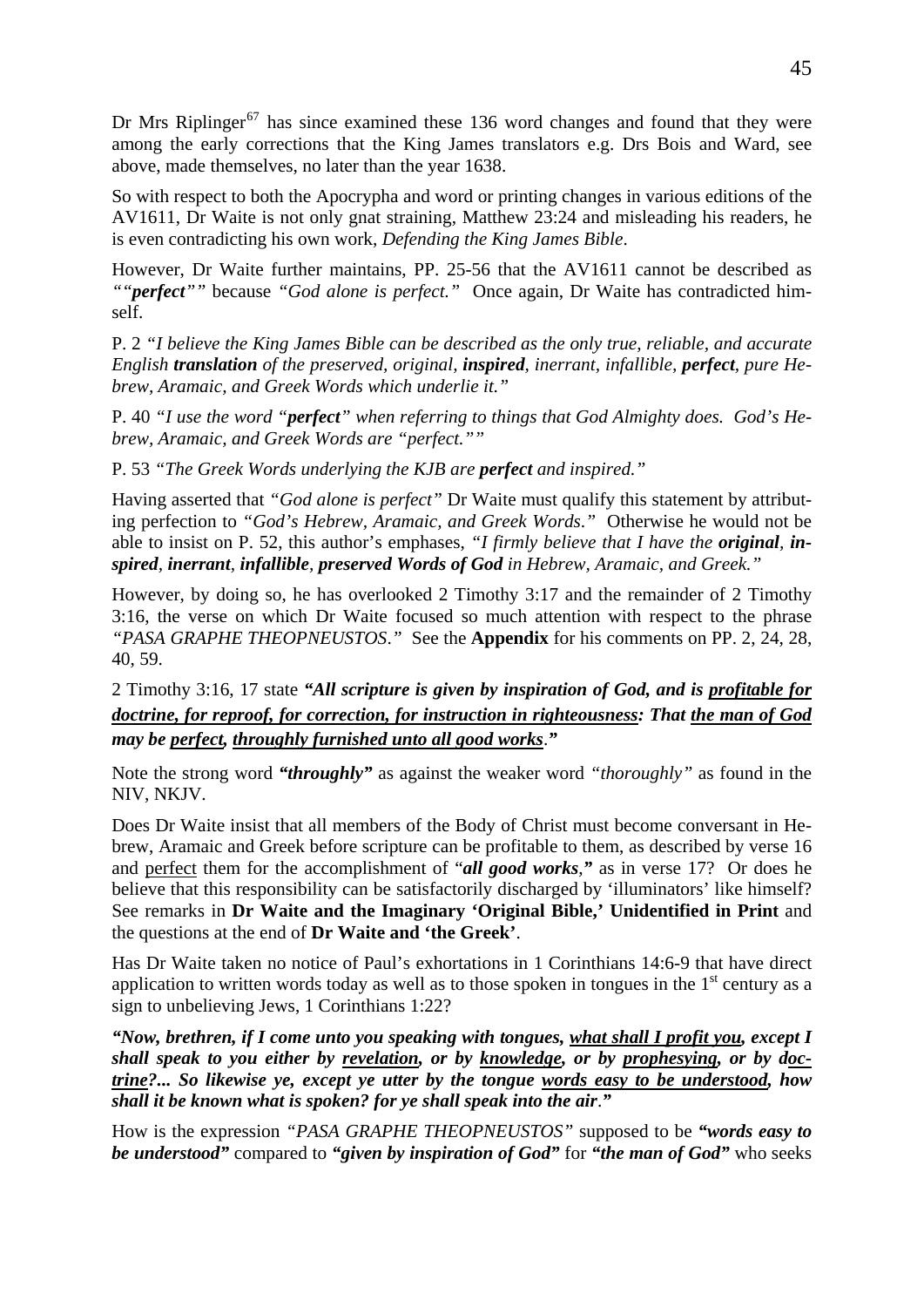Dr Mrs Riplinger<sup>[67](#page-93-0)</sup> has since examined these 136 word changes and found that they were among the early corrections that the King James translators e.g. Drs Bois and Ward, see above, made themselves, no later than the year 1638.

So with respect to both the Apocrypha and word or printing changes in various editions of the AV1611, Dr Waite is not only gnat straining, Matthew 23:24 and misleading his readers, he is even contradicting his own work, *Defending the King James Bible*.

However, Dr Waite further maintains, PP. 25-56 that the AV1611 cannot be described as *""perfect""* because *"God alone is perfect."* Once again, Dr Waite has contradicted himself.

P. 2 *"I believe the King James Bible can be described as the only true, reliable, and accurate English translation of the preserved, original, inspired, inerrant, infallible, perfect, pure Hebrew, Aramaic, and Greek Words which underlie it."*

P. 40 *"I use the word "perfect" when referring to things that God Almighty does. God's Hebrew, Aramaic, and Greek Words are "perfect.""*

P. 53 *"The Greek Words underlying the KJB are perfect and inspired."*

Having asserted that *"God alone is perfect"* Dr Waite must qualify this statement by attributing perfection to *"God's Hebrew, Aramaic, and Greek Words*.*"* Otherwise he would not be able to insist on P. 52, this author's emphases, *"I firmly believe that I have the original, inspired, inerrant, infallible, preserved Words of God in Hebrew, Aramaic, and Greek."*

However, by doing so, he has overlooked 2 Timothy 3:17 and the remainder of 2 Timothy 3:16, the verse on which Dr Waite focused so much attention with respect to the phrase *"PASA GRAPHE THEOPNEUSTOS*.*"* See the **Appendix** for his comments on PP. 2, 24, 28, 40, 59.

2 Timothy 3:16, 17 state *"All scripture is given by inspiration of God, and is profitable for doctrine, for reproof, for correction, for instruction in righteousness: That the man of God may be perfect, throughly furnished unto all good works*.*"*

Note the strong word *"throughly"* as against the weaker word *"thoroughly"* as found in the NIV, NKJV.

Does Dr Waite insist that all members of the Body of Christ must become conversant in Hebrew, Aramaic and Greek before scripture can be profitable to them, as described by verse 16 and perfect them for the accomplishment of "*all good works*,*"* as in verse 17? Or does he believe that this responsibility can be satisfactorily discharged by 'illuminators' like himself? See remarks in **Dr Waite and the Imaginary 'Original Bible,' Unidentified in Print** and the questions at the end of **Dr Waite and 'the Greek'**.

Has Dr Waite taken no notice of Paul's exhortations in 1 Corinthians 14:6-9 that have direct application to written words today as well as to those spoken in tongues in the  $1<sup>st</sup>$  century as a sign to unbelieving Jews, 1 Corinthians 1:22?

*"Now, brethren, if I come unto you speaking with tongues, what shall I profit you, except I shall speak to you either by revelation, or by knowledge, or by prophesying, or by doctrine?... So likewise ye, except ye utter by the tongue words easy to be understood, how shall it be known what is spoken? for ye shall speak into the air*.*"* 

How is the expression *"PASA GRAPHE THEOPNEUSTOS"* supposed to be *"words easy to be understood"* compared to *"given by inspiration of God"* for *"the man of God"* who seeks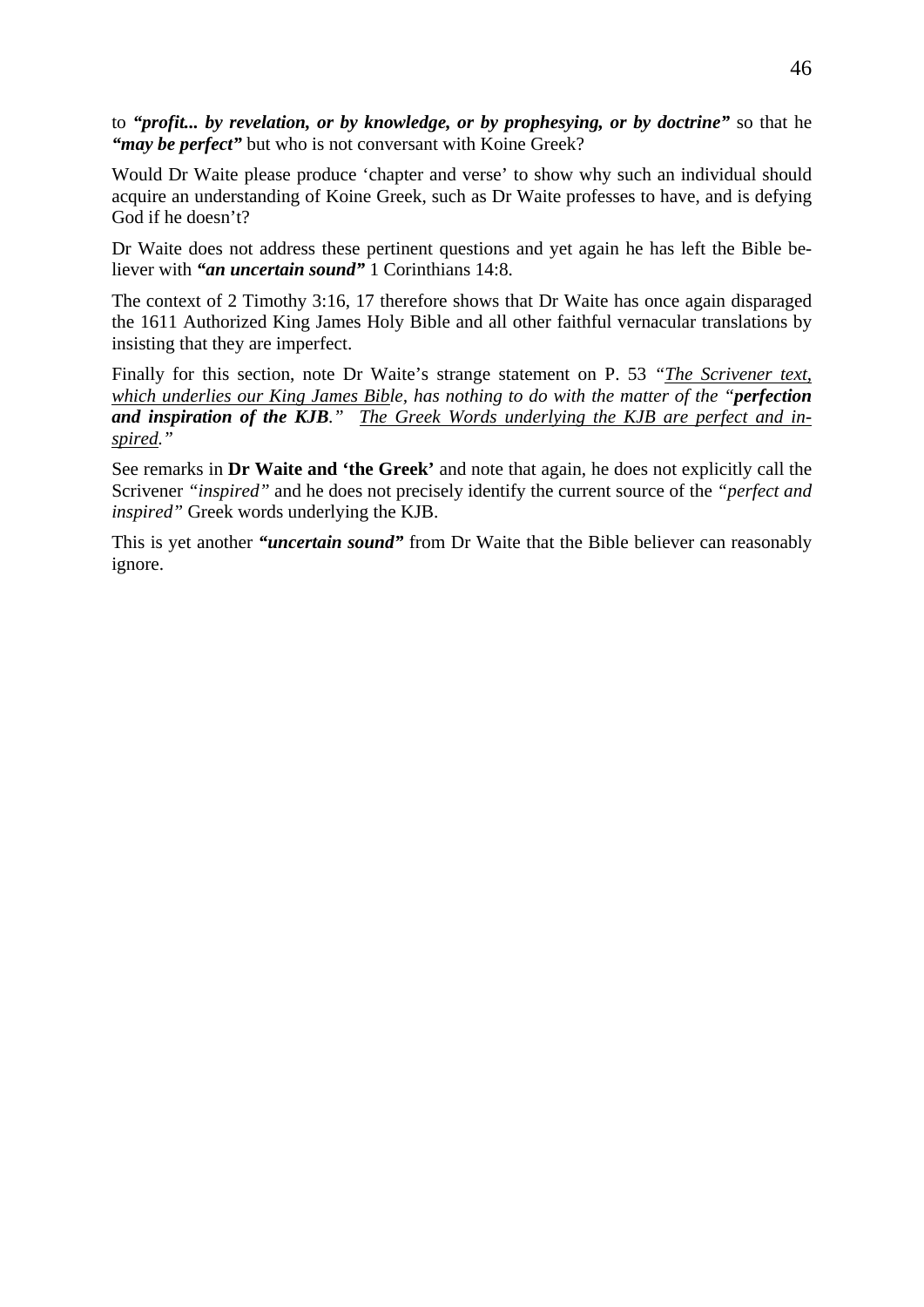to *"profit... by revelation, or by knowledge, or by prophesying, or by doctrine"* so that he *"may be perfect"* but who is not conversant with Koine Greek?

Would Dr Waite please produce 'chapter and verse' to show why such an individual should acquire an understanding of Koine Greek, such as Dr Waite professes to have, and is defying God if he doesn't?

Dr Waite does not address these pertinent questions and yet again he has left the Bible believer with *"an uncertain sound"* 1 Corinthians 14:8.

The context of 2 Timothy 3:16, 17 therefore shows that Dr Waite has once again disparaged the 1611 Authorized King James Holy Bible and all other faithful vernacular translations by insisting that they are imperfect.

Finally for this section, note Dr Waite's strange statement on P. 53 *"The Scrivener text, which underlies our King James Bible, has nothing to do with the matter of the "perfection and inspiration of the KJB." The Greek Words underlying the KJB are perfect and inspired."*

See remarks in **Dr Waite and 'the Greek'** and note that again, he does not explicitly call the Scrivener *"inspired"* and he does not precisely identify the current source of the *"perfect and inspired"* Greek words underlying the KJB.

This is yet another *"uncertain sound"* from Dr Waite that the Bible believer can reasonably ignore.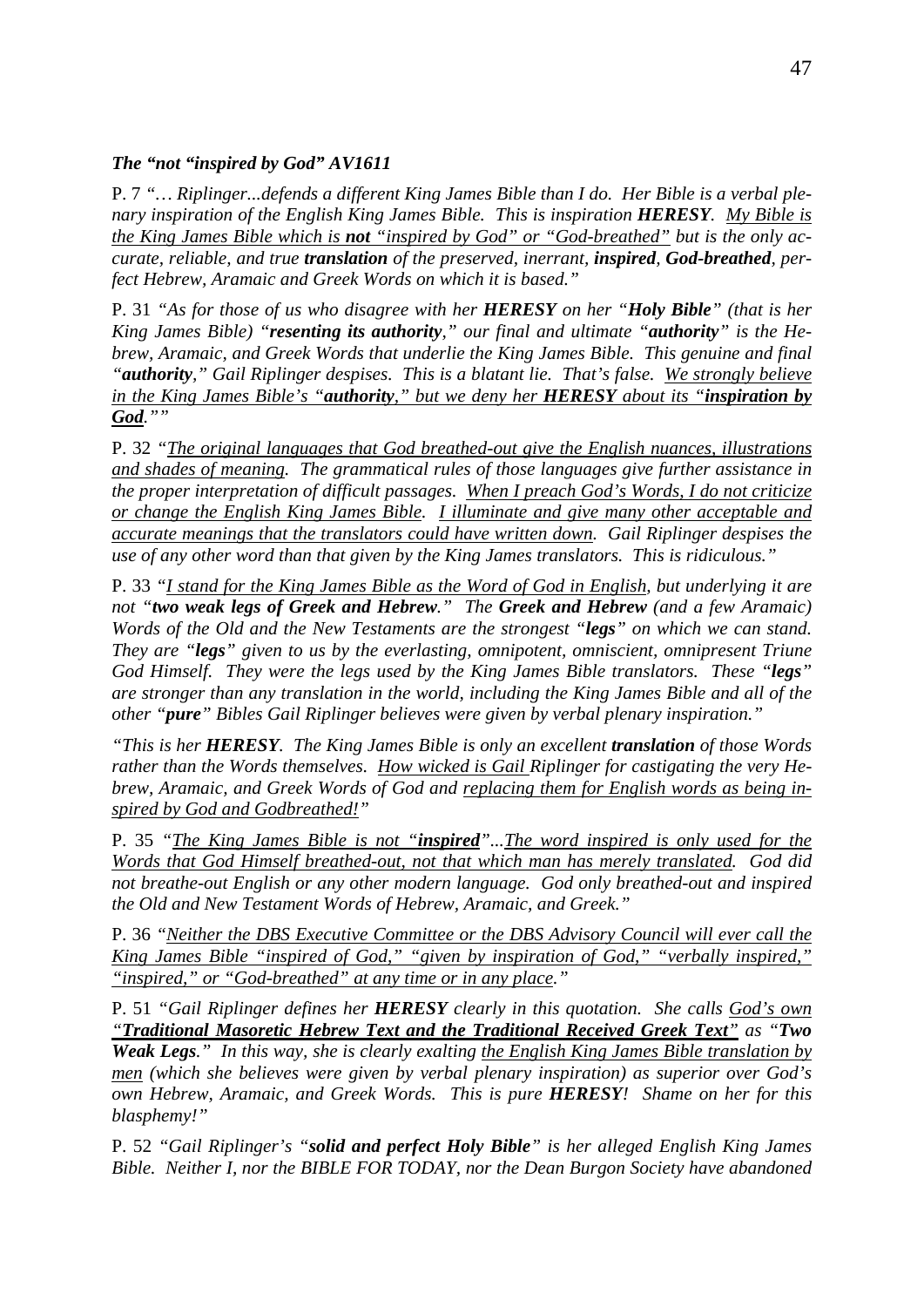# *The "not "inspired by God" AV1611*

P. 7 *"… Riplinger...defends a different King James Bible than I do. Her Bible is a verbal plenary inspiration of the English King James Bible. This is inspiration HERESY. My Bible is the King James Bible which is not "inspired by God" or "God-breathed" but is the only accurate, reliable, and true translation of the preserved, inerrant, inspired, God-breathed, perfect Hebrew, Aramaic and Greek Words on which it is based."* 

P. 31 *"As for those of us who disagree with her HERESY on her "Holy Bible" (that is her King James Bible) "resenting its authority," our final and ultimate "authority" is the Hebrew, Aramaic, and Greek Words that underlie the King James Bible. This genuine and final "authority," Gail Riplinger despises. This is a blatant lie. That's false. We strongly believe in the King James Bible's "authority," but we deny her HERESY about its "inspiration by God.""*

P. 32 *"The original languages that God breathed-out give the English nuances, illustrations and shades of meaning. The grammatical rules of those languages give further assistance in the proper interpretation of difficult passages. When I preach God's Words, I do not criticize or change the English King James Bible. I illuminate and give many other acceptable and accurate meanings that the translators could have written down. Gail Riplinger despises the use of any other word than that given by the King James translators. This is ridiculous."* 

P. 33 *"I stand for the King James Bible as the Word of God in English, but underlying it are not "two weak legs of Greek and Hebrew." The Greek and Hebrew (and a few Aramaic) Words of the Old and the New Testaments are the strongest "legs" on which we can stand. They are "legs" given to us by the everlasting, omnipotent, omniscient, omnipresent Triune God Himself. They were the legs used by the King James Bible translators. These "legs" are stronger than any translation in the world, including the King James Bible and all of the other "pure" Bibles Gail Riplinger believes were given by verbal plenary inspiration."* 

*"This is her HERESY. The King James Bible is only an excellent translation of those Words rather than the Words themselves. How wicked is Gail Riplinger for castigating the very Hebrew, Aramaic, and Greek Words of God and replacing them for English words as being inspired by God and Godbreathed!"* 

P. 35 *"The King James Bible is not "inspired"...The word inspired is only used for the Words that God Himself breathed-out, not that which man has merely translated. God did not breathe-out English or any other modern language. God only breathed-out and inspired the Old and New Testament Words of Hebrew, Aramaic, and Greek."* 

P. 36 *"Neither the DBS Executive Committee or the DBS Advisory Council will ever call the King James Bible "inspired of God," "given by inspiration of God," "verbally inspired," "inspired," or "God-breathed" at any time or in any place."*

P. 51 *"Gail Riplinger defines her HERESY clearly in this quotation. She calls God's own "Traditional Masoretic Hebrew Text and the Traditional Received Greek Text" as "Two Weak Legs." In this way, she is clearly exalting the English King James Bible translation by men (which she believes were given by verbal plenary inspiration) as superior over God's own Hebrew, Aramaic, and Greek Words. This is pure HERESY! Shame on her for this blasphemy!"*

P. 52 *"Gail Riplinger's "solid and perfect Holy Bible" is her alleged English King James Bible. Neither I, nor the BIBLE FOR TODAY, nor the Dean Burgon Society have abandoned*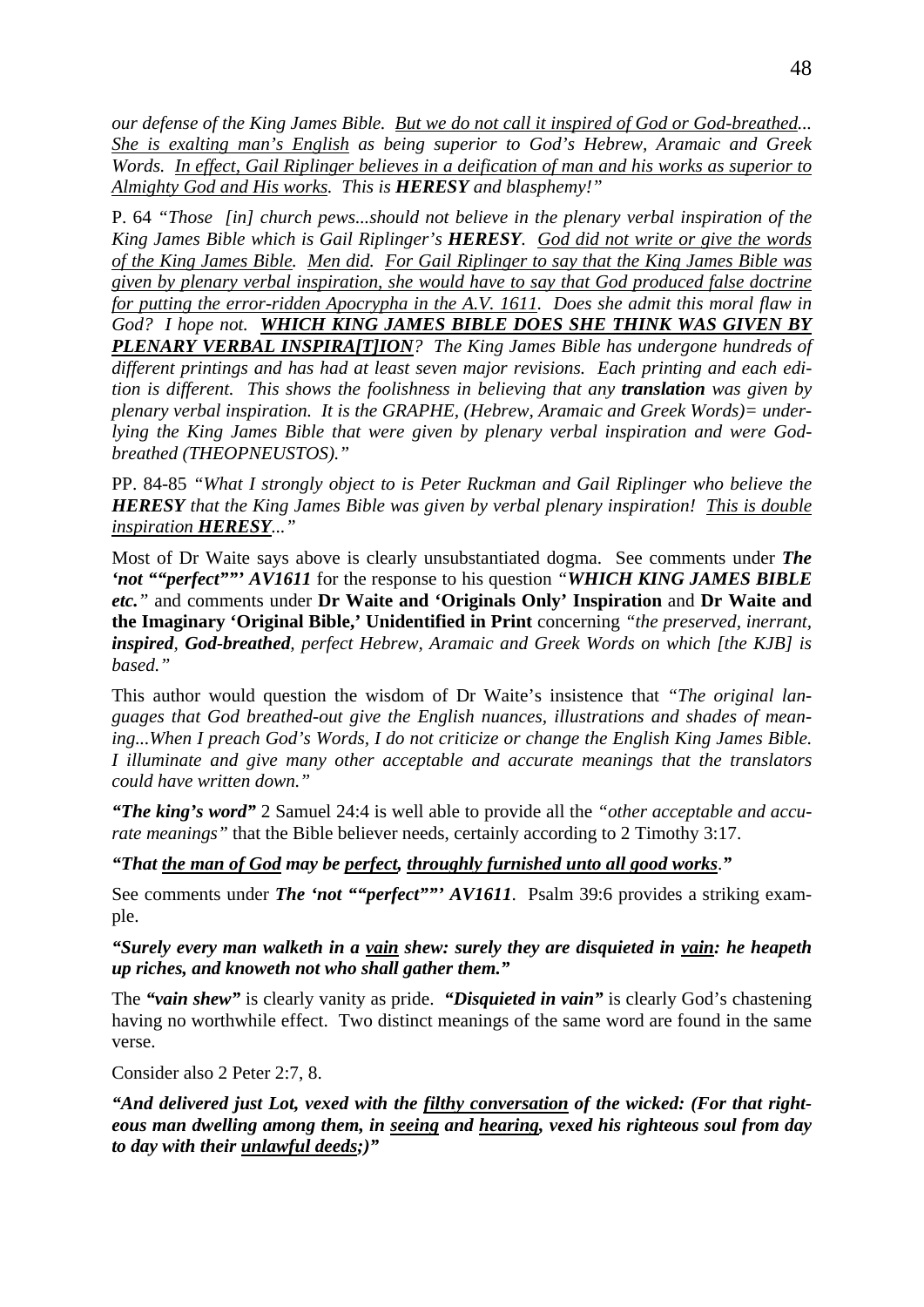*our defense of the King James Bible. But we do not call it inspired of God or God-breathed... She is exalting man's English as being superior to God's Hebrew, Aramaic and Greek Words. In effect, Gail Riplinger believes in a deification of man and his works as superior to Almighty God and His works. This is HERESY and blasphemy!"* 

P. 64 *"Those [in] church pews...should not believe in the plenary verbal inspiration of the King James Bible which is Gail Riplinger's HERESY. God did not write or give the words of the King James Bible. Men did. For Gail Riplinger to say that the King James Bible was given by plenary verbal inspiration, she would have to say that God produced false doctrine for putting the error-ridden Apocrypha in the A.V. 1611. Does she admit this moral flaw in God? I hope not. WHICH KING JAMES BIBLE DOES SHE THINK WAS GIVEN BY PLENARY VERBAL INSPIRA[T]ION? The King James Bible has undergone hundreds of different printings and has had at least seven major revisions. Each printing and each edition is different. This shows the foolishness in believing that any translation was given by plenary verbal inspiration. It is the GRAPHE, (Hebrew, Aramaic and Greek Words)= underlying the King James Bible that were given by plenary verbal inspiration and were Godbreathed (THEOPNEUSTOS)."* 

PP. 84-85 *"What I strongly object to is Peter Ruckman and Gail Riplinger who believe the HERESY that the King James Bible was given by verbal plenary inspiration! This is double inspiration HERESY..."*

Most of Dr Waite says above is clearly unsubstantiated dogma. See comments under *The 'not ""perfect""' AV1611* for the response to his question *"WHICH KING JAMES BIBLE etc."* and comments under **Dr Waite and 'Originals Only' Inspiration** and **Dr Waite and the Imaginary 'Original Bible,' Unidentified in Print** concerning *"the preserved, inerrant, inspired, God-breathed, perfect Hebrew, Aramaic and Greek Words on which [the KJB] is based."*

This author would question the wisdom of Dr Waite's insistence that *"The original languages that God breathed-out give the English nuances, illustrations and shades of meaning...When I preach God's Words, I do not criticize or change the English King James Bible. I illuminate and give many other acceptable and accurate meanings that the translators could have written down."*

*"The king's word"* 2 Samuel 24:4 is well able to provide all the *"other acceptable and accurate meanings*" that the Bible believer needs, certainly according to 2 Timothy 3:17.

*"That the man of God may be perfect, throughly furnished unto all good works*.*"*

See comments under *The 'not ""perfect""' AV1611*. Psalm 39:6 provides a striking example.

*"Surely every man walketh in a vain shew: surely they are disquieted in vain: he heapeth up riches, and knoweth not who shall gather them."* 

The *"vain shew"* is clearly vanity as pride. *"Disquieted in vain"* is clearly God's chastening having no worthwhile effect. Two distinct meanings of the same word are found in the same verse.

Consider also 2 Peter 2:7, 8.

*"And delivered just Lot, vexed with the filthy conversation of the wicked: (For that righteous man dwelling among them, in seeing and hearing, vexed his righteous soul from day to day with their unlawful deeds;)"*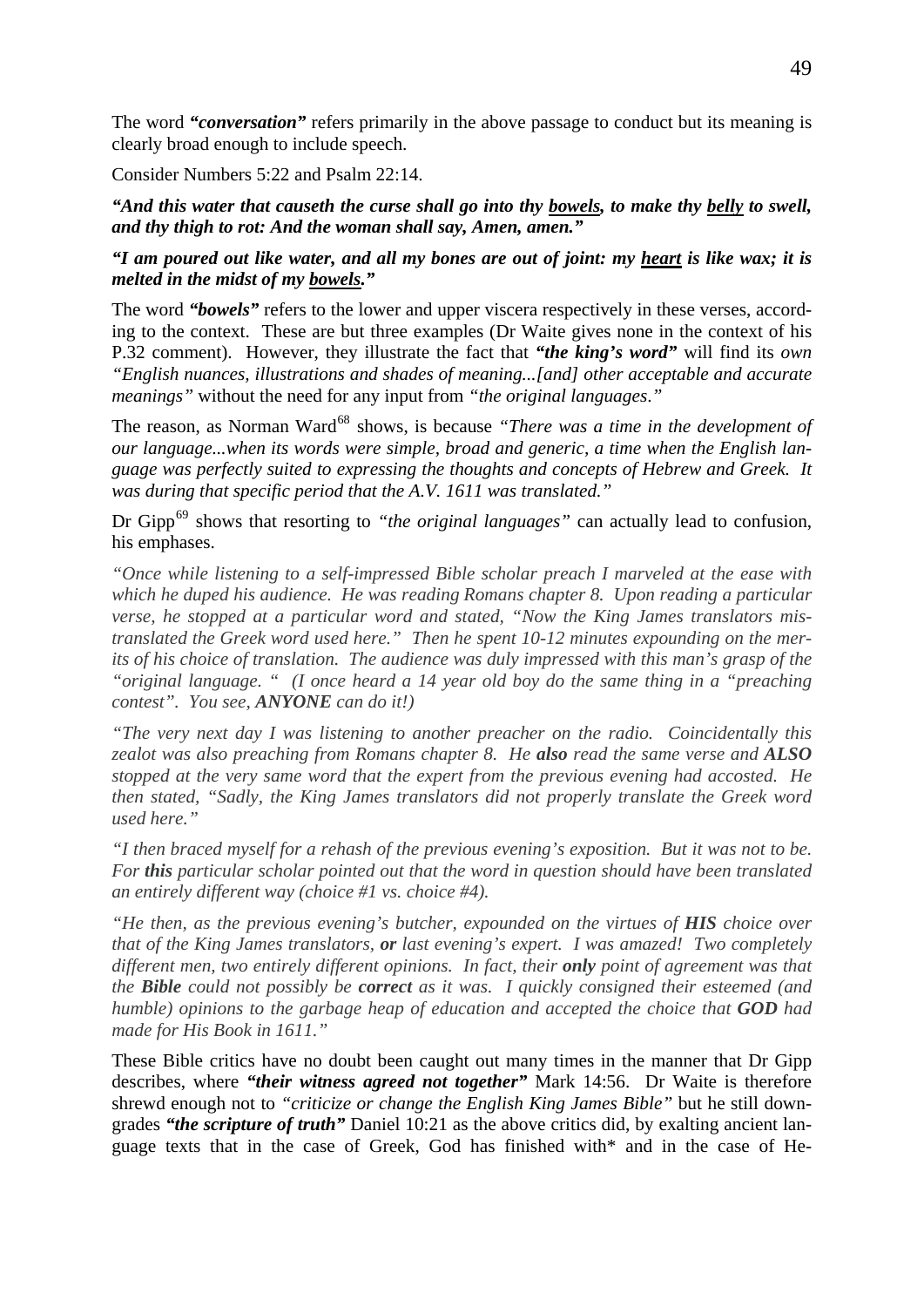The word *"conversation"* refers primarily in the above passage to conduct but its meaning is clearly broad enough to include speech.

Consider Numbers 5:22 and Psalm 22:14.

*"And this water that causeth the curse shall go into thy bowels, to make thy belly to swell, and thy thigh to rot: And the woman shall say, Amen, amen."* 

*"I am poured out like water, and all my bones are out of joint: my heart is like wax; it is melted in the midst of my bowels."* 

The word *"bowels"* refers to the lower and upper viscera respectively in these verses, according to the context. These are but three examples (Dr Waite gives none in the context of his P.32 comment). However, they illustrate the fact that *"the king's word"* will find its *own "English nuances, illustrations and shades of meaning...[and] other acceptable and accurate meanings"* without the need for any input from *"the original languages*.*"*

The reason, as Norman Ward<sup>[68](#page-93-0)</sup> shows, is because *"There was a time in the development of our language...when its words were simple, broad and generic, a time when the English language was perfectly suited to expressing the thoughts and concepts of Hebrew and Greek. It was during that specific period that the A.V. 1611 was translated."*

Dr Gipp<sup>[69](#page-93-0)</sup> shows that resorting to "*the original languages*" can actually lead to confusion, his emphases.

*"Once while listening to a self-impressed Bible scholar preach I marveled at the ease with which he duped his audience. He was reading Romans chapter 8. Upon reading a particular verse, he stopped at a particular word and stated, "Now the King James translators mistranslated the Greek word used here." Then he spent 10-12 minutes expounding on the merits of his choice of translation. The audience was duly impressed with this man's grasp of the "original language. " (I once heard a 14 year old boy do the same thing in a "preaching contest". You see, ANYONE can do it!)* 

*"The very next day I was listening to another preacher on the radio. Coincidentally this zealot was also preaching from Romans chapter 8. He also read the same verse and ALSO stopped at the very same word that the expert from the previous evening had accosted. He then stated, "Sadly, the King James translators did not properly translate the Greek word used here."* 

*"I then braced myself for a rehash of the previous evening's exposition. But it was not to be. For this particular scholar pointed out that the word in question should have been translated an entirely different way (choice #1 vs. choice #4).* 

*"He then, as the previous evening's butcher, expounded on the virtues of HIS choice over that of the King James translators, or last evening's expert. I was amazed! Two completely different men, two entirely different opinions. In fact, their only point of agreement was that the Bible could not possibly be correct as it was. I quickly consigned their esteemed (and humble) opinions to the garbage heap of education and accepted the choice that GOD had made for His Book in 1611."* 

These Bible critics have no doubt been caught out many times in the manner that Dr Gipp describes, where *"their witness agreed not together"* Mark 14:56. Dr Waite is therefore shrewd enough not to *"criticize or change the English King James Bible"* but he still downgrades *"the scripture of truth"* Daniel 10:21 as the above critics did, by exalting ancient language texts that in the case of Greek, God has finished with\* and in the case of He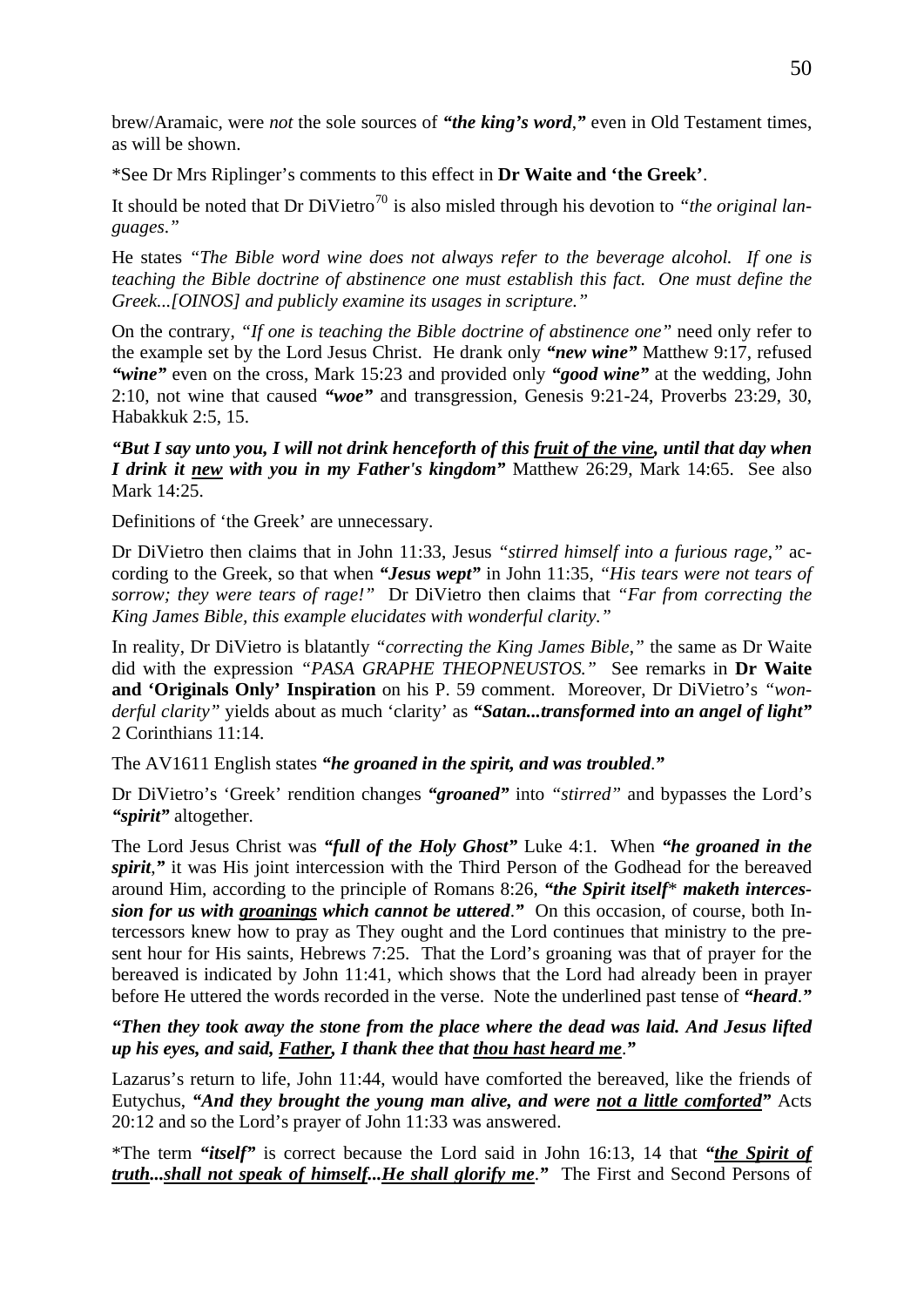brew/Aramaic, were *not* the sole sources of *"the king's word*,*"* even in Old Testament times, as will be shown.

# \*See Dr Mrs Riplinger's comments to this effect in **Dr Waite and 'the Greek'**.

It should be noted that Dr DiVietro<sup>[70](#page-93-0)</sup> is also misled through his devotion to *"the original languages*.*"*

He states *"The Bible word wine does not always refer to the beverage alcohol. If one is teaching the Bible doctrine of abstinence one must establish this fact. One must define the Greek...[OINOS] and publicly examine its usages in scripture."*

On the contrary, *"If one is teaching the Bible doctrine of abstinence one"* need only refer to the example set by the Lord Jesus Christ. He drank only *"new wine"* Matthew 9:17, refused *"wine"* even on the cross, Mark 15:23 and provided only *"good wine"* at the wedding, John 2:10, not wine that caused *"woe"* and transgression, Genesis 9:21-24, Proverbs 23:29, 30, Habakkuk 2:5, 15.

*"But I say unto you, I will not drink henceforth of this fruit of the vine, until that day when I drink it new with you in my Father's kingdom"* Matthew 26:29, Mark 14:65. See also Mark 14:25.

Definitions of 'the Greek' are unnecessary.

Dr DiVietro then claims that in John 11:33, Jesus *"stirred himself into a furious rage*,*"* according to the Greek, so that when *"Jesus wept"* in John 11:35, *"His tears were not tears of sorrow; they were tears of rage!"* Dr DiVietro then claims that *"Far from correcting the King James Bible, this example elucidates with wonderful clarity."*

In reality, Dr DiVietro is blatantly *"correcting the King James Bible*,*"* the same as Dr Waite did with the expression *"PASA GRAPHE THEOPNEUSTOS."* See remarks in **Dr Waite and 'Originals Only' Inspiration** on his P. 59 comment. Moreover, Dr DiVietro's *"wonderful clarity"* yields about as much 'clarity' as *"Satan...transformed into an angel of light"* 2 Corinthians 11:14.

The AV1611 English states *"he groaned in the spirit, and was troubled*.*"*

Dr DiVietro's 'Greek' rendition changes *"groaned"* into *"stirred"* and bypasses the Lord's *"spirit"* altogether.

The Lord Jesus Christ was *"full of the Holy Ghost"* Luke 4:1. When *"he groaned in the spirit*,*"* it was His joint intercession with the Third Person of the Godhead for the bereaved around Him, according to the principle of Romans 8:26, *"the Spirit itself*\* *maketh intercession for us with groanings which cannot be uttered*.*"* On this occasion, of course, both Intercessors knew how to pray as They ought and the Lord continues that ministry to the present hour for His saints, Hebrews 7:25. That the Lord's groaning was that of prayer for the bereaved is indicated by John 11:41, which shows that the Lord had already been in prayer before He uttered the words recorded in the verse. Note the underlined past tense of *"heard*.*"*

*"Then they took away the stone from the place where the dead was laid. And Jesus lifted up his eyes, and said, Father, I thank thee that thou hast heard me*.*"*

Lazarus's return to life, John 11:44, would have comforted the bereaved, like the friends of Eutychus, *"And they brought the young man alive, and were not a little comforted"* Acts 20:12 and so the Lord's prayer of John 11:33 was answered.

\*The term *"itself"* is correct because the Lord said in John 16:13, 14 that *"the Spirit of truth...shall not speak of himself...He shall glorify me*.*"* The First and Second Persons of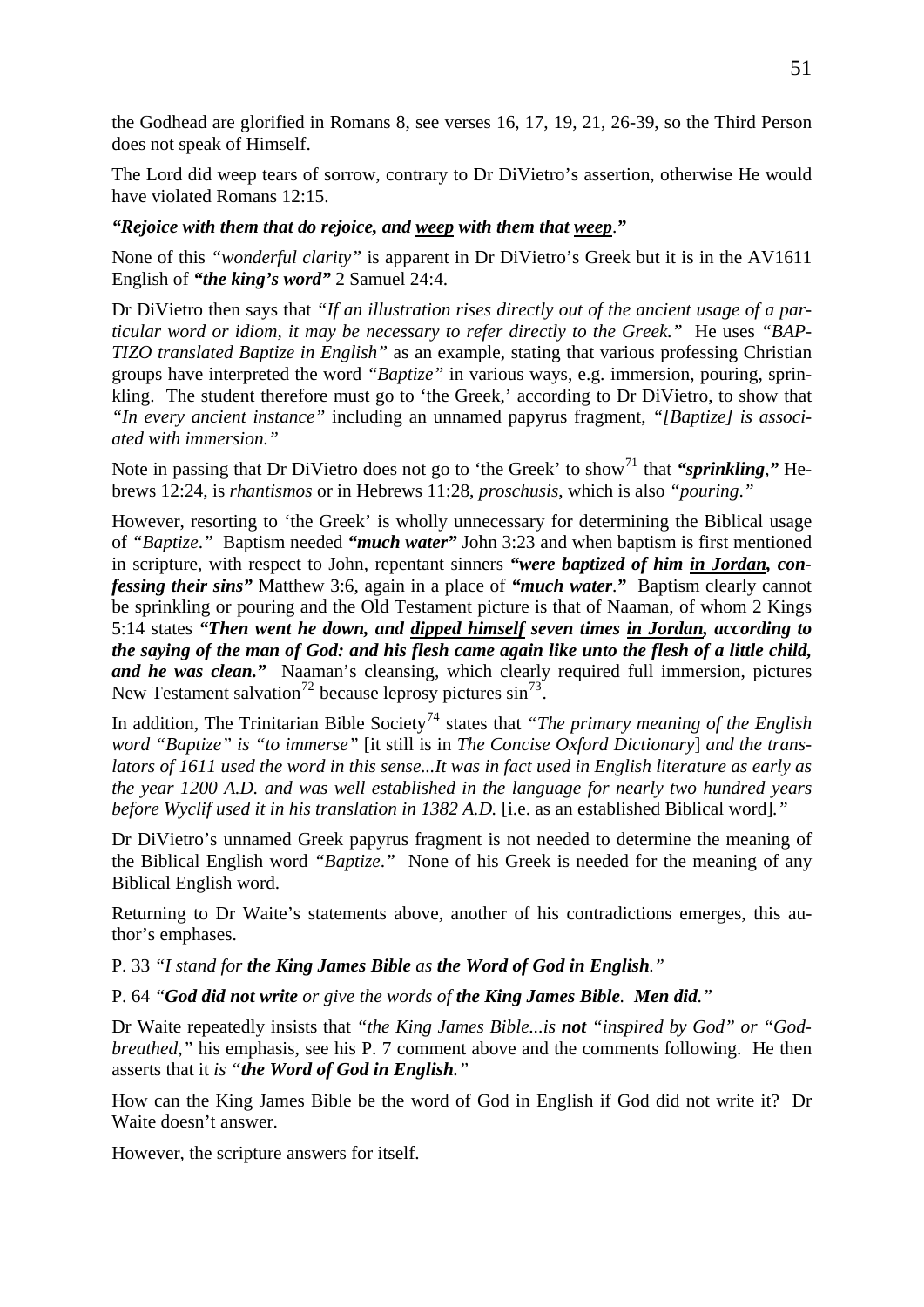the Godhead are glorified in Romans 8, see verses 16, 17, 19, 21, 26-39, so the Third Person does not speak of Himself.

The Lord did weep tears of sorrow, contrary to Dr DiVietro's assertion, otherwise He would have violated Romans 12:15.

# *"Rejoice with them that do rejoice, and weep with them that weep*.*"*

None of this *"wonderful clarity"* is apparent in Dr DiVietro's Greek but it is in the AV1611 English of *"the king's word"* 2 Samuel 24:4.

Dr DiVietro then says that *"If an illustration rises directly out of the ancient usage of a particular word or idiom, it may be necessary to refer directly to the Greek."* He uses *"BAP-TIZO translated Baptize in English"* as an example, stating that various professing Christian groups have interpreted the word *"Baptize"* in various ways, e.g. immersion, pouring, sprinkling. The student therefore must go to 'the Greek,' according to Dr DiVietro, to show that *"In every ancient instance"* including an unnamed papyrus fragment, *"[Baptize] is associated with immersion."*

Note in passing that Dr DiVietro does not go to 'the Greek' to show<sup>[71](#page-93-0)</sup> that "**sprinkling**," Hebrews 12:24, is *rhantismos* or in Hebrews 11:28, *proschusis*, which is also *"pouring*.*"*

However, resorting to 'the Greek' is wholly unnecessary for determining the Biblical usage of *"Baptize*.*"* Baptism needed *"much water"* John 3:23 and when baptism is first mentioned in scripture, with respect to John, repentant sinners *"were baptized of him in Jordan, confessing their sins"* Matthew 3:6, again in a place of *"much water*.*"* Baptism clearly cannot be sprinkling or pouring and the Old Testament picture is that of Naaman, of whom 2 Kings 5:14 states *"Then went he down, and dipped himself seven times in Jordan, according to the saying of the man of God: and his flesh came again like unto the flesh of a little child, and he was clean.*" Naaman's cleansing, which clearly required full immersion, pictures New Testament salvation<sup>[72](#page-93-0)</sup> because leprosy pictures  $\sin^{73}$  $\sin^{73}$  $\sin^{73}$ .

In addition, The Trinitarian Bible Society<sup>[74](#page-93-0)</sup> states that *"The primary meaning of the English word "Baptize" is "to immerse"* [it still is in *The Concise Oxford Dictionary*] *and the translators of 1611 used the word in this sense...It was in fact used in English literature as early as the year 1200 A.D. and was well established in the language for nearly two hundred years before Wyclif used it in his translation in 1382 A.D.* [i.e. as an established Biblical word]*."*

Dr DiVietro's unnamed Greek papyrus fragment is not needed to determine the meaning of the Biblical English word *"Baptize*.*"* None of his Greek is needed for the meaning of any Biblical English word.

Returning to Dr Waite's statements above, another of his contradictions emerges, this author's emphases.

## P. 33 *"I stand for the King James Bible as the Word of God in English."*

## P. 64 *"God did not write or give the words of the King James Bible. Men did."*

Dr Waite repeatedly insists that *"the King James Bible...is not "inspired by God" or "Godbreathed*,*"* his emphasis, see his P. 7 comment above and the comments following. He then asserts that it *is "the Word of God in English."*

How can the King James Bible be the word of God in English if God did not write it? Dr Waite doesn't answer.

However, the scripture answers for itself.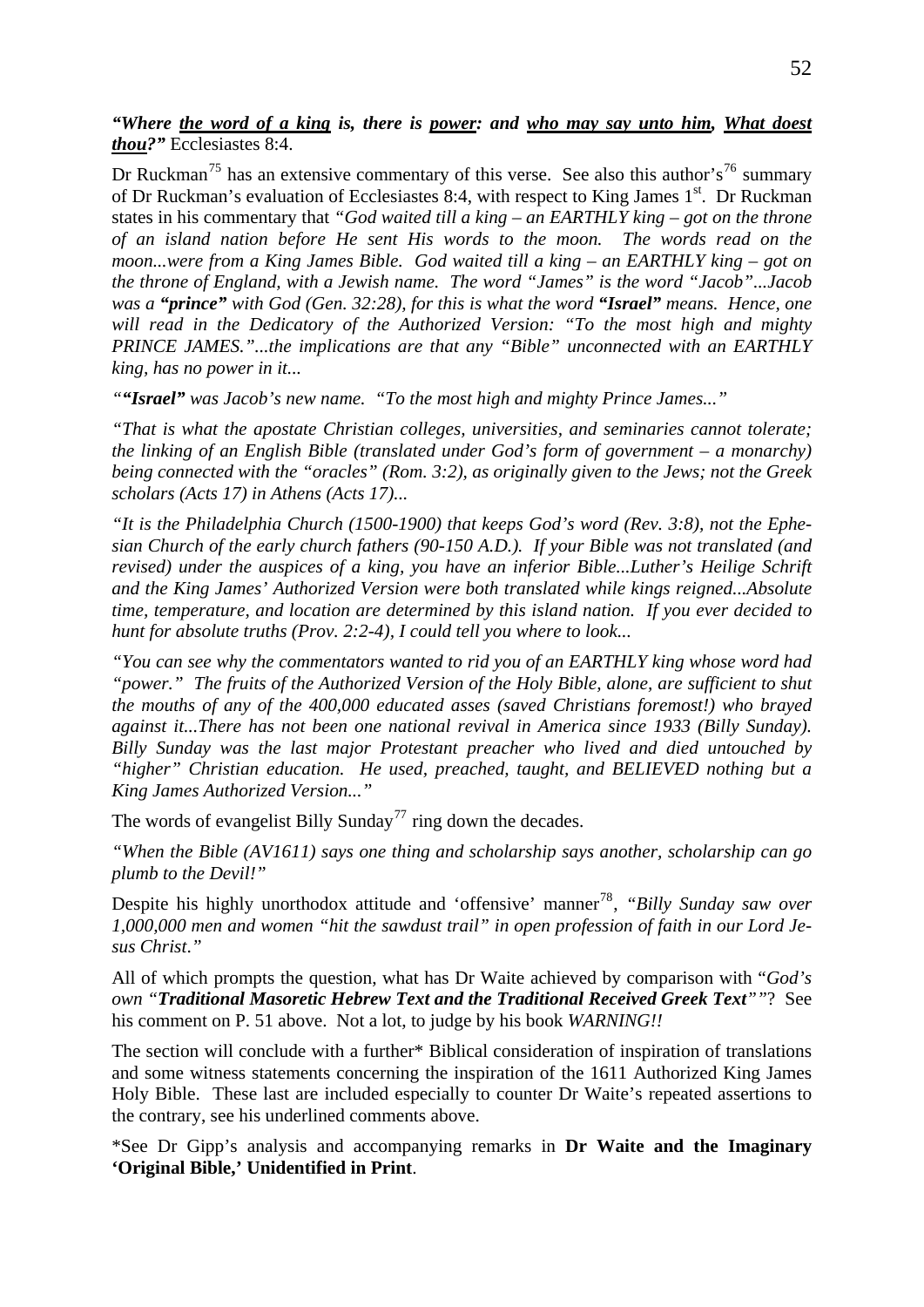*"Where the word of a king is, there is power: and who may say unto him, What doest thou?"* Ecclesiastes 8:4.

Dr Ruckman<sup>[75](#page-93-0)</sup> has an extensive commentary of this verse. See also this author's<sup>[76](#page-93-0)</sup> summary of Dr Ruckman's evaluation of Ecclesiastes 8:4, with respect to King James  $1<sup>st</sup>$ . Dr Ruckman states in his commentary that *"God waited till a king – an EARTHLY king – got on the throne of an island nation before He sent His words to the moon. The words read on the moon...were from a King James Bible. God waited till a king – an EARTHLY king – got on the throne of England, with a Jewish name. The word "James" is the word "Jacob"...Jacob was a "prince" with God (Gen. 32:28), for this is what the word "Israel" means. Hence, one will read in the Dedicatory of the Authorized Version: "To the most high and mighty PRINCE JAMES."...the implications are that any "Bible" unconnected with an EARTHLY king, has no power in it...* 

*""Israel" was Jacob's new name. "To the most high and mighty Prince James..."* 

*"That is what the apostate Christian colleges, universities, and seminaries cannot tolerate; the linking of an English Bible (translated under God's form of government – a monarchy) being connected with the "oracles" (Rom. 3:2), as originally given to the Jews; not the Greek scholars (Acts 17) in Athens (Acts 17)...* 

*"It is the Philadelphia Church (1500-1900) that keeps God's word (Rev. 3:8), not the Ephesian Church of the early church fathers (90-150 A.D.). If your Bible was not translated (and revised) under the auspices of a king, you have an inferior Bible...Luther's Heilige Schrift and the King James' Authorized Version were both translated while kings reigned...Absolute time, temperature, and location are determined by this island nation. If you ever decided to hunt for absolute truths (Prov. 2:2-4), I could tell you where to look...* 

*"You can see why the commentators wanted to rid you of an EARTHLY king whose word had "power." The fruits of the Authorized Version of the Holy Bible, alone, are sufficient to shut the mouths of any of the 400,000 educated asses (saved Christians foremost!) who brayed against it...There has not been one national revival in America since 1933 (Billy Sunday). Billy Sunday was the last major Protestant preacher who lived and died untouched by "higher" Christian education. He used, preached, taught, and BELIEVED nothing but a King James Authorized Version..."*

The words of evangelist Billy Sunday<sup>[77](#page-93-0)</sup> ring down the decades.

*"When the Bible (AV1611) says one thing and scholarship says another, scholarship can go plumb to the Devil!"*

Despite his highly unorthodox attitude and 'offensive' manner<sup>[78](#page-93-0)</sup>, "Billy Sunday saw over *1,000,000 men and women "hit the sawdust trail" in open profession of faith in our Lord Jesus Christ*.*"*

All of which prompts the question, what has Dr Waite achieved by comparison with "*God's own "Traditional Masoretic Hebrew Text and the Traditional Received Greek Text""*? See his comment on P. 51 above. Not a lot, to judge by his book *WARNING!!*

The section will conclude with a further\* Biblical consideration of inspiration of translations and some witness statements concerning the inspiration of the 1611 Authorized King James Holy Bible. These last are included especially to counter Dr Waite's repeated assertions to the contrary, see his underlined comments above.

\*See Dr Gipp's analysis and accompanying remarks in **Dr Waite and the Imaginary 'Original Bible,' Unidentified in Print**.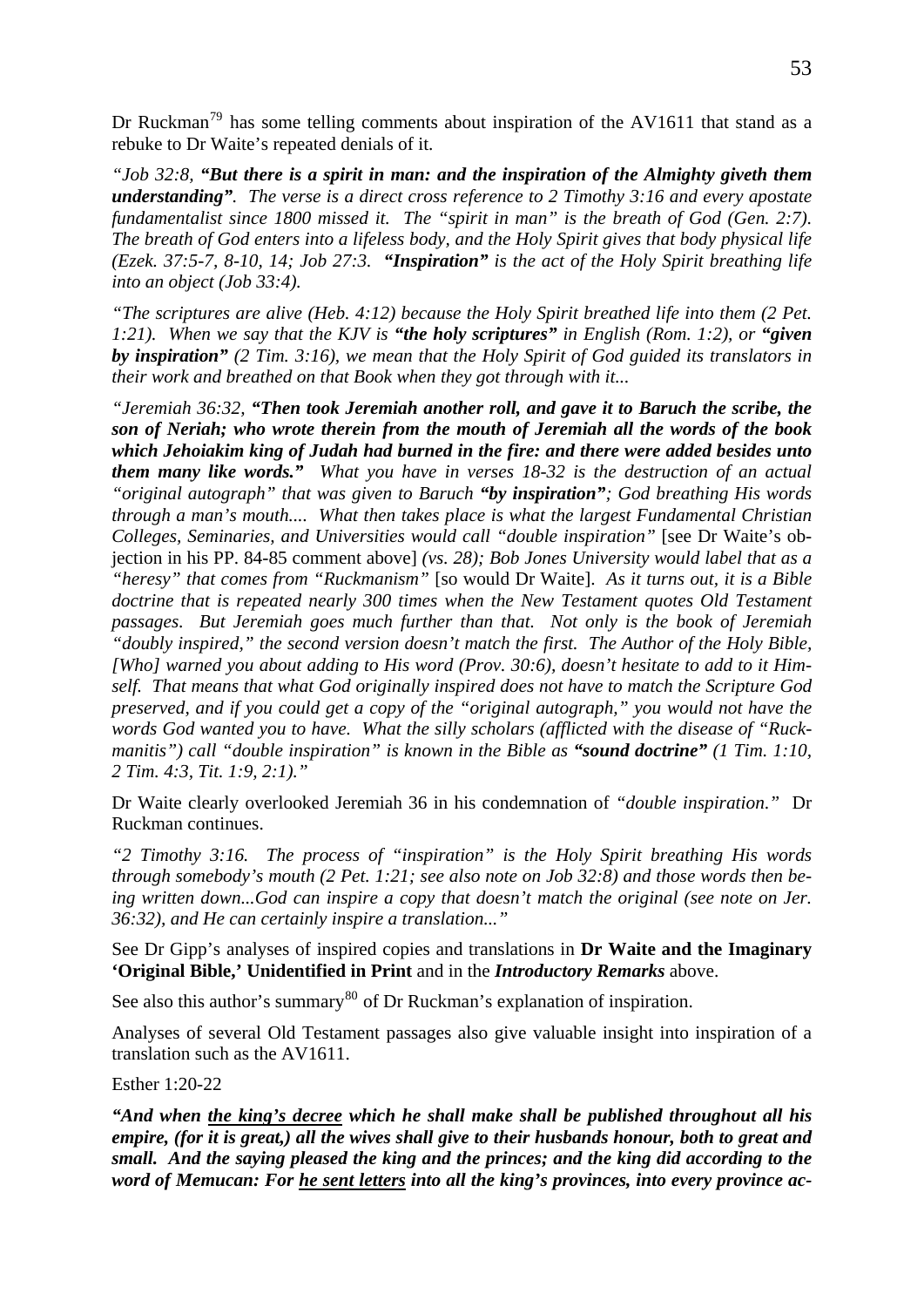Dr Ruckman<sup>[79](#page-93-0)</sup> has some telling comments about inspiration of the AV1611 that stand as a rebuke to Dr Waite's repeated denials of it.

*"Job 32:8, "But there is a spirit in man: and the inspiration of the Almighty giveth them understanding". The verse is a direct cross reference to 2 Timothy 3:16 and every apostate fundamentalist since 1800 missed it. The "spirit in man" is the breath of God (Gen. 2:7). The breath of God enters into a lifeless body, and the Holy Spirit gives that body physical life (Ezek. 37:5-7, 8-10, 14; Job 27:3. "Inspiration" is the act of the Holy Spirit breathing life into an object (Job 33:4).* 

*"The scriptures are alive (Heb. 4:12) because the Holy Spirit breathed life into them (2 Pet. 1:21). When we say that the KJV is "the holy scriptures" in English (Rom. 1:2), or "given by inspiration" (2 Tim. 3:16), we mean that the Holy Spirit of God guided its translators in their work and breathed on that Book when they got through with it...* 

*"Jeremiah 36:32, "Then took Jeremiah another roll, and gave it to Baruch the scribe, the son of Neriah; who wrote therein from the mouth of Jeremiah all the words of the book which Jehoiakim king of Judah had burned in the fire: and there were added besides unto them many like words." What you have in verses 18-32 is the destruction of an actual "original autograph" that was given to Baruch "by inspiration"; God breathing His words through a man's mouth.... What then takes place is what the largest Fundamental Christian Colleges, Seminaries, and Universities would call "double inspiration"* [see Dr Waite's objection in his PP. 84-85 comment above] *(vs. 28); Bob Jones University would label that as a "heresy" that comes from "Ruckmanism"* [so would Dr Waite]. *As it turns out, it is a Bible doctrine that is repeated nearly 300 times when the New Testament quotes Old Testament passages. But Jeremiah goes much further than that. Not only is the book of Jeremiah "doubly inspired," the second version doesn't match the first. The Author of the Holy Bible, [Who] warned you about adding to His word (Prov. 30:6), doesn't hesitate to add to it Himself. That means that what God originally inspired does not have to match the Scripture God preserved, and if you could get a copy of the "original autograph," you would not have the words God wanted you to have. What the silly scholars (afflicted with the disease of "Ruckmanitis") call "double inspiration" is known in the Bible as "sound doctrine" (1 Tim. 1:10,*  $\overline{a}$ *) 2 Tim. 4:3, Tit. 1:9, 2:1)."* 

Dr Waite clearly overlooked Jeremiah 36 in his condemnation of *"double inspiration*.*"* Dr Ruckman continues.

*"2 Timothy 3:16. The process of "inspiration" is the Holy Spirit breathing His words through somebody's mouth (2 Pet. 1:21; see also note on Job 32:8) and those words then being written down...God can inspire a copy that doesn't match the original (see note on Jer. 36:32), and He can certainly inspire a translation..."* 

See Dr Gipp's analyses of inspired copies and translations in **Dr Waite and the Imaginary 'Original Bible,' Unidentified in Print** and in the *Introductory Remarks* above.

See also this author's summary<sup>[80](#page-93-0)</sup> of Dr Ruckman's explanation of inspiration.

Analyses of several Old Testament passages also give valuable insight into inspiration of a translation such as the AV1611.

Esther 1:20-22

*"And when the king's decree which he shall make shall be published throughout all his empire, (for it is great,) all the wives shall give to their husbands honour, both to great and small. And the saying pleased the king and the princes; and the king did according to the word of Memucan: For he sent letters into all the king's provinces, into every province ac-*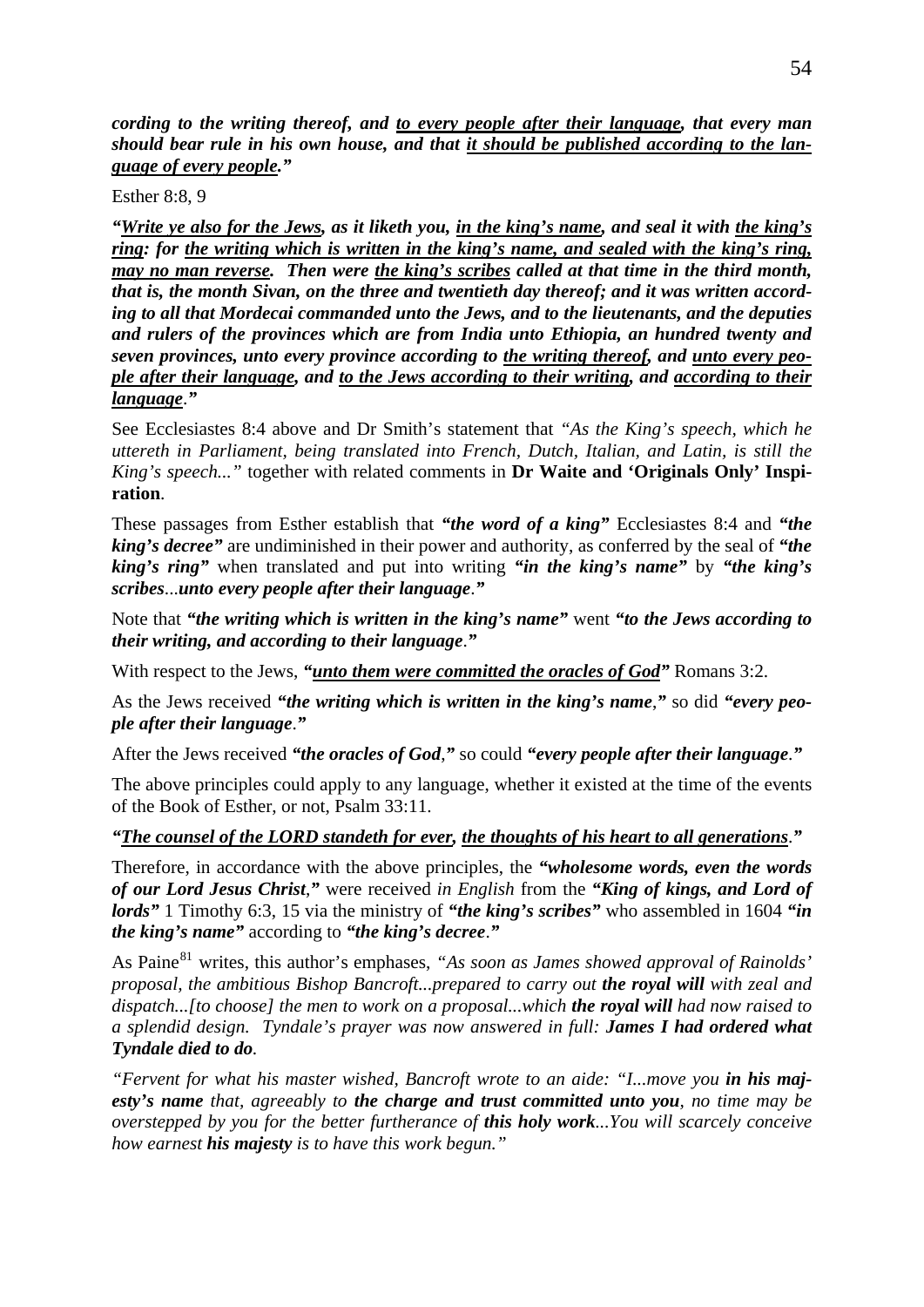*cording to the writing thereof, and to every people after their language, that every man should bear rule in his own house, and that it should be published according to the language of every people."* 

## Esther 8:8, 9

*"Write ye also for the Jews, as it liketh you, in the king's name, and seal it with the king's ring: for the writing which is written in the king's name, and sealed with the king's ring, may no man reverse. Then were the king's scribes called at that time in the third month, that is, the month Sivan, on the three and twentieth day thereof; and it was written according to all that Mordecai commanded unto the Jews, and to the lieutenants, and the deputies and rulers of the provinces which are from India unto Ethiopia, an hundred twenty and seven provinces, unto every province according to the writing thereof, and unto every people after their language, and to the Jews according to their writing, and according to their language*.*"* 

See Ecclesiastes 8:4 above and Dr Smith's statement that *"As the King's speech, which he uttereth in Parliament, being translated into French, Dutch, Italian, and Latin, is still the King's speech..."* together with related comments in **Dr Waite and 'Originals Only' Inspiration**.

These passages from Esther establish that *"the word of a king"* Ecclesiastes 8:4 and *"the king's decree"* are undiminished in their power and authority, as conferred by the seal of *"the king's ring"* when translated and put into writing *"in the king's name"* by *"the king's scribes*...*unto every people after their language*.*"*

Note that *"the writing which is written in the king's name"* went *"to the Jews according to their writing, and according to their language*.*"*

With respect to the Jews, "*unto them were committed the oracles of God*" Romans 3:2.

As the Jews received *"the writing which is written in the king's name*,*"* so did *"every people after their language*.*"* 

After the Jews received *"the oracles of God*,*"* so could *"every people after their language*.*"*

The above principles could apply to any language, whether it existed at the time of the events of the Book of Esther, or not, Psalm 33:11.

*"The counsel of the LORD standeth for ever, the thoughts of his heart to all generations*.*"* 

Therefore, in accordance with the above principles, the *"wholesome words, even the words of our Lord Jesus Christ*,*"* were received *in English* from the *"King of kings, and Lord of lords"* 1 Timothy 6:3, 15 via the ministry of *"the king's scribes"* who assembled in 1604 *"in the king's name"* according to *"the king's decree*.*"*

As Paine<sup>[81](#page-93-0)</sup> writes, this author's emphases, "As soon as James showed approval of Rainolds' *proposal, the ambitious Bishop Bancroft...prepared to carry out the royal will with zeal and dispatch...[to choose] the men to work on a proposal...which the royal will had now raised to a splendid design. Tyndale's prayer was now answered in full: James I had ordered what Tyndale died to do.* 

"Fervent for what his master wished, Bancroft wrote to an aide: "I...move you in his maj*esty's name that, agreeably to the charge and trust committed unto you, no time may be overstepped by you for the better furtherance of this holy work...You will scarcely conceive how earnest his majesty is to have this work begun."*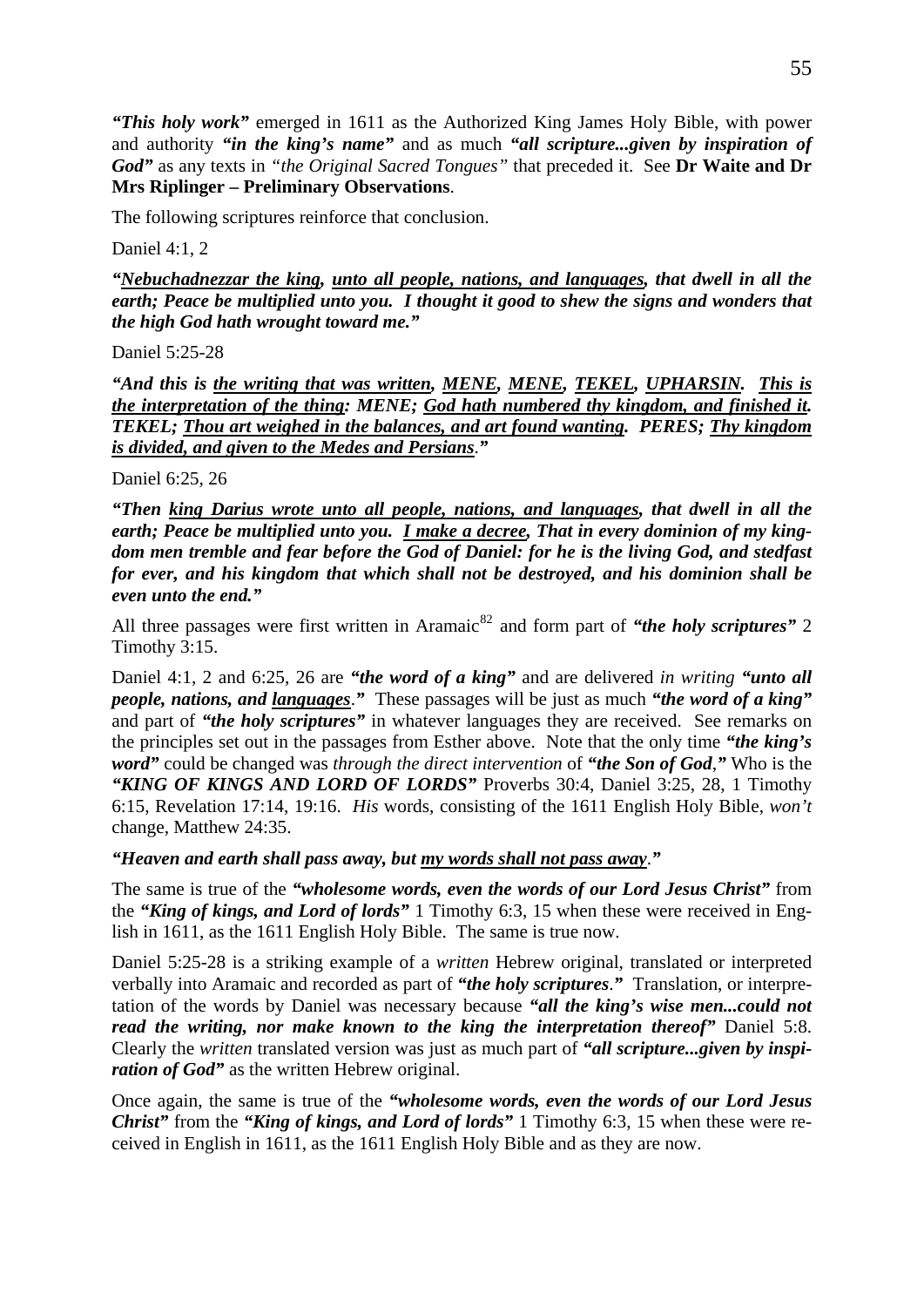*"This holy work"* emerged in 1611 as the Authorized King James Holy Bible, with power and authority *"in the king's name"* and as much *"all scripture...given by inspiration of God"* as any texts in *"the Original Sacred Tongues"* that preceded it. See **Dr Waite and Dr Mrs Riplinger – Preliminary Observations**.

The following scriptures reinforce that conclusion.

Daniel 4:1, 2

*"Nebuchadnezzar the king, unto all people, nations, and languages, that dwell in all the earth; Peace be multiplied unto you. I thought it good to shew the signs and wonders that the high God hath wrought toward me."* 

Daniel 5:25-28

*"And this is the writing that was written, MENE, MENE, TEKEL, UPHARSIN. This is the interpretation of the thing: MENE; God hath numbered thy kingdom, and finished it. TEKEL; Thou art weighed in the balances, and art found wanting. PERES; Thy kingdom is divided, and given to the Medes and Persians*.*"* 

Daniel 6:25, 26

*"Then king Darius wrote unto all people, nations, and languages, that dwell in all the earth; Peace be multiplied unto you. I make a decree, That in every dominion of my kingdom men tremble and fear before the God of Daniel: for he is the living God, and stedfast for ever, and his kingdom that which shall not be destroyed, and his dominion shall be even unto the end."* 

All three passages were first written in Aramaic<sup>[82](#page-93-0)</sup> and form part of "*the holy scriptures*" 2 Timothy 3:15.

Daniel 4:1, 2 and 6:25, 26 are *"the word of a king"* and are delivered *in writing "unto all people, nations, and languages*.*"* These passages will be just as much *"the word of a king"* and part of *"the holy scriptures"* in whatever languages they are received. See remarks on the principles set out in the passages from Esther above. Note that the only time *"the king's word"* could be changed was *through the direct intervention* of *"the Son of God*,*"* Who is the *"KING OF KINGS AND LORD OF LORDS"* Proverbs 30:4, Daniel 3:25, 28, 1 Timothy 6:15, Revelation 17:14, 19:16. *His* words, consisting of the 1611 English Holy Bible, *won't* change, Matthew 24:35.

*"Heaven and earth shall pass away, but my words shall not pass away*.*"* 

The same is true of the *"wholesome words, even the words of our Lord Jesus Christ"* from the *"King of kings, and Lord of lords"* 1 Timothy 6:3, 15 when these were received in English in 1611, as the 1611 English Holy Bible. The same is true now.

Daniel 5:25-28 is a striking example of a *written* Hebrew original, translated or interpreted verbally into Aramaic and recorded as part of *"the holy scriptures*.*"* Translation, or interpretation of the words by Daniel was necessary because *"all the king's wise men...could not read the writing, nor make known to the king the interpretation thereof"* Daniel 5:8. Clearly the *written* translated version was just as much part of *"all scripture...given by inspiration of God"* as the written Hebrew original.

Once again, the same is true of the *"wholesome words, even the words of our Lord Jesus Christ*" from the *"King of kings, and Lord of lords*" 1 Timothy 6:3, 15 when these were received in English in 1611, as the 1611 English Holy Bible and as they are now.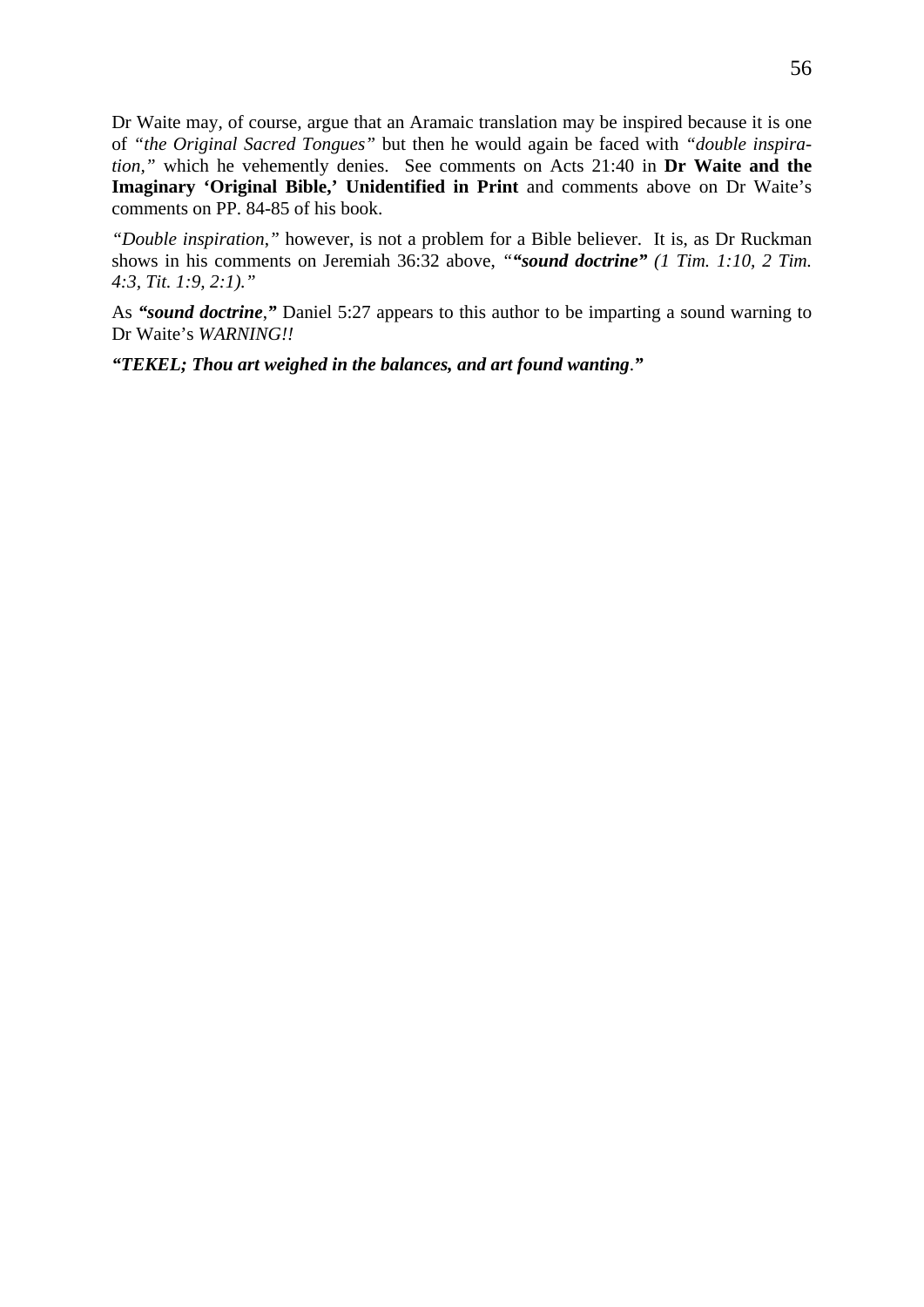Dr Waite may, of course, argue that an Aramaic translation may be inspired because it is one of *"the Original Sacred Tongues"* but then he would again be faced with *"double inspiration,"* which he vehemently denies. See comments on Acts 21:40 in **Dr Waite and the Imaginary 'Original Bible,' Unidentified in Print** and comments above on Dr Waite's comments on PP. 84-85 of his book.

*"Double inspiration*,*"* however, is not a problem for a Bible believer. It is, as Dr Ruckman shows in his comments on Jeremiah 36:32 above, *""sound doctrine" (1 Tim. 1:10, 2 Tim. 4:3, Tit. 1:9, 2:1)."*

As *"sound doctrine*,*"* Daniel 5:27 appears to this author to be imparting a sound warning to Dr Waite's *WARNING!!* 

*"TEKEL; Thou art weighed in the balances, and art found wanting*.*"*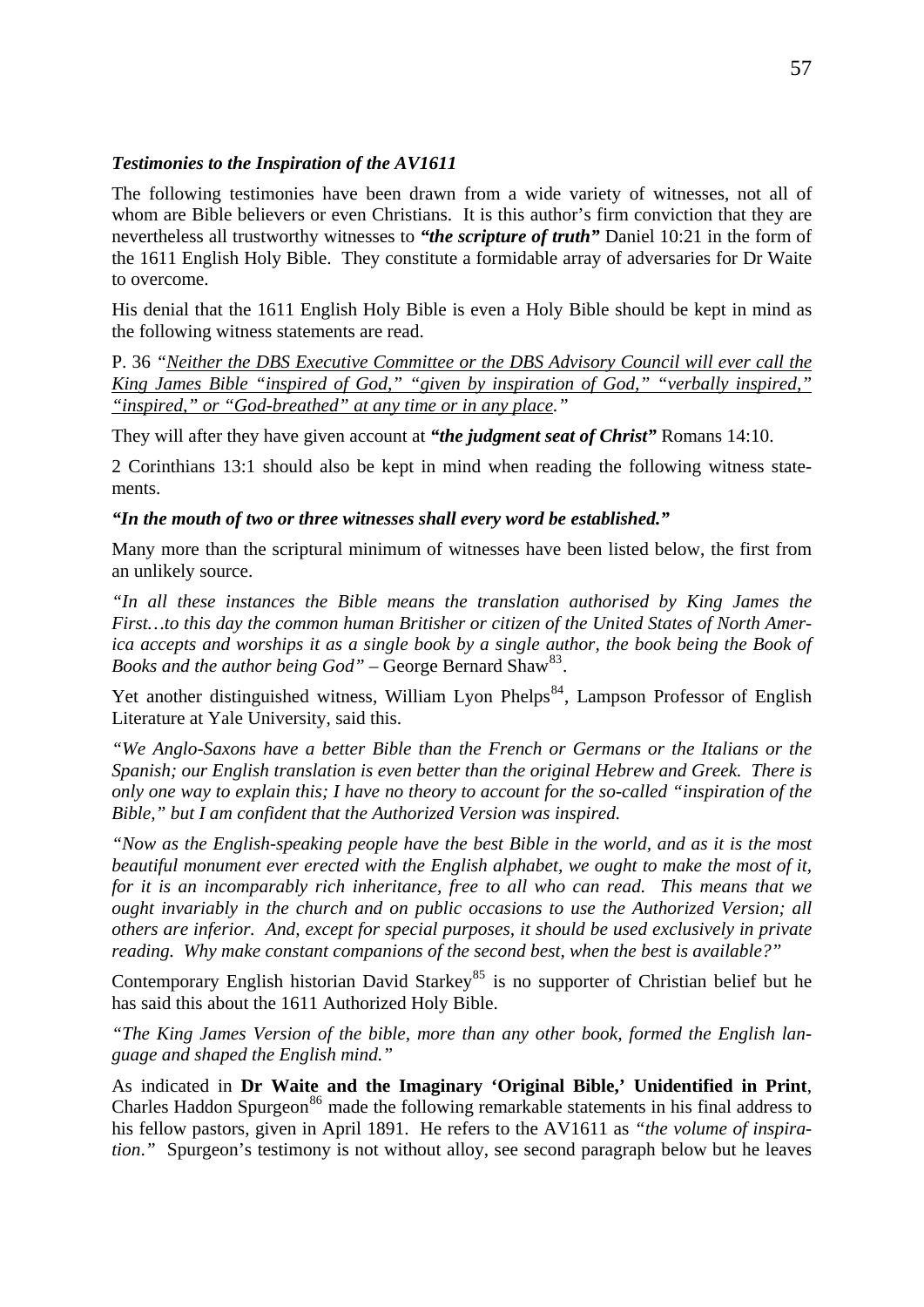# *Testimonies to the Inspiration of the AV1611*

The following testimonies have been drawn from a wide variety of witnesses, not all of whom are Bible believers or even Christians. It is this author's firm conviction that they are nevertheless all trustworthy witnesses to *"the scripture of truth"* Daniel 10:21 in the form of the 1611 English Holy Bible. They constitute a formidable array of adversaries for Dr Waite to overcome.

His denial that the 1611 English Holy Bible is even a Holy Bible should be kept in mind as the following witness statements are read.

P. 36 *"Neither the DBS Executive Committee or the DBS Advisory Council will ever call the King James Bible "inspired of God," "given by inspiration of God," "verbally inspired," "inspired," or "God-breathed" at any time or in any place."*

They will after they have given account at *"the judgment seat of Christ"* Romans 14:10.

2 Corinthians 13:1 should also be kept in mind when reading the following witness statements.

# *"In the mouth of two or three witnesses shall every word be established."*

Many more than the scriptural minimum of witnesses have been listed below, the first from an unlikely source.

*"In all these instances the Bible means the translation authorised by King James the First…to this day the common human Britisher or citizen of the United States of North America accepts and worships it as a single book by a single author, the book being the Book of Books and the author being God"* – George Bernard Shaw<sup>[83](#page-93-0)</sup>.

Yet another distinguished witness, William Lyon Phelps<sup>[84](#page-93-0)</sup>, Lampson Professor of English Literature at Yale University, said this.

*"We Anglo-Saxons have a better Bible than the French or Germans or the Italians or the Spanish; our English translation is even better than the original Hebrew and Greek. There is only one way to explain this; I have no theory to account for the so-called "inspiration of the Bible," but I am confident that the Authorized Version was inspired.* 

*"Now as the English-speaking people have the best Bible in the world, and as it is the most beautiful monument ever erected with the English alphabet, we ought to make the most of it, for it is an incomparably rich inheritance, free to all who can read. This means that we ought invariably in the church and on public occasions to use the Authorized Version; all others are inferior. And, except for special purposes, it should be used exclusively in private reading. Why make constant companions of the second best, when the best is available?"* 

Contemporary English historian David Starkey<sup>[85](#page-93-0)</sup> is no supporter of Christian belief but he has said this about the 1611 Authorized Holy Bible.

*"The King James Version of the bible, more than any other book, formed the English language and shaped the English mind."*

As indicated in **Dr Waite and the Imaginary 'Original Bible,' Unidentified in Print**, Charles Haddon Spurgeon<sup>[86](#page-93-0)</sup> made the following remarkable statements in his final address to his fellow pastors, given in April 1891. He refers to the AV1611 as *"the volume of inspiration*.*"* Spurgeon's testimony is not without alloy, see second paragraph below but he leaves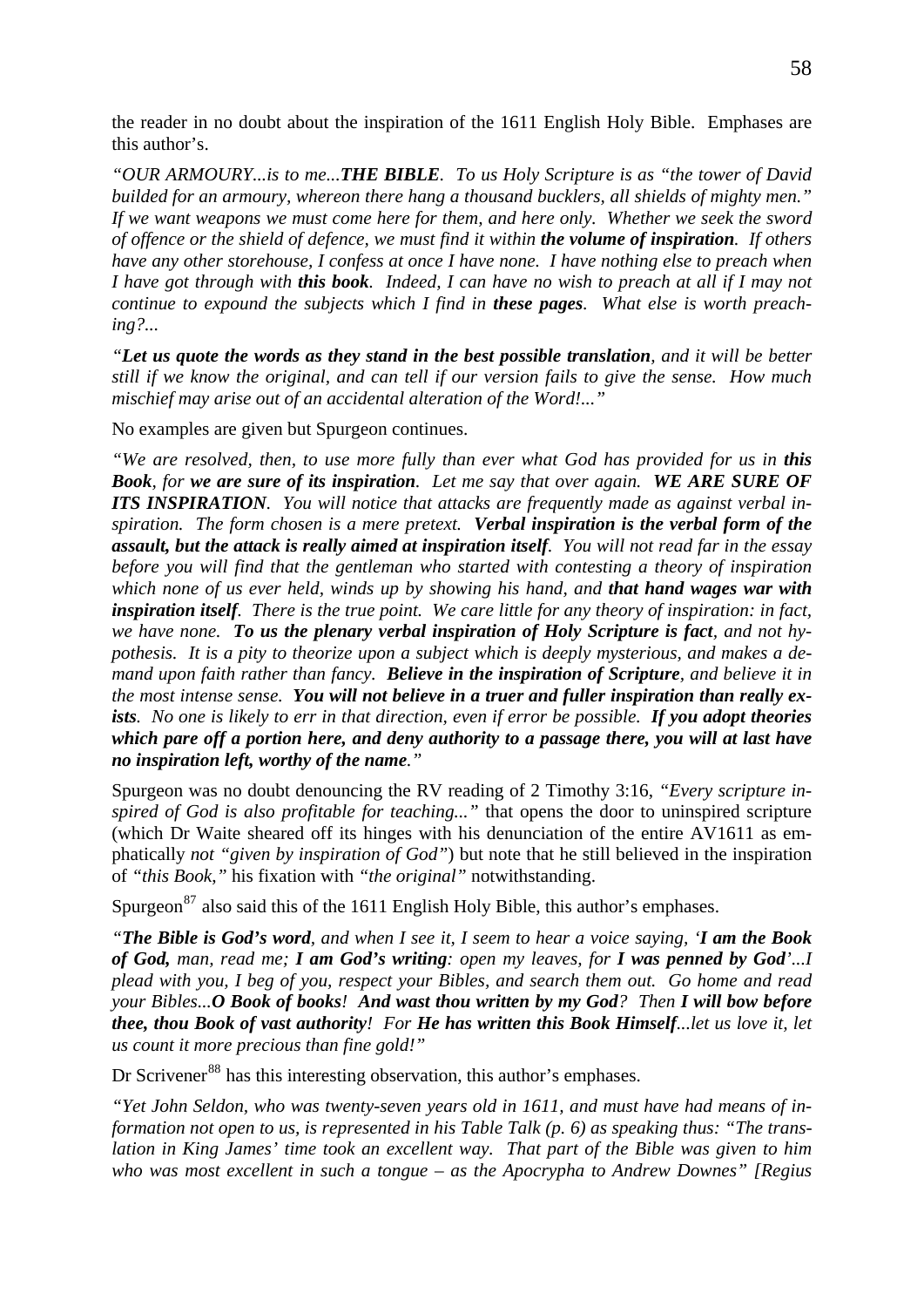the reader in no doubt about the inspiration of the 1611 English Holy Bible. Emphases are this author's.

*"OUR ARMOURY...is to me...THE BIBLE. To us Holy Scripture is as "the tower of David builded for an armoury, whereon there hang a thousand bucklers, all shields of mighty men." If we want weapons we must come here for them, and here only. Whether we seek the sword of offence or the shield of defence, we must find it within the volume of inspiration. If others have any other storehouse, I confess at once I have none. I have nothing else to preach when I have got through with this book. Indeed, I can have no wish to preach at all if I may not continue to expound the subjects which I find in these pages. What else is worth preaching?...* 

*"Let us quote the words as they stand in the best possible translation, and it will be better still if we know the original, and can tell if our version fails to give the sense. How much mischief may arise out of an accidental alteration of the Word!..."* 

No examples are given but Spurgeon continues.

*"We are resolved, then, to use more fully than ever what God has provided for us in this Book, for we are sure of its inspiration. Let me say that over again. WE ARE SURE OF ITS INSPIRATION. You will notice that attacks are frequently made as against verbal inspiration. The form chosen is a mere pretext. Verbal inspiration is the verbal form of the assault, but the attack is really aimed at inspiration itself. You will not read far in the essay before you will find that the gentleman who started with contesting a theory of inspiration which none of us ever held, winds up by showing his hand, and that hand wages war with inspiration itself. There is the true point. We care little for any theory of inspiration: in fact, we have none. To us the plenary verbal inspiration of Holy Scripture is fact, and not hypothesis. It is a pity to theorize upon a subject which is deeply mysterious, and makes a demand upon faith rather than fancy. Believe in the inspiration of Scripture, and believe it in the most intense sense. You will not believe in a truer and fuller inspiration than really exists. No one is likely to err in that direction, even if error be possible. If you adopt theories which pare off a portion here, and deny authority to a passage there, you will at last have no inspiration left, worthy of the name."* 

Spurgeon was no doubt denouncing the RV reading of 2 Timothy 3:16, *"Every scripture inspired of God is also profitable for teaching..."* that opens the door to uninspired scripture (which Dr Waite sheared off its hinges with his denunciation of the entire AV1611 as emphatically *not "given by inspiration of God"*) but note that he still believed in the inspiration of *"this Book*,*"* his fixation with *"the original"* notwithstanding.

Spurgeon<sup>[87](#page-93-0)</sup> also said this of the 1611 English Holy Bible, this author's emphases.

*"The Bible is God's word, and when I see it, I seem to hear a voice saying, 'I am the Book of God, man, read me; I am God's writing: open my leaves, for I was penned by God'...I plead with you, I beg of you, respect your Bibles, and search them out. Go home and read your Bibles...O Book of books! And wast thou written by my God? Then I will bow before thee, thou Book of vast authority! For He has written this Book Himself...let us love it, let us count it more precious than fine gold!"*

Dr Scrivener<sup>[88](#page-93-0)</sup> has this interesting observation, this author's emphases.

*"Yet John Seldon, who was twenty-seven years old in 1611, and must have had means of information not open to us, is represented in his Table Talk (p. 6) as speaking thus: "The translation in King James' time took an excellent way. That part of the Bible was given to him who was most excellent in such a tongue – as the Apocrypha to Andrew Downes" [Regius*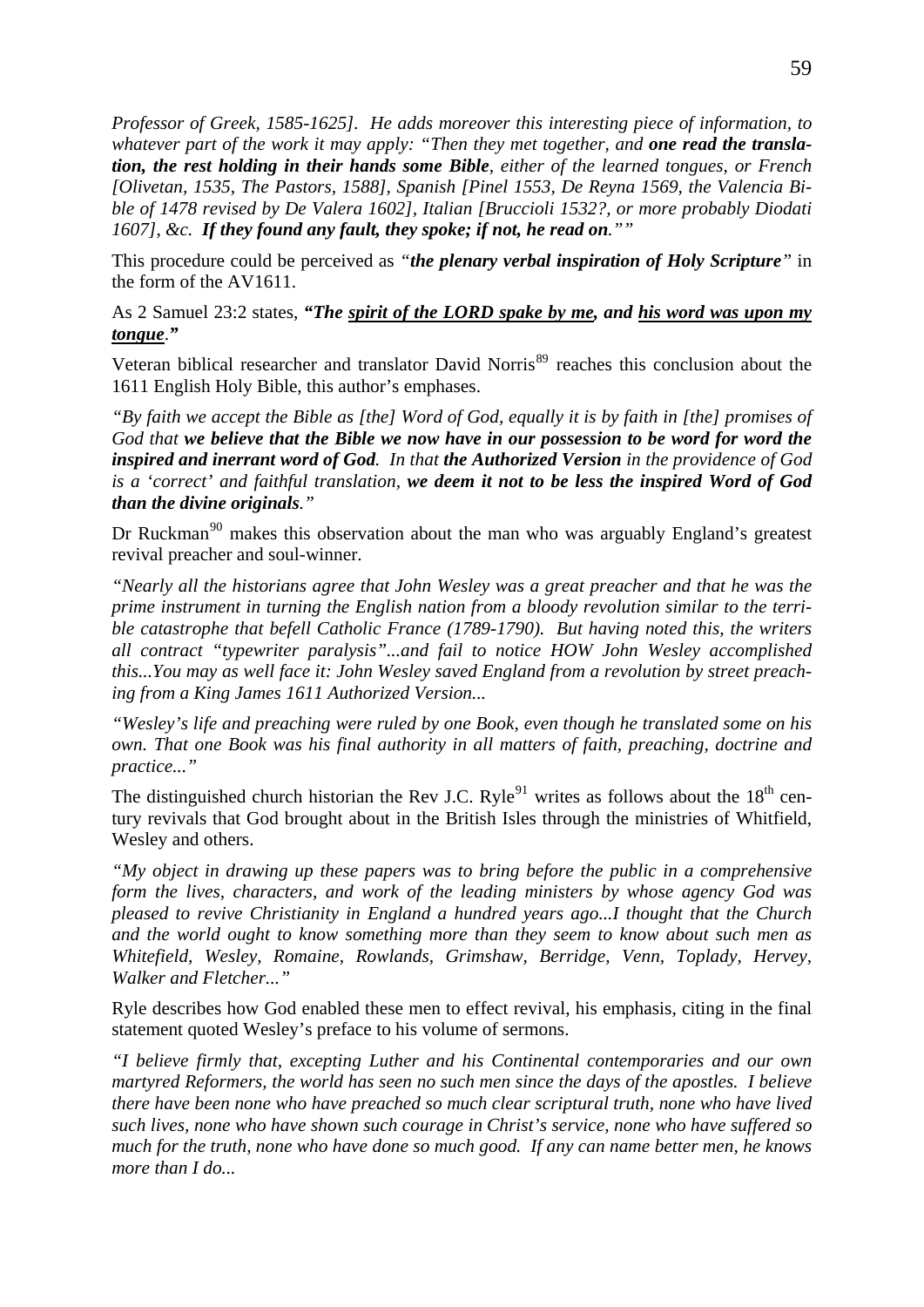*Professor of Greek, 1585-1625]. He adds moreover this interesting piece of information, to*  whatever part of the work it may apply: "Then they met together, and **one read the transla***tion, the rest holding in their hands some Bible, either of the learned tongues, or French [Olivetan, 1535, The Pastors, 1588], Spanish [Pinel 1553, De Reyna 1569, the Valencia Bible of 1478 revised by De Valera 1602], Italian [Bruccioli 1532?, or more probably Diodati 1607], &c. If they found any fault, they spoke; if not, he read on.""* 

This procedure could be perceived as *"the plenary verbal inspiration of Holy Scripture"* in the form of the AV1611.

As 2 Samuel 23:2 states, *"The spirit of the LORD spake by me, and his word was upon my tongue*.*"* 

Veteran biblical researcher and translator David Norris<sup>[89](#page-93-0)</sup> reaches this conclusion about the 1611 English Holy Bible, this author's emphases.

*"By faith we accept the Bible as [the] Word of God, equally it is by faith in [the] promises of God that we believe that the Bible we now have in our possession to be word for word the inspired and inerrant word of God. In that the Authorized Version in the providence of God is a 'correct' and faithful translation, we deem it not to be less the inspired Word of God than the divine originals."* 

Dr Ruckman<sup>[90](#page-93-0)</sup> makes this observation about the man who was arguably England's greatest revival preacher and soul-winner.

*"Nearly all the historians agree that John Wesley was a great preacher and that he was the prime instrument in turning the English nation from a bloody revolution similar to the terrible catastrophe that befell Catholic France (1789-1790). But having noted this, the writers all contract "typewriter paralysis"...and fail to notice HOW John Wesley accomplished this...You may as well face it: John Wesley saved England from a revolution by street preaching from a King James 1611 Authorized Version...* 

*"Wesley's life and preaching were ruled by one Book, even though he translated some on his own. That one Book was his final authority in all matters of faith, preaching, doctrine and practice..."* 

The distinguished church historian the Rev J.C. Ryle<sup>[91](#page-93-0)</sup> writes as follows about the  $18<sup>th</sup>$  century revivals that God brought about in the British Isles through the ministries of Whitfield, Wesley and others.

*"My object in drawing up these papers was to bring before the public in a comprehensive form the lives, characters, and work of the leading ministers by whose agency God was pleased to revive Christianity in England a hundred years ago...I thought that the Church and the world ought to know something more than they seem to know about such men as Whitefield, Wesley, Romaine, Rowlands, Grimshaw, Berridge, Venn, Toplady, Hervey, Walker and Fletcher..."* 

Ryle describes how God enabled these men to effect revival, his emphasis, citing in the final statement quoted Wesley's preface to his volume of sermons.

*"I believe firmly that, excepting Luther and his Continental contemporaries and our own martyred Reformers, the world has seen no such men since the days of the apostles. I believe there have been none who have preached so much clear scriptural truth, none who have lived such lives, none who have shown such courage in Christ's service, none who have suffered so much for the truth, none who have done so much good. If any can name better men, he knows more than I do...*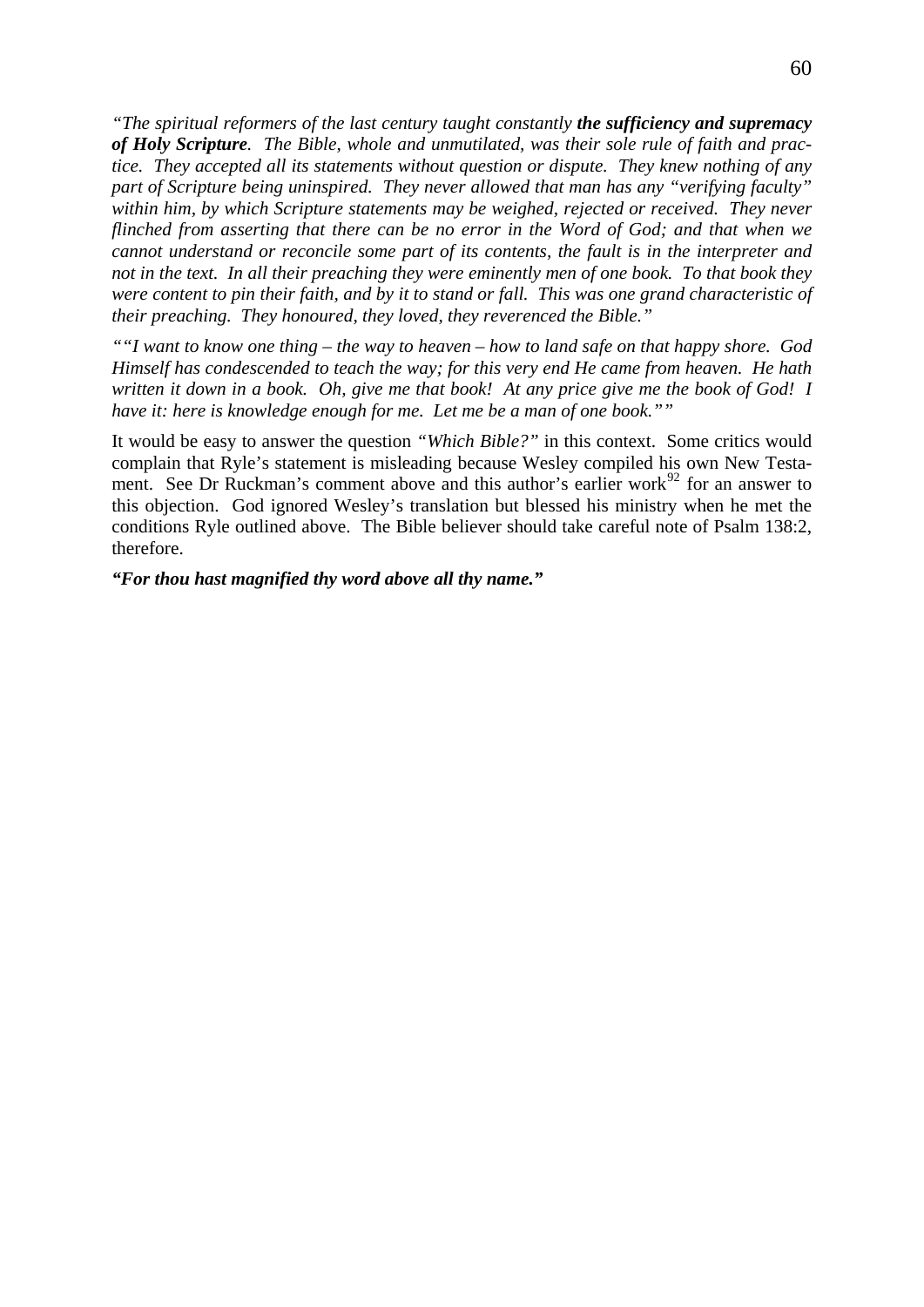*"The spiritual reformers of the last century taught constantly the sufficiency and supremacy of Holy Scripture. The Bible, whole and unmutilated, was their sole rule of faith and practice. They accepted all its statements without question or dispute. They knew nothing of any part of Scripture being uninspired. They never allowed that man has any "verifying faculty" within him, by which Scripture statements may be weighed, rejected or received. They never flinched from asserting that there can be no error in the Word of God; and that when we cannot understand or reconcile some part of its contents, the fault is in the interpreter and not in the text. In all their preaching they were eminently men of one book. To that book they were content to pin their faith, and by it to stand or fall. This was one grand characteristic of their preaching. They honoured, they loved, they reverenced the Bible."* 

*""I want to know one thing – the way to heaven – how to land safe on that happy shore. God Himself has condescended to teach the way; for this very end He came from heaven. He hath written it down in a book. Oh, give me that book! At any price give me the book of God! I have it: here is knowledge enough for me. Let me be a man of one book.""* 

It would be easy to answer the question *"Which Bible?"* in this context. Some critics would complain that Ryle's statement is misleading because Wesley compiled his own New Testament. See Dr Ruckman's comment above and this author's earlier work $92$  for an answer to this objection. God ignored Wesley's translation but blessed his ministry when he met the conditions Ryle outlined above. The Bible believer should take careful note of Psalm 138:2, therefore.

*"For thou hast magnified thy word above all thy name."*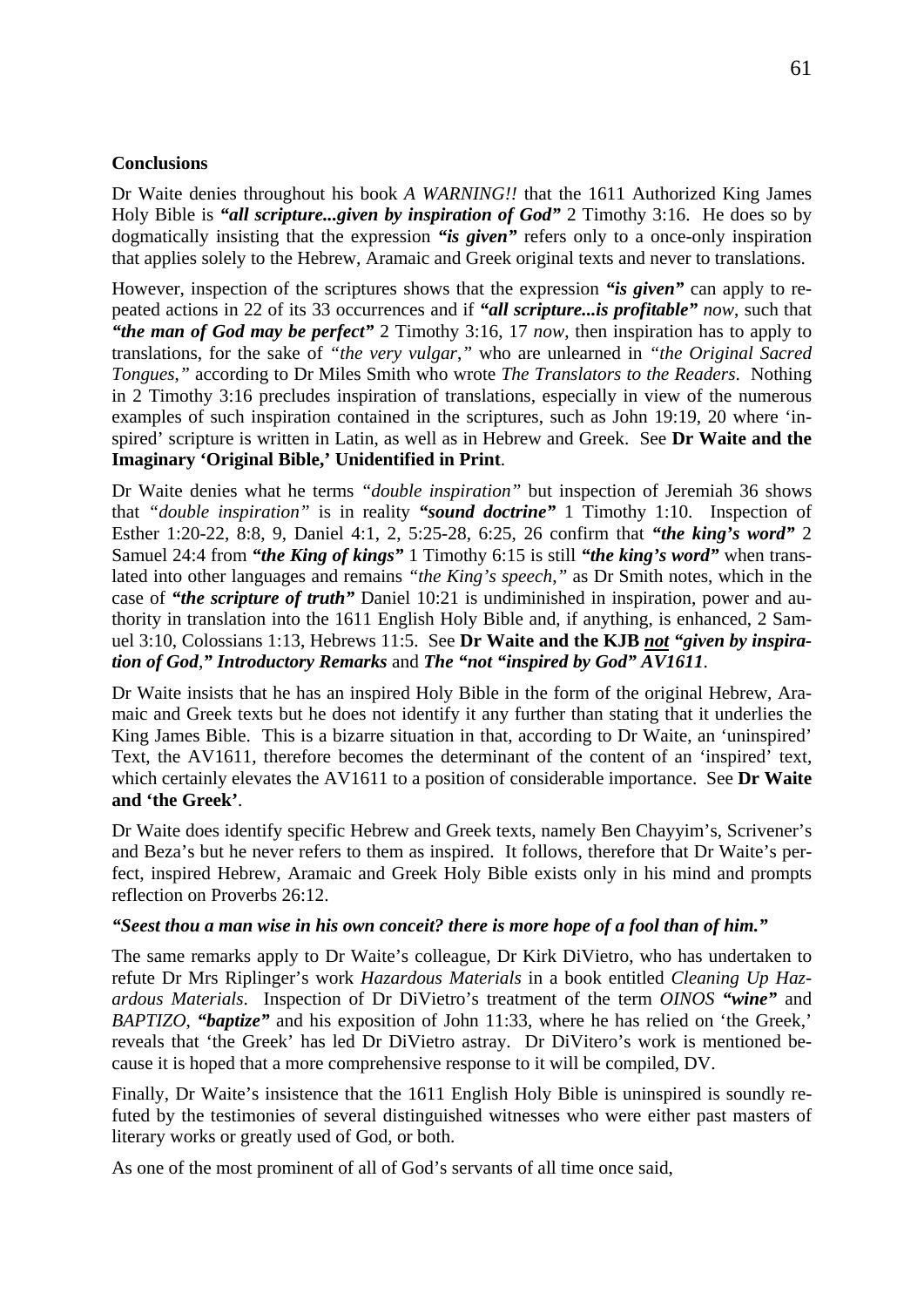### **Conclusions**

Dr Waite denies throughout his book *A WARNING!!* that the 1611 Authorized King James Holy Bible is *"all scripture...given by inspiration of God"* 2 Timothy 3:16. He does so by dogmatically insisting that the expression *"is given"* refers only to a once-only inspiration that applies solely to the Hebrew, Aramaic and Greek original texts and never to translations.

However, inspection of the scriptures shows that the expression *"is given"* can apply to repeated actions in 22 of its 33 occurrences and if *"all scripture...is profitable" now*, such that *"the man of God may be perfect"* 2 Timothy 3:16, 17 *now*, then inspiration has to apply to translations, for the sake of *"the very vulgar*,*"* who are unlearned in *"the Original Sacred Tongues*,*"* according to Dr Miles Smith who wrote *The Translators to the Readers*. Nothing in 2 Timothy 3:16 precludes inspiration of translations, especially in view of the numerous examples of such inspiration contained in the scriptures, such as John 19:19, 20 where 'inspired' scripture is written in Latin, as well as in Hebrew and Greek. See **Dr Waite and the Imaginary 'Original Bible,' Unidentified in Print**.

Dr Waite denies what he terms *"double inspiration"* but inspection of Jeremiah 36 shows that *"double inspiration"* is in reality *"sound doctrine"* 1 Timothy 1:10. Inspection of Esther 1:20-22, 8:8, 9, Daniel 4:1, 2, 5:25-28, 6:25, 26 confirm that *"the king's word"* 2 Samuel 24:4 from *"the King of kings"* 1 Timothy 6:15 is still *"the king's word"* when translated into other languages and remains *"the King's speech*,*"* as Dr Smith notes, which in the case of *"the scripture of truth"* Daniel 10:21 is undiminished in inspiration, power and authority in translation into the 1611 English Holy Bible and, if anything, is enhanced, 2 Samuel 3:10, Colossians 1:13, Hebrews 11:5. See **Dr Waite and the KJB** *not "given by inspiration of God*,*" Introductory Remarks* and *The "not "inspired by God" AV1611*.

Dr Waite insists that he has an inspired Holy Bible in the form of the original Hebrew, Aramaic and Greek texts but he does not identify it any further than stating that it underlies the King James Bible. This is a bizarre situation in that, according to Dr Waite, an 'uninspired' Text, the AV1611, therefore becomes the determinant of the content of an 'inspired' text, which certainly elevates the AV1611 to a position of considerable importance. See **Dr Waite and 'the Greek'**.

Dr Waite does identify specific Hebrew and Greek texts, namely Ben Chayyim's, Scrivener's and Beza's but he never refers to them as inspired. It follows, therefore that Dr Waite's perfect, inspired Hebrew, Aramaic and Greek Holy Bible exists only in his mind and prompts reflection on Proverbs 26:12.

## *"Seest thou a man wise in his own conceit? there is more hope of a fool than of him."*

The same remarks apply to Dr Waite's colleague, Dr Kirk DiVietro, who has undertaken to refute Dr Mrs Riplinger's work *Hazardous Materials* in a book entitled *Cleaning Up Hazardous Materials*. Inspection of Dr DiVietro's treatment of the term *OINOS "wine"* and *BAPTIZO*, "*baptize*" and his exposition of John 11:33, where he has relied on 'the Greek,' reveals that 'the Greek' has led Dr DiVietro astray. Dr DiVitero's work is mentioned because it is hoped that a more comprehensive response to it will be compiled, DV.

Finally, Dr Waite's insistence that the 1611 English Holy Bible is uninspired is soundly refuted by the testimonies of several distinguished witnesses who were either past masters of literary works or greatly used of God, or both.

As one of the most prominent of all of God's servants of all time once said,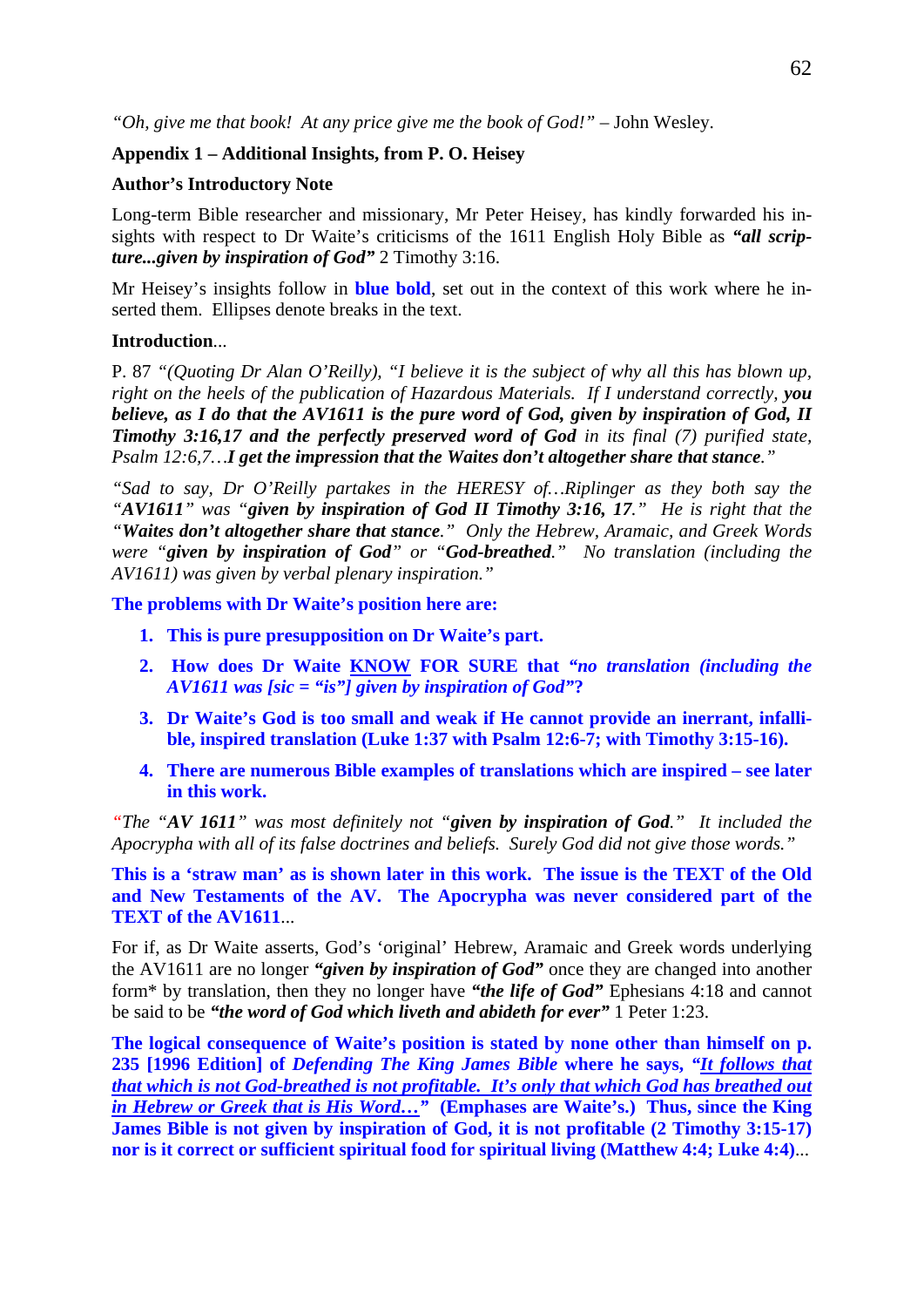*"Oh, give me that book! At any price give me the book of God!"* – John Wesley.

# **Appendix 1 – Additional Insights, from P. O. Heisey**

### **Author's Introductory Note**

Long-term Bible researcher and missionary, Mr Peter Heisey, has kindly forwarded his insights with respect to Dr Waite's criticisms of the 1611 English Holy Bible as *"all scripture...given by inspiration of God"* 2 Timothy 3:16.

Mr Heisey's insights follow in **blue bold**, set out in the context of this work where he inserted them. Ellipses denote breaks in the text.

### **Introduction**...

P. 87 *"(Quoting Dr Alan O'Reilly), "I believe it is the subject of why all this has blown up, right on the heels of the publication of Hazardous Materials. If I understand correctly, you believe, as I do that the AV1611 is the pure word of God, given by inspiration of God, II Timothy 3:16,17 and the perfectly preserved word of God in its final (7) purified state, Psalm 12:6,7…I get the impression that the Waites don't altogether share that stance."* 

*"Sad to say, Dr O'Reilly partakes in the HERESY of…Riplinger as they both say the "AV1611" was "given by inspiration of God II Timothy 3:16, 17." He is right that the "Waites don't altogether share that stance." Only the Hebrew, Aramaic, and Greek Words were "given by inspiration of God" or "God-breathed." No translation (including the AV1611) was given by verbal plenary inspiration."*

**The problems with Dr Waite's position here are:** 

- **1. This is pure presupposition on Dr Waite's part.**
- **2. How does Dr Waite KNOW FOR SURE that** *"no translation (including the AV1611 was [sic = "is"] given by inspiration of God"***?**
- **3. Dr Waite's God is too small and weak if He cannot provide an inerrant, infallible, inspired translation (Luke 1:37 with Psalm 12:6-7; with Timothy 3:15-16).**
- **4. There are numerous Bible examples of translations which are inspired see later in this work.**

*"The "AV 1611" was most definitely not "given by inspiration of God." It included the Apocrypha with all of its false doctrines and beliefs. Surely God did not give those words."*

**This is a 'straw man' as is shown later in this work. The issue is the TEXT of the Old and New Testaments of the AV. The Apocrypha was never considered part of the TEXT of the AV1611**...

For if, as Dr Waite asserts, God's 'original' Hebrew, Aramaic and Greek words underlying the AV1611 are no longer *"given by inspiration of God"* once they are changed into another form\* by translation, then they no longer have *"the life of God"* Ephesians 4:18 and cannot be said to be *"the word of God which liveth and abideth for ever"* 1 Peter 1:23.

**The logical consequence of Waite's position is stated by none other than himself on p. 235 [1996 Edition] of** *Defending The King James Bible* **where he says,** *"It follows that that which is not God-breathed is not profitable. It's only that which God has breathed out in Hebrew or Greek that is His Word…"* **(Emphases are Waite's.) Thus, since the King James Bible is not given by inspiration of God, it is not profitable (2 Timothy 3:15-17) nor is it correct or sufficient spiritual food for spiritual living (Matthew 4:4; Luke 4:4)**...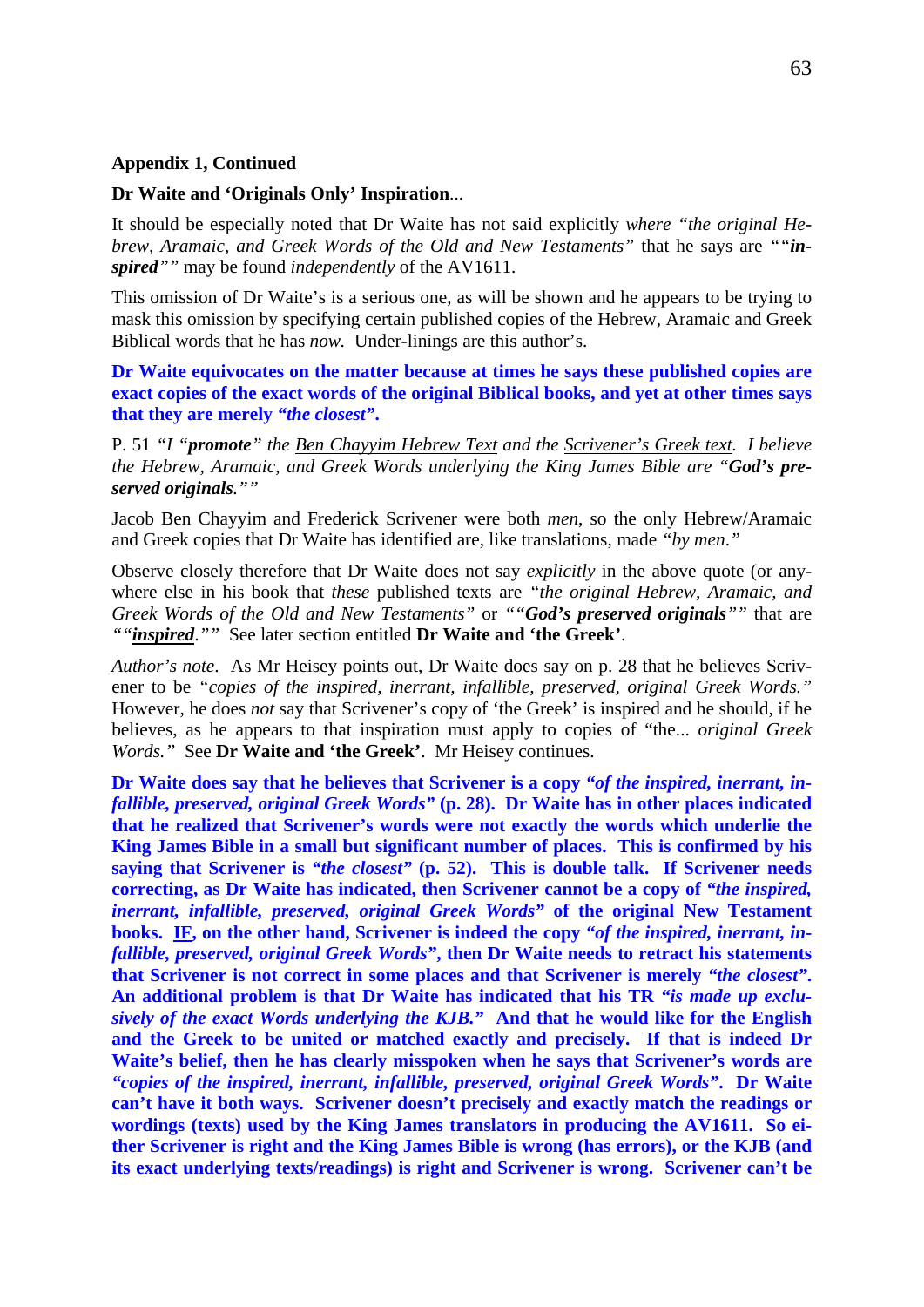### **Appendix 1, Continued**

#### **Dr Waite and 'Originals Only' Inspiration**...

It should be especially noted that Dr Waite has not said explicitly *where "the original Hebrew, Aramaic, and Greek Words of the Old and New Testaments"* that he says are *""inspired""* may be found *independently* of the AV1611.

This omission of Dr Waite's is a serious one, as will be shown and he appears to be trying to mask this omission by specifying certain published copies of the Hebrew, Aramaic and Greek Biblical words that he has *now.* Under-linings are this author's.

**Dr Waite equivocates on the matter because at times he says these published copies are exact copies of the exact words of the original Biblical books, and yet at other times says that they are merely** *"the closest"***.**

P. 51 *"I "promote" the Ben Chayyim Hebrew Text and the Scrivener's Greek text. I believe the Hebrew, Aramaic, and Greek Words underlying the King James Bible are "God's preserved originals.""*

Jacob Ben Chayyim and Frederick Scrivener were both *men*, so the only Hebrew/Aramaic and Greek copies that Dr Waite has identified are, like translations, made *"by men*.*"*

Observe closely therefore that Dr Waite does not say *explicitly* in the above quote (or anywhere else in his book that *these* published texts are *"the original Hebrew, Aramaic, and Greek Words of the Old and New Testaments"* or *""God's preserved originals""* that are *""inspired*.*""* See later section entitled **Dr Waite and 'the Greek'**.

*Author's note*. As Mr Heisey points out, Dr Waite does say on p. 28 that he believes Scrivener to be *"copies of the inspired, inerrant, infallible, preserved, original Greek Words."* However, he does *not* say that Scrivener's copy of 'the Greek' is inspired and he should, if he believes, as he appears to that inspiration must apply to copies of "the... *original Greek Words."* See **Dr Waite and 'the Greek'**. Mr Heisey continues.

**Dr Waite does say that he believes that Scrivener is a copy** *"of the inspired, inerrant, infallible, preserved, original Greek Words"* **(p. 28). Dr Waite has in other places indicated that he realized that Scrivener's words were not exactly the words which underlie the King James Bible in a small but significant number of places. This is confirmed by his saying that Scrivener is** *"the closest"* **(p. 52). This is double talk. If Scrivener needs correcting, as Dr Waite has indicated, then Scrivener cannot be a copy of** *"the inspired, inerrant, infallible, preserved, original Greek Words"* **of the original New Testament books. IF, on the other hand, Scrivener is indeed the copy** *"of the inspired, inerrant, infallible, preserved, original Greek Words"***, then Dr Waite needs to retract his statements that Scrivener is not correct in some places and that Scrivener is merely** *"the closest"***. An additional problem is that Dr Waite has indicated that his TR** *"is made up exclusively of the exact Words underlying the KJB."* **And that he would like for the English and the Greek to be united or matched exactly and precisely. If that is indeed Dr Waite's belief, then he has clearly misspoken when he says that Scrivener's words are**  *"copies of the inspired, inerrant, infallible, preserved, original Greek Words"***. Dr Waite can't have it both ways. Scrivener doesn't precisely and exactly match the readings or wordings (texts) used by the King James translators in producing the AV1611. So either Scrivener is right and the King James Bible is wrong (has errors), or the KJB (and its exact underlying texts/readings) is right and Scrivener is wrong. Scrivener can't be**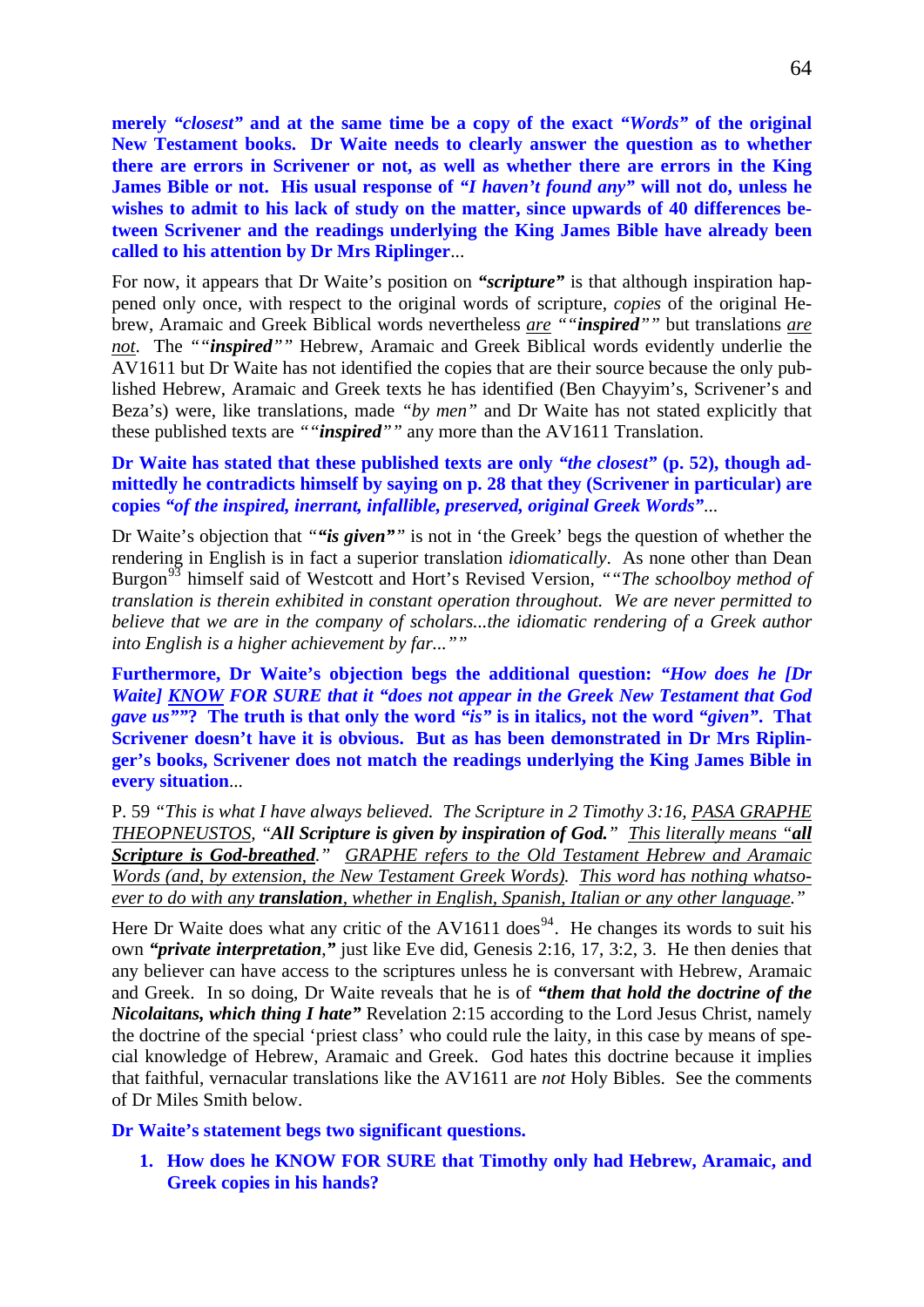**merely** *"closest"* **and at the same time be a copy of the exact** *"Words"* **of the original New Testament books. Dr Waite needs to clearly answer the question as to whether there are errors in Scrivener or not, as well as whether there are errors in the King James Bible or not. His usual response of** *"I haven't found any"* **will not do, unless he wishes to admit to his lack of study on the matter, since upwards of 40 differences between Scrivener and the readings underlying the King James Bible have already been called to his attention by Dr Mrs Riplinger**...

For now, it appears that Dr Waite's position on *"scripture"* is that although inspiration happened only once, with respect to the original words of scripture, *copies* of the original Hebrew, Aramaic and Greek Biblical words nevertheless *are ""inspired""* but translations *are not*. The *""inspired""* Hebrew, Aramaic and Greek Biblical words evidently underlie the AV1611 but Dr Waite has not identified the copies that are their source because the only published Hebrew, Aramaic and Greek texts he has identified (Ben Chayyim's, Scrivener's and Beza's) were, like translations, made *"by men"* and Dr Waite has not stated explicitly that these published texts are *""inspired""* any more than the AV1611 Translation.

# **Dr Waite has stated that these published texts are only** *"the closest"* **(p. 52), though admittedly he contradicts himself by saying on p. 28 that they (Scrivener in particular) are copies** *"of the inspired, inerrant, infallible, preserved, original Greek Words"*...

Dr Waite's objection that *""is given""* is not in 'the Greek' begs the question of whether the rendering in English is in fact a superior translation *idiomatically*. As none other than Dean Burgon<sup>[93](#page-93-0)</sup> himself said of Westcott and Hort's Revised Version, ""*The schoolboy method of translation is therein exhibited in constant operation throughout. We are never permitted to believe that we are in the company of scholars...the idiomatic rendering of a Greek author into English is a higher achievement by far...""* 

**Furthermore, Dr Waite's objection begs the additional question:** *"How does he [Dr Waite] KNOW FOR SURE that it "does not appear in the Greek New Testament that God gave us""***? The truth is that only the word** *"is"* **is in italics, not the word** *"given"***. That Scrivener doesn't have it is obvious. But as has been demonstrated in Dr Mrs Riplinger's books, Scrivener does not match the readings underlying the King James Bible in every situation**...

P. 59 *"This is what I have always believed. The Scripture in 2 Timothy 3:16, PASA GRAPHE THEOPNEUSTOS, "All Scripture is given by inspiration of God." This literally means "all Scripture is God-breathed." GRAPHE refers to the Old Testament Hebrew and Aramaic Words (and, by extension, the New Testament Greek Words). This word has nothing whatsoever to do with any translation, whether in English, Spanish, Italian or any other language."* 

Here Dr Waite does what any critic of the  $AV1611$  does<sup>[94](#page-93-0)</sup>. He changes its words to suit his own *"private interpretation*,*"* just like Eve did, Genesis 2:16, 17, 3:2, 3. He then denies that any believer can have access to the scriptures unless he is conversant with Hebrew, Aramaic and Greek. In so doing, Dr Waite reveals that he is of *"them that hold the doctrine of the Nicolaitans, which thing I hate"* Revelation 2:15 according to the Lord Jesus Christ, namely the doctrine of the special 'priest class' who could rule the laity, in this case by means of special knowledge of Hebrew, Aramaic and Greek. God hates this doctrine because it implies that faithful, vernacular translations like the AV1611 are *not* Holy Bibles. See the comments of Dr Miles Smith below.

## **Dr Waite's statement begs two significant questions.**

**1. How does he KNOW FOR SURE that Timothy only had Hebrew, Aramaic, and Greek copies in his hands?**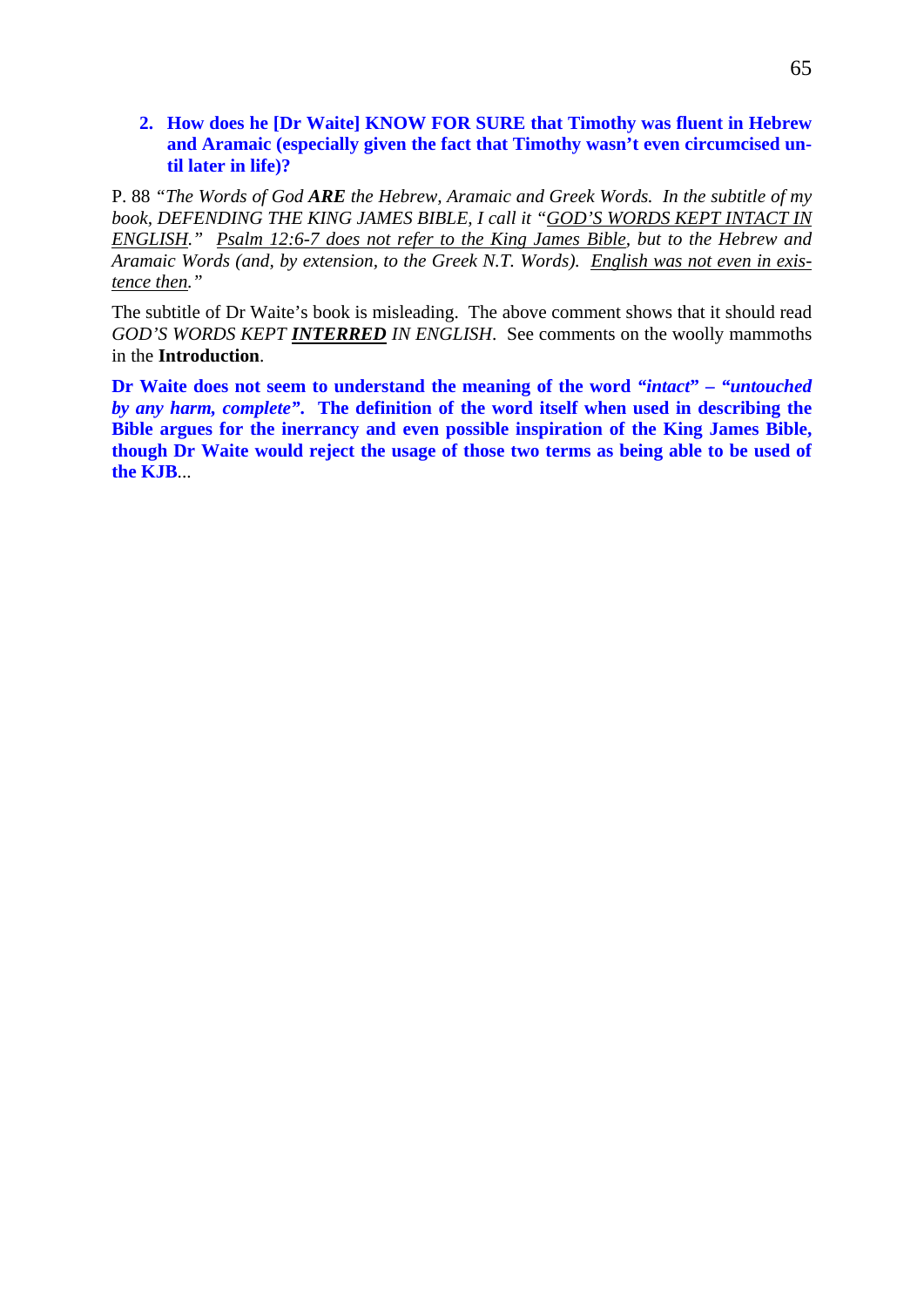# **2. How does he [Dr Waite] KNOW FOR SURE that Timothy was fluent in Hebrew and Aramaic (especially given the fact that Timothy wasn't even circumcised until later in life)?**

P. 88 *"The Words of God ARE the Hebrew, Aramaic and Greek Words. In the subtitle of my*  book, DEFENDING THE KING JAMES BIBLE, I call it "GOD'S WORDS KEPT INTACT IN *ENGLISH." Psalm 12:6-7 does not refer to the King James Bible, but to the Hebrew and Aramaic Words (and, by extension, to the Greek N.T. Words). English was not even in existence then."* 

The subtitle of Dr Waite's book is misleading. The above comment shows that it should read *GOD'S WORDS KEPT INTERRED IN ENGLISH*. See comments on the woolly mammoths in the **Introduction**.

**Dr Waite does not seem to understand the meaning of the word** *"intact***" –** *"untouched by any harm, complete"***. The definition of the word itself when used in describing the Bible argues for the inerrancy and even possible inspiration of the King James Bible, though Dr Waite would reject the usage of those two terms as being able to be used of the KJB**...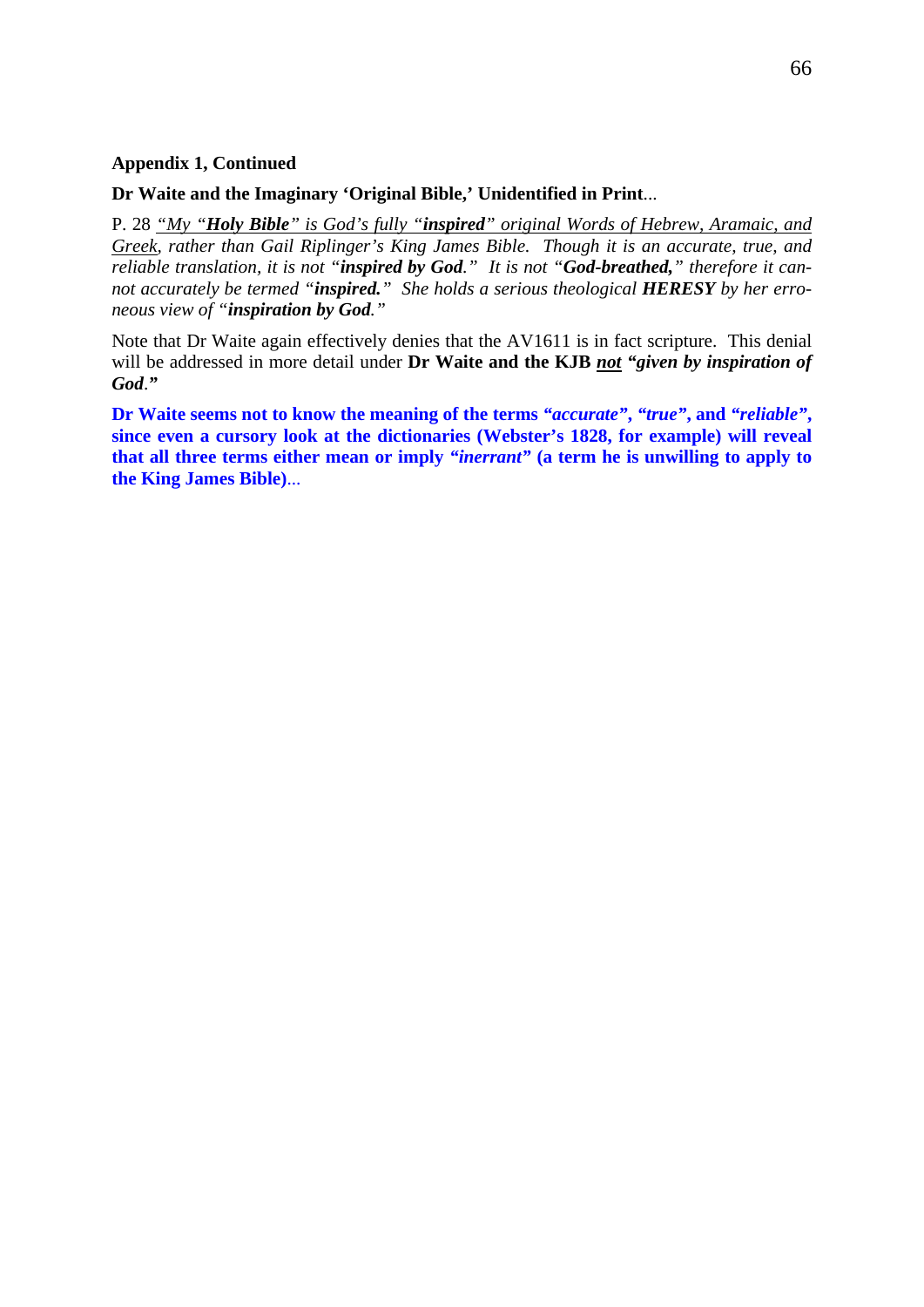# **Appendix 1, Continued**

# **Dr Waite and the Imaginary 'Original Bible,' Unidentified in Print**...

P. 28 *"My "Holy Bible" is God's fully "inspired" original Words of Hebrew, Aramaic, and Greek, rather than Gail Riplinger's King James Bible. Though it is an accurate, true, and reliable translation, it is not "inspired by God." It is not "God-breathed," therefore it cannot accurately be termed "inspired." She holds a serious theological HERESY by her erroneous view of "inspiration by God."* 

Note that Dr Waite again effectively denies that the AV1611 is in fact scripture. This denial will be addressed in more detail under **Dr Waite and the KJB** *not "given by inspiration of God*.*"*

**Dr Waite seems not to know the meaning of the terms** *"accurate"***,** *"true"***, and** *"reliable"***, since even a cursory look at the dictionaries (Webster's 1828, for example) will reveal that all three terms either mean or imply** *"inerrant"* **(a term he is unwilling to apply to the King James Bible)**...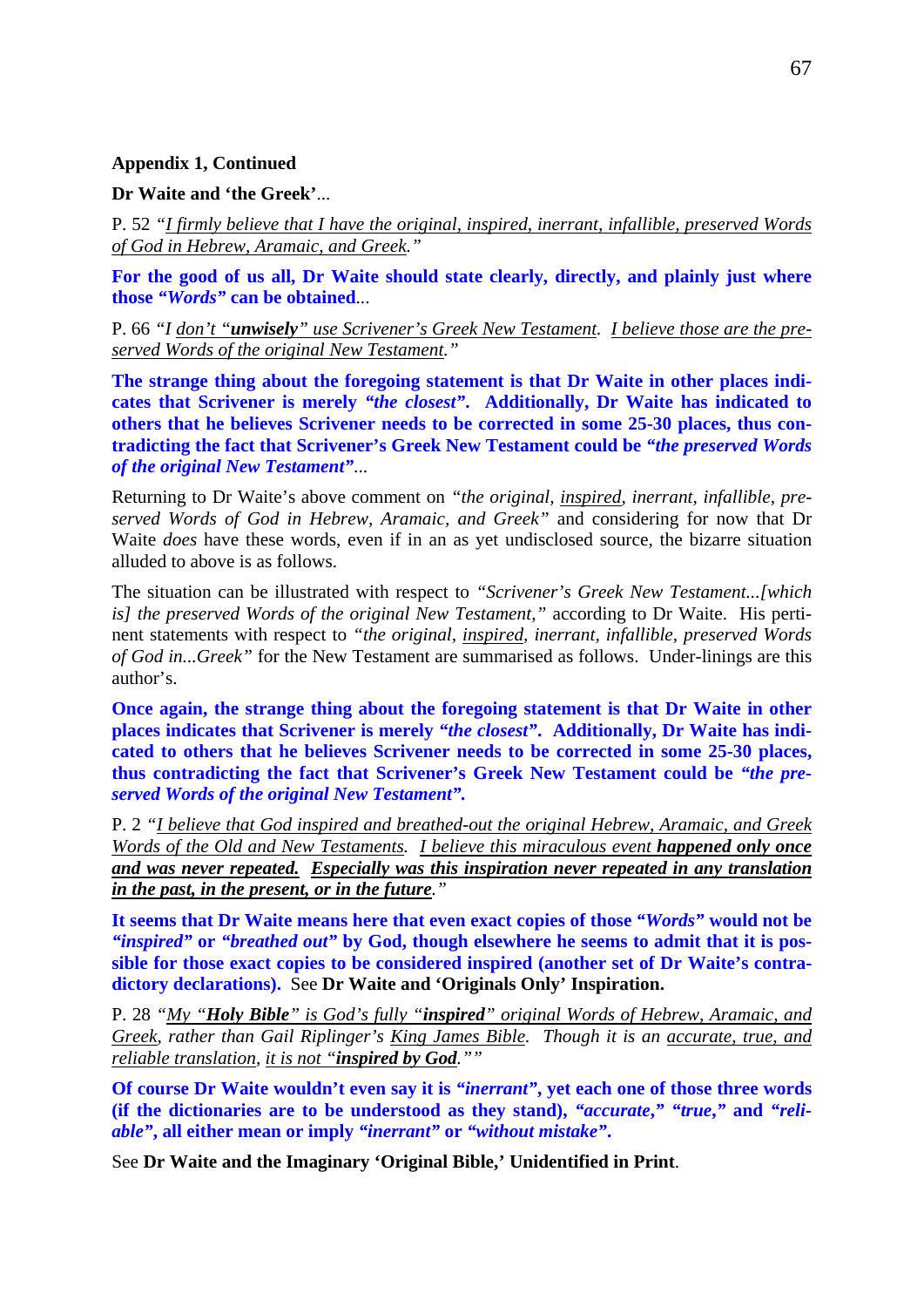### **Appendix 1, Continued**

**Dr Waite and 'the Greek'**...

P. 52 *"I firmly believe that I have the original, inspired, inerrant, infallible, preserved Words of God in Hebrew, Aramaic, and Greek."* 

For the good of us all, Dr Waite should state clearly, directly, and plainly just where **those** *"Words"* **can be obtained**...

P. 66 *"I don't "unwisely" use Scrivener's Greek New Testament. I believe those are the preserved Words of the original New Testament."* 

**The strange thing about the foregoing statement is that Dr Waite in other places indicates that Scrivener is merely** *"the closest"***. Additionally, Dr Waite has indicated to others that he believes Scrivener needs to be corrected in some 25-30 places, thus contradicting the fact that Scrivener's Greek New Testament could be** *"the preserved Words of the original New Testament"*...

Returning to Dr Waite's above comment on *"the original, inspired, inerrant, infallible, preserved Words of God in Hebrew, Aramaic, and Greek"* and considering for now that Dr Waite *does* have these words, even if in an as yet undisclosed source, the bizarre situation alluded to above is as follows.

The situation can be illustrated with respect to *"Scrivener's Greek New Testament...[which is] the preserved Words of the original New Testament*,*"* according to Dr Waite. His pertinent statements with respect to *"the original, inspired, inerrant, infallible, preserved Words of God in...Greek"* for the New Testament are summarised as follows. Under-linings are this author's.

**Once again, the strange thing about the foregoing statement is that Dr Waite in other places indicates that Scrivener is merely** *"the closest"***. Additionally, Dr Waite has indicated to others that he believes Scrivener needs to be corrected in some 25-30 places, thus contradicting the fact that Scrivener's Greek New Testament could be** *"the preserved Words of the original New Testament".*

P. 2 *"I believe that God inspired and breathed-out the original Hebrew, Aramaic, and Greek Words of the Old and New Testaments. I believe this miraculous event happened only once and was never repeated. Especially was this inspiration never repeated in any translation in the past, in the present, or in the future."*

**It seems that Dr Waite means here that even exact copies of those** *"Words"* **would not be**  *"inspired"* **or** *"breathed out"* **by God, though elsewhere he seems to admit that it is possible for those exact copies to be considered inspired (another set of Dr Waite's contradictory declarations).** See **Dr Waite and 'Originals Only' Inspiration.**

P. 28 *"My "Holy Bible" is God's fully "inspired" original Words of Hebrew, Aramaic, and Greek, rather than Gail Riplinger's King James Bible. Though it is an accurate, true, and reliable translation, it is not "inspired by God.""* 

**Of course Dr Waite wouldn't even say it is** *"inerrant"***, yet each one of those three words (if the dictionaries are to be understood as they stand),** *"accurate***,***" "true***,***"* **and** *"reliable"***, all either mean or imply** *"inerrant"* **or** *"without mistake"***.**

See **Dr Waite and the Imaginary 'Original Bible,' Unidentified in Print**.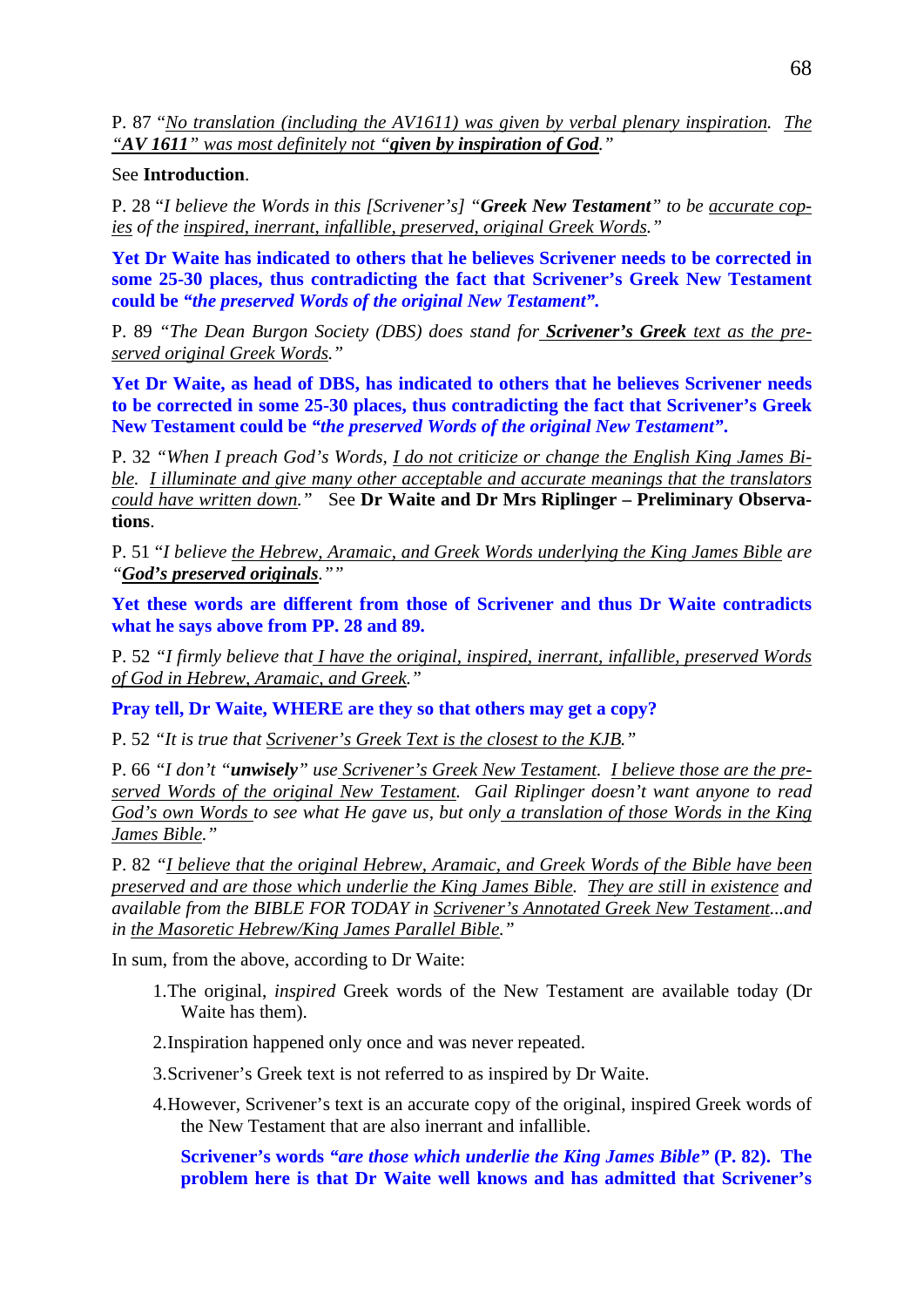P. 87 "*No translation (including the AV1611) was given by verbal plenary inspiration. The "AV 1611" was most definitely not "given by inspiration of God."*

# See **Introduction**.

P. 28 "*I believe the Words in this [Scrivener's] "Greek New Testament" to be accurate copies of the inspired, inerrant, infallible, preserved, original Greek Words."* 

**Yet Dr Waite has indicated to others that he believes Scrivener needs to be corrected in some 25-30 places, thus contradicting the fact that Scrivener's Greek New Testament could be** *"the preserved Words of the original New Testament".*

P. 89 *"The Dean Burgon Society (DBS) does stand for Scrivener's Greek text as the preserved original Greek Words."*

**Yet Dr Waite, as head of DBS, has indicated to others that he believes Scrivener needs to be corrected in some 25-30 places, thus contradicting the fact that Scrivener's Greek New Testament could be** *"the preserved Words of the original New Testament"***.**

P. 32 *"When I preach God's Words, I do not criticize or change the English King James Bible. I illuminate and give many other acceptable and accurate meanings that the translators could have written down."* See **Dr Waite and Dr Mrs Riplinger – Preliminary Observations**.

P. 51 "*I believe the Hebrew, Aramaic, and Greek Words underlying the King James Bible are "God's preserved originals.""* 

**Yet these words are different from those of Scrivener and thus Dr Waite contradicts what he says above from PP. 28 and 89.**

P. 52 *"I firmly believe that I have the original, inspired, inerrant, infallible, preserved Words of God in Hebrew, Aramaic, and Greek."* 

**Pray tell, Dr Waite, WHERE are they so that others may get a copy?**

P. 52 *"It is true that Scrivener's Greek Text is the closest to the KJB."*

P. 66 *"I don't "unwisely" use Scrivener's Greek New Testament. I believe those are the preserved Words of the original New Testament. Gail Riplinger doesn't want anyone to read God's own Words to see what He gave us, but only a translation of those Words in the King James Bible."*

P. 82 *"I believe that the original Hebrew, Aramaic, and Greek Words of the Bible have been preserved and are those which underlie the King James Bible. They are still in existence and available from the BIBLE FOR TODAY in Scrivener's Annotated Greek New Testament...and in the Masoretic Hebrew/King James Parallel Bible."*

In sum, from the above, according to Dr Waite:

- 1.The original, *inspired* Greek words of the New Testament are available today (Dr Waite has them).
- 2.Inspiration happened only once and was never repeated.
- 3.Scrivener's Greek text is not referred to as inspired by Dr Waite.
- 4.However, Scrivener's text is an accurate copy of the original, inspired Greek words of the New Testament that are also inerrant and infallible.

**Scrivener's words** *"are those which underlie the King James Bible"* **(P. 82). The problem here is that Dr Waite well knows and has admitted that Scrivener's**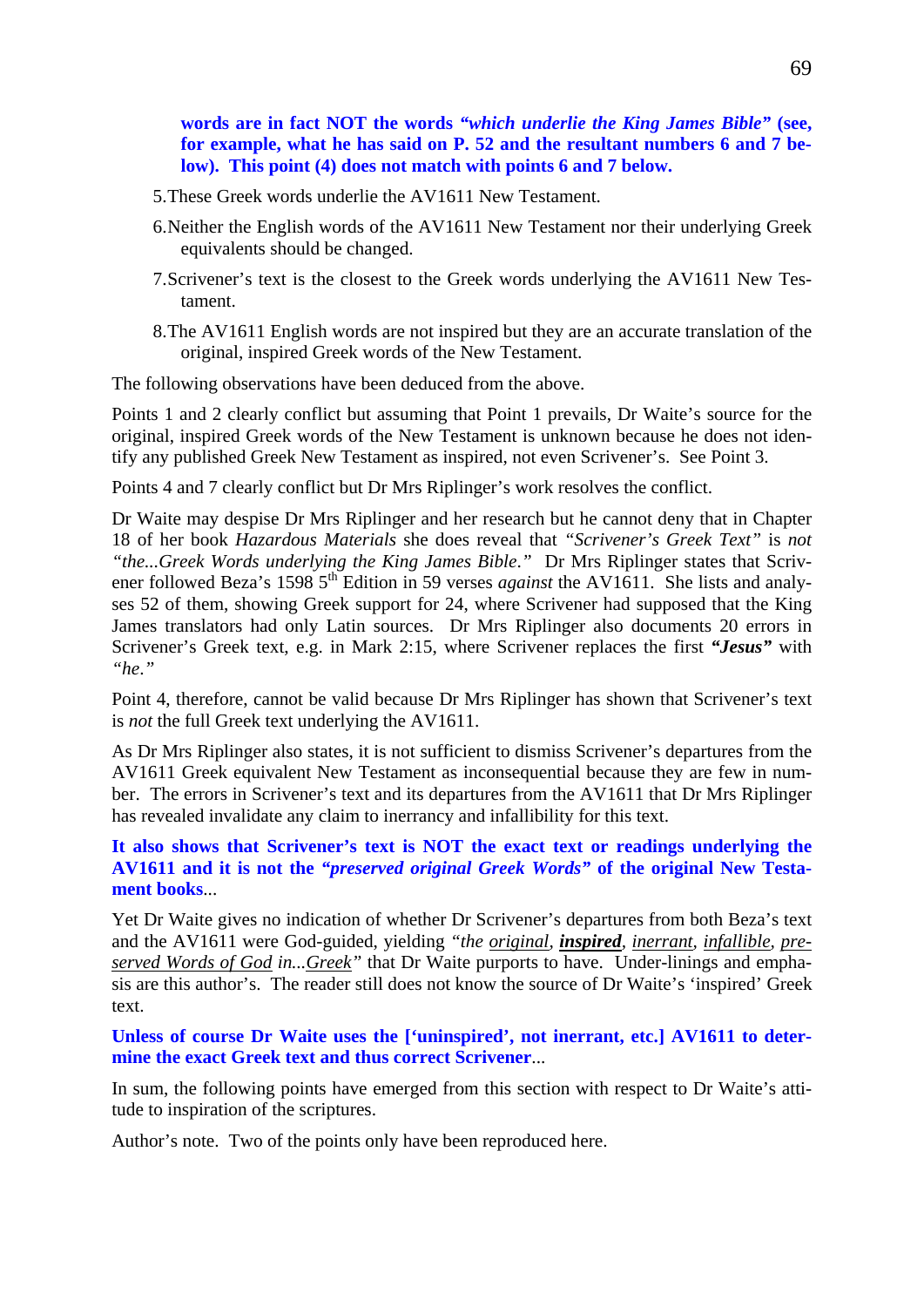**words are in fact NOT the words** *"which underlie the King James Bible"* **(see, for example, what he has said on P. 52 and the resultant numbers 6 and 7 below). This point (4) does not match with points 6 and 7 below.**

- 5.These Greek words underlie the AV1611 New Testament.
- 6.Neither the English words of the AV1611 New Testament nor their underlying Greek equivalents should be changed.
- 7.Scrivener's text is the closest to the Greek words underlying the AV1611 New Testament.
- 8.The AV1611 English words are not inspired but they are an accurate translation of the original, inspired Greek words of the New Testament.

The following observations have been deduced from the above.

Points 1 and 2 clearly conflict but assuming that Point 1 prevails, Dr Waite's source for the original, inspired Greek words of the New Testament is unknown because he does not identify any published Greek New Testament as inspired, not even Scrivener's. See Point 3.

Points 4 and 7 clearly conflict but Dr Mrs Riplinger's work resolves the conflict.

Dr Waite may despise Dr Mrs Riplinger and her research but he cannot deny that in Chapter 18 of her book *Hazardous Materials* she does reveal that *"Scrivener's Greek Text"* is *not "the...Greek Words underlying the King James Bible*.*"* Dr Mrs Riplinger states that Scrivener followed Beza's 1598 5<sup>th</sup> Edition in 59 verses *against* the AV1611. She lists and analyses 52 of them, showing Greek support for 24, where Scrivener had supposed that the King James translators had only Latin sources. Dr Mrs Riplinger also documents 20 errors in Scrivener's Greek text, e.g. in Mark 2:15, where Scrivener replaces the first *"Jesus"* with *"he*.*"*

Point 4, therefore, cannot be valid because Dr Mrs Riplinger has shown that Scrivener's text is *not* the full Greek text underlying the AV1611.

As Dr Mrs Riplinger also states, it is not sufficient to dismiss Scrivener's departures from the AV1611 Greek equivalent New Testament as inconsequential because they are few in number. The errors in Scrivener's text and its departures from the AV1611 that Dr Mrs Riplinger has revealed invalidate any claim to inerrancy and infallibility for this text.

**It also shows that Scrivener's text is NOT the exact text or readings underlying the AV1611 and it is not the** *"preserved original Greek Words"* **of the original New Testament books**...

Yet Dr Waite gives no indication of whether Dr Scrivener's departures from both Beza's text and the AV1611 were God-guided, yielding *"the original, inspired, inerrant, infallible, preserved Words of God in...Greek"* that Dr Waite purports to have. Under-linings and emphasis are this author's. The reader still does not know the source of Dr Waite's 'inspired' Greek text.

**Unless of course Dr Waite uses the ['uninspired', not inerrant, etc.] AV1611 to determine the exact Greek text and thus correct Scrivener**...

In sum, the following points have emerged from this section with respect to Dr Waite's attitude to inspiration of the scriptures.

Author's note. Two of the points only have been reproduced here.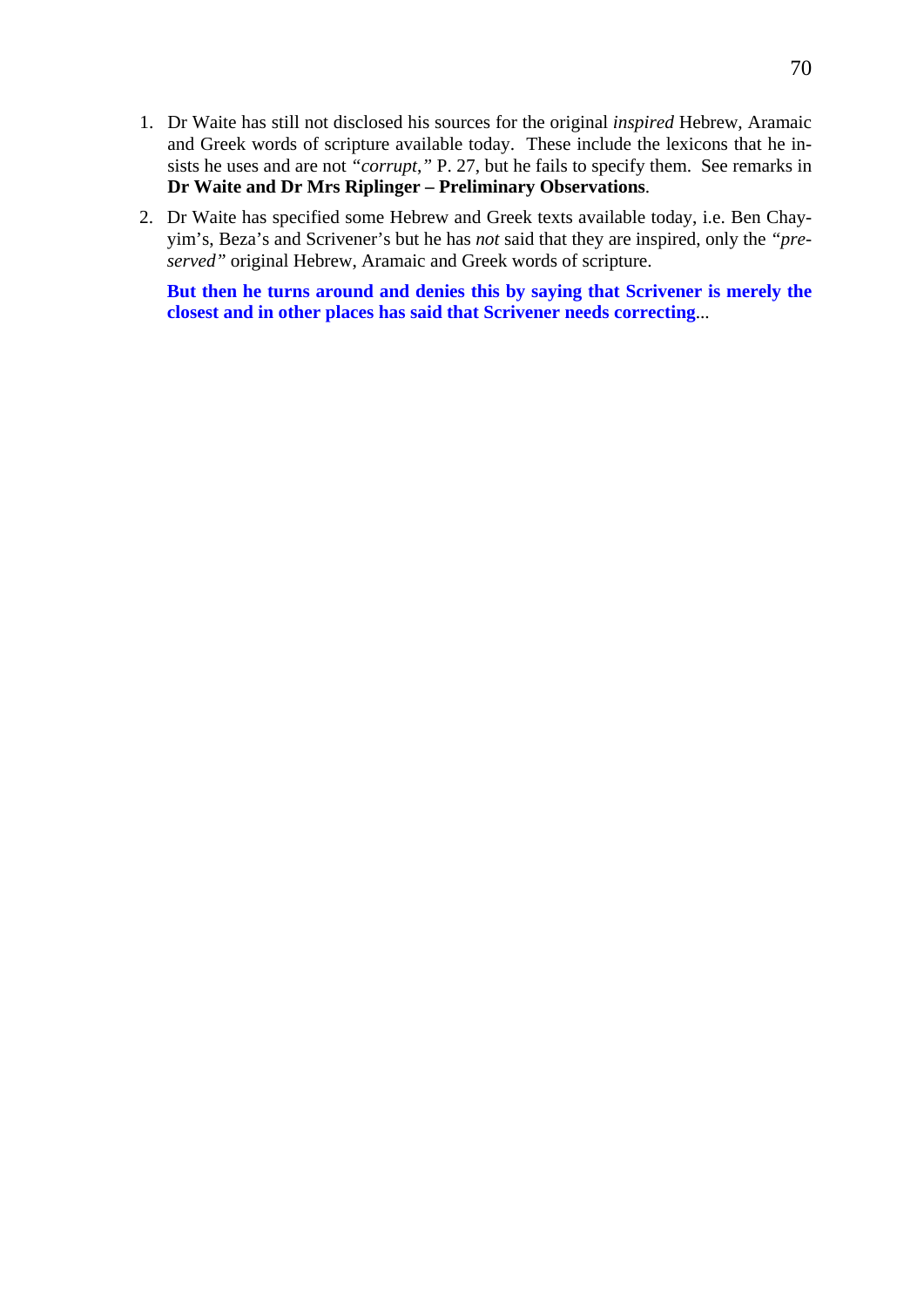- 1. Dr Waite has still not disclosed his sources for the original *inspired* Hebrew, Aramaic and Greek words of scripture available today. These include the lexicons that he insists he uses and are not *"corrupt*,*"* P. 27, but he fails to specify them. See remarks in **Dr Waite and Dr Mrs Riplinger – Preliminary Observations**.
- 2. Dr Waite has specified some Hebrew and Greek texts available today, i.e. Ben Chayyim's, Beza's and Scrivener's but he has *not* said that they are inspired, only the *"preserved"* original Hebrew, Aramaic and Greek words of scripture.

**But then he turns around and denies this by saying that Scrivener is merely the closest and in other places has said that Scrivener needs correcting**...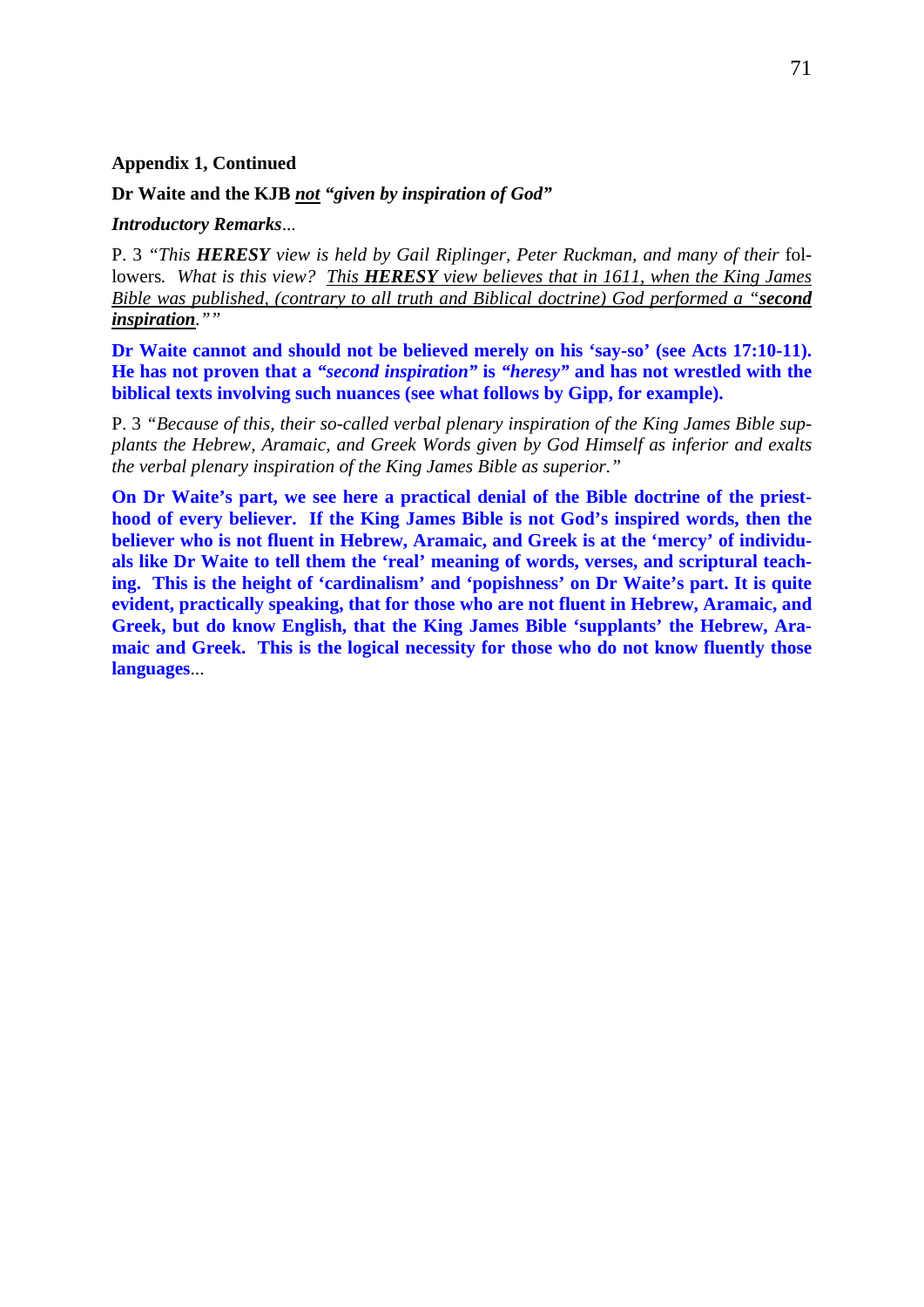#### **Appendix 1, Continued**

#### **Dr Waite and the KJB** *not "given by inspiration of God"*

*Introductory Remarks*...

P. 3 *"This HERESY view is held by Gail Riplinger, Peter Ruckman, and many of their* followers*. What is this view? This HERESY view believes that in 1611, when the King James Bible was published, (contrary to all truth and Biblical doctrine) God performed a "second inspiration.""* 

**Dr Waite cannot and should not be believed merely on his 'say-so' (see Acts 17:10-11). He has not proven that a** *"second inspiration"* **is** *"heresy"* **and has not wrestled with the biblical texts involving such nuances (see what follows by Gipp, for example).**

P. 3 *"Because of this, their so-called verbal plenary inspiration of the King James Bible supplants the Hebrew, Aramaic, and Greek Words given by God Himself as inferior and exalts the verbal plenary inspiration of the King James Bible as superior."* 

**On Dr Waite's part, we see here a practical denial of the Bible doctrine of the priesthood of every believer. If the King James Bible is not God's inspired words, then the believer who is not fluent in Hebrew, Aramaic, and Greek is at the 'mercy' of individuals like Dr Waite to tell them the 'real' meaning of words, verses, and scriptural teaching. This is the height of 'cardinalism' and 'popishness' on Dr Waite's part. It is quite evident, practically speaking, that for those who are not fluent in Hebrew, Aramaic, and Greek, but do know English, that the King James Bible 'supplants' the Hebrew, Aramaic and Greek. This is the logical necessity for those who do not know fluently those languages**...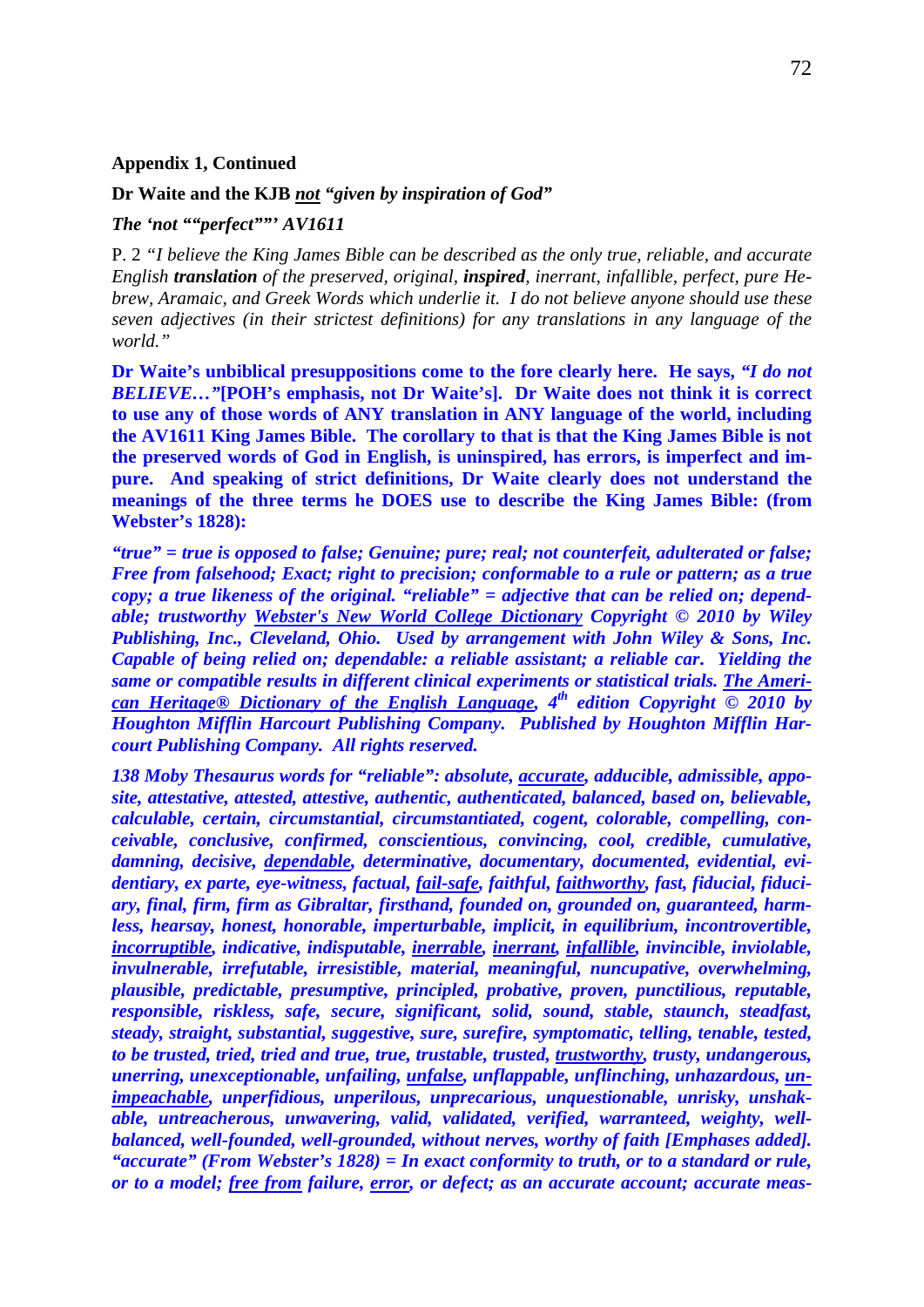#### **Appendix 1, Continued**

#### **Dr Waite and the KJB** *not "given by inspiration of God"*

*The 'not ""perfect""' AV1611* 

P. 2 *"I believe the King James Bible can be described as the only true, reliable, and accurate English translation of the preserved, original, inspired, inerrant, infallible, perfect, pure Hebrew, Aramaic, and Greek Words which underlie it. I do not believe anyone should use these seven adjectives (in their strictest definitions) for any translations in any language of the world."*

**Dr Waite's unbiblical presuppositions come to the fore clearly here. He says,** *"I do not BELIEVE…"***[POH's emphasis, not Dr Waite's]. Dr Waite does not think it is correct to use any of those words of ANY translation in ANY language of the world, including the AV1611 King James Bible. The corollary to that is that the King James Bible is not the preserved words of God in English, is uninspired, has errors, is imperfect and impure. And speaking of strict definitions, Dr Waite clearly does not understand the meanings of the three terms he DOES use to describe the King James Bible: (from Webster's 1828):** 

*"true" = true is opposed to false; Genuine; pure; real; not counterfeit, adulterated or false; Free from falsehood; Exact; right to precision; conformable to a rule or pattern; as a true copy; a true likeness of the original. "reliable" = adjective that can be relied on; dependable; trustworthy [Webster's New World College Dictionary](http://www.yourdictionary.com/dictionary-definitions/) Copyright © 2010 by Wiley Publishing, Inc., Cleveland, Ohio. Used by arrangement with John Wiley & Sons, Inc. Capable of being relied on; dependable: a reliable assistant; a reliable car***.** *Yielding the same or compatible results in different clinical experiments or statistical trials. [The Ameri](http://www.yourdictionary.com/dictionary-definitions/)[can Heritage® Dictionary of the English Language](http://www.yourdictionary.com/dictionary-definitions/), 4th edition Copyright © 2010 by Houghton Mifflin Harcourt Publishing Company. Published by Houghton Mifflin Harcourt Publishing Company. All rights reserved.* 

*138 Moby Thesaurus words for "reliable": absolute, accurate, adducible, admissible, apposite, attestative, attested, attestive, authentic, authenticated, balanced, based on, believable, calculable, certain, circumstantial, circumstantiated, cogent, colorable, compelling, conceivable, conclusive, confirmed, conscientious, convincing, cool, credible, cumulative, damning, decisive, dependable, determinative, documentary, documented, evidential, evidentiary, ex parte, eye-witness, factual, fail-safe, faithful, faithworthy, fast, fiducial, fiduciary, final, firm, firm as Gibraltar, firsthand, founded on, grounded on, guaranteed, harmless, hearsay, honest, honorable, imperturbable, implicit, in equilibrium, incontrovertible, incorruptible, indicative, indisputable, inerrable, inerrant, infallible, invincible, inviolable, invulnerable, irrefutable, irresistible, material, meaningful, nuncupative, overwhelming, plausible, predictable, presumptive, principled, probative, proven, punctilious, reputable, responsible, riskless, safe, secure, significant, solid, sound, stable, staunch, steadfast, steady, straight, substantial, suggestive, sure, surefire, symptomatic, telling, tenable, tested, to be trusted, tried, tried and true, true, trustable, trusted, trustworthy, trusty, undangerous, unerring, unexceptionable, unfailing, unfalse, unflappable, unflinching, unhazardous, unimpeachable, unperfidious, unperilous, unprecarious, unquestionable, unrisky, unshakable, untreacherous, unwavering, valid, validated, verified, warranteed, weighty, wellbalanced, well-founded, well-grounded, without nerves, worthy of faith [Emphases added]. "accurate" (From Webster's 1828) = In exact conformity to truth, or to a standard or rule, or to a model; free from failure, error, or defect; as an accurate account; accurate meas-*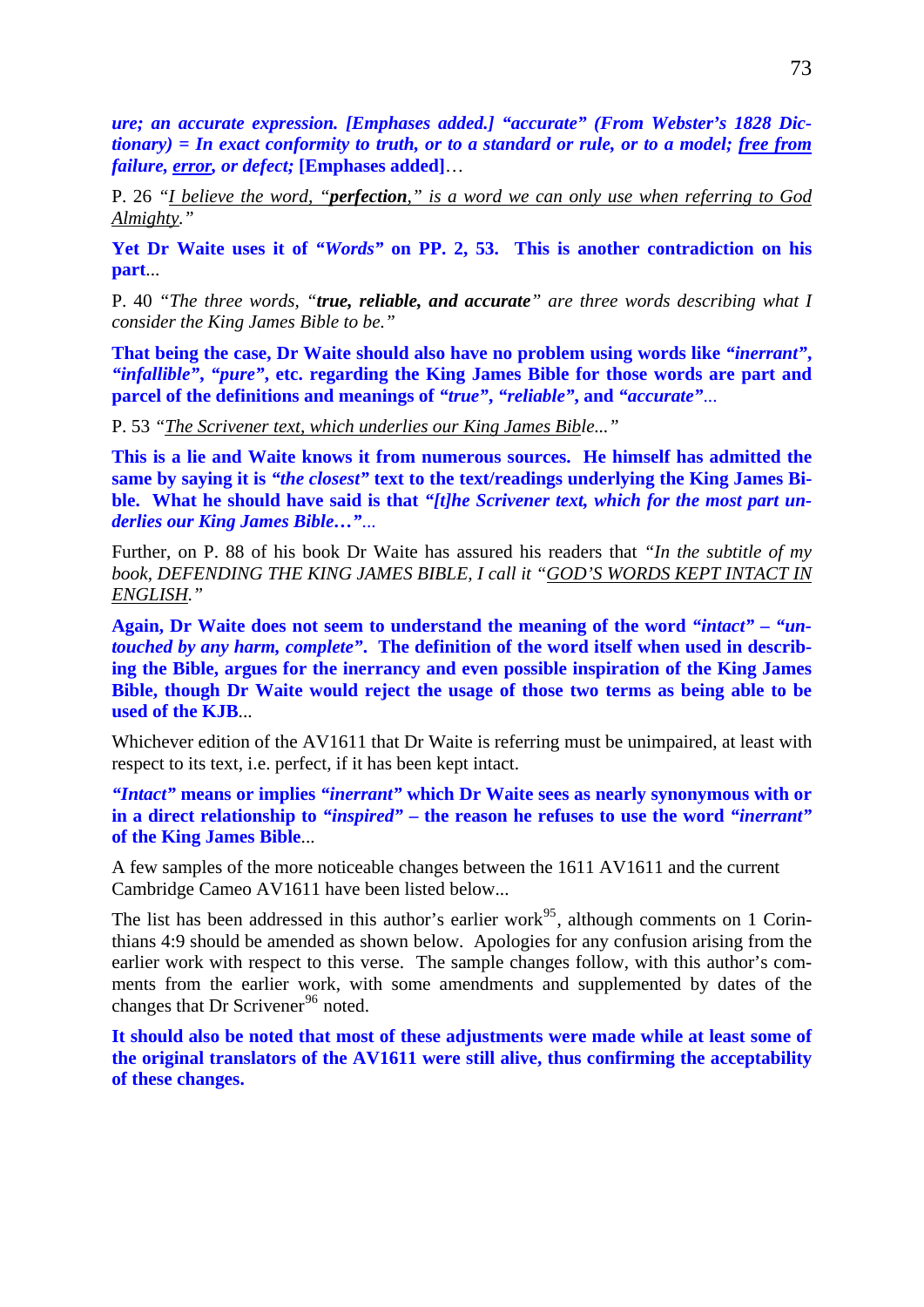*ure; an accurate expression. [Emphases added.] "accurate" (From Webster's 1828 Dictionary) = In exact conformity to truth, or to a standard or rule, or to a model; free from failure, error, or defect;* **[Emphases added]**…

P. 26 *"I believe the word, "perfection," is a word we can only use when referring to God Almighty."* 

**Yet Dr Waite uses it of** *"Words"* **on PP. 2, 53. This is another contradiction on his part**...

P. 40 *"The three words, "true, reliable, and accurate" are three words describing what I consider the King James Bible to be."* 

**That being the case, Dr Waite should also have no problem using words like** *"inerrant"***,** *"infallible"***,** *"pure"***, etc. regarding the King James Bible for those words are part and parcel of the definitions and meanings of** *"true"***,** *"reliable"***, and** *"accurate"*...

P. 53 *"The Scrivener text, which underlies our King James Bible..."* 

**This is a lie and Waite knows it from numerous sources. He himself has admitted the same by saying it is** *"the closest"* **text to the text/readings underlying the King James Bible. What he should have said is that** *"[t]he Scrivener text, which for the most part underlies our King James Bible…"*...

Further, on P. 88 of his book Dr Waite has assured his readers that *"In the subtitle of my*  book, DEFENDING THE KING JAMES BIBLE, I call it "GOD'S WORDS KEPT INTACT IN *ENGLISH."*

**Again, Dr Waite does not seem to understand the meaning of the word** *"intact"* **–** *"untouched by any harm, complete"***. The definition of the word itself when used in describing the Bible, argues for the inerrancy and even possible inspiration of the King James Bible, though Dr Waite would reject the usage of those two terms as being able to be used of the KJB**...

Whichever edition of the AV1611 that Dr Waite is referring must be unimpaired, at least with respect to its text, i.e. perfect, if it has been kept intact.

*"Intact"* **means or implies** *"inerrant"* **which Dr Waite sees as nearly synonymous with or in a direct relationship to** *"inspired"* **– the reason he refuses to use the word** *"inerrant"* **of the King James Bible**...

A few samples of the more noticeable changes between the 1611 AV1611 and the current Cambridge Cameo AV1611 have been listed below...

The list has been addressed in this author's earlier work<sup>[95](#page-93-0)</sup>, although comments on 1 Corinthians 4:9 should be amended as shown below. Apologies for any confusion arising from the earlier work with respect to this verse. The sample changes follow, with this author's comments from the earlier work, with some amendments and supplemented by dates of the changes that Dr Scrivener<sup>[96](#page-93-0)</sup> noted.

**It should also be noted that most of these adjustments were made while at least some of the original translators of the AV1611 were still alive, thus confirming the acceptability of these changes.**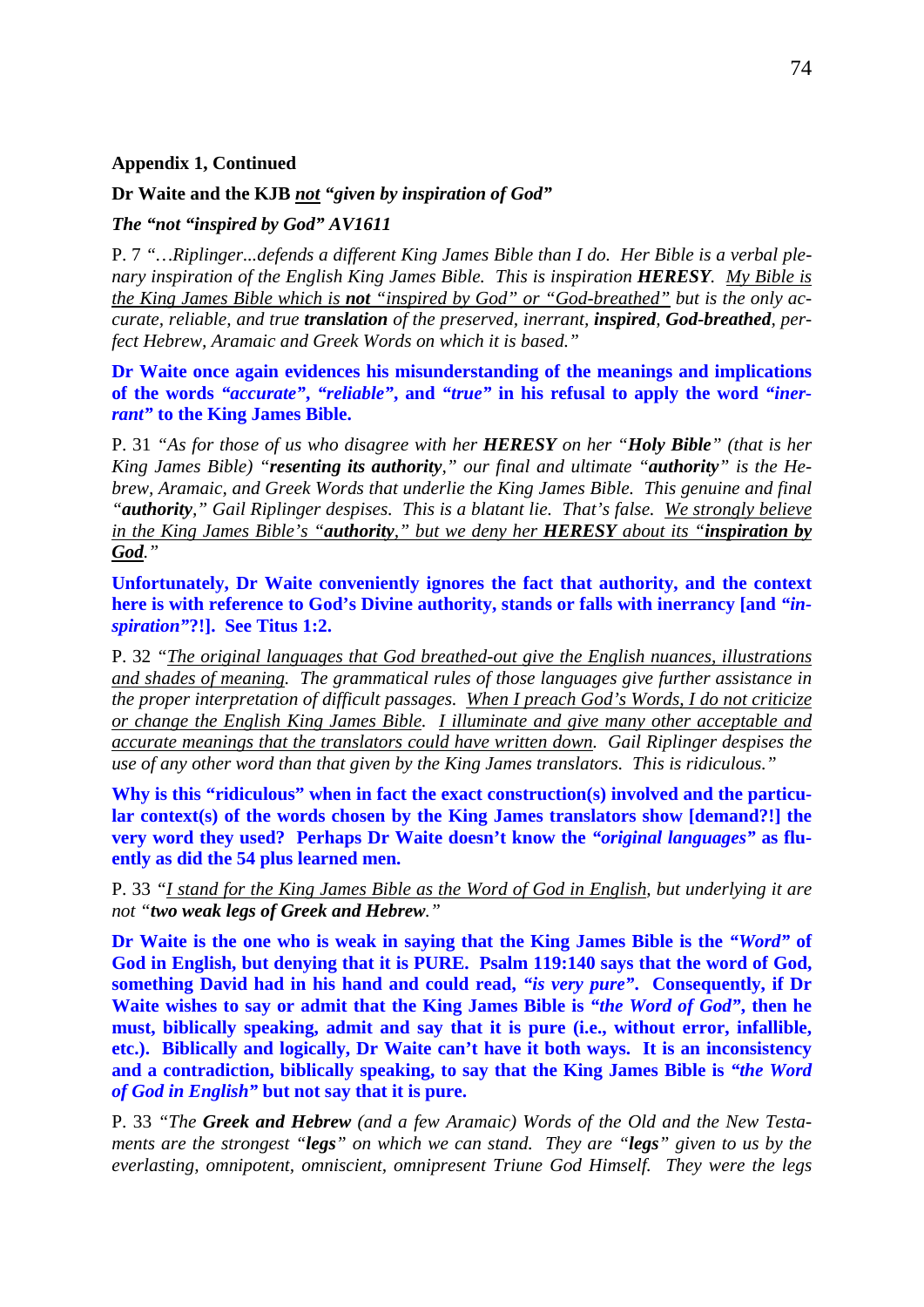## **Appendix 1, Continued**

# **Dr Waite and the KJB** *not "given by inspiration of God"*

# *The "not "inspired by God" AV1611*

P. 7 *"…Riplinger...defends a different King James Bible than I do. Her Bible is a verbal plenary inspiration of the English King James Bible. This is inspiration HERESY. My Bible is the King James Bible which is not "inspired by God" or "God-breathed" but is the only accurate, reliable, and true translation of the preserved, inerrant, inspired, God-breathed, perfect Hebrew, Aramaic and Greek Words on which it is based."* 

**Dr Waite once again evidences his misunderstanding of the meanings and implications of the words** *"accurate"***,** *"reliable"***, and** *"true"* **in his refusal to apply the word** *"inerrant"* **to the King James Bible.**

P. 31 *"As for those of us who disagree with her HERESY on her "Holy Bible" (that is her King James Bible) "resenting its authority," our final and ultimate "authority" is the Hebrew, Aramaic, and Greek Words that underlie the King James Bible. This genuine and final "authority," Gail Riplinger despises. This is a blatant lie. That's false. We strongly believe in the King James Bible's "authority," but we deny her HERESY about its "inspiration by God."* 

**Unfortunately, Dr Waite conveniently ignores the fact that authority, and the context here is with reference to God's Divine authority, stands or falls with inerrancy [and** *"inspiration"***?!]. See Titus 1:2.** 

P. 32 *"The original languages that God breathed-out give the English nuances, illustrations and shades of meaning. The grammatical rules of those languages give further assistance in the proper interpretation of difficult passages. When I preach God's Words, I do not criticize or change the English King James Bible. I illuminate and give many other acceptable and accurate meanings that the translators could have written down. Gail Riplinger despises the use of any other word than that given by the King James translators. This is ridiculous."* 

**Why is this "ridiculous" when in fact the exact construction(s) involved and the particular context(s) of the words chosen by the King James translators show [demand?!] the very word they used? Perhaps Dr Waite doesn't know the** *"original languages"* **as fluently as did the 54 plus learned men.**

P. 33 *"I stand for the King James Bible as the Word of God in English, but underlying it are not "two weak legs of Greek and Hebrew."* 

**Dr Waite is the one who is weak in saying that the King James Bible is the** *"Word"* **of God in English, but denying that it is PURE. Psalm 119:140 says that the word of God, something David had in his hand and could read,** *"is very pure"***. Consequently, if Dr Waite wishes to say or admit that the King James Bible is** *"the Word of God"***, then he must, biblically speaking, admit and say that it is pure (i.e., without error, infallible, etc.). Biblically and logically, Dr Waite can't have it both ways. It is an inconsistency and a contradiction, biblically speaking, to say that the King James Bible is** *"the Word of God in English"* **but not say that it is pure.**

P. 33 *"The Greek and Hebrew (and a few Aramaic) Words of the Old and the New Testaments are the strongest "legs" on which we can stand. They are "legs" given to us by the everlasting, omnipotent, omniscient, omnipresent Triune God Himself. They were the legs*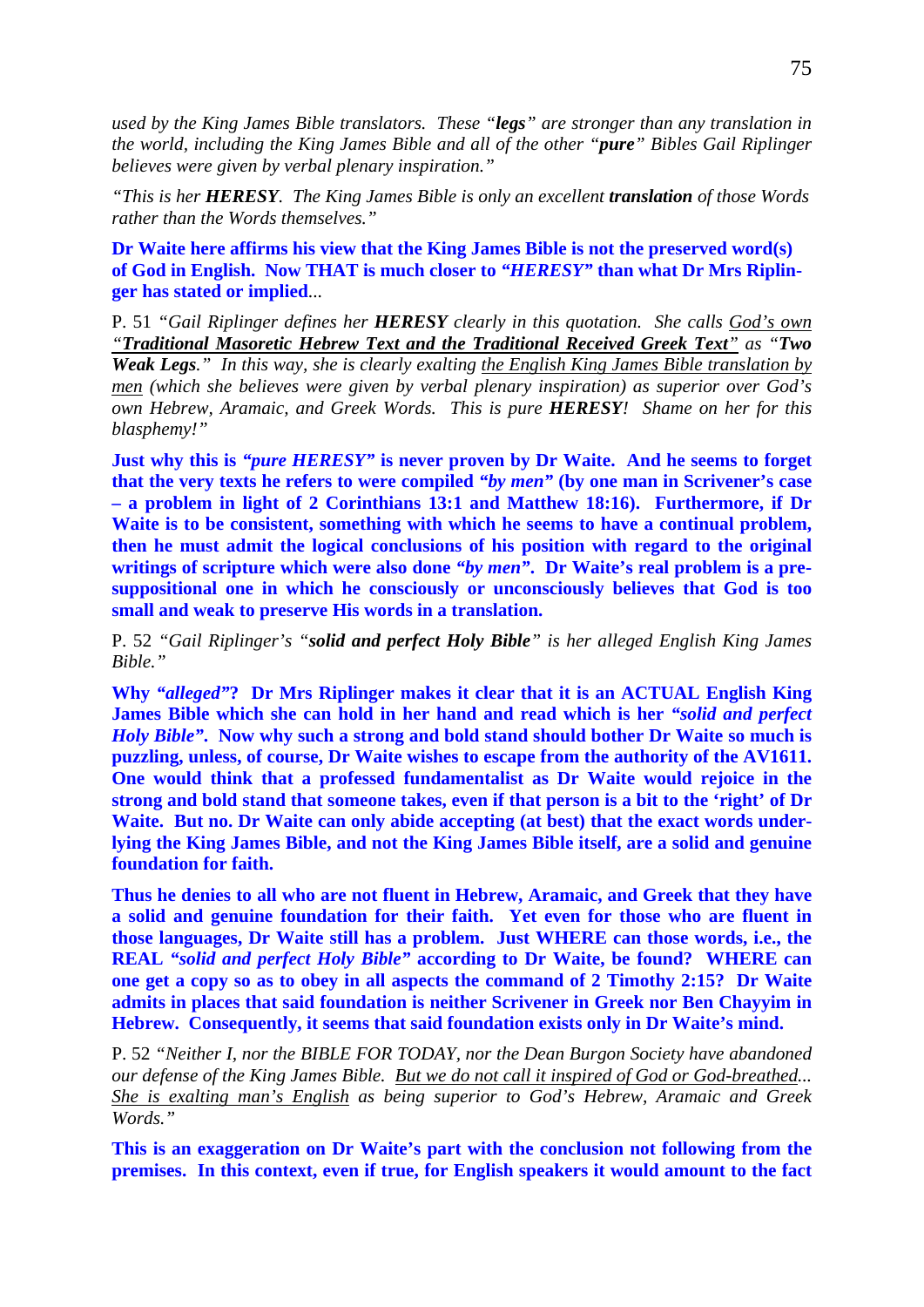*used by the King James Bible translators. These "legs" are stronger than any translation in the world, including the King James Bible and all of the other "pure" Bibles Gail Riplinger believes were given by verbal plenary inspiration."* 

*"This is her HERESY. The King James Bible is only an excellent translation of those Words rather than the Words themselves."* 

**Dr Waite here affirms his view that the King James Bible is not the preserved word(s) of God in English. Now THAT is much closer to** *"HERESY"* **than what Dr Mrs Riplinger has stated or implied**...

P. 51 *"Gail Riplinger defines her HERESY clearly in this quotation. She calls God's own "Traditional Masoretic Hebrew Text and the Traditional Received Greek Text" as "Two Weak Legs." In this way, she is clearly exalting the English King James Bible translation by men (which she believes were given by verbal plenary inspiration) as superior over God's own Hebrew, Aramaic, and Greek Words. This is pure HERESY! Shame on her for this blasphemy!"* 

**Just why this is** *"pure HERESY"* **is never proven by Dr Waite. And he seems to forget that the very texts he refers to were compiled** *"by men"* **(by one man in Scrivener's case – a problem in light of 2 Corinthians 13:1 and Matthew 18:16). Furthermore, if Dr Waite is to be consistent, something with which he seems to have a continual problem, then he must admit the logical conclusions of his position with regard to the original writings of scripture which were also done** *"by men"***. Dr Waite's real problem is a presuppositional one in which he consciously or unconsciously believes that God is too small and weak to preserve His words in a translation.**

P. 52 *"Gail Riplinger's "solid and perfect Holy Bible" is her alleged English King James Bible."* 

**Why** *"alleged"***? Dr Mrs Riplinger makes it clear that it is an ACTUAL English King James Bible which she can hold in her hand and read which is her** *"solid and perfect Holy Bible"***. Now why such a strong and bold stand should bother Dr Waite so much is puzzling, unless, of course, Dr Waite wishes to escape from the authority of the AV1611. One would think that a professed fundamentalist as Dr Waite would rejoice in the strong and bold stand that someone takes, even if that person is a bit to the 'right' of Dr Waite. But no. Dr Waite can only abide accepting (at best) that the exact words underlying the King James Bible, and not the King James Bible itself, are a solid and genuine foundation for faith.** 

**Thus he denies to all who are not fluent in Hebrew, Aramaic, and Greek that they have a solid and genuine foundation for their faith. Yet even for those who are fluent in those languages, Dr Waite still has a problem. Just WHERE can those words, i.e., the REAL** *"solid and perfect Holy Bible"* **according to Dr Waite, be found? WHERE can one get a copy so as to obey in all aspects the command of 2 Timothy 2:15? Dr Waite admits in places that said foundation is neither Scrivener in Greek nor Ben Chayyim in Hebrew. Consequently, it seems that said foundation exists only in Dr Waite's mind.** 

P. 52 *"Neither I, nor the BIBLE FOR TODAY, nor the Dean Burgon Society have abandoned our defense of the King James Bible. But we do not call it inspired of God or God-breathed... She is exalting man's English as being superior to God's Hebrew, Aramaic and Greek Words."* 

**This is an exaggeration on Dr Waite's part with the conclusion not following from the premises. In this context, even if true, for English speakers it would amount to the fact**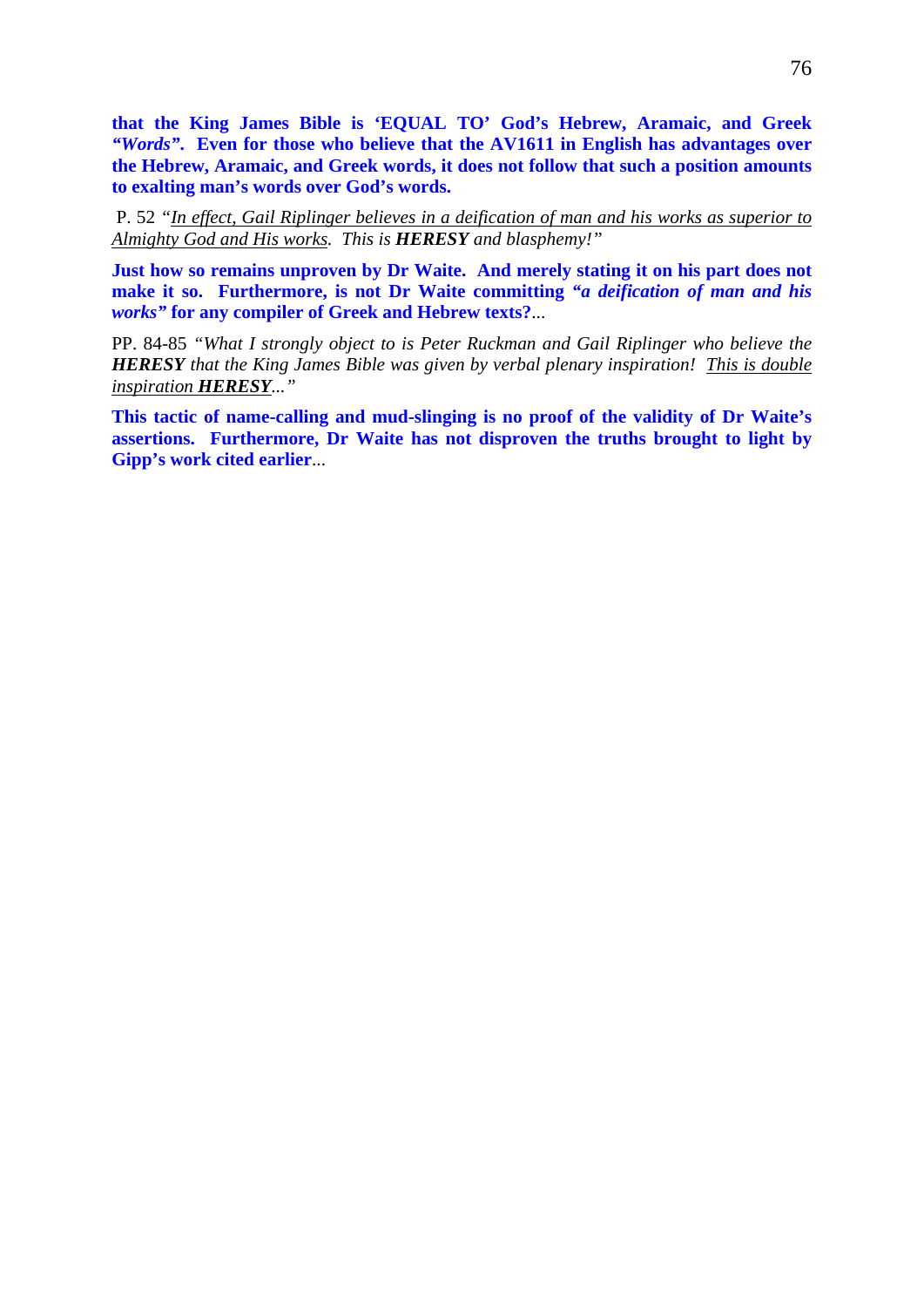**that the King James Bible is 'EQUAL TO' God's Hebrew, Aramaic, and Greek**  *"Words"***. Even for those who believe that the AV1611 in English has advantages over the Hebrew, Aramaic, and Greek words, it does not follow that such a position amounts to exalting man's words over God's words.**

 P. 52 *"In effect, Gail Riplinger believes in a deification of man and his works as superior to Almighty God and His works. This is HERESY and blasphemy!"* 

**Just how so remains unproven by Dr Waite. And merely stating it on his part does not make it so. Furthermore, is not Dr Waite committing** *"a deification of man and his works"* **for any compiler of Greek and Hebrew texts?**...

PP. 84-85 *"What I strongly object to is Peter Ruckman and Gail Riplinger who believe the HERESY that the King James Bible was given by verbal plenary inspiration! This is double inspiration HERESY..."* 

**This tactic of name-calling and mud-slinging is no proof of the validity of Dr Waite's assertions. Furthermore, Dr Waite has not disproven the truths brought to light by Gipp's work cited earlier**...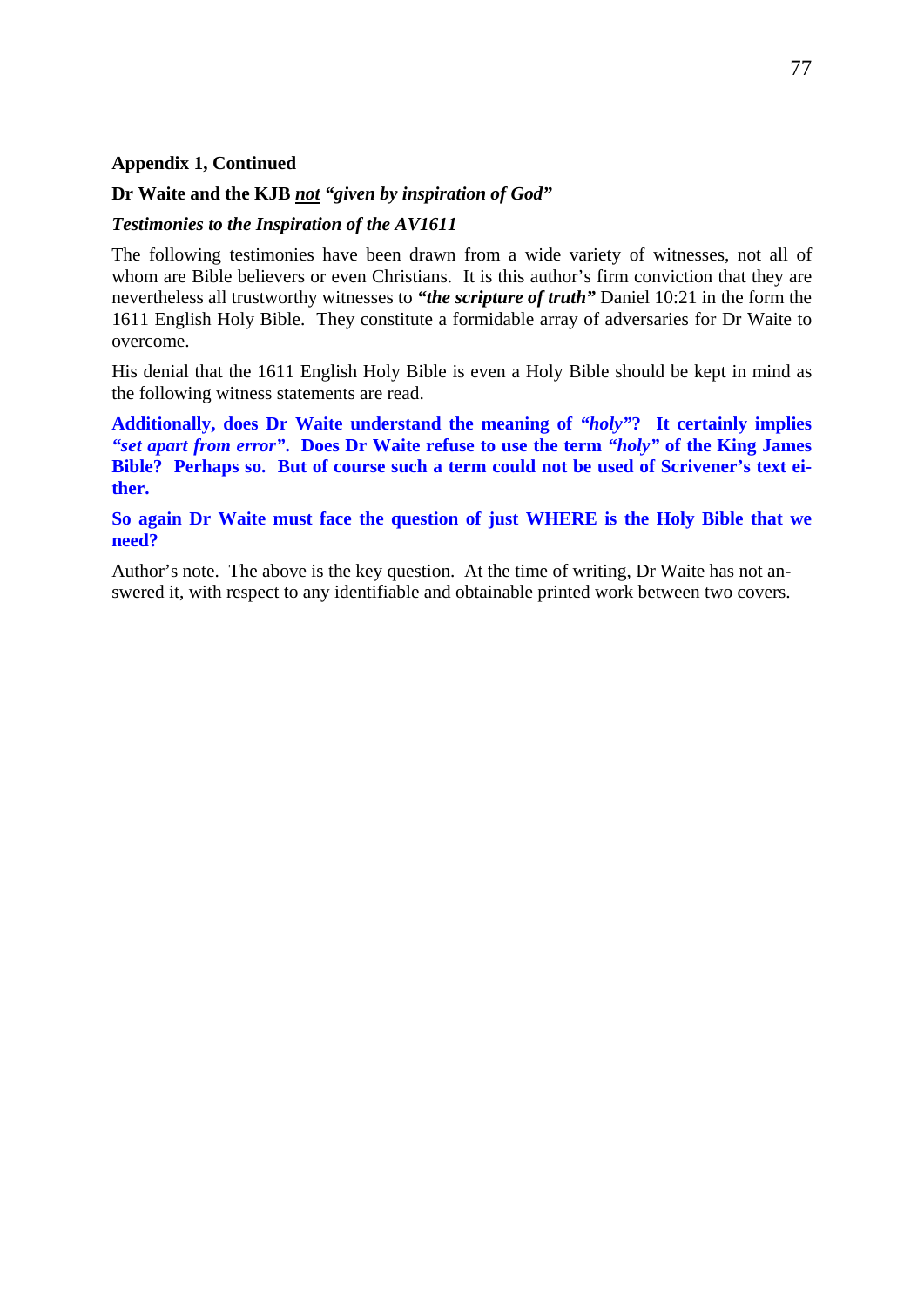## **Appendix 1, Continued**

## **Dr Waite and the KJB** *not "given by inspiration of God"*

#### *Testimonies to the Inspiration of the AV1611*

The following testimonies have been drawn from a wide variety of witnesses, not all of whom are Bible believers or even Christians. It is this author's firm conviction that they are nevertheless all trustworthy witnesses to *"the scripture of truth"* Daniel 10:21 in the form the 1611 English Holy Bible. They constitute a formidable array of adversaries for Dr Waite to overcome.

His denial that the 1611 English Holy Bible is even a Holy Bible should be kept in mind as the following witness statements are read.

**Additionally, does Dr Waite understand the meaning of** *"holy"***? It certainly implies**  *"set apart from error"***. Does Dr Waite refuse to use the term** *"holy"* **of the King James Bible? Perhaps so. But of course such a term could not be used of Scrivener's text either.** 

**So again Dr Waite must face the question of just WHERE is the Holy Bible that we need?**

Author's note. The above is the key question. At the time of writing, Dr Waite has not answered it, with respect to any identifiable and obtainable printed work between two covers.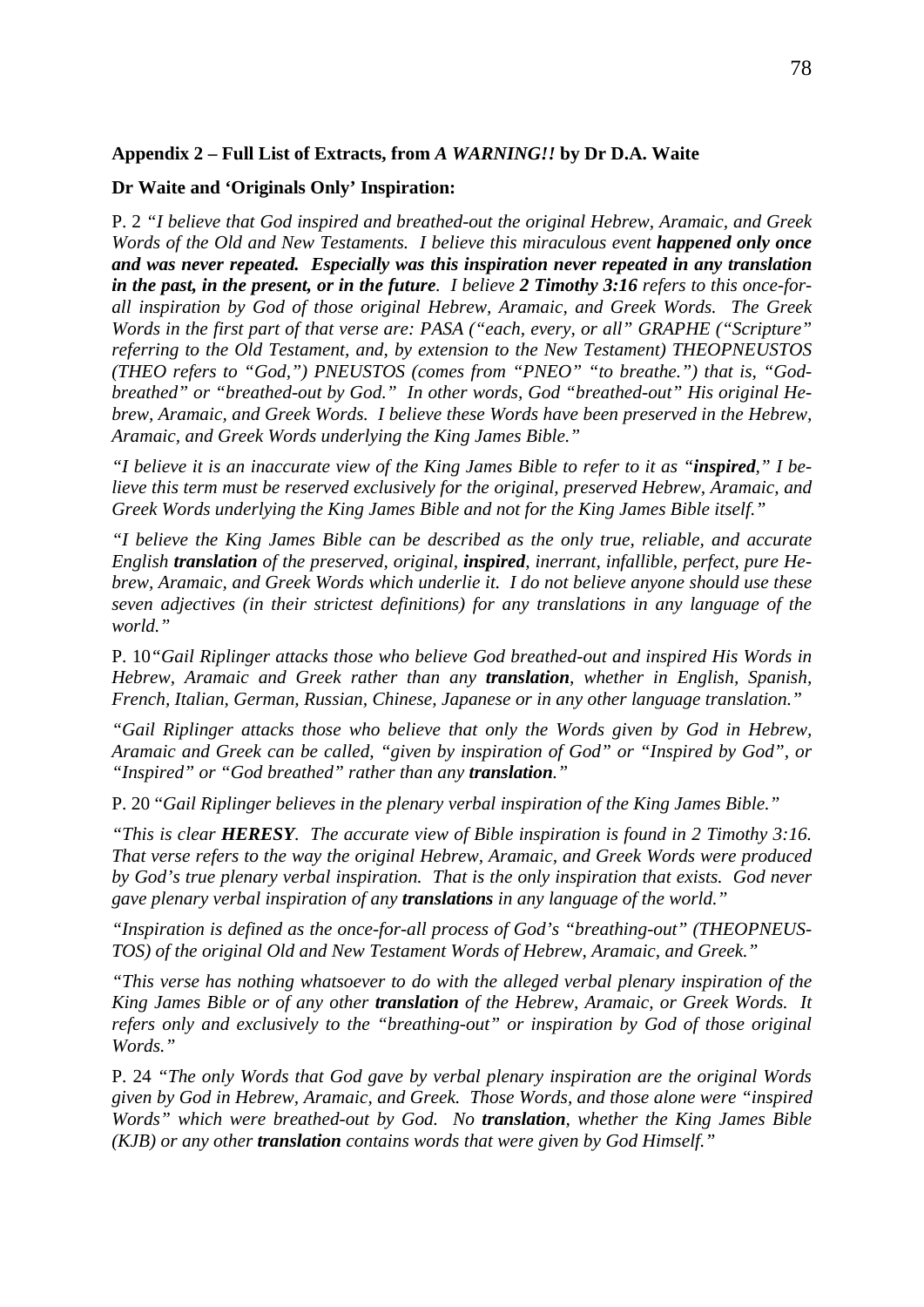## **Appendix 2 – Full List of Extracts, from** *A WARNING!!* **by Dr D.A. Waite**

#### **Dr Waite and 'Originals Only' Inspiration:**

P. 2 *"I believe that God inspired and breathed-out the original Hebrew, Aramaic, and Greek Words of the Old and New Testaments. I believe this miraculous event <i>happened only once and was never repeated. Especially was this inspiration never repeated in any translation in the past, in the present, or in the future. I believe 2 Timothy 3:16 refers to this once-forall inspiration by God of those original Hebrew, Aramaic, and Greek Words. The Greek Words in the first part of that verse are: PASA ("each, every, or all" GRAPHE ("Scripture" referring to the Old Testament, and, by extension to the New Testament) THEOPNEUSTOS (THEO refers to "God,") PNEUSTOS (comes from "PNEO" "to breathe.") that is, "Godbreathed" or "breathed-out by God." In other words, God "breathed-out" His original Hebrew, Aramaic, and Greek Words. I believe these Words have been preserved in the Hebrew, Aramaic, and Greek Words underlying the King James Bible."*

*"I believe it is an inaccurate view of the King James Bible to refer to it as "inspired," I believe this term must be reserved exclusively for the original, preserved Hebrew, Aramaic, and Greek Words underlying the King James Bible and not for the King James Bible itself."*

*"I believe the King James Bible can be described as the only true, reliable, and accurate English translation of the preserved, original, inspired, inerrant, infallible, perfect, pure Hebrew, Aramaic, and Greek Words which underlie it. I do not believe anyone should use these seven adjectives (in their strictest definitions) for any translations in any language of the world."* 

P. 10*"Gail Riplinger attacks those who believe God breathed-out and inspired His Words in Hebrew, Aramaic and Greek rather than any translation, whether in English, Spanish, French, Italian, German, Russian, Chinese, Japanese or in any other language translation."* 

*"Gail Riplinger attacks those who believe that only the Words given by God in Hebrew, Aramaic and Greek can be called, "given by inspiration of God" or "Inspired by God", or "Inspired" or "God breathed" rather than any translation."* 

P. 20 "*Gail Riplinger believes in the plenary verbal inspiration of the King James Bible."*

*"This is clear HERESY. The accurate view of Bible inspiration is found in 2 Timothy 3:16. That verse refers to the way the original Hebrew, Aramaic, and Greek Words were produced by God's true plenary verbal inspiration. That is the only inspiration that exists. God never gave plenary verbal inspiration of any translations in any language of the world."* 

*"Inspiration is defined as the once-for-all process of God's "breathing-out" (THEOPNEUS-TOS) of the original Old and New Testament Words of Hebrew, Aramaic, and Greek."* 

*"This verse has nothing whatsoever to do with the alleged verbal plenary inspiration of the King James Bible or of any other translation of the Hebrew, Aramaic, or Greek Words. It refers only and exclusively to the "breathing-out" or inspiration by God of those original Words."*

P. 24 *"The only Words that God gave by verbal plenary inspiration are the original Words given by God in Hebrew, Aramaic, and Greek. Those Words, and those alone were "inspired Words" which were breathed-out by God. No translation, whether the King James Bible (KJB) or any other translation contains words that were given by God Himself."*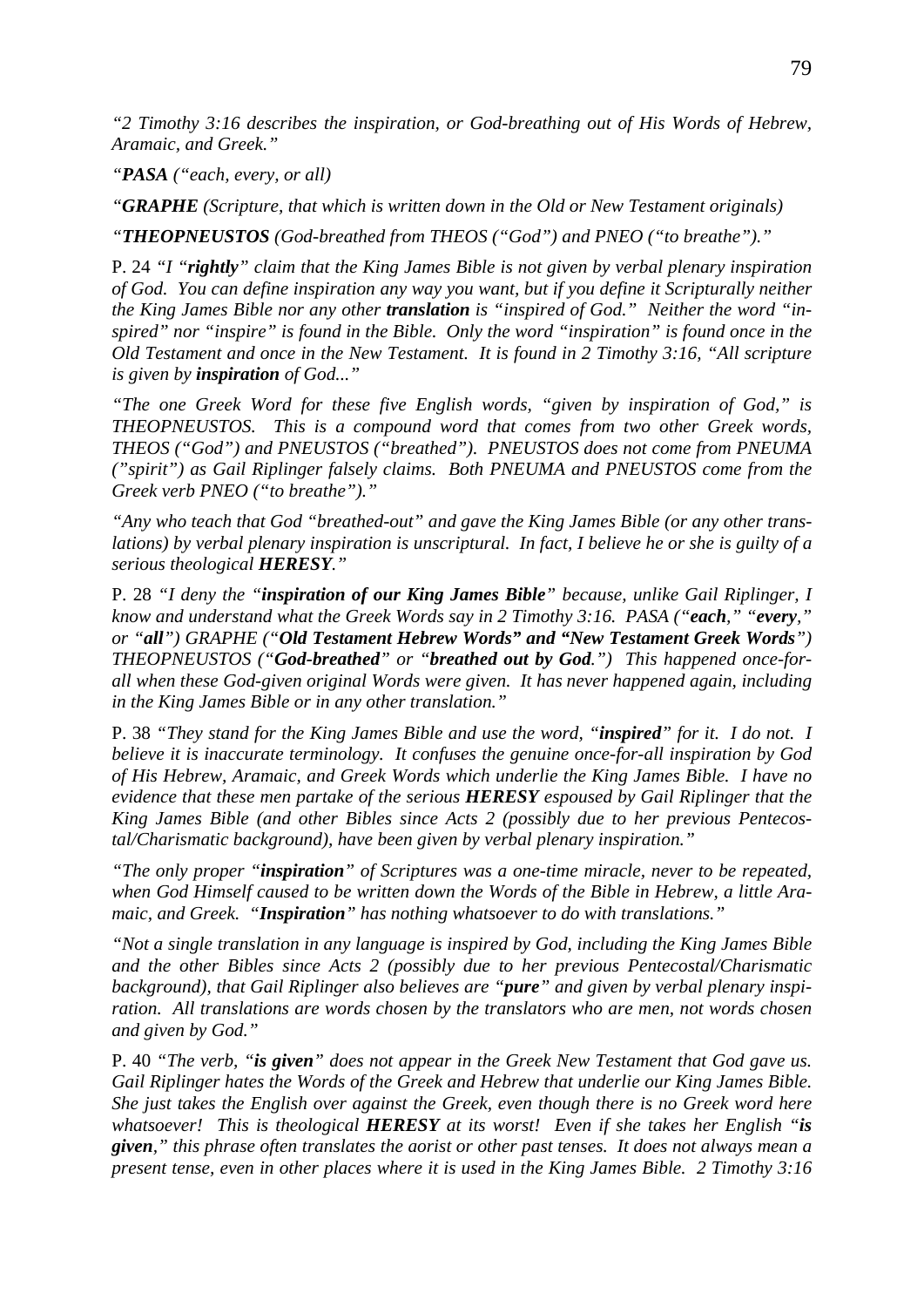*"2 Timothy 3:16 describes the inspiration, or God-breathing out of His Words of Hebrew, Aramaic, and Greek."* 

*"PASA ("each, every, or all)* 

*"GRAPHE (Scripture, that which is written down in the Old or New Testament originals)* 

*"THEOPNEUSTOS (God-breathed from THEOS ("God") and PNEO ("to breathe")."* 

P. 24 *"I "rightly" claim that the King James Bible is not given by verbal plenary inspiration of God. You can define inspiration any way you want, but if you define it Scripturally neither the King James Bible nor any other translation is "inspired of God." Neither the word "inspired" nor "inspire" is found in the Bible. Only the word "inspiration" is found once in the Old Testament and once in the New Testament. It is found in 2 Timothy 3:16, "All scripture is given by inspiration of God..."* 

*"The one Greek Word for these five English words, "given by inspiration of God," is THEOPNEUSTOS. This is a compound word that comes from two other Greek words, THEOS ("God") and PNEUSTOS ("breathed"). PNEUSTOS does not come from PNEUMA ("spirit") as Gail Riplinger falsely claims. Both PNEUMA and PNEUSTOS come from the Greek verb PNEO ("to breathe")."* 

*"Any who teach that God "breathed-out" and gave the King James Bible (or any other translations) by verbal plenary inspiration is unscriptural. In fact, I believe he or she is guilty of a serious theological HERESY."* 

P. 28 *"I deny the "inspiration of our King James Bible" because, unlike Gail Riplinger, I know and understand what the Greek Words say in 2 Timothy 3:16. PASA ("each," "every," or "all") GRAPHE ("Old Testament Hebrew Words" and "New Testament Greek Words") THEOPNEUSTOS ("God-breathed" or "breathed out by God.") This happened once-forall when these God-given original Words were given. It has never happened again, including in the King James Bible or in any other translation."*

P. 38 *"They stand for the King James Bible and use the word, "inspired" for it. I do not. I believe it is inaccurate terminology. It confuses the genuine once-for-all inspiration by God of His Hebrew, Aramaic, and Greek Words which underlie the King James Bible. I have no evidence that these men partake of the serious HERESY espoused by Gail Riplinger that the King James Bible (and other Bibles since Acts 2 (possibly due to her previous Pentecostal/Charismatic background), have been given by verbal plenary inspiration."*

*"The only proper "inspiration" of Scriptures was a one-time miracle, never to be repeated, when God Himself caused to be written down the Words of the Bible in Hebrew, a little Aramaic, and Greek. "Inspiration" has nothing whatsoever to do with translations."* 

*"Not a single translation in any language is inspired by God, including the King James Bible and the other Bibles since Acts 2 (possibly due to her previous Pentecostal/Charismatic background), that Gail Riplinger also believes are "pure" and given by verbal plenary inspiration. All translations are words chosen by the translators who are men, not words chosen and given by God."* 

P. 40 *"The verb, "is given" does not appear in the Greek New Testament that God gave us. Gail Riplinger hates the Words of the Greek and Hebrew that underlie our King James Bible. She just takes the English over against the Greek, even though there is no Greek word here whatsoever! This is theological HERESY at its worst! Even if she takes her English "is given," this phrase often translates the aorist or other past tenses. It does not always mean a present tense, even in other places where it is used in the King James Bible. 2 Timothy 3:16*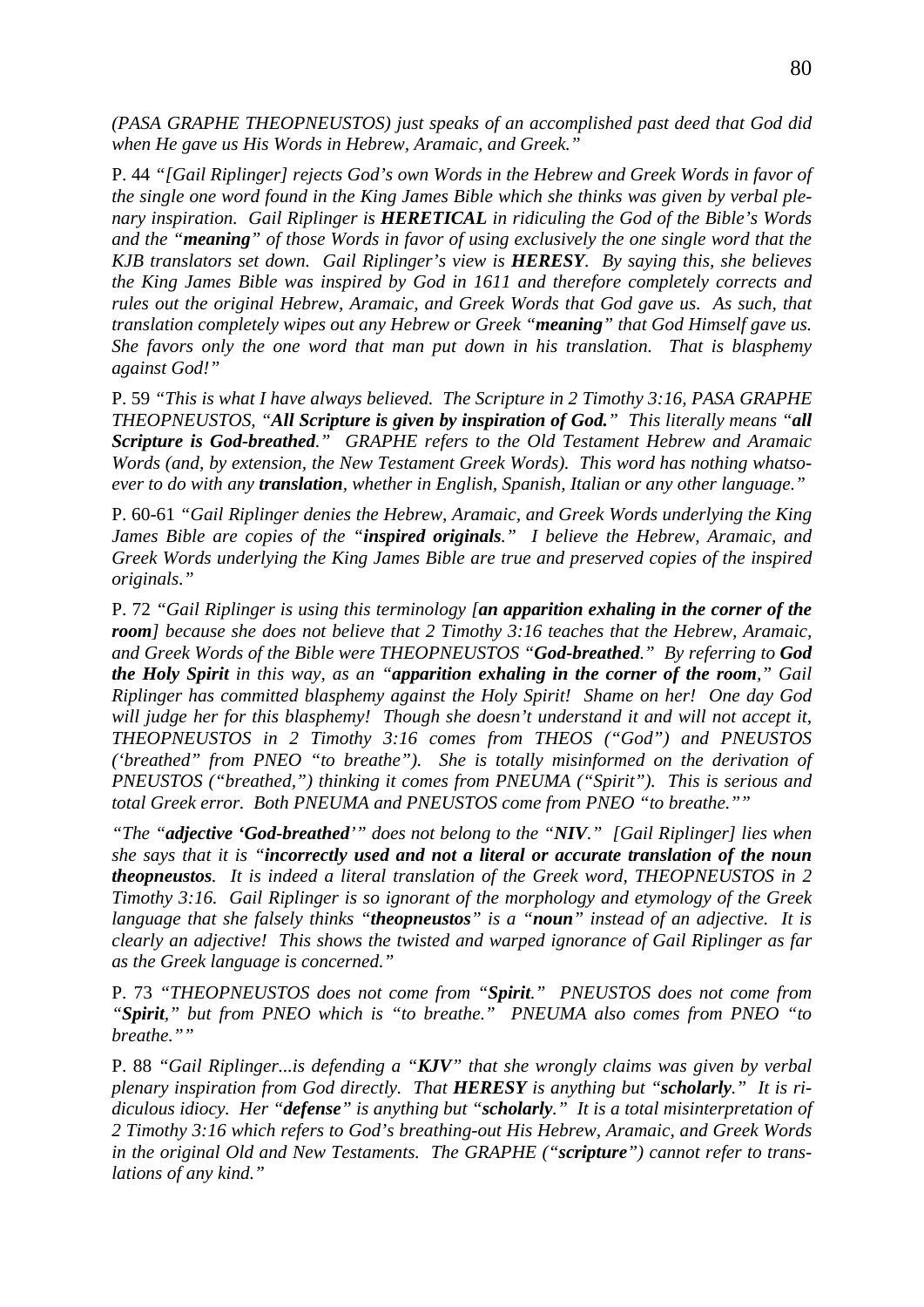*(PASA GRAPHE THEOPNEUSTOS) just speaks of an accomplished past deed that God did when He gave us His Words in Hebrew, Aramaic, and Greek."* 

P. 44 *"[Gail Riplinger] rejects God's own Words in the Hebrew and Greek Words in favor of the single one word found in the King James Bible which she thinks was given by verbal plenary inspiration. Gail Riplinger is HERETICAL in ridiculing the God of the Bible's Words and the "meaning" of those Words in favor of using exclusively the one single word that the KJB translators set down. Gail Riplinger's view is HERESY. By saying this, she believes the King James Bible was inspired by God in 1611 and therefore completely corrects and rules out the original Hebrew, Aramaic, and Greek Words that God gave us. As such, that translation completely wipes out any Hebrew or Greek "meaning" that God Himself gave us. She favors only the one word that man put down in his translation. That is blasphemy against God!"*

P. 59 *"This is what I have always believed. The Scripture in 2 Timothy 3:16, PASA GRAPHE THEOPNEUSTOS, "All Scripture is given by inspiration of God." This literally means "all Scripture is God-breathed." GRAPHE refers to the Old Testament Hebrew and Aramaic Words (and, by extension, the New Testament Greek Words). This word has nothing whatsoever to do with any translation, whether in English, Spanish, Italian or any other language."* 

P. 60-61 *"Gail Riplinger denies the Hebrew, Aramaic, and Greek Words underlying the King James Bible are copies of the "inspired originals." I believe the Hebrew, Aramaic, and Greek Words underlying the King James Bible are true and preserved copies of the inspired originals."* 

P. 72 *"Gail Riplinger is using this terminology [an apparition exhaling in the corner of the room] because she does not believe that 2 Timothy 3:16 teaches that the Hebrew, Aramaic, and Greek Words of the Bible were THEOPNEUSTOS "God-breathed." By referring to God the Holy Spirit in this way, as an "apparition exhaling in the corner of the room," Gail Riplinger has committed blasphemy against the Holy Spirit! Shame on her! One day God will judge her for this blasphemy! Though she doesn't understand it and will not accept it, THEOPNEUSTOS in 2 Timothy 3:16 comes from THEOS ("God") and PNEUSTOS ('breathed" from PNEO "to breathe"). She is totally misinformed on the derivation of PNEUSTOS ("breathed,") thinking it comes from PNEUMA ("Spirit"). This is serious and total Greek error. Both PNEUMA and PNEUSTOS come from PNEO "to breathe.""*

*"The "adjective 'God-breathed'" does not belong to the "NIV." [Gail Riplinger] lies when she says that it is "incorrectly used and not a literal or accurate translation of the noun theopneustos. It is indeed a literal translation of the Greek word, THEOPNEUSTOS in 2 Timothy 3:16. Gail Riplinger is so ignorant of the morphology and etymology of the Greek language that she falsely thinks "theopneustos" is a "noun" instead of an adjective. It is clearly an adjective! This shows the twisted and warped ignorance of Gail Riplinger as far as the Greek language is concerned."* 

P. 73 *"THEOPNEUSTOS does not come from "Spirit." PNEUSTOS does not come from "Spirit," but from PNEO which is "to breathe." PNEUMA also comes from PNEO "to breathe.""*

P. 88 *"Gail Riplinger...is defending a "KJV" that she wrongly claims was given by verbal plenary inspiration from God directly. That HERESY is anything but "scholarly." It is ridiculous idiocy. Her "defense" is anything but "scholarly." It is a total misinterpretation of 2 Timothy 3:16 which refers to God's breathing-out His Hebrew, Aramaic, and Greek Words in the original Old and New Testaments. The GRAPHE ("scripture") cannot refer to translations of any kind."*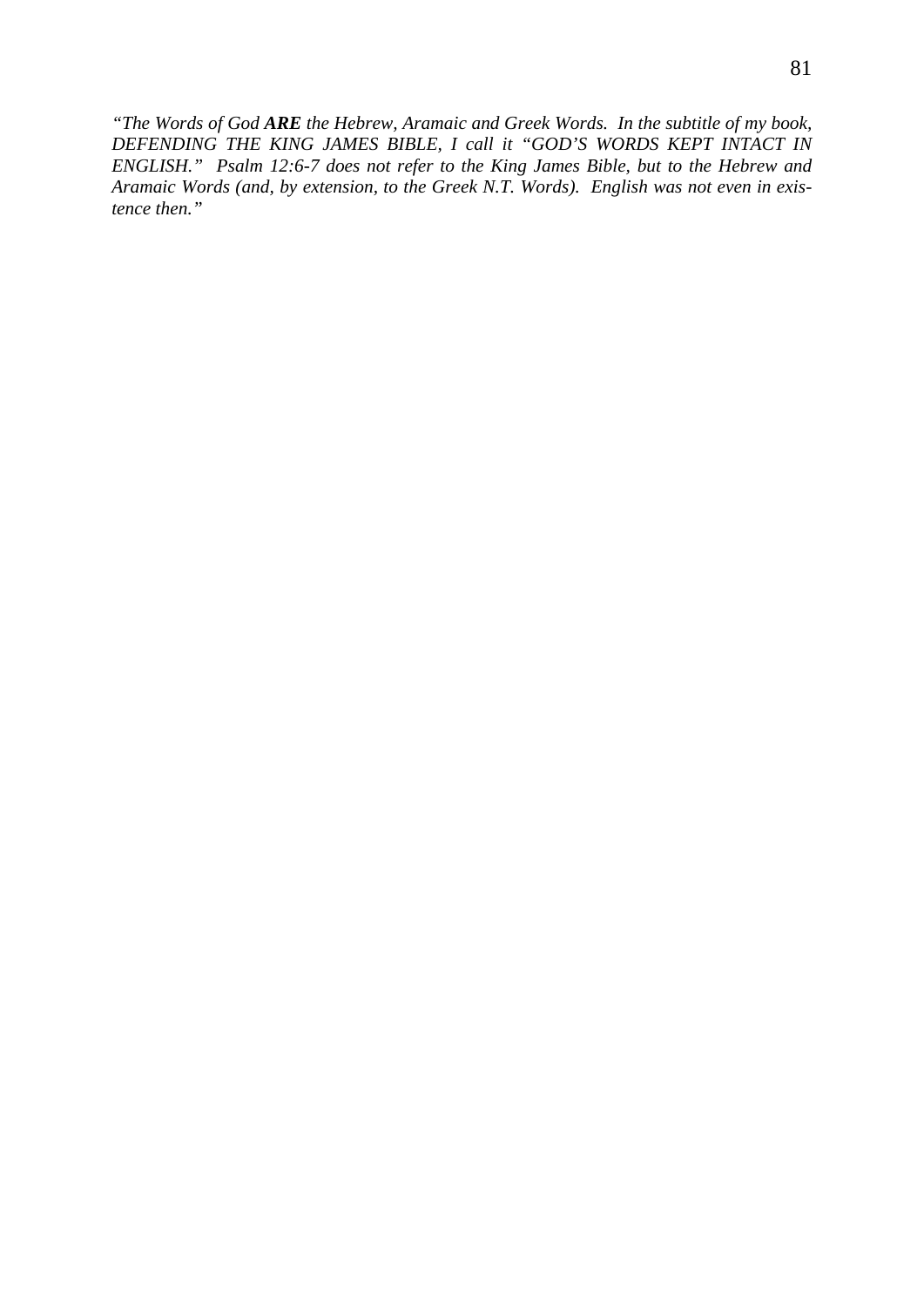*"The Words of God ARE the Hebrew, Aramaic and Greek Words. In the subtitle of my book,*  DEFENDING THE KING JAMES BIBLE, I call it "GOD'S WORDS KEPT INTACT IN *ENGLISH." Psalm 12:6-7 does not refer to the King James Bible, but to the Hebrew and Aramaic Words (and, by extension, to the Greek N.T. Words). English was not even in existence then."*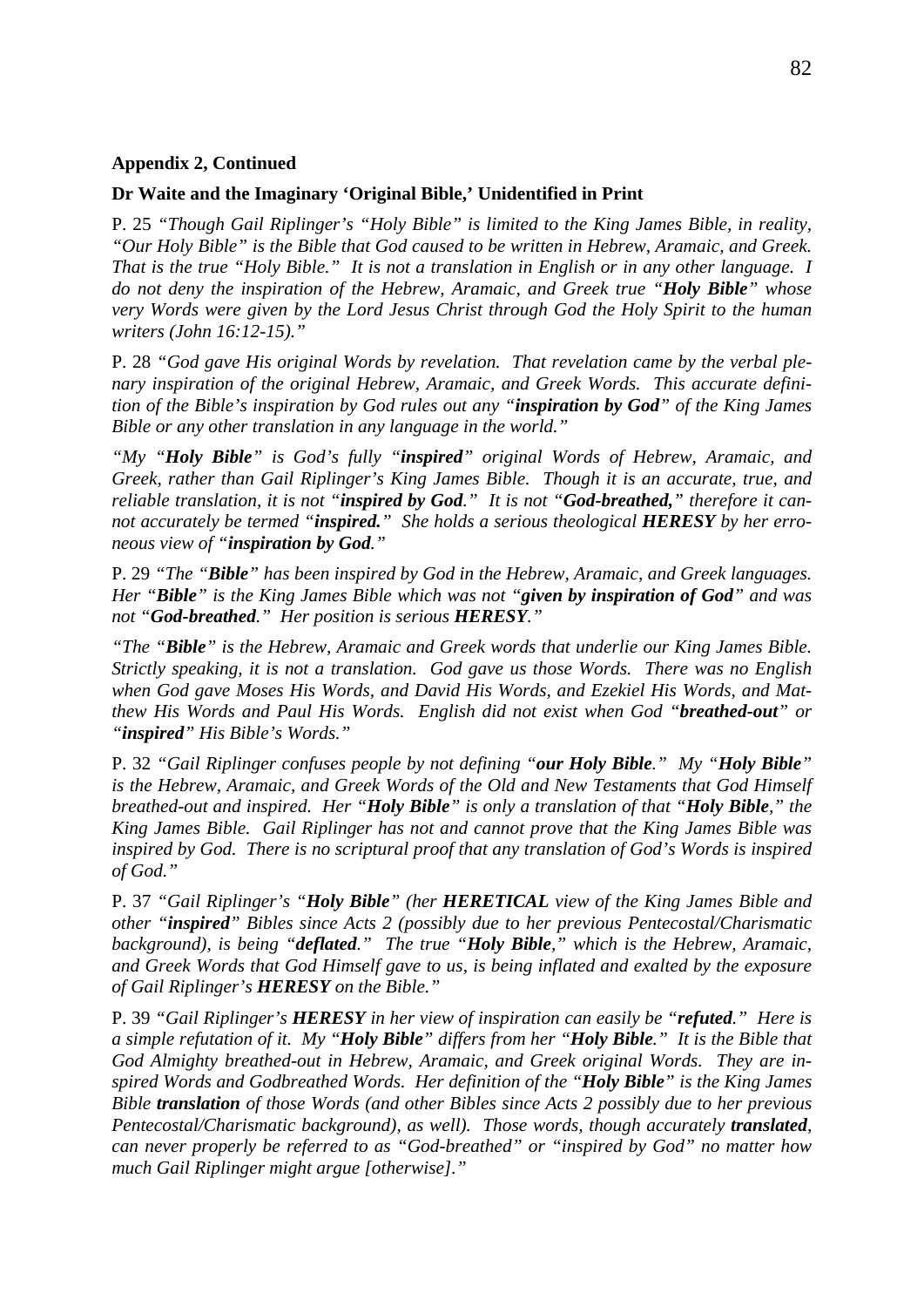## **Appendix 2, Continued**

#### **Dr Waite and the Imaginary 'Original Bible,' Unidentified in Print**

P. 25 *"Though Gail Riplinger's "Holy Bible" is limited to the King James Bible, in reality, "Our Holy Bible" is the Bible that God caused to be written in Hebrew, Aramaic, and Greek. That is the true "Holy Bible." It is not a translation in English or in any other language. I do not deny the inspiration of the Hebrew, Aramaic, and Greek true "Holy Bible" whose very Words were given by the Lord Jesus Christ through God the Holy Spirit to the human writers (John 16:12-15)."*

P. 28 *"God gave His original Words by revelation. That revelation came by the verbal plenary inspiration of the original Hebrew, Aramaic, and Greek Words. This accurate definition of the Bible's inspiration by God rules out any "inspiration by God" of the King James Bible or any other translation in any language in the world."* 

*"My "Holy Bible" is God's fully "inspired" original Words of Hebrew, Aramaic, and Greek, rather than Gail Riplinger's King James Bible. Though it is an accurate, true, and reliable translation, it is not "inspired by God." It is not "God-breathed," therefore it cannot accurately be termed "inspired." She holds a serious theological HERESY by her erroneous view of "inspiration by God."* 

P. 29 *"The "Bible" has been inspired by God in the Hebrew, Aramaic, and Greek languages. Her "Bible" is the King James Bible which was not "given by inspiration of God" and was not "God-breathed." Her position is serious HERESY."* 

*"The "Bible" is the Hebrew, Aramaic and Greek words that underlie our King James Bible. Strictly speaking, it is not a translation. God gave us those Words. There was no English when God gave Moses His Words, and David His Words, and Ezekiel His Words, and Matthew His Words and Paul His Words. English did not exist when God "breathed-out" or "inspired" His Bible's Words."* 

P. 32 *"Gail Riplinger confuses people by not defining "our Holy Bible." My "Holy Bible" is the Hebrew, Aramaic, and Greek Words of the Old and New Testaments that God Himself breathed-out and inspired. Her "Holy Bible" is only a translation of that "Holy Bible," the King James Bible. Gail Riplinger has not and cannot prove that the King James Bible was inspired by God. There is no scriptural proof that any translation of God's Words is inspired of God."*

P. 37 *"Gail Riplinger's "Holy Bible" (her HERETICAL view of the King James Bible and other "inspired" Bibles since Acts 2 (possibly due to her previous Pentecostal/Charismatic background), is being "deflated." The true "Holy Bible," which is the Hebrew, Aramaic, and Greek Words that God Himself gave to us, is being inflated and exalted by the exposure of Gail Riplinger's HERESY on the Bible."*

P. 39 *"Gail Riplinger's HERESY in her view of inspiration can easily be "refuted." Here is a simple refutation of it. My "Holy Bible" differs from her "Holy Bible." It is the Bible that God Almighty breathed-out in Hebrew, Aramaic, and Greek original Words. They are inspired Words and Godbreathed Words. Her definition of the "Holy Bible" is the King James Bible translation of those Words (and other Bibles since Acts 2 possibly due to her previous Pentecostal/Charismatic background), as well). Those words, though accurately translated, can never properly be referred to as "God-breathed" or "inspired by God" no matter how much Gail Riplinger might argue [otherwise]."*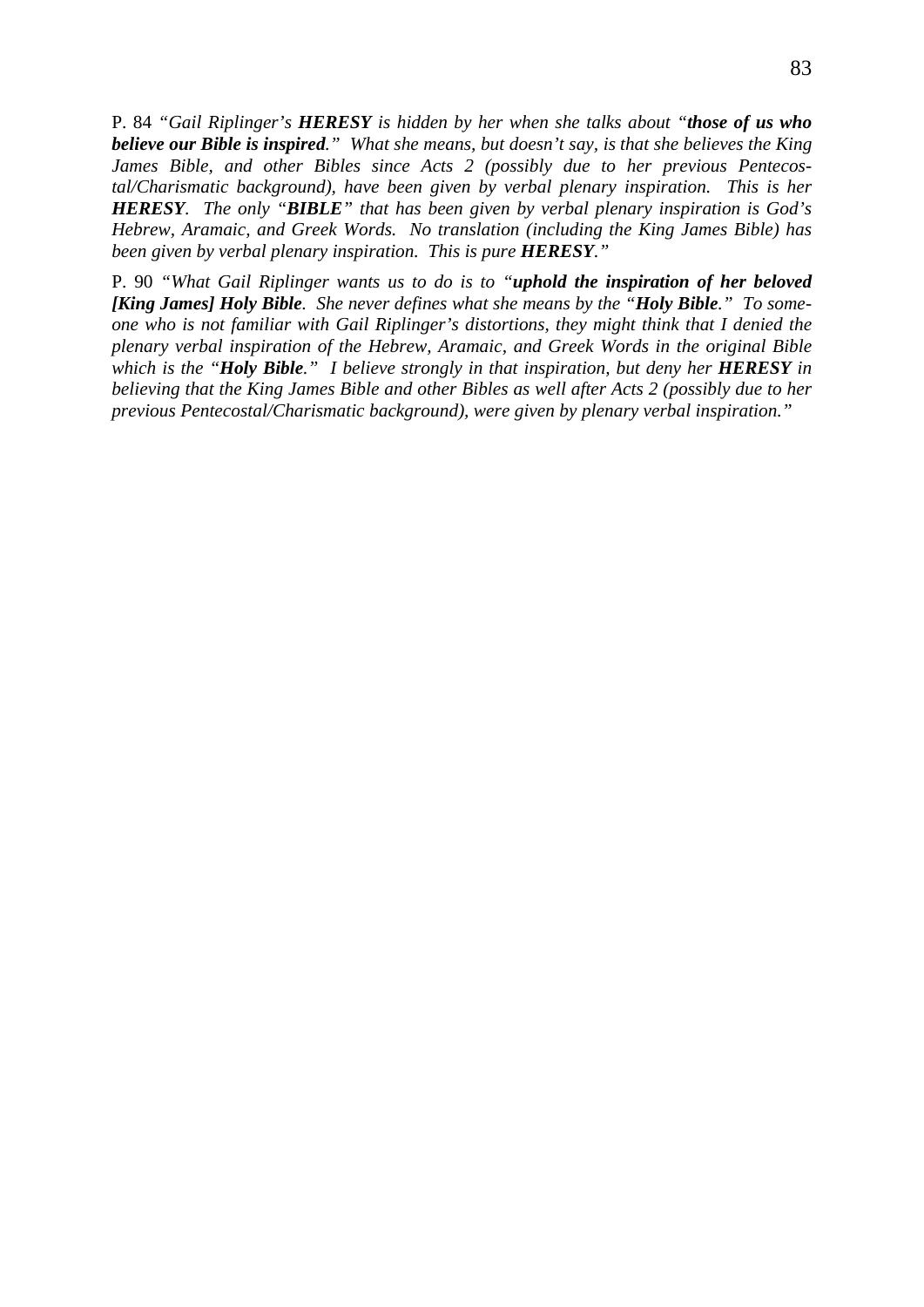P. 84 *"Gail Riplinger's HERESY is hidden by her when she talks about "those of us who believe our Bible is inspired." What she means, but doesn't say, is that she believes the King James Bible, and other Bibles since Acts 2 (possibly due to her previous Pentecostal/Charismatic background), have been given by verbal plenary inspiration. This is her HERESY. The only "BIBLE" that has been given by verbal plenary inspiration is God's Hebrew, Aramaic, and Greek Words. No translation (including the King James Bible) has been given by verbal plenary inspiration. This is pure HERESY."*

P. 90 *"What Gail Riplinger wants us to do is to "uphold the inspiration of her beloved [King James] Holy Bible. She never defines what she means by the "Holy Bible." To someone who is not familiar with Gail Riplinger's distortions, they might think that I denied the plenary verbal inspiration of the Hebrew, Aramaic, and Greek Words in the original Bible which is the "Holy Bible." I believe strongly in that inspiration, but deny her HERESY in believing that the King James Bible and other Bibles as well after Acts 2 (possibly due to her previous Pentecostal/Charismatic background), were given by plenary verbal inspiration."*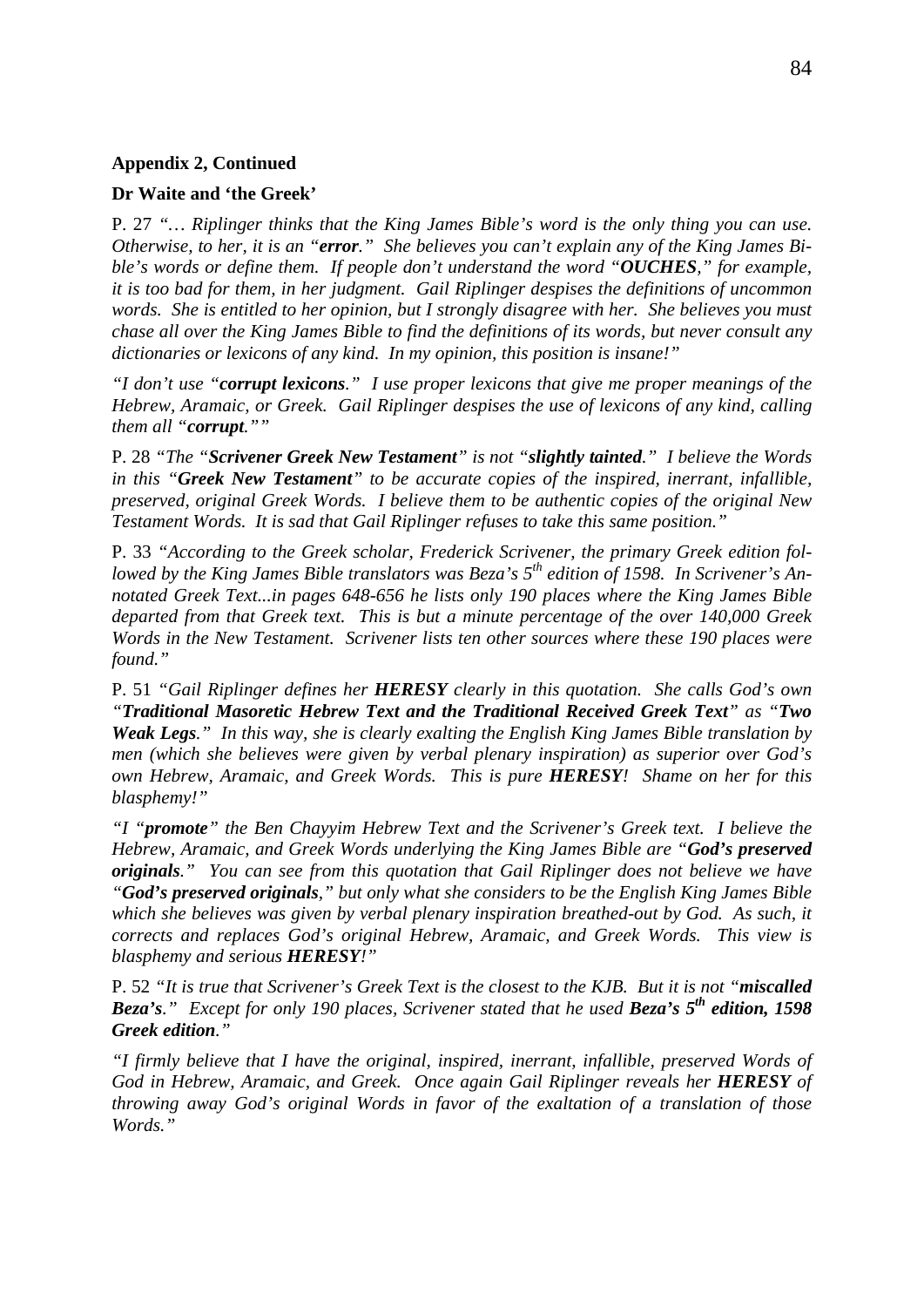# **Appendix 2, Continued**

# **Dr Waite and 'the Greek'**

P. 27 *"… Riplinger thinks that the King James Bible's word is the only thing you can use. Otherwise, to her, it is an "error." She believes you can't explain any of the King James Bible's words or define them. If people don't understand the word "OUCHES," for example, it is too bad for them, in her judgment. Gail Riplinger despises the definitions of uncommon words. She is entitled to her opinion, but I strongly disagree with her. She believes you must chase all over the King James Bible to find the definitions of its words, but never consult any dictionaries or lexicons of any kind. In my opinion, this position is insane!"* 

*"I don't use "corrupt lexicons." I use proper lexicons that give me proper meanings of the Hebrew, Aramaic, or Greek. Gail Riplinger despises the use of lexicons of any kind, calling them all "corrupt.""*

P. 28 *"The "Scrivener Greek New Testament" is not "slightly tainted." I believe the Words in this "Greek New Testament" to be accurate copies of the inspired, inerrant, infallible, preserved, original Greek Words. I believe them to be authentic copies of the original New Testament Words. It is sad that Gail Riplinger refuses to take this same position."* 

P. 33 *"According to the Greek scholar, Frederick Scrivener, the primary Greek edition followed by the King James Bible translators was Beza's 5th edition of 1598. In Scrivener's Annotated Greek Text...in pages 648-656 he lists only 190 places where the King James Bible departed from that Greek text. This is but a minute percentage of the over 140,000 Greek Words in the New Testament. Scrivener lists ten other sources where these 190 places were found."*

P. 51 *"Gail Riplinger defines her HERESY clearly in this quotation. She calls God's own "Traditional Masoretic Hebrew Text and the Traditional Received Greek Text" as "Two Weak Legs." In this way, she is clearly exalting the English King James Bible translation by men (which she believes were given by verbal plenary inspiration) as superior over God's own Hebrew, Aramaic, and Greek Words. This is pure HERESY! Shame on her for this blasphemy!"* 

*"I "promote" the Ben Chayyim Hebrew Text and the Scrivener's Greek text. I believe the Hebrew, Aramaic, and Greek Words underlying the King James Bible are "God's preserved originals." You can see from this quotation that Gail Riplinger does not believe we have "God's preserved originals," but only what she considers to be the English King James Bible which she believes was given by verbal plenary inspiration breathed-out by God. As such, it corrects and replaces God's original Hebrew, Aramaic, and Greek Words. This view is blasphemy and serious HERESY!"* 

P. 52 *"It is true that Scrivener's Greek Text is the closest to the KJB. But it is not "miscalled Beza's*." *Except for only 190 places, Scrivener stated that he used Beza's*  $5^{th}$  *edition, 1598 Greek edition."* 

*"I firmly believe that I have the original, inspired, inerrant, infallible, preserved Words of God in Hebrew, Aramaic, and Greek. Once again Gail Riplinger reveals her <i>HERESY of throwing away God's original Words in favor of the exaltation of a translation of those Words."*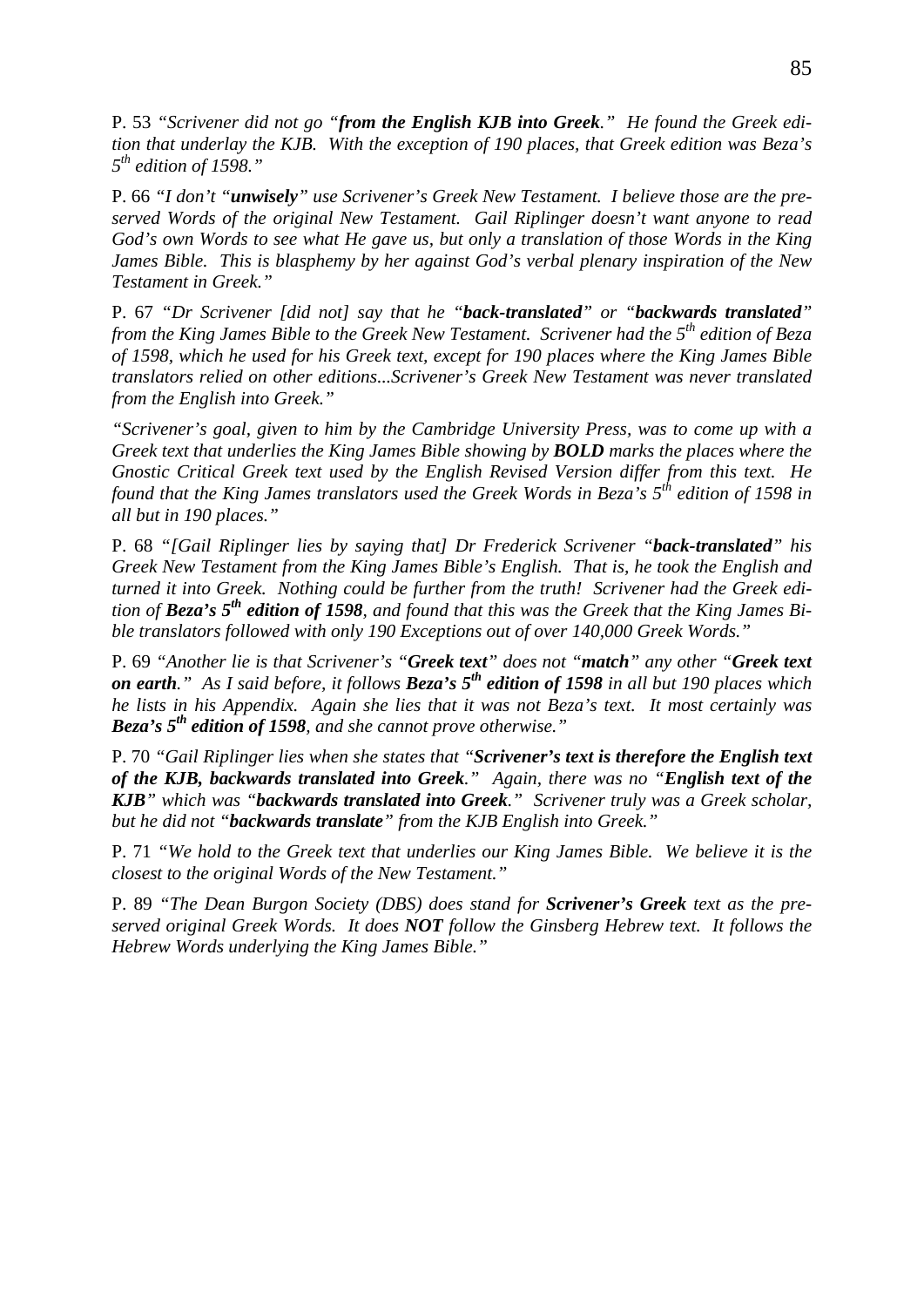P. 53 *"Scrivener did not go "from the English KJB into Greek." He found the Greek edition that underlay the KJB. With the exception of 190 places, that Greek edition was Beza's 5th edition of 1598."*

P. 66 *"I don't "unwisely" use Scrivener's Greek New Testament. I believe those are the preserved Words of the original New Testament. Gail Riplinger doesn't want anyone to read God's own Words to see what He gave us, but only a translation of those Words in the King James Bible. This is blasphemy by her against God's verbal plenary inspiration of the New Testament in Greek."* 

P. 67 *"Dr Scrivener [did not] say that he "back-translated" or "backwards translated" from the King James Bible to the Greek New Testament. Scrivener had the 5th edition of Beza of 1598, which he used for his Greek text, except for 190 places where the King James Bible translators relied on other editions...Scrivener's Greek New Testament was never translated from the English into Greek."*

*"Scrivener's goal, given to him by the Cambridge University Press, was to come up with a Greek text that underlies the King James Bible showing by BOLD marks the places where the Gnostic Critical Greek text used by the English Revised Version differ from this text. He found that the King James translators used the Greek Words in Beza's 5th edition of 1598 in all but in 190 places."* 

P. 68 *"[Gail Riplinger lies by saying that] Dr Frederick Scrivener "back-translated" his Greek New Testament from the King James Bible's English. That is, he took the English and turned it into Greek. Nothing could be further from the truth! Scrivener had the Greek edition of Beza's 5th edition of 1598, and found that this was the Greek that the King James Bible translators followed with only 190 Exceptions out of over 140,000 Greek Words."*

P. 69 *"Another lie is that Scrivener's "Greek text" does not "match" any other "Greek text on earth." As I said before, it follows Beza's 5th edition of 1598 in all but 190 places which he lists in his Appendix. Again she lies that it was not Beza's text. It most certainly was Beza's 5th edition of 1598, and she cannot prove otherwise."* 

P. 70 *"Gail Riplinger lies when she states that "Scrivener's text is therefore the English text of the KJB, backwards translated into Greek." Again, there was no "English text of the KJB" which was "backwards translated into Greek." Scrivener truly was a Greek scholar, but he did not "backwards translate" from the KJB English into Greek."*

P. 71 *"We hold to the Greek text that underlies our King James Bible. We believe it is the closest to the original Words of the New Testament."* 

P. 89 *"The Dean Burgon Society (DBS) does stand for Scrivener's Greek text as the preserved original Greek Words. It does NOT follow the Ginsberg Hebrew text. It follows the Hebrew Words underlying the King James Bible."*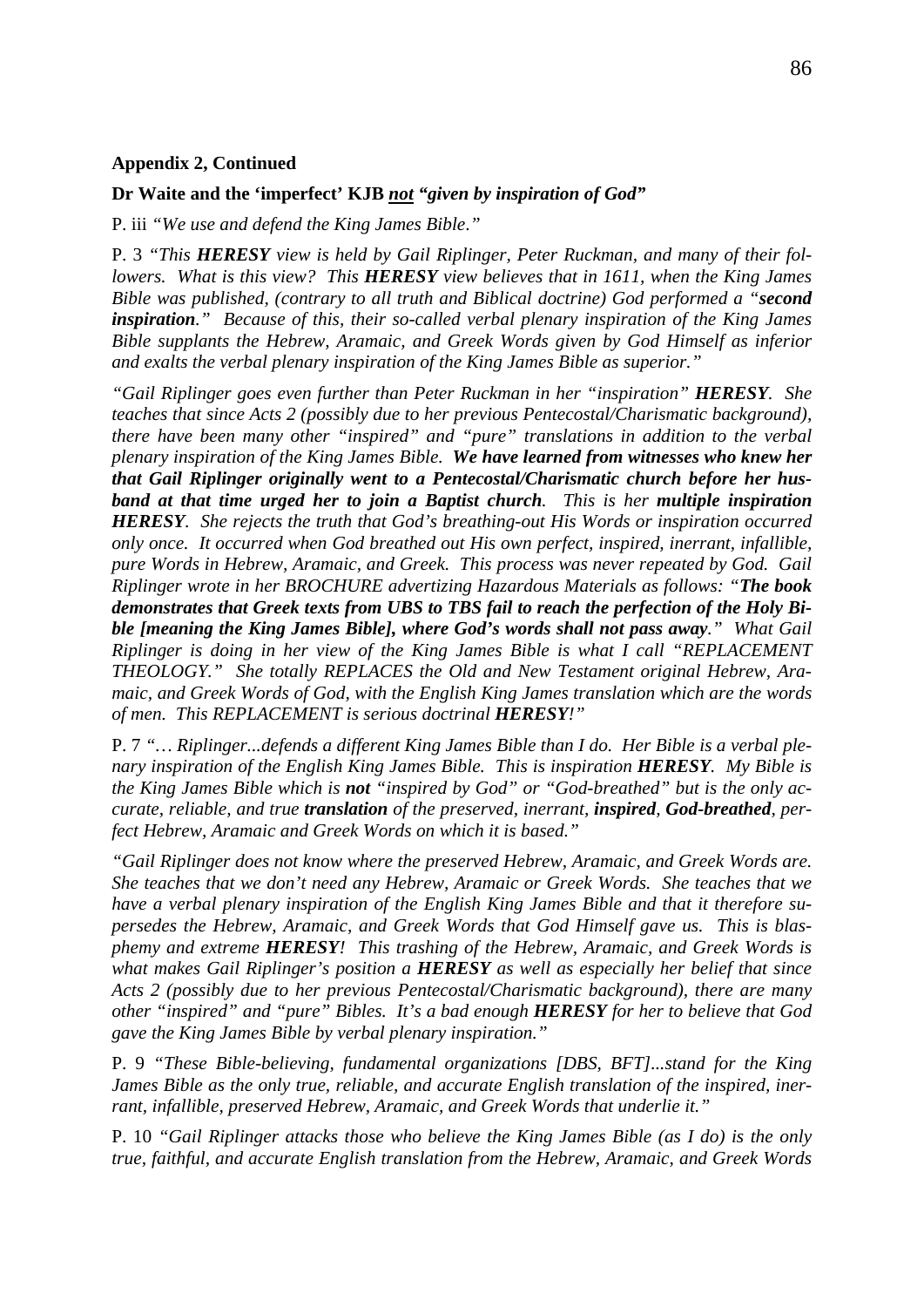## **Appendix 2, Continued**

#### **Dr Waite and the 'imperfect' KJB** *not "given by inspiration of God"*

P. iii *"We use and defend the King James Bible*.*"*

P. 3 *"This HERESY view is held by Gail Riplinger, Peter Ruckman, and many of their followers. What is this view? This HERESY view believes that in 1611, when the King James Bible was published, (contrary to all truth and Biblical doctrine) God performed a "second inspiration." Because of this, their so-called verbal plenary inspiration of the King James Bible supplants the Hebrew, Aramaic, and Greek Words given by God Himself as inferior and exalts the verbal plenary inspiration of the King James Bible as superior."* 

*"Gail Riplinger goes even further than Peter Ruckman in her "inspiration" HERESY. She teaches that since Acts 2 (possibly due to her previous Pentecostal/Charismatic background), there have been many other "inspired" and "pure" translations in addition to the verbal plenary inspiration of the King James Bible. We have learned from witnesses who knew her that Gail Riplinger originally went to a Pentecostal/Charismatic church before her husband at that time urged her to join a Baptist church. This is her multiple inspiration HERESY. She rejects the truth that God's breathing-out His Words or inspiration occurred only once. It occurred when God breathed out His own perfect, inspired, inerrant, infallible, pure Words in Hebrew, Aramaic, and Greek. This process was never repeated by God. Gail Riplinger wrote in her BROCHURE advertizing Hazardous Materials as follows: "The book demonstrates that Greek texts from UBS to TBS fail to reach the perfection of the Holy Bible [meaning the King James Bible], where God's words shall not pass away." What Gail Riplinger is doing in her view of the King James Bible is what I call "REPLACEMENT THEOLOGY." She totally REPLACES the Old and New Testament original Hebrew, Aramaic, and Greek Words of God, with the English King James translation which are the words of men. This REPLACEMENT is serious doctrinal HERESY!"* 

P. 7 *"… Riplinger...defends a different King James Bible than I do. Her Bible is a verbal plenary inspiration of the English King James Bible. This is inspiration HERESY. My Bible is the King James Bible which is not "inspired by God" or "God-breathed" but is the only accurate, reliable, and true translation of the preserved, inerrant, inspired, God-breathed, perfect Hebrew, Aramaic and Greek Words on which it is based."* 

*"Gail Riplinger does not know where the preserved Hebrew, Aramaic, and Greek Words are. She teaches that we don't need any Hebrew, Aramaic or Greek Words. She teaches that we have a verbal plenary inspiration of the English King James Bible and that it therefore supersedes the Hebrew, Aramaic, and Greek Words that God Himself gave us. This is blasphemy and extreme HERESY! This trashing of the Hebrew, Aramaic, and Greek Words is what makes Gail Riplinger's position a HERESY as well as especially her belief that since Acts 2 (possibly due to her previous Pentecostal/Charismatic background), there are many other "inspired" and "pure" Bibles. It's a bad enough HERESY for her to believe that God gave the King James Bible by verbal plenary inspiration."* 

P. 9 *"These Bible-believing, fundamental organizations [DBS, BFT]...stand for the King James Bible as the only true, reliable, and accurate English translation of the inspired, inerrant, infallible, preserved Hebrew, Aramaic, and Greek Words that underlie it."* 

P. 10 *"Gail Riplinger attacks those who believe the King James Bible (as I do) is the only true, faithful, and accurate English translation from the Hebrew, Aramaic, and Greek Words*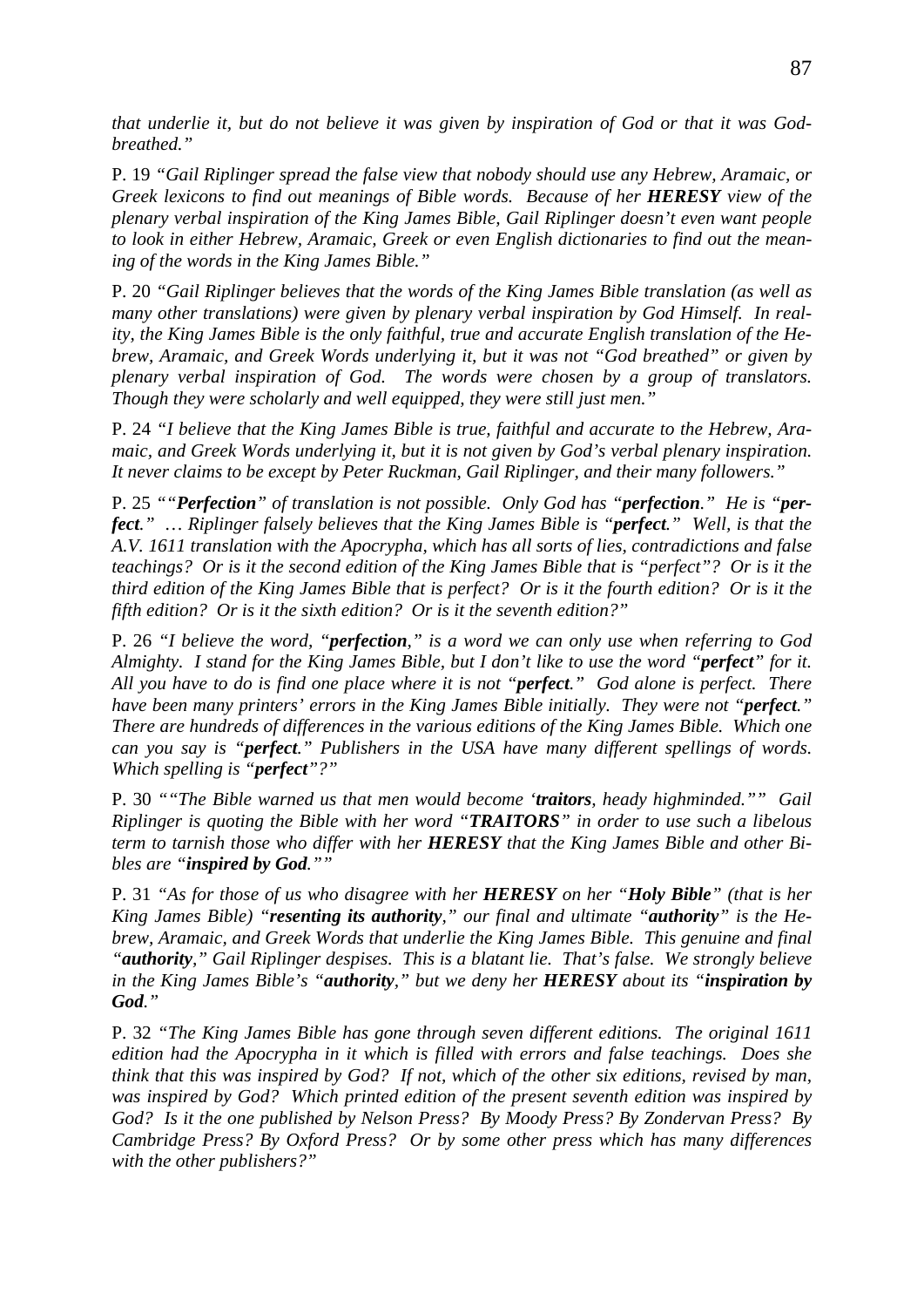*that underlie it, but do not believe it was given by inspiration of God or that it was Godbreathed."* 

P. 19 *"Gail Riplinger spread the false view that nobody should use any Hebrew, Aramaic, or Greek lexicons to find out meanings of Bible words. Because of her HERESY view of the plenary verbal inspiration of the King James Bible, Gail Riplinger doesn't even want people to look in either Hebrew, Aramaic, Greek or even English dictionaries to find out the meaning of the words in the King James Bible."*

P. 20 *"Gail Riplinger believes that the words of the King James Bible translation (as well as many other translations) were given by plenary verbal inspiration by God Himself. In reality, the King James Bible is the only faithful, true and accurate English translation of the Hebrew, Aramaic, and Greek Words underlying it, but it was not "God breathed" or given by plenary verbal inspiration of God. The words were chosen by a group of translators. Though they were scholarly and well equipped, they were still just men."* 

P. 24 *"I believe that the King James Bible is true, faithful and accurate to the Hebrew, Aramaic, and Greek Words underlying it, but it is not given by God's verbal plenary inspiration. It never claims to be except by Peter Ruckman, Gail Riplinger, and their many followers."* 

P. 25 *""Perfection" of translation is not possible. Only God has "perfection." He is "perfect." … Riplinger falsely believes that the King James Bible is "perfect." Well, is that the A.V. 1611 translation with the Apocrypha, which has all sorts of lies, contradictions and false teachings? Or is it the second edition of the King James Bible that is "perfect"? Or is it the third edition of the King James Bible that is perfect? Or is it the fourth edition? Or is it the fifth edition? Or is it the sixth edition? Or is it the seventh edition?"* 

P. 26 *"I believe the word, "perfection," is a word we can only use when referring to God Almighty. I stand for the King James Bible, but I don't like to use the word "perfect" for it. All you have to do is find one place where it is not "perfect." God alone is perfect. There have been many printers' errors in the King James Bible initially. They were not "perfect." There are hundreds of differences in the various editions of the King James Bible. Which one can you say is "perfect." Publishers in the USA have many different spellings of words. Which spelling is "perfect"?"*

P. 30 *""The Bible warned us that men would become 'traitors, heady highminded."" Gail Riplinger is quoting the Bible with her word "TRAITORS" in order to use such a libelous term to tarnish those who differ with her HERESY that the King James Bible and other Bibles are "inspired by God.""* 

P. 31 *"As for those of us who disagree with her HERESY on her "Holy Bible" (that is her King James Bible) "resenting its authority," our final and ultimate "authority" is the Hebrew, Aramaic, and Greek Words that underlie the King James Bible. This genuine and final "authority," Gail Riplinger despises. This is a blatant lie. That's false. We strongly believe in the King James Bible's "authority," but we deny her HERESY about its "inspiration by God."*

P. 32 *"The King James Bible has gone through seven different editions. The original 1611 edition had the Apocrypha in it which is filled with errors and false teachings. Does she think that this was inspired by God? If not, which of the other six editions, revised by man, was inspired by God? Which printed edition of the present seventh edition was inspired by God? Is it the one published by Nelson Press? By Moody Press? By Zondervan Press? By Cambridge Press? By Oxford Press? Or by some other press which has many differences with the other publishers?"*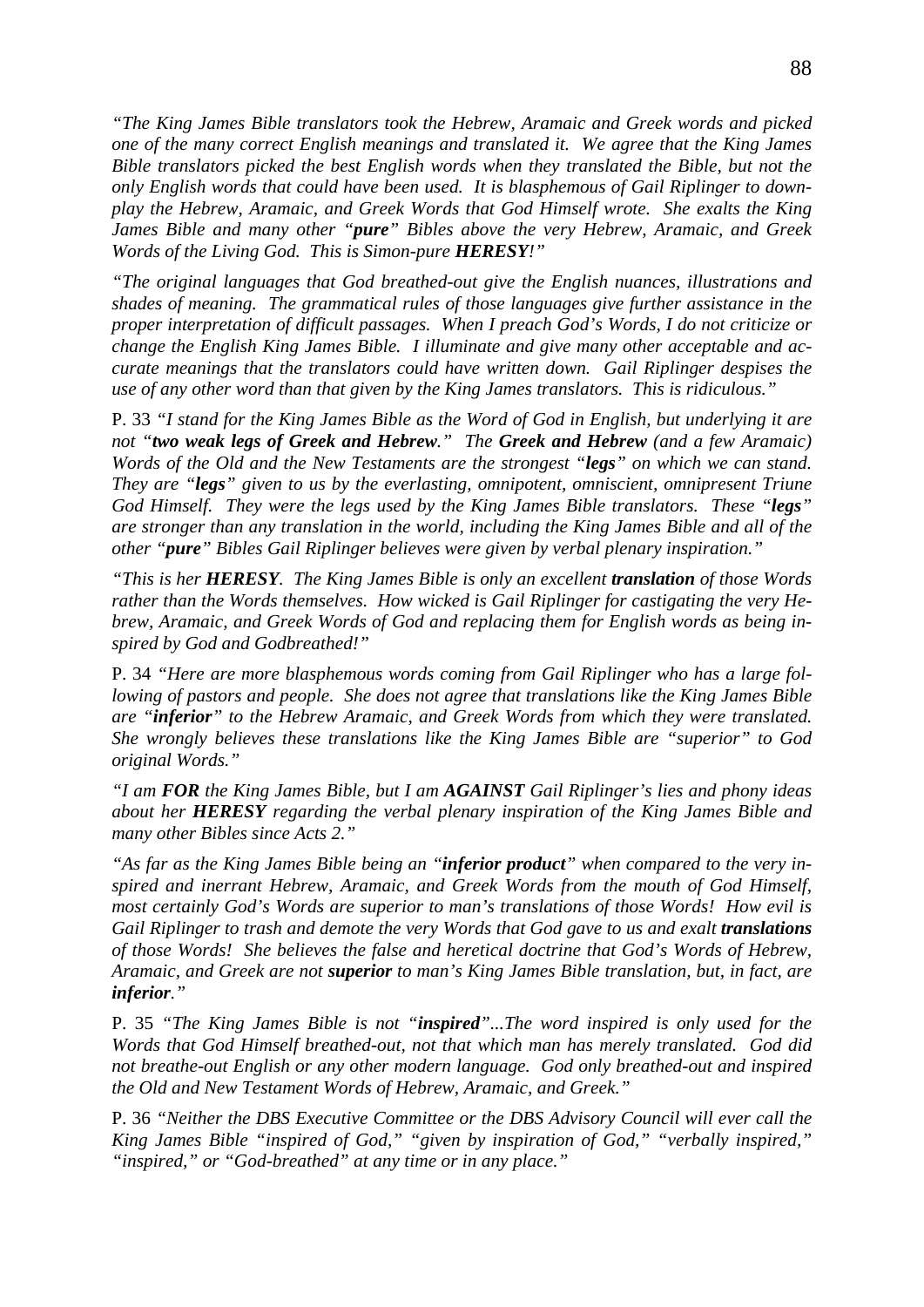*"The King James Bible translators took the Hebrew, Aramaic and Greek words and picked one of the many correct English meanings and translated it. We agree that the King James Bible translators picked the best English words when they translated the Bible, but not the only English words that could have been used. It is blasphemous of Gail Riplinger to downplay the Hebrew, Aramaic, and Greek Words that God Himself wrote. She exalts the King James Bible and many other "pure" Bibles above the very Hebrew, Aramaic, and Greek Words of the Living God. This is Simon-pure HERESY!"* 

*"The original languages that God breathed-out give the English nuances, illustrations and shades of meaning. The grammatical rules of those languages give further assistance in the proper interpretation of difficult passages. When I preach God's Words, I do not criticize or change the English King James Bible. I illuminate and give many other acceptable and accurate meanings that the translators could have written down. Gail Riplinger despises the use of any other word than that given by the King James translators. This is ridiculous."* 

P. 33 *"I stand for the King James Bible as the Word of God in English, but underlying it are not "two weak legs of Greek and Hebrew." The Greek and Hebrew (and a few Aramaic) Words of the Old and the New Testaments are the strongest "legs" on which we can stand. They are "legs" given to us by the everlasting, omnipotent, omniscient, omnipresent Triune God Himself. They were the legs used by the King James Bible translators. These "legs" are stronger than any translation in the world, including the King James Bible and all of the other "pure" Bibles Gail Riplinger believes were given by verbal plenary inspiration."* 

*"This is her HERESY. The King James Bible is only an excellent translation of those Words rather than the Words themselves. How wicked is Gail Riplinger for castigating the very Hebrew, Aramaic, and Greek Words of God and replacing them for English words as being inspired by God and Godbreathed!"* 

P. 34 *"Here are more blasphemous words coming from Gail Riplinger who has a large following of pastors and people. She does not agree that translations like the King James Bible are "inferior" to the Hebrew Aramaic, and Greek Words from which they were translated. She wrongly believes these translations like the King James Bible are "superior" to God original Words."* 

*"I am FOR the King James Bible, but I am AGAINST Gail Riplinger's lies and phony ideas about her HERESY regarding the verbal plenary inspiration of the King James Bible and many other Bibles since Acts 2."* 

*"As far as the King James Bible being an "inferior product" when compared to the very inspired and inerrant Hebrew, Aramaic, and Greek Words from the mouth of God Himself, most certainly God's Words are superior to man's translations of those Words! How evil is Gail Riplinger to trash and demote the very Words that God gave to us and exalt <i>translations of those Words! She believes the false and heretical doctrine that God's Words of Hebrew, Aramaic, and Greek are not superior to man's King James Bible translation, but, in fact, are inferior."*

P. 35 *"The King James Bible is not "inspired"...The word inspired is only used for the Words that God Himself breathed-out, not that which man has merely translated. God did not breathe-out English or any other modern language. God only breathed-out and inspired the Old and New Testament Words of Hebrew, Aramaic, and Greek."* 

P. 36 *"Neither the DBS Executive Committee or the DBS Advisory Council will ever call the King James Bible "inspired of God," "given by inspiration of God," "verbally inspired," "inspired," or "God-breathed" at any time or in any place."*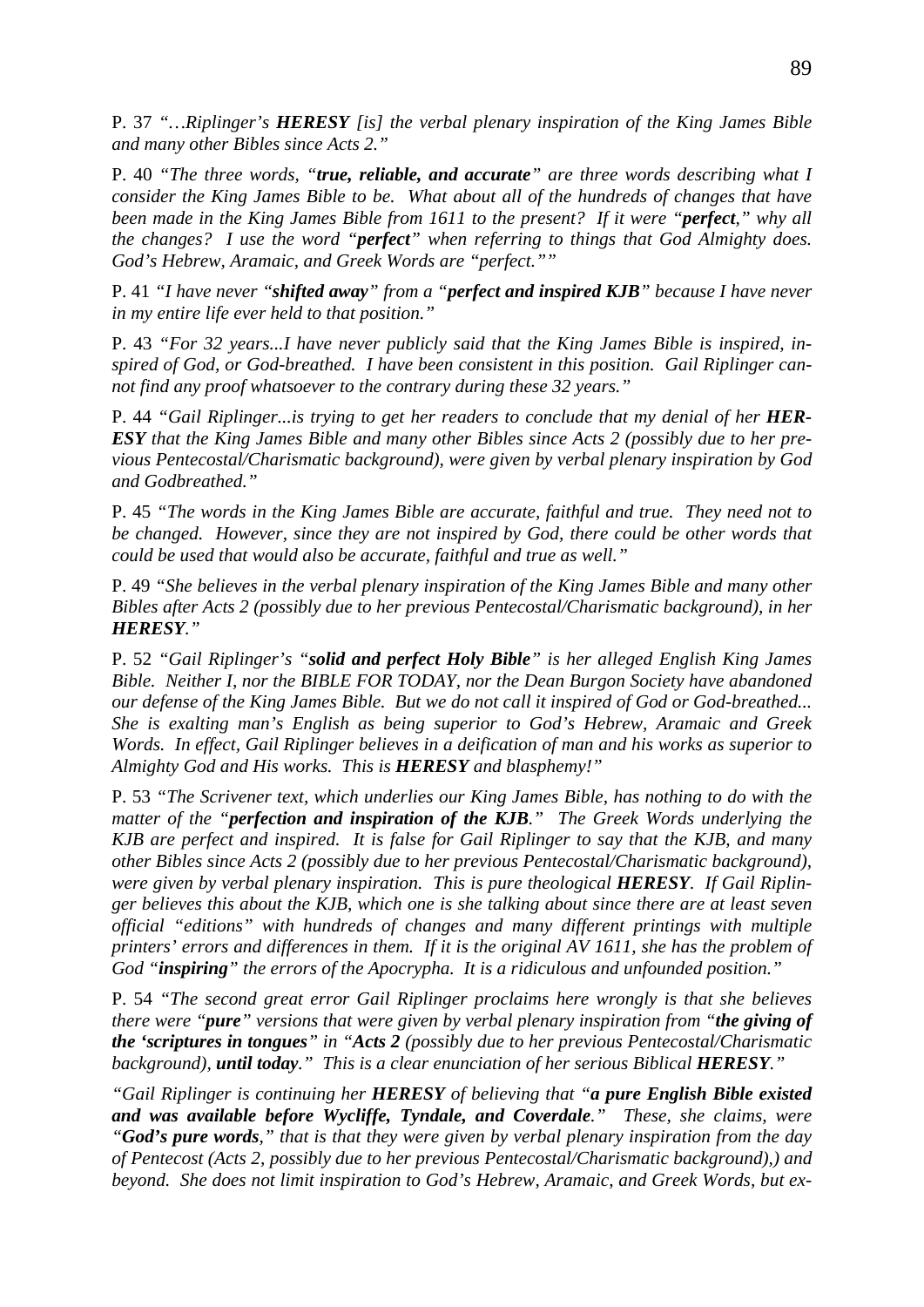P. 37 *"…Riplinger's HERESY [is] the verbal plenary inspiration of the King James Bible and many other Bibles since Acts 2."* 

P. 40 *"The three words, "true, reliable, and accurate" are three words describing what I consider the King James Bible to be. What about all of the hundreds of changes that have been made in the King James Bible from 1611 to the present? If it were "perfect," why all the changes? I use the word "perfect" when referring to things that God Almighty does. God's Hebrew, Aramaic, and Greek Words are "perfect.""*

P. 41 *"I have never "shifted away" from a "perfect and inspired KJB" because I have never in my entire life ever held to that position."* 

P. 43 *"For 32 years...I have never publicly said that the King James Bible is inspired, inspired of God, or God-breathed. I have been consistent in this position. Gail Riplinger cannot find any proof whatsoever to the contrary during these 32 years."* 

P. 44 "Gail Riplinger...is trying to get her readers to conclude that my denial of her **HER-***ESY that the King James Bible and many other Bibles since Acts 2 (possibly due to her previous Pentecostal/Charismatic background), were given by verbal plenary inspiration by God and Godbreathed."*

P. 45 *"The words in the King James Bible are accurate, faithful and true. They need not to be changed. However, since they are not inspired by God, there could be other words that could be used that would also be accurate, faithful and true as well."* 

P. 49 *"She believes in the verbal plenary inspiration of the King James Bible and many other Bibles after Acts 2 (possibly due to her previous Pentecostal/Charismatic background), in her HERESY."* 

P. 52 *"Gail Riplinger's "solid and perfect Holy Bible" is her alleged English King James Bible. Neither I, nor the BIBLE FOR TODAY, nor the Dean Burgon Society have abandoned our defense of the King James Bible. But we do not call it inspired of God or God-breathed... She is exalting man's English as being superior to God's Hebrew, Aramaic and Greek Words. In effect, Gail Riplinger believes in a deification of man and his works as superior to Almighty God and His works. This is HERESY and blasphemy!"* 

P. 53 *"The Scrivener text, which underlies our King James Bible, has nothing to do with the matter of the "perfection and inspiration of the KJB." The Greek Words underlying the KJB are perfect and inspired. It is false for Gail Riplinger to say that the KJB, and many other Bibles since Acts 2 (possibly due to her previous Pentecostal/Charismatic background),*  were given by verbal plenary inspiration. This is pure theological **HERESY**. If Gail Riplin*ger believes this about the KJB, which one is she talking about since there are at least seven official "editions" with hundreds of changes and many different printings with multiple printers' errors and differences in them. If it is the original AV 1611, she has the problem of God "inspiring" the errors of the Apocrypha. It is a ridiculous and unfounded position."* 

P. 54 *"The second great error Gail Riplinger proclaims here wrongly is that she believes there were "pure" versions that were given by verbal plenary inspiration from "the giving of the 'scriptures in tongues" in "Acts 2 (possibly due to her previous Pentecostal/Charismatic background*), *until today*." This is a clear enunciation of her serious Biblical **HERESY**."

*"Gail Riplinger is continuing her HERESY of believing that "a pure English Bible existed and was available before Wycliffe, Tyndale, and Coverdale." These, she claims, were "God's pure words," that is that they were given by verbal plenary inspiration from the day of Pentecost (Acts 2, possibly due to her previous Pentecostal/Charismatic background),) and beyond. She does not limit inspiration to God's Hebrew, Aramaic, and Greek Words, but ex-*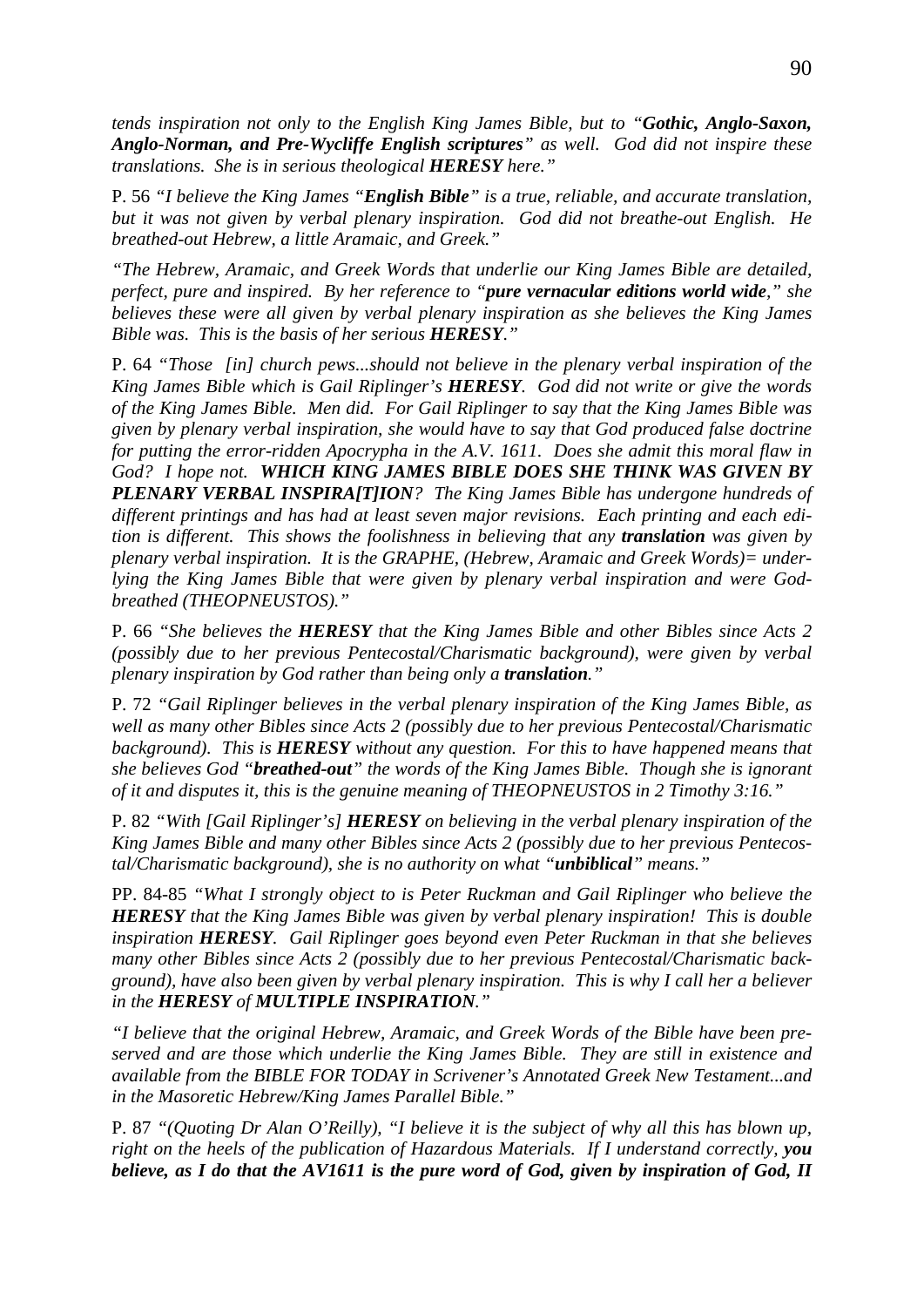*tends inspiration not only to the English King James Bible, but to "Gothic, Anglo-Saxon, Anglo-Norman, and Pre-Wycliffe English scriptures" as well. God did not inspire these translations. She is in serious theological HERESY here."*

P. 56 *"I believe the King James "English Bible" is a true, reliable, and accurate translation, but it was not given by verbal plenary inspiration. God did not breathe-out English. He breathed-out Hebrew, a little Aramaic, and Greek."* 

*"The Hebrew, Aramaic, and Greek Words that underlie our King James Bible are detailed, perfect, pure and inspired. By her reference to "pure vernacular editions world wide," she believes these were all given by verbal plenary inspiration as she believes the King James Bible was. This is the basis of her serious HERESY*.*"* 

P. 64 *"Those [in] church pews...should not believe in the plenary verbal inspiration of the King James Bible which is Gail Riplinger's HERESY. God did not write or give the words of the King James Bible. Men did. For Gail Riplinger to say that the King James Bible was given by plenary verbal inspiration, she would have to say that God produced false doctrine for putting the error-ridden Apocrypha in the A.V. 1611. Does she admit this moral flaw in God? I hope not. WHICH KING JAMES BIBLE DOES SHE THINK WAS GIVEN BY PLENARY VERBAL INSPIRA[T]ION? The King James Bible has undergone hundreds of different printings and has had at least seven major revisions. Each printing and each edition is different. This shows the foolishness in believing that any translation was given by plenary verbal inspiration. It is the GRAPHE, (Hebrew, Aramaic and Greek Words)= underlying the King James Bible that were given by plenary verbal inspiration and were Godbreathed (THEOPNEUSTOS)."* 

P. 66 *"She believes the HERESY that the King James Bible and other Bibles since Acts 2 (possibly due to her previous Pentecostal/Charismatic background), were given by verbal plenary inspiration by God rather than being only a translation."*

P. 72 *"Gail Riplinger believes in the verbal plenary inspiration of the King James Bible, as well as many other Bibles since Acts 2 (possibly due to her previous Pentecostal/Charismatic background). This is HERESY without any question. For this to have happened means that she believes God "breathed-out" the words of the King James Bible. Though she is ignorant of it and disputes it, this is the genuine meaning of THEOPNEUSTOS in 2 Timothy 3:16."* 

P. 82 *"With [Gail Riplinger's] HERESY on believing in the verbal plenary inspiration of the King James Bible and many other Bibles since Acts 2 (possibly due to her previous Pentecostal/Charismatic background), she is no authority on what "unbiblical" means."* 

PP. 84-85 *"What I strongly object to is Peter Ruckman and Gail Riplinger who believe the HERESY that the King James Bible was given by verbal plenary inspiration! This is double inspiration HERESY. Gail Riplinger goes beyond even Peter Ruckman in that she believes many other Bibles since Acts 2 (possibly due to her previous Pentecostal/Charismatic background), have also been given by verbal plenary inspiration. This is why I call her a believer in the HERESY of MULTIPLE INSPIRATION."*

*"I believe that the original Hebrew, Aramaic, and Greek Words of the Bible have been preserved and are those which underlie the King James Bible. They are still in existence and available from the BIBLE FOR TODAY in Scrivener's Annotated Greek New Testament...and in the Masoretic Hebrew/King James Parallel Bible."* 

P. 87 *"(Quoting Dr Alan O'Reilly), "I believe it is the subject of why all this has blown up, right on the heels of the publication of Hazardous Materials. If I understand correctly, you believe, as I do that the AV1611 is the pure word of God, given by inspiration of God, II*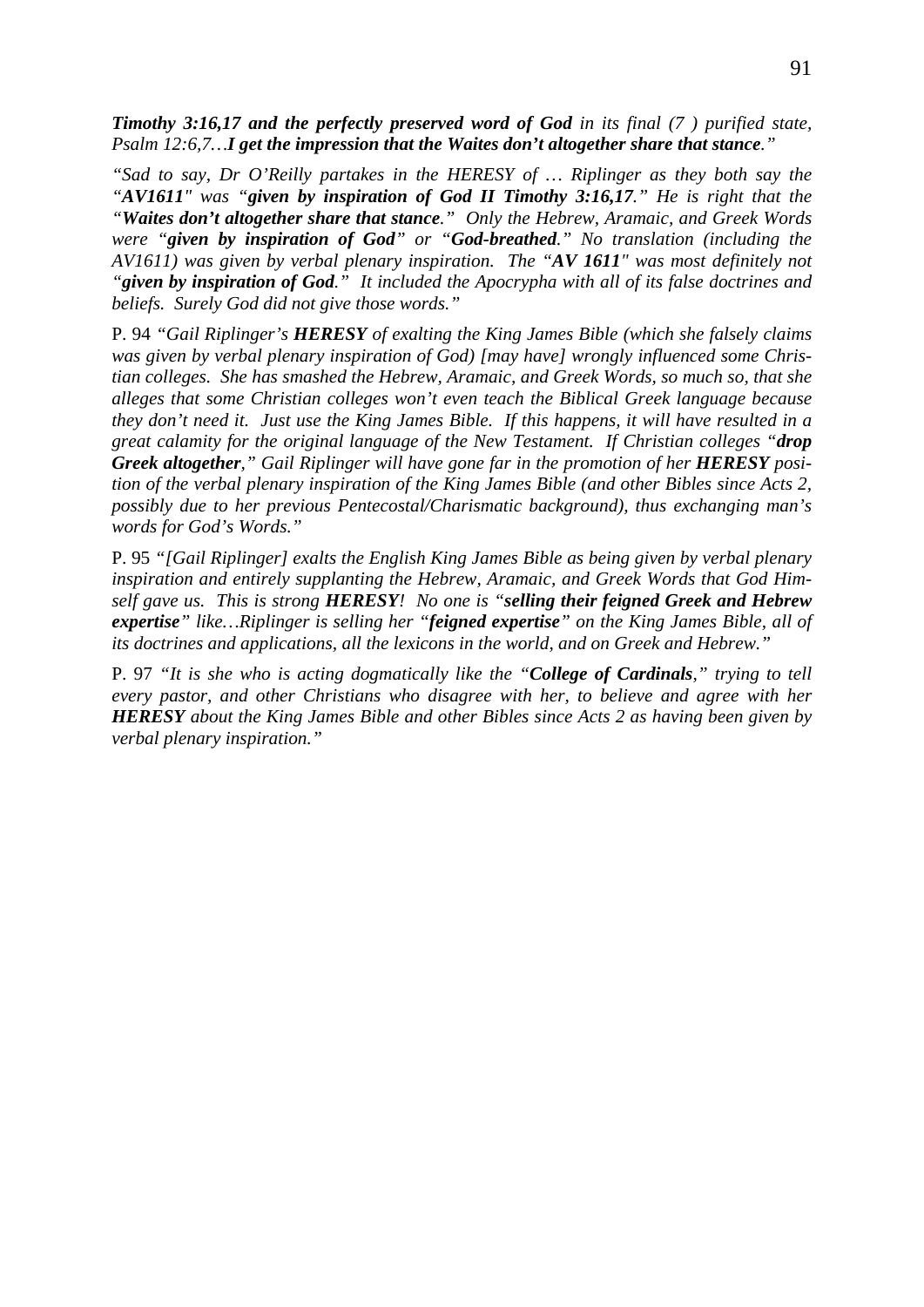*Timothy 3:16,17 and the perfectly preserved word of God in its final (7) purified state, Psalm 12:6,7…I get the impression that the Waites don't altogether share that stance."* 

*"Sad to say, Dr O'Reilly partakes in the HERESY of … Riplinger as they both say the "AV1611" was "given by inspiration of God II Timothy 3:16,17." He is right that the "Waites don't altogether share that stance." Only the Hebrew, Aramaic, and Greek Words were "given by inspiration of God" or "God-breathed." No translation (including the AV1611) was given by verbal plenary inspiration. The "AV 1611" was most definitely not "given by inspiration of God." It included the Apocrypha with all of its false doctrines and beliefs. Surely God did not give those words."* 

P. 94 *"Gail Riplinger's HERESY of exalting the King James Bible (which she falsely claims was given by verbal plenary inspiration of God) [may have] wrongly influenced some Christian colleges. She has smashed the Hebrew, Aramaic, and Greek Words, so much so, that she alleges that some Christian colleges won't even teach the Biblical Greek language because they don't need it. Just use the King James Bible. If this happens, it will have resulted in a great calamity for the original language of the New Testament. If Christian colleges "drop Greek altogether, Gail Riplinger will have gone far in the promotion of her HERESY position of the verbal plenary inspiration of the King James Bible (and other Bibles since Acts 2, possibly due to her previous Pentecostal/Charismatic background), thus exchanging man's words for God's Words."* 

P. 95 *"[Gail Riplinger] exalts the English King James Bible as being given by verbal plenary inspiration and entirely supplanting the Hebrew, Aramaic, and Greek Words that God Himself gave us. This is strong HERESY! No one is "selling their feigned Greek and Hebrew expertise" like…Riplinger is selling her "feigned expertise" on the King James Bible, all of its doctrines and applications, all the lexicons in the world, and on Greek and Hebrew."* 

P. 97 *"It is she who is acting dogmatically like the "College of Cardinals," trying to tell every pastor, and other Christians who disagree with her, to believe and agree with her HERESY about the King James Bible and other Bibles since Acts 2 as having been given by verbal plenary inspiration."*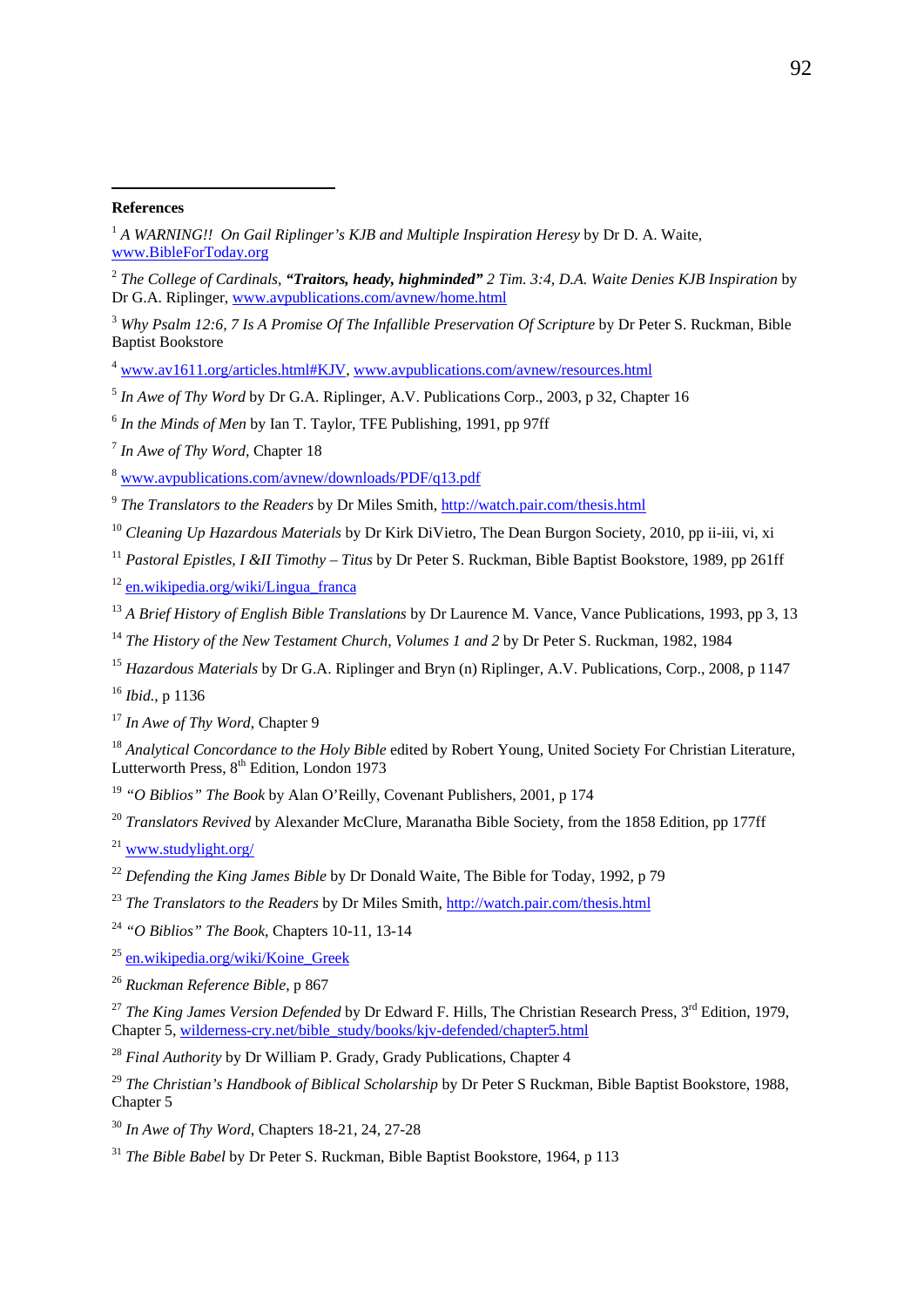#### **References**

-

- <sup>1</sup> *A WARNING!! On Gail Riplinger's KJB and Multiple Inspiration Heresy* by Dr D. A. Waite, [www.BibleForToday.org](http://www.biblefortoday.org/)
- <sup>2</sup> *The College of Cardinals, "Traitors, heady, highminded" 2 Tim. 3:4, D.A. Waite Denies KJB Inspiration* by Dr G.A. Riplinger, www.avpublications.com/avnew/home.html

<sup>3</sup> *Why Psalm 12:6, 7 Is A Promise Of The Infallible Preservation Of Scripture* by Dr Peter S. Ruckman, Bible Baptist Bookstore

<sup>4</sup> [www.av1611.org/articles.html#KJV](http://www.av1611.org/articles.html#KJV), [www.avpublications.com/avnew/resources.html](http://www.avpublications.com/avnew/resources.html)

<sup>5</sup> *In Awe of Thy Word* by Dr G.A. Riplinger, A.V. Publications Corp., 2003, p 32, Chapter 16

<sup>6</sup> *In the Minds of Men* by Ian T. Taylor, TFE Publishing, 1991, pp 97ff

<sup>7</sup> *In Awe of Thy Word,* Chapter 18

<sup>8</sup> [www.avpublications.com/avnew/downloads/PDF/q13.pdf](http://www.avpublications.com/avnew/downloads/PDF/q13.pdf) 

<sup>9</sup> *The Translators to the Readers* by Dr Miles Smith,<http://watch.pair.com/thesis.html>

<sup>10</sup> *Cleaning Up Hazardous Materials* by Dr Kirk DiVietro, The Dean Burgon Society, 2010, pp ii-iii, vi, xi

<sup>11</sup> *Pastoral Epistles, I &II Timothy – Titus* by Dr Peter S. Ruckman, Bible Baptist Bookstore, 1989, pp 261ff

<sup>12</sup> en.wikipedia.org/wiki/Lingua franca

<sup>13</sup> *A Brief History of English Bible Translations* by Dr Laurence M. Vance, Vance Publications, 1993, pp 3, 13

<sup>14</sup> *The History of the New Testament Church, Volumes 1 and 2* by Dr Peter S. Ruckman, 1982, 1984

<sup>15</sup> *Hazardous Materials* by Dr G.A. Riplinger and Bryn (n) Riplinger, A.V. Publications, Corp., 2008, p 1147

<sup>16</sup> *Ibid.*, p 1136

<sup>17</sup> *In Awe of Thy Word*, Chapter 9

<sup>18</sup> Analytical Concordance to the Holy Bible edited by Robert Young, United Society For Christian Literature, Lutterworth Press, 8<sup>th</sup> Edition, London 1973

<sup>19</sup> *"O Biblios" The Book* by Alan O'Reilly, Covenant Publishers, 2001, p 174

<sup>20</sup> *Translators Revived* by Alexander McClure, Maranatha Bible Society, from the 1858 Edition, pp 177ff

<sup>21</sup> [www.studylight.org/](http://www.studylight.org/) 

<sup>22</sup> *Defending the King James Bible* by Dr Donald Waite, The Bible for Today, 1992, p 79

<sup>23</sup> *The Translators to the Readers* by Dr Miles Smith, <http://watch.pair.com/thesis.html>

<sup>24</sup> *"O Biblios" The Book*, Chapters 10-11, 13-14

<sup>25</sup> [en.wikipedia.org/wiki/Koine\\_Greek](http://en.wikipedia.org/wiki/Koine_Greek)

<sup>26</sup> *Ruckman Reference Bible*, p 867

<sup>27</sup> *The King James Version Defended* by Dr Edward F. Hills, The Christian Research Press, 3<sup>rd</sup> Edition, 1979, Chapter 5, [wilderness-cry.net/bible\\_study/books/kjv-defended/chapter5.html](http://wilderness-cry.net/bible_study/books/kjv-defended/chapter5.html)

<sup>28</sup> *Final Authority* by Dr William P. Grady, Grady Publications, Chapter 4

<sup>29</sup> *The Christian's Handbook of Biblical Scholarship* by Dr Peter S Ruckman, Bible Baptist Bookstore, 1988, Chapter 5

<sup>30</sup> *In Awe of Thy Word*, Chapters 18-21, 24, 27-28

<sup>31</sup> *The Bible Babel* by Dr Peter S. Ruckman, Bible Baptist Bookstore, 1964, p 113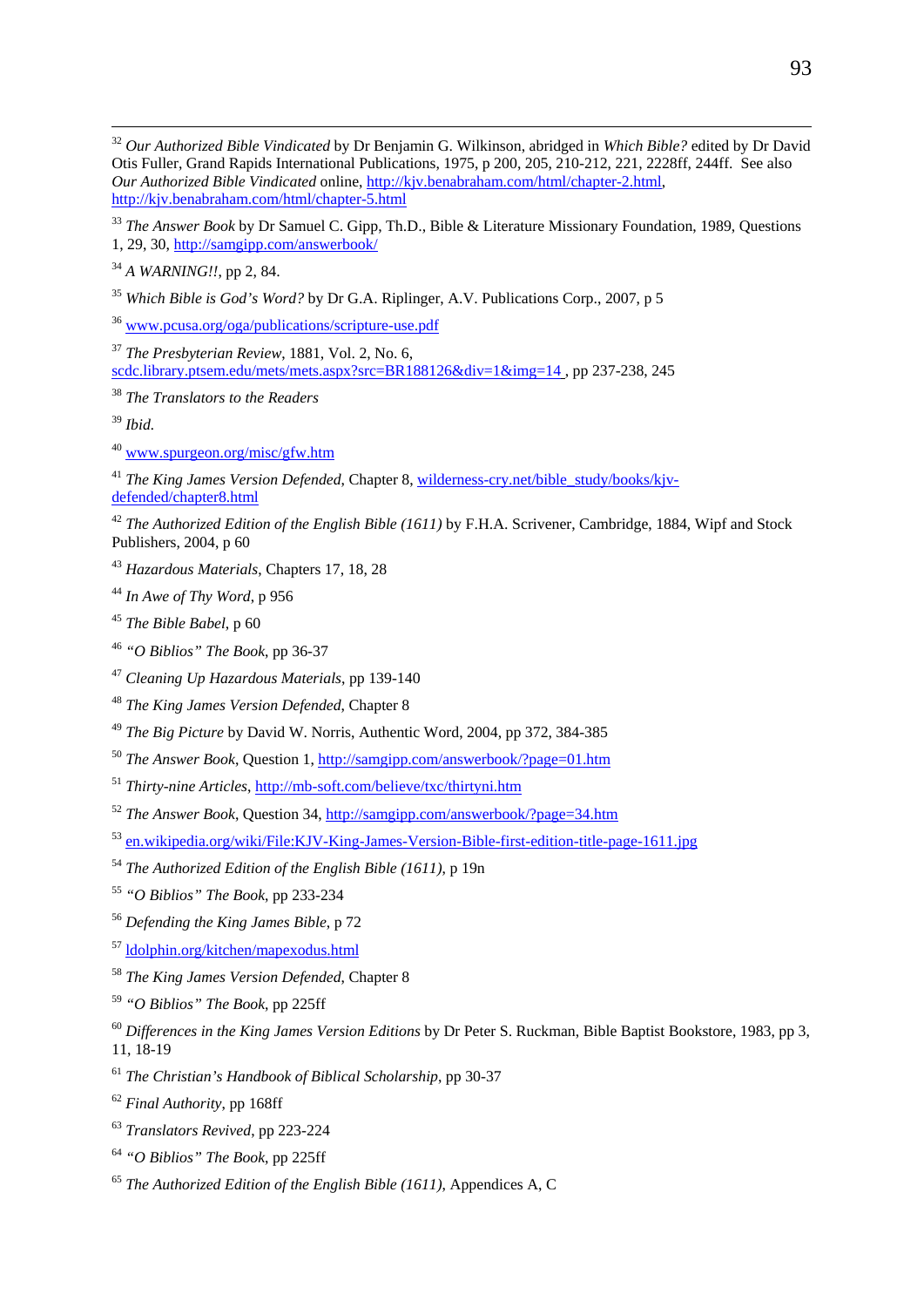*Our Authorized Bible Vindicated* by Dr Benjamin G. Wilkinson, abridged in *Which Bible?* edited by Dr David Otis Fuller, Grand Rapids International Publications, 1975, p 200, 205, 210-212, 221, 2228ff, 244ff. See also *Our Authorized Bible Vindicated* online,<http://kjv.benabraham.com/html/chapter-2.html>, <http://kjv.benabraham.com/html/chapter-5.html>

 *The Answer Book* by Dr Samuel C. Gipp, Th.D., Bible & Literature Missionary Foundation, 1989, Questions 1, 29, 30,<http://samgipp.com/answerbook/>

*A WARNING!!*, pp 2, 84.

*Which Bible is God's Word?* by Dr G.A. Riplinger, A.V. Publications Corp., 2007, p 5

[www.pcusa.org/oga/publications/scripture-use.pdf](http://www.pcusa.org/oga/publications/scripture-use.pdf)

 *The Presbyterian Review*, 1881, Vol. 2, No. 6, [scdc.library.ptsem.edu/mets/mets.aspx?src=BR188126&div=1&img=14](http://scdc.library.ptsem.edu/mets/mets.aspx?src=BR188126&div=1&img=14) , pp 237-238, 245

*The Translators to the Readers*

*Ibid.*

-

[www.spurgeon.org/misc/gfw.htm](http://www.spurgeon.org/misc/gfw.htm) 

<sup>41</sup> *The King James Version Defended*, Chapter 8, wilderness-cry.net/bible\_study/books/kiv[defended/chapter8.html](http://wilderness-cry.net/bible_study/books/kjv-defended/chapter8.html) 

<sup>42</sup> *The Authorized Edition of the English Bible (1611)* by F.H.A. Scrivener, Cambridge, 1884, Wipf and Stock Publishers, 2004, p 60

*Hazardous Materials*, Chapters 17, 18, 28

*In Awe of Thy Word*, p 956

*The Bible Babel*, p 60

*"O Biblios" The Book*, pp 36-37

*Cleaning Up Hazardous Materials*, pp 139-140

*The King James Version Defended*, Chapter 8

*The Big Picture* by David W. Norris, Authentic Word, 2004, pp 372, 384-385

*The Answer Book*, Question 1,<http://samgipp.com/answerbook/?page=01.htm>

*Thirty-nine Articles*, <http://mb-soft.com/believe/txc/thirtyni.htm>

*The Answer Book*, Question 34,<http://samgipp.com/answerbook/?page=34.htm>

[en.wikipedia.org/wiki/File:KJV-King-James-Version-Bible-first-edition-title-page-1611.jpg](http://en.wikipedia.org/wiki/File:KJV-King-James-Version-Bible-first-edition-title-page-1611.jpg) 

*The Authorized Edition of the English Bible (1611)*, p 19n

*"O Biblios" The Book*, pp 233-234

*Defending the King James Bible*, p 72

[ldolphin.org/kitchen/mapexodus.html](http://ldolphin.org/kitchen/mapexodus.html)

*The King James Version Defended*, Chapter 8

*"O Biblios" The Book*, pp 225ff

 *Differences in the King James Version Editions* by Dr Peter S. Ruckman, Bible Baptist Bookstore, 1983, pp 3, 11, 18-19

*The Christian's Handbook of Biblical Scholarship*, pp 30-37

*Final Authority*, pp 168ff

*Translators Revived*, pp 223-224

*"O Biblios" The Book*, pp 225ff

*The Authorized Edition of the English Bible (1611)*, Appendices A, C